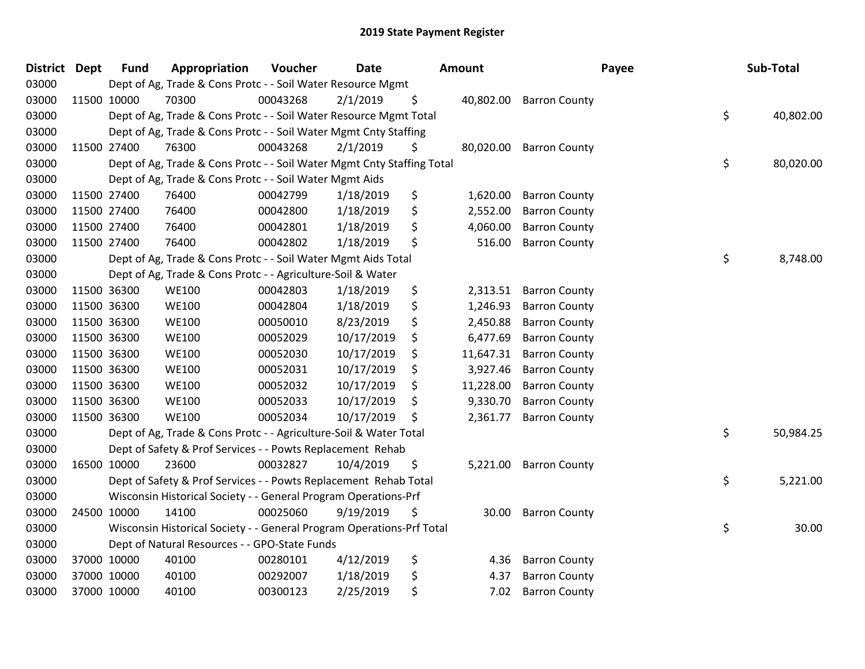| <b>District Dept</b> |             | <b>Fund</b> | Appropriation                                                          | Voucher  | <b>Date</b> | <b>Amount</b>   |                      | Payee | Sub-Total |
|----------------------|-------------|-------------|------------------------------------------------------------------------|----------|-------------|-----------------|----------------------|-------|-----------|
| 03000                |             |             | Dept of Ag, Trade & Cons Protc - - Soil Water Resource Mgmt            |          |             |                 |                      |       |           |
| 03000                |             | 11500 10000 | 70300                                                                  | 00043268 | 2/1/2019    | \$<br>40,802.00 | <b>Barron County</b> |       |           |
| 03000                |             |             | Dept of Ag, Trade & Cons Protc - - Soil Water Resource Mgmt Total      |          |             |                 |                      | \$    | 40,802.00 |
| 03000                |             |             | Dept of Ag, Trade & Cons Protc - - Soil Water Mgmt Cnty Staffing       |          |             |                 |                      |       |           |
| 03000                | 11500 27400 |             | 76300                                                                  | 00043268 | 2/1/2019    | \$<br>80,020.00 | <b>Barron County</b> |       |           |
| 03000                |             |             | Dept of Ag, Trade & Cons Protc - - Soil Water Mgmt Cnty Staffing Total |          |             |                 |                      | \$    | 80,020.00 |
| 03000                |             |             | Dept of Ag, Trade & Cons Protc - - Soil Water Mgmt Aids                |          |             |                 |                      |       |           |
| 03000                |             | 11500 27400 | 76400                                                                  | 00042799 | 1/18/2019   | \$<br>1,620.00  | <b>Barron County</b> |       |           |
| 03000                | 11500 27400 |             | 76400                                                                  | 00042800 | 1/18/2019   | \$<br>2,552.00  | <b>Barron County</b> |       |           |
| 03000                | 11500 27400 |             | 76400                                                                  | 00042801 | 1/18/2019   | \$<br>4,060.00  | <b>Barron County</b> |       |           |
| 03000                | 11500 27400 |             | 76400                                                                  | 00042802 | 1/18/2019   | \$<br>516.00    | <b>Barron County</b> |       |           |
| 03000                |             |             | Dept of Ag, Trade & Cons Protc - - Soil Water Mgmt Aids Total          |          |             |                 |                      | \$    | 8,748.00  |
| 03000                |             |             | Dept of Ag, Trade & Cons Protc - - Agriculture-Soil & Water            |          |             |                 |                      |       |           |
| 03000                | 11500 36300 |             | <b>WE100</b>                                                           | 00042803 | 1/18/2019   | \$<br>2,313.51  | <b>Barron County</b> |       |           |
| 03000                | 11500 36300 |             | <b>WE100</b>                                                           | 00042804 | 1/18/2019   | \$<br>1,246.93  | <b>Barron County</b> |       |           |
| 03000                | 11500 36300 |             | <b>WE100</b>                                                           | 00050010 | 8/23/2019   | \$<br>2,450.88  | <b>Barron County</b> |       |           |
| 03000                | 11500 36300 |             | <b>WE100</b>                                                           | 00052029 | 10/17/2019  | \$<br>6,477.69  | <b>Barron County</b> |       |           |
| 03000                | 11500 36300 |             | <b>WE100</b>                                                           | 00052030 | 10/17/2019  | \$<br>11,647.31 | <b>Barron County</b> |       |           |
| 03000                | 11500 36300 |             | <b>WE100</b>                                                           | 00052031 | 10/17/2019  | \$<br>3,927.46  | <b>Barron County</b> |       |           |
| 03000                | 11500 36300 |             | <b>WE100</b>                                                           | 00052032 | 10/17/2019  | \$<br>11,228.00 | <b>Barron County</b> |       |           |
| 03000                | 11500 36300 |             | <b>WE100</b>                                                           | 00052033 | 10/17/2019  | \$<br>9,330.70  | <b>Barron County</b> |       |           |
| 03000                | 11500 36300 |             | <b>WE100</b>                                                           | 00052034 | 10/17/2019  | \$<br>2,361.77  | <b>Barron County</b> |       |           |
| 03000                |             |             | Dept of Ag, Trade & Cons Protc - - Agriculture-Soil & Water Total      |          |             |                 |                      | \$    | 50,984.25 |
| 03000                |             |             | Dept of Safety & Prof Services - - Powts Replacement Rehab             |          |             |                 |                      |       |           |
| 03000                |             | 16500 10000 | 23600                                                                  | 00032827 | 10/4/2019   | \$<br>5,221.00  | <b>Barron County</b> |       |           |
| 03000                |             |             | Dept of Safety & Prof Services - - Powts Replacement Rehab Total       |          |             |                 |                      | \$    | 5,221.00  |
| 03000                |             |             | Wisconsin Historical Society - - General Program Operations-Prf        |          |             |                 |                      |       |           |
| 03000                |             | 24500 10000 | 14100                                                                  | 00025060 | 9/19/2019   | \$<br>30.00     | <b>Barron County</b> |       |           |
| 03000                |             |             | Wisconsin Historical Society - - General Program Operations-Prf Total  |          |             |                 |                      | \$    | 30.00     |
| 03000                |             |             | Dept of Natural Resources - - GPO-State Funds                          |          |             |                 |                      |       |           |
| 03000                |             | 37000 10000 | 40100                                                                  | 00280101 | 4/12/2019   | \$<br>4.36      | <b>Barron County</b> |       |           |
| 03000                |             | 37000 10000 | 40100                                                                  | 00292007 | 1/18/2019   | \$<br>4.37      | <b>Barron County</b> |       |           |
| 03000                |             | 37000 10000 | 40100                                                                  | 00300123 | 2/25/2019   | \$<br>7.02      | <b>Barron County</b> |       |           |
|                      |             |             |                                                                        |          |             |                 |                      |       |           |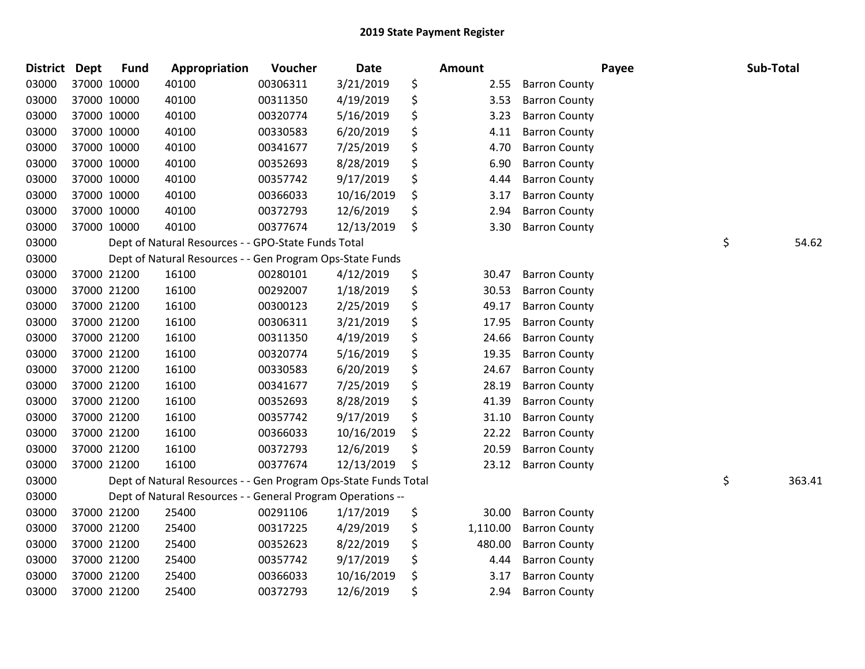| <b>District</b> | <b>Dept</b> | <b>Fund</b> | Appropriation                                                   | Voucher  | <b>Date</b> | Amount         |                      | Payee | Sub-Total    |
|-----------------|-------------|-------------|-----------------------------------------------------------------|----------|-------------|----------------|----------------------|-------|--------------|
| 03000           |             | 37000 10000 | 40100                                                           | 00306311 | 3/21/2019   | \$<br>2.55     | <b>Barron County</b> |       |              |
| 03000           |             | 37000 10000 | 40100                                                           | 00311350 | 4/19/2019   | \$<br>3.53     | <b>Barron County</b> |       |              |
| 03000           |             | 37000 10000 | 40100                                                           | 00320774 | 5/16/2019   | \$<br>3.23     | <b>Barron County</b> |       |              |
| 03000           |             | 37000 10000 | 40100                                                           | 00330583 | 6/20/2019   | \$<br>4.11     | <b>Barron County</b> |       |              |
| 03000           |             | 37000 10000 | 40100                                                           | 00341677 | 7/25/2019   | \$<br>4.70     | <b>Barron County</b> |       |              |
| 03000           |             | 37000 10000 | 40100                                                           | 00352693 | 8/28/2019   | \$<br>6.90     | <b>Barron County</b> |       |              |
| 03000           |             | 37000 10000 | 40100                                                           | 00357742 | 9/17/2019   | \$<br>4.44     | <b>Barron County</b> |       |              |
| 03000           |             | 37000 10000 | 40100                                                           | 00366033 | 10/16/2019  | \$<br>3.17     | <b>Barron County</b> |       |              |
| 03000           |             | 37000 10000 | 40100                                                           | 00372793 | 12/6/2019   | \$<br>2.94     | <b>Barron County</b> |       |              |
| 03000           |             | 37000 10000 | 40100                                                           | 00377674 | 12/13/2019  | \$<br>3.30     | <b>Barron County</b> |       |              |
| 03000           |             |             | Dept of Natural Resources - - GPO-State Funds Total             |          |             |                |                      |       | \$<br>54.62  |
| 03000           |             |             | Dept of Natural Resources - - Gen Program Ops-State Funds       |          |             |                |                      |       |              |
| 03000           |             | 37000 21200 | 16100                                                           | 00280101 | 4/12/2019   | \$<br>30.47    | <b>Barron County</b> |       |              |
| 03000           |             | 37000 21200 | 16100                                                           | 00292007 | 1/18/2019   | \$<br>30.53    | <b>Barron County</b> |       |              |
| 03000           |             | 37000 21200 | 16100                                                           | 00300123 | 2/25/2019   | \$<br>49.17    | <b>Barron County</b> |       |              |
| 03000           |             | 37000 21200 | 16100                                                           | 00306311 | 3/21/2019   | \$<br>17.95    | <b>Barron County</b> |       |              |
| 03000           |             | 37000 21200 | 16100                                                           | 00311350 | 4/19/2019   | \$<br>24.66    | <b>Barron County</b> |       |              |
| 03000           |             | 37000 21200 | 16100                                                           | 00320774 | 5/16/2019   | \$<br>19.35    | <b>Barron County</b> |       |              |
| 03000           |             | 37000 21200 | 16100                                                           | 00330583 | 6/20/2019   | \$<br>24.67    | <b>Barron County</b> |       |              |
| 03000           |             | 37000 21200 | 16100                                                           | 00341677 | 7/25/2019   | \$<br>28.19    | <b>Barron County</b> |       |              |
| 03000           |             | 37000 21200 | 16100                                                           | 00352693 | 8/28/2019   | \$<br>41.39    | <b>Barron County</b> |       |              |
| 03000           |             | 37000 21200 | 16100                                                           | 00357742 | 9/17/2019   | \$<br>31.10    | <b>Barron County</b> |       |              |
| 03000           |             | 37000 21200 | 16100                                                           | 00366033 | 10/16/2019  | \$<br>22.22    | <b>Barron County</b> |       |              |
| 03000           |             | 37000 21200 | 16100                                                           | 00372793 | 12/6/2019   | \$<br>20.59    | <b>Barron County</b> |       |              |
| 03000           |             | 37000 21200 | 16100                                                           | 00377674 | 12/13/2019  | \$<br>23.12    | <b>Barron County</b> |       |              |
| 03000           |             |             | Dept of Natural Resources - - Gen Program Ops-State Funds Total |          |             |                |                      |       | \$<br>363.41 |
| 03000           |             |             | Dept of Natural Resources - - General Program Operations --     |          |             |                |                      |       |              |
| 03000           |             | 37000 21200 | 25400                                                           | 00291106 | 1/17/2019   | \$<br>30.00    | <b>Barron County</b> |       |              |
| 03000           |             | 37000 21200 | 25400                                                           | 00317225 | 4/29/2019   | \$<br>1,110.00 | <b>Barron County</b> |       |              |
| 03000           |             | 37000 21200 | 25400                                                           | 00352623 | 8/22/2019   | \$<br>480.00   | <b>Barron County</b> |       |              |
| 03000           |             | 37000 21200 | 25400                                                           | 00357742 | 9/17/2019   | \$<br>4.44     | <b>Barron County</b> |       |              |
| 03000           |             | 37000 21200 | 25400                                                           | 00366033 | 10/16/2019  | \$<br>3.17     | <b>Barron County</b> |       |              |
| 03000           |             | 37000 21200 | 25400                                                           | 00372793 | 12/6/2019   | \$<br>2.94     | <b>Barron County</b> |       |              |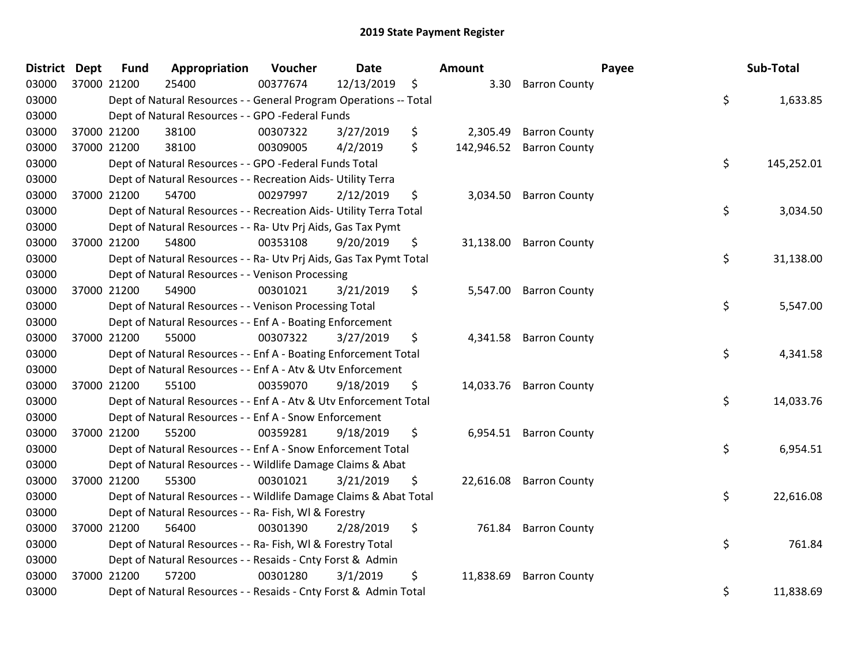| <b>District</b> | <b>Dept</b> | <b>Fund</b> | Appropriation                                                      | Voucher  | Date       | Amount           |                         | Payee | Sub-Total  |
|-----------------|-------------|-------------|--------------------------------------------------------------------|----------|------------|------------------|-------------------------|-------|------------|
| 03000           | 37000 21200 |             | 25400                                                              | 00377674 | 12/13/2019 | \$<br>3.30       | <b>Barron County</b>    |       |            |
| 03000           |             |             | Dept of Natural Resources - - General Program Operations -- Total  |          |            |                  |                         | \$    | 1,633.85   |
| 03000           |             |             | Dept of Natural Resources - - GPO -Federal Funds                   |          |            |                  |                         |       |            |
| 03000           |             | 37000 21200 | 38100                                                              | 00307322 | 3/27/2019  | \$<br>2,305.49   | <b>Barron County</b>    |       |            |
| 03000           |             | 37000 21200 | 38100                                                              | 00309005 | 4/2/2019   | \$<br>142,946.52 | <b>Barron County</b>    |       |            |
| 03000           |             |             | Dept of Natural Resources - - GPO -Federal Funds Total             |          |            |                  |                         | \$    | 145,252.01 |
| 03000           |             |             | Dept of Natural Resources - - Recreation Aids- Utility Terra       |          |            |                  |                         |       |            |
| 03000           |             | 37000 21200 | 54700                                                              | 00297997 | 2/12/2019  | \$<br>3,034.50   | <b>Barron County</b>    |       |            |
| 03000           |             |             | Dept of Natural Resources - - Recreation Aids- Utility Terra Total |          |            |                  |                         | \$    | 3,034.50   |
| 03000           |             |             | Dept of Natural Resources - - Ra- Utv Prj Aids, Gas Tax Pymt       |          |            |                  |                         |       |            |
| 03000           |             | 37000 21200 | 54800                                                              | 00353108 | 9/20/2019  | \$<br>31,138.00  | <b>Barron County</b>    |       |            |
| 03000           |             |             | Dept of Natural Resources - - Ra- Utv Prj Aids, Gas Tax Pymt Total |          |            |                  |                         | \$    | 31,138.00  |
| 03000           |             |             | Dept of Natural Resources - - Venison Processing                   |          |            |                  |                         |       |            |
| 03000           |             | 37000 21200 | 54900                                                              | 00301021 | 3/21/2019  | \$<br>5,547.00   | <b>Barron County</b>    |       |            |
| 03000           |             |             | Dept of Natural Resources - - Venison Processing Total             |          |            |                  |                         | \$    | 5,547.00   |
| 03000           |             |             | Dept of Natural Resources - - Enf A - Boating Enforcement          |          |            |                  |                         |       |            |
| 03000           |             | 37000 21200 | 55000                                                              | 00307322 | 3/27/2019  | \$<br>4,341.58   | <b>Barron County</b>    |       |            |
| 03000           |             |             | Dept of Natural Resources - - Enf A - Boating Enforcement Total    |          |            |                  |                         | \$    | 4,341.58   |
| 03000           |             |             | Dept of Natural Resources - - Enf A - Atv & Utv Enforcement        |          |            |                  |                         |       |            |
| 03000           |             | 37000 21200 | 55100                                                              | 00359070 | 9/18/2019  | \$               | 14,033.76 Barron County |       |            |
| 03000           |             |             | Dept of Natural Resources - - Enf A - Atv & Utv Enforcement Total  |          |            |                  |                         | \$    | 14,033.76  |
| 03000           |             |             | Dept of Natural Resources - - Enf A - Snow Enforcement             |          |            |                  |                         |       |            |
| 03000           |             | 37000 21200 | 55200                                                              | 00359281 | 9/18/2019  | \$               | 6,954.51 Barron County  |       |            |
| 03000           |             |             | Dept of Natural Resources - - Enf A - Snow Enforcement Total       |          |            |                  |                         | \$    | 6,954.51   |
| 03000           |             |             | Dept of Natural Resources - - Wildlife Damage Claims & Abat        |          |            |                  |                         |       |            |
| 03000           |             | 37000 21200 | 55300                                                              | 00301021 | 3/21/2019  | \$<br>22,616.08  | <b>Barron County</b>    |       |            |
| 03000           |             |             | Dept of Natural Resources - - Wildlife Damage Claims & Abat Total  |          |            |                  |                         | \$    | 22,616.08  |
| 03000           |             |             | Dept of Natural Resources - - Ra- Fish, WI & Forestry              |          |            |                  |                         |       |            |
| 03000           |             | 37000 21200 | 56400                                                              | 00301390 | 2/28/2019  | \$               | 761.84 Barron County    |       |            |
| 03000           |             |             | Dept of Natural Resources - - Ra- Fish, WI & Forestry Total        |          |            |                  |                         | \$    | 761.84     |
| 03000           |             |             | Dept of Natural Resources - - Resaids - Cnty Forst & Admin         |          |            |                  |                         |       |            |
| 03000           |             | 37000 21200 | 57200                                                              | 00301280 | 3/1/2019   | \$<br>11,838.69  | <b>Barron County</b>    |       |            |
| 03000           |             |             | Dept of Natural Resources - - Resaids - Cnty Forst & Admin Total   |          |            |                  |                         | \$    | 11,838.69  |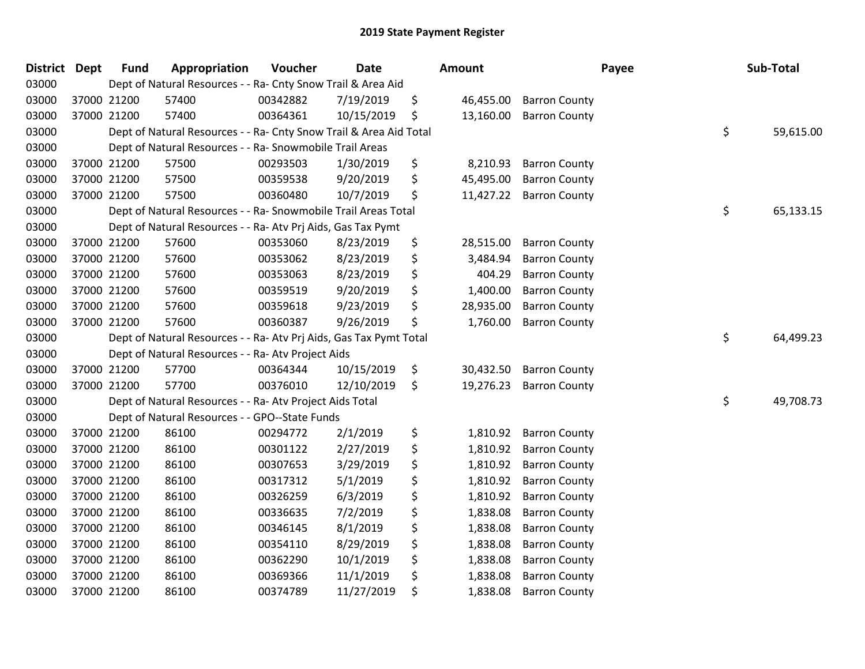| <b>District</b> | <b>Dept</b> | <b>Fund</b> | Appropriation                                                      | Voucher  | <b>Date</b> | Amount          |                      | Payee | Sub-Total       |
|-----------------|-------------|-------------|--------------------------------------------------------------------|----------|-------------|-----------------|----------------------|-------|-----------------|
| 03000           |             |             | Dept of Natural Resources - - Ra- Cnty Snow Trail & Area Aid       |          |             |                 |                      |       |                 |
| 03000           |             | 37000 21200 | 57400                                                              | 00342882 | 7/19/2019   | \$<br>46,455.00 | <b>Barron County</b> |       |                 |
| 03000           |             | 37000 21200 | 57400                                                              | 00364361 | 10/15/2019  | \$<br>13,160.00 | <b>Barron County</b> |       |                 |
| 03000           |             |             | Dept of Natural Resources - - Ra- Cnty Snow Trail & Area Aid Total |          |             |                 |                      |       | \$<br>59,615.00 |
| 03000           |             |             | Dept of Natural Resources - - Ra- Snowmobile Trail Areas           |          |             |                 |                      |       |                 |
| 03000           |             | 37000 21200 | 57500                                                              | 00293503 | 1/30/2019   | \$<br>8,210.93  | <b>Barron County</b> |       |                 |
| 03000           |             | 37000 21200 | 57500                                                              | 00359538 | 9/20/2019   | \$<br>45,495.00 | <b>Barron County</b> |       |                 |
| 03000           |             | 37000 21200 | 57500                                                              | 00360480 | 10/7/2019   | \$<br>11,427.22 | <b>Barron County</b> |       |                 |
| 03000           |             |             | Dept of Natural Resources - - Ra- Snowmobile Trail Areas Total     |          |             |                 |                      |       | \$<br>65,133.15 |
| 03000           |             |             | Dept of Natural Resources - - Ra- Atv Prj Aids, Gas Tax Pymt       |          |             |                 |                      |       |                 |
| 03000           |             | 37000 21200 | 57600                                                              | 00353060 | 8/23/2019   | \$<br>28,515.00 | <b>Barron County</b> |       |                 |
| 03000           |             | 37000 21200 | 57600                                                              | 00353062 | 8/23/2019   | \$<br>3,484.94  | <b>Barron County</b> |       |                 |
| 03000           |             | 37000 21200 | 57600                                                              | 00353063 | 8/23/2019   | \$<br>404.29    | <b>Barron County</b> |       |                 |
| 03000           |             | 37000 21200 | 57600                                                              | 00359519 | 9/20/2019   | \$<br>1,400.00  | <b>Barron County</b> |       |                 |
| 03000           |             | 37000 21200 | 57600                                                              | 00359618 | 9/23/2019   | \$<br>28,935.00 | <b>Barron County</b> |       |                 |
| 03000           |             | 37000 21200 | 57600                                                              | 00360387 | 9/26/2019   | \$<br>1,760.00  | <b>Barron County</b> |       |                 |
| 03000           |             |             | Dept of Natural Resources - - Ra- Atv Prj Aids, Gas Tax Pymt Total |          |             |                 |                      |       | \$<br>64,499.23 |
| 03000           |             |             | Dept of Natural Resources - - Ra- Atv Project Aids                 |          |             |                 |                      |       |                 |
| 03000           |             | 37000 21200 | 57700                                                              | 00364344 | 10/15/2019  | \$<br>30,432.50 | <b>Barron County</b> |       |                 |
| 03000           |             | 37000 21200 | 57700                                                              | 00376010 | 12/10/2019  | \$<br>19,276.23 | <b>Barron County</b> |       |                 |
| 03000           |             |             | Dept of Natural Resources - - Ra- Atv Project Aids Total           |          |             |                 |                      |       | \$<br>49,708.73 |
| 03000           |             |             | Dept of Natural Resources - - GPO--State Funds                     |          |             |                 |                      |       |                 |
| 03000           |             | 37000 21200 | 86100                                                              | 00294772 | 2/1/2019    | \$<br>1,810.92  | <b>Barron County</b> |       |                 |
| 03000           |             | 37000 21200 | 86100                                                              | 00301122 | 2/27/2019   | \$<br>1,810.92  | <b>Barron County</b> |       |                 |
| 03000           |             | 37000 21200 | 86100                                                              | 00307653 | 3/29/2019   | \$<br>1,810.92  | <b>Barron County</b> |       |                 |
| 03000           |             | 37000 21200 | 86100                                                              | 00317312 | 5/1/2019    | \$<br>1,810.92  | <b>Barron County</b> |       |                 |
| 03000           |             | 37000 21200 | 86100                                                              | 00326259 | 6/3/2019    | \$<br>1,810.92  | <b>Barron County</b> |       |                 |
| 03000           |             | 37000 21200 | 86100                                                              | 00336635 | 7/2/2019    | \$<br>1,838.08  | <b>Barron County</b> |       |                 |
| 03000           |             | 37000 21200 | 86100                                                              | 00346145 | 8/1/2019    | \$<br>1,838.08  | <b>Barron County</b> |       |                 |
| 03000           |             | 37000 21200 | 86100                                                              | 00354110 | 8/29/2019   | \$<br>1,838.08  | <b>Barron County</b> |       |                 |
| 03000           |             | 37000 21200 | 86100                                                              | 00362290 | 10/1/2019   | \$<br>1,838.08  | <b>Barron County</b> |       |                 |
| 03000           |             | 37000 21200 | 86100                                                              | 00369366 | 11/1/2019   | \$<br>1,838.08  | <b>Barron County</b> |       |                 |
| 03000           |             | 37000 21200 | 86100                                                              | 00374789 | 11/27/2019  | \$<br>1,838.08  | <b>Barron County</b> |       |                 |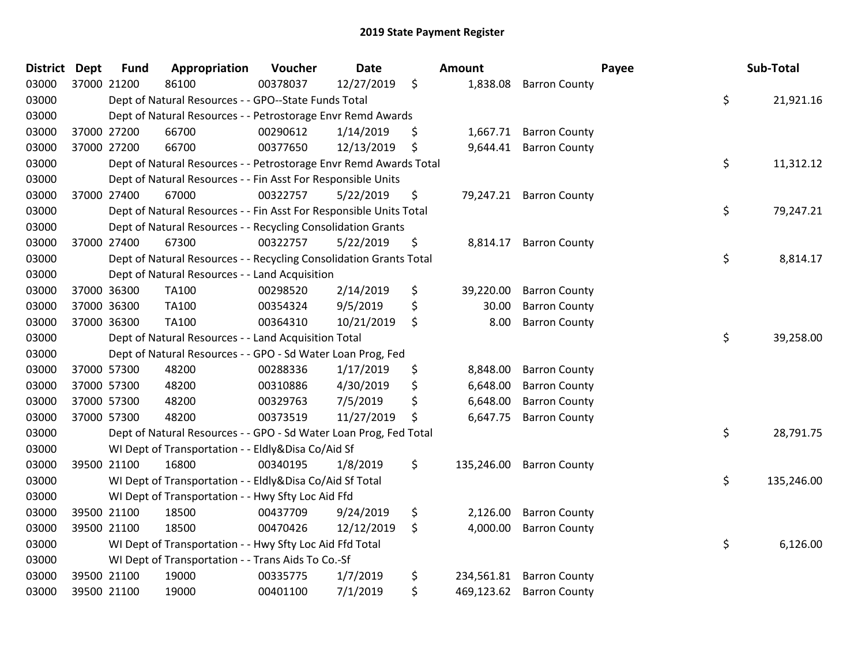| <b>District</b> | <b>Dept</b> | <b>Fund</b> | Appropriation                                                      | Voucher  | <b>Date</b> | Amount           |                         | Payee | Sub-Total  |
|-----------------|-------------|-------------|--------------------------------------------------------------------|----------|-------------|------------------|-------------------------|-------|------------|
| 03000           | 37000 21200 |             | 86100                                                              | 00378037 | 12/27/2019  | \$<br>1,838.08   | <b>Barron County</b>    |       |            |
| 03000           |             |             | Dept of Natural Resources - - GPO--State Funds Total               |          |             |                  |                         | \$    | 21,921.16  |
| 03000           |             |             | Dept of Natural Resources - - Petrostorage Envr Remd Awards        |          |             |                  |                         |       |            |
| 03000           |             | 37000 27200 | 66700                                                              | 00290612 | 1/14/2019   | \$<br>1,667.71   | <b>Barron County</b>    |       |            |
| 03000           |             | 37000 27200 | 66700                                                              | 00377650 | 12/13/2019  | \$<br>9,644.41   | <b>Barron County</b>    |       |            |
| 03000           |             |             | Dept of Natural Resources - - Petrostorage Envr Remd Awards Total  |          |             |                  |                         | \$    | 11,312.12  |
| 03000           |             |             | Dept of Natural Resources - - Fin Asst For Responsible Units       |          |             |                  |                         |       |            |
| 03000           |             | 37000 27400 | 67000                                                              | 00322757 | 5/22/2019   | \$               | 79,247.21 Barron County |       |            |
| 03000           |             |             | Dept of Natural Resources - - Fin Asst For Responsible Units Total |          |             |                  |                         | \$    | 79,247.21  |
| 03000           |             |             | Dept of Natural Resources - - Recycling Consolidation Grants       |          |             |                  |                         |       |            |
| 03000           |             | 37000 27400 | 67300                                                              | 00322757 | 5/22/2019   | \$<br>8,814.17   | <b>Barron County</b>    |       |            |
| 03000           |             |             | Dept of Natural Resources - - Recycling Consolidation Grants Total |          |             |                  |                         | \$    | 8,814.17   |
| 03000           |             |             | Dept of Natural Resources - - Land Acquisition                     |          |             |                  |                         |       |            |
| 03000           |             | 37000 36300 | TA100                                                              | 00298520 | 2/14/2019   | \$<br>39,220.00  | <b>Barron County</b>    |       |            |
| 03000           |             | 37000 36300 | TA100                                                              | 00354324 | 9/5/2019    | \$<br>30.00      | <b>Barron County</b>    |       |            |
| 03000           |             | 37000 36300 | TA100                                                              | 00364310 | 10/21/2019  | \$<br>8.00       | <b>Barron County</b>    |       |            |
| 03000           |             |             | Dept of Natural Resources - - Land Acquisition Total               |          |             |                  |                         | \$    | 39,258.00  |
| 03000           |             |             | Dept of Natural Resources - - GPO - Sd Water Loan Prog, Fed        |          |             |                  |                         |       |            |
| 03000           |             | 37000 57300 | 48200                                                              | 00288336 | 1/17/2019   | \$<br>8,848.00   | <b>Barron County</b>    |       |            |
| 03000           |             | 37000 57300 | 48200                                                              | 00310886 | 4/30/2019   | \$<br>6,648.00   | <b>Barron County</b>    |       |            |
| 03000           |             | 37000 57300 | 48200                                                              | 00329763 | 7/5/2019    | \$<br>6,648.00   | <b>Barron County</b>    |       |            |
| 03000           |             | 37000 57300 | 48200                                                              | 00373519 | 11/27/2019  | \$<br>6,647.75   | <b>Barron County</b>    |       |            |
| 03000           |             |             | Dept of Natural Resources - - GPO - Sd Water Loan Prog, Fed Total  |          |             |                  |                         | \$    | 28,791.75  |
| 03000           |             |             | WI Dept of Transportation - - Eldly&Disa Co/Aid Sf                 |          |             |                  |                         |       |            |
| 03000           |             | 39500 21100 | 16800                                                              | 00340195 | 1/8/2019    | \$<br>135,246.00 | <b>Barron County</b>    |       |            |
| 03000           |             |             | WI Dept of Transportation - - Eldly&Disa Co/Aid Sf Total           |          |             |                  |                         | \$    | 135,246.00 |
| 03000           |             |             | WI Dept of Transportation - - Hwy Sfty Loc Aid Ffd                 |          |             |                  |                         |       |            |
| 03000           |             | 39500 21100 | 18500                                                              | 00437709 | 9/24/2019   | \$<br>2,126.00   | <b>Barron County</b>    |       |            |
| 03000           |             | 39500 21100 | 18500                                                              | 00470426 | 12/12/2019  | \$<br>4,000.00   | <b>Barron County</b>    |       |            |
| 03000           |             |             | WI Dept of Transportation - - Hwy Sfty Loc Aid Ffd Total           |          |             |                  |                         | \$    | 6,126.00   |
| 03000           |             |             | WI Dept of Transportation - - Trans Aids To Co.-Sf                 |          |             |                  |                         |       |            |
| 03000           |             | 39500 21100 | 19000                                                              | 00335775 | 1/7/2019    | \$<br>234,561.81 | <b>Barron County</b>    |       |            |
| 03000           |             | 39500 21100 | 19000                                                              | 00401100 | 7/1/2019    | \$<br>469,123.62 | <b>Barron County</b>    |       |            |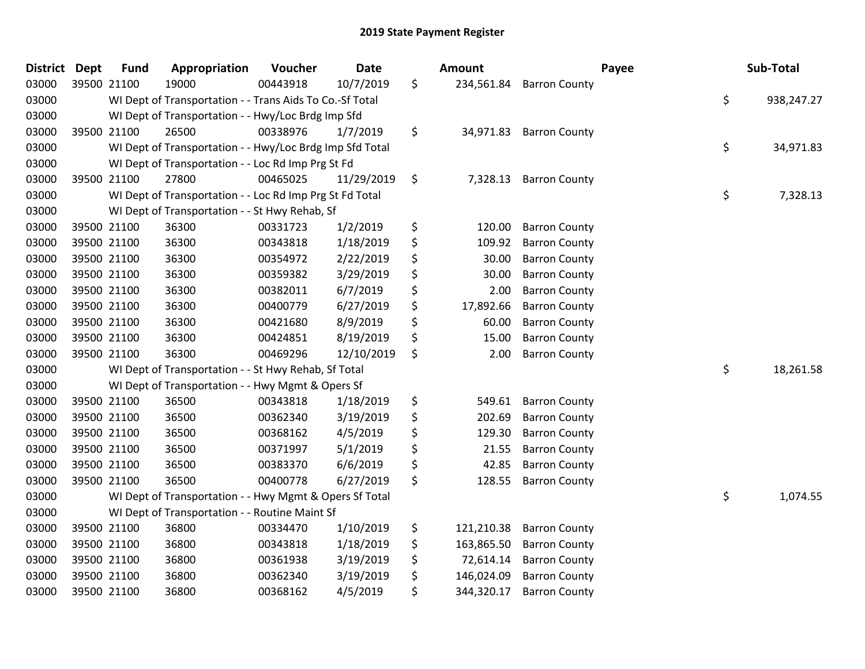| <b>District</b> | <b>Dept</b> | <b>Fund</b> | Appropriation                                            | Voucher  | <b>Date</b> | <b>Amount</b>    |                      | Payee | Sub-Total  |
|-----------------|-------------|-------------|----------------------------------------------------------|----------|-------------|------------------|----------------------|-------|------------|
| 03000           |             | 39500 21100 | 19000                                                    | 00443918 | 10/7/2019   | \$<br>234,561.84 | <b>Barron County</b> |       |            |
| 03000           |             |             | WI Dept of Transportation - - Trans Aids To Co.-Sf Total |          |             |                  |                      | \$    | 938,247.27 |
| 03000           |             |             | WI Dept of Transportation - - Hwy/Loc Brdg Imp Sfd       |          |             |                  |                      |       |            |
| 03000           |             | 39500 21100 | 26500                                                    | 00338976 | 1/7/2019    | \$<br>34,971.83  | <b>Barron County</b> |       |            |
| 03000           |             |             | WI Dept of Transportation - - Hwy/Loc Brdg Imp Sfd Total |          |             |                  |                      | \$    | 34,971.83  |
| 03000           |             |             | WI Dept of Transportation - - Loc Rd Imp Prg St Fd       |          |             |                  |                      |       |            |
| 03000           |             | 39500 21100 | 27800                                                    | 00465025 | 11/29/2019  | \$<br>7,328.13   | <b>Barron County</b> |       |            |
| 03000           |             |             | WI Dept of Transportation - - Loc Rd Imp Prg St Fd Total |          |             |                  |                      | \$    | 7,328.13   |
| 03000           |             |             | WI Dept of Transportation - - St Hwy Rehab, Sf           |          |             |                  |                      |       |            |
| 03000           |             | 39500 21100 | 36300                                                    | 00331723 | 1/2/2019    | \$<br>120.00     | <b>Barron County</b> |       |            |
| 03000           |             | 39500 21100 | 36300                                                    | 00343818 | 1/18/2019   | \$<br>109.92     | <b>Barron County</b> |       |            |
| 03000           |             | 39500 21100 | 36300                                                    | 00354972 | 2/22/2019   | \$<br>30.00      | <b>Barron County</b> |       |            |
| 03000           |             | 39500 21100 | 36300                                                    | 00359382 | 3/29/2019   | \$<br>30.00      | <b>Barron County</b> |       |            |
| 03000           |             | 39500 21100 | 36300                                                    | 00382011 | 6/7/2019    | \$<br>2.00       | <b>Barron County</b> |       |            |
| 03000           |             | 39500 21100 | 36300                                                    | 00400779 | 6/27/2019   | \$<br>17,892.66  | <b>Barron County</b> |       |            |
| 03000           |             | 39500 21100 | 36300                                                    | 00421680 | 8/9/2019    | \$<br>60.00      | <b>Barron County</b> |       |            |
| 03000           |             | 39500 21100 | 36300                                                    | 00424851 | 8/19/2019   | \$<br>15.00      | <b>Barron County</b> |       |            |
| 03000           |             | 39500 21100 | 36300                                                    | 00469296 | 12/10/2019  | \$<br>2.00       | <b>Barron County</b> |       |            |
| 03000           |             |             | WI Dept of Transportation - - St Hwy Rehab, Sf Total     |          |             |                  |                      | \$    | 18,261.58  |
| 03000           |             |             | WI Dept of Transportation - - Hwy Mgmt & Opers Sf        |          |             |                  |                      |       |            |
| 03000           |             | 39500 21100 | 36500                                                    | 00343818 | 1/18/2019   | \$<br>549.61     | <b>Barron County</b> |       |            |
| 03000           |             | 39500 21100 | 36500                                                    | 00362340 | 3/19/2019   | \$<br>202.69     | <b>Barron County</b> |       |            |
| 03000           |             | 39500 21100 | 36500                                                    | 00368162 | 4/5/2019    | \$<br>129.30     | <b>Barron County</b> |       |            |
| 03000           |             | 39500 21100 | 36500                                                    | 00371997 | 5/1/2019    | \$<br>21.55      | <b>Barron County</b> |       |            |
| 03000           |             | 39500 21100 | 36500                                                    | 00383370 | 6/6/2019    | \$<br>42.85      | <b>Barron County</b> |       |            |
| 03000           |             | 39500 21100 | 36500                                                    | 00400778 | 6/27/2019   | \$<br>128.55     | <b>Barron County</b> |       |            |
| 03000           |             |             | WI Dept of Transportation - - Hwy Mgmt & Opers Sf Total  |          |             |                  |                      | \$    | 1,074.55   |
| 03000           |             |             | WI Dept of Transportation - - Routine Maint Sf           |          |             |                  |                      |       |            |
| 03000           |             | 39500 21100 | 36800                                                    | 00334470 | 1/10/2019   | \$<br>121,210.38 | <b>Barron County</b> |       |            |
| 03000           |             | 39500 21100 | 36800                                                    | 00343818 | 1/18/2019   | \$<br>163,865.50 | <b>Barron County</b> |       |            |
| 03000           |             | 39500 21100 | 36800                                                    | 00361938 | 3/19/2019   | \$<br>72,614.14  | <b>Barron County</b> |       |            |
| 03000           |             | 39500 21100 | 36800                                                    | 00362340 | 3/19/2019   | \$<br>146,024.09 | <b>Barron County</b> |       |            |
| 03000           |             | 39500 21100 | 36800                                                    | 00368162 | 4/5/2019    | \$<br>344,320.17 | <b>Barron County</b> |       |            |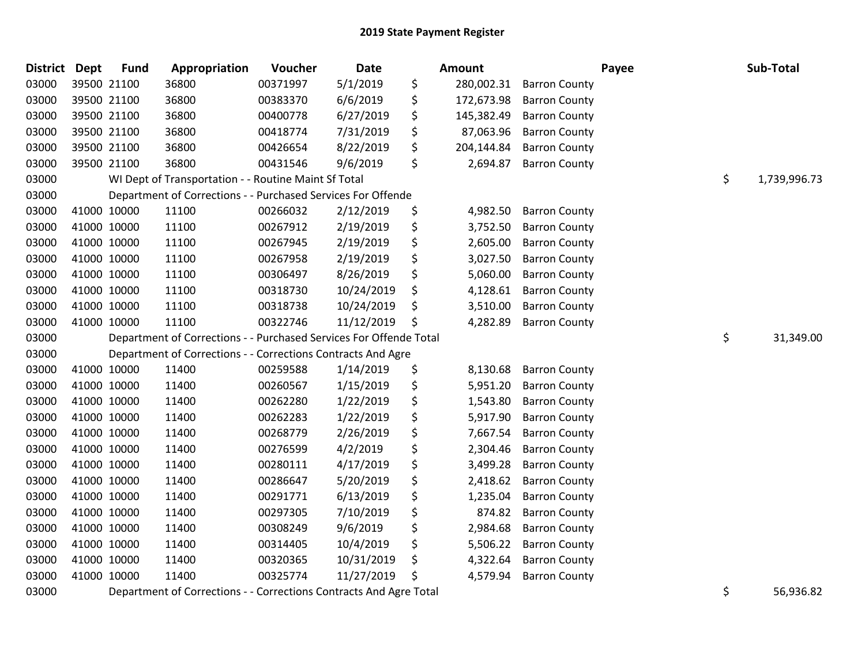| <b>District Dept</b> |             | <b>Fund</b> | Appropriation                                                      | Voucher  | <b>Date</b> |    | Amount     |                      | Payee | Sub-Total          |
|----------------------|-------------|-------------|--------------------------------------------------------------------|----------|-------------|----|------------|----------------------|-------|--------------------|
| 03000                | 39500 21100 |             | 36800                                                              | 00371997 | 5/1/2019    | \$ | 280,002.31 | <b>Barron County</b> |       |                    |
| 03000                | 39500 21100 |             | 36800                                                              | 00383370 | 6/6/2019    | \$ | 172,673.98 | <b>Barron County</b> |       |                    |
| 03000                | 39500 21100 |             | 36800                                                              | 00400778 | 6/27/2019   | \$ | 145,382.49 | <b>Barron County</b> |       |                    |
| 03000                | 39500 21100 |             | 36800                                                              | 00418774 | 7/31/2019   | \$ | 87,063.96  | <b>Barron County</b> |       |                    |
| 03000                | 39500 21100 |             | 36800                                                              | 00426654 | 8/22/2019   | \$ | 204,144.84 | <b>Barron County</b> |       |                    |
| 03000                | 39500 21100 |             | 36800                                                              | 00431546 | 9/6/2019    | \$ | 2,694.87   | <b>Barron County</b> |       |                    |
| 03000                |             |             | WI Dept of Transportation - - Routine Maint Sf Total               |          |             |    |            |                      |       | \$<br>1,739,996.73 |
| 03000                |             |             | Department of Corrections - - Purchased Services For Offende       |          |             |    |            |                      |       |                    |
| 03000                | 41000 10000 |             | 11100                                                              | 00266032 | 2/12/2019   | \$ | 4,982.50   | <b>Barron County</b> |       |                    |
| 03000                | 41000 10000 |             | 11100                                                              | 00267912 | 2/19/2019   | \$ | 3,752.50   | <b>Barron County</b> |       |                    |
| 03000                | 41000 10000 |             | 11100                                                              | 00267945 | 2/19/2019   | \$ | 2,605.00   | <b>Barron County</b> |       |                    |
| 03000                | 41000 10000 |             | 11100                                                              | 00267958 | 2/19/2019   | \$ | 3,027.50   | <b>Barron County</b> |       |                    |
| 03000                | 41000 10000 |             | 11100                                                              | 00306497 | 8/26/2019   | \$ | 5,060.00   | <b>Barron County</b> |       |                    |
| 03000                | 41000 10000 |             | 11100                                                              | 00318730 | 10/24/2019  | \$ | 4,128.61   | <b>Barron County</b> |       |                    |
| 03000                | 41000 10000 |             | 11100                                                              | 00318738 | 10/24/2019  | \$ | 3,510.00   | <b>Barron County</b> |       |                    |
| 03000                | 41000 10000 |             | 11100                                                              | 00322746 | 11/12/2019  | S  | 4,282.89   | <b>Barron County</b> |       |                    |
| 03000                |             |             | Department of Corrections - - Purchased Services For Offende Total |          |             |    |            |                      |       | \$<br>31,349.00    |
| 03000                |             |             | Department of Corrections - - Corrections Contracts And Agre       |          |             |    |            |                      |       |                    |
| 03000                | 41000 10000 |             | 11400                                                              | 00259588 | 1/14/2019   | \$ | 8,130.68   | <b>Barron County</b> |       |                    |
| 03000                | 41000 10000 |             | 11400                                                              | 00260567 | 1/15/2019   | \$ | 5,951.20   | <b>Barron County</b> |       |                    |
| 03000                | 41000 10000 |             | 11400                                                              | 00262280 | 1/22/2019   | \$ | 1,543.80   | <b>Barron County</b> |       |                    |
| 03000                | 41000 10000 |             | 11400                                                              | 00262283 | 1/22/2019   | \$ | 5,917.90   | <b>Barron County</b> |       |                    |
| 03000                | 41000 10000 |             | 11400                                                              | 00268779 | 2/26/2019   | \$ | 7,667.54   | <b>Barron County</b> |       |                    |
| 03000                | 41000 10000 |             | 11400                                                              | 00276599 | 4/2/2019    | \$ | 2,304.46   | <b>Barron County</b> |       |                    |
| 03000                | 41000 10000 |             | 11400                                                              | 00280111 | 4/17/2019   | \$ | 3,499.28   | <b>Barron County</b> |       |                    |
| 03000                | 41000 10000 |             | 11400                                                              | 00286647 | 5/20/2019   | \$ | 2,418.62   | <b>Barron County</b> |       |                    |
| 03000                | 41000 10000 |             | 11400                                                              | 00291771 | 6/13/2019   | \$ | 1,235.04   | <b>Barron County</b> |       |                    |
| 03000                | 41000 10000 |             | 11400                                                              | 00297305 | 7/10/2019   | \$ | 874.82     | <b>Barron County</b> |       |                    |
| 03000                | 41000 10000 |             | 11400                                                              | 00308249 | 9/6/2019    | \$ | 2,984.68   | <b>Barron County</b> |       |                    |
| 03000                | 41000 10000 |             | 11400                                                              | 00314405 | 10/4/2019   | \$ | 5,506.22   | <b>Barron County</b> |       |                    |
| 03000                | 41000 10000 |             | 11400                                                              | 00320365 | 10/31/2019  | \$ | 4,322.64   | <b>Barron County</b> |       |                    |
| 03000                | 41000 10000 |             | 11400                                                              | 00325774 | 11/27/2019  | \$ | 4,579.94   | <b>Barron County</b> |       |                    |
| -----                |             |             | $\sim$ $\sim$                                                      |          |             |    |            |                      |       |                    |

03000 Department of Corrections - - Corrections Contracts And Agre Total 5 1996 1997 1998 1998 1999 1998 1999 1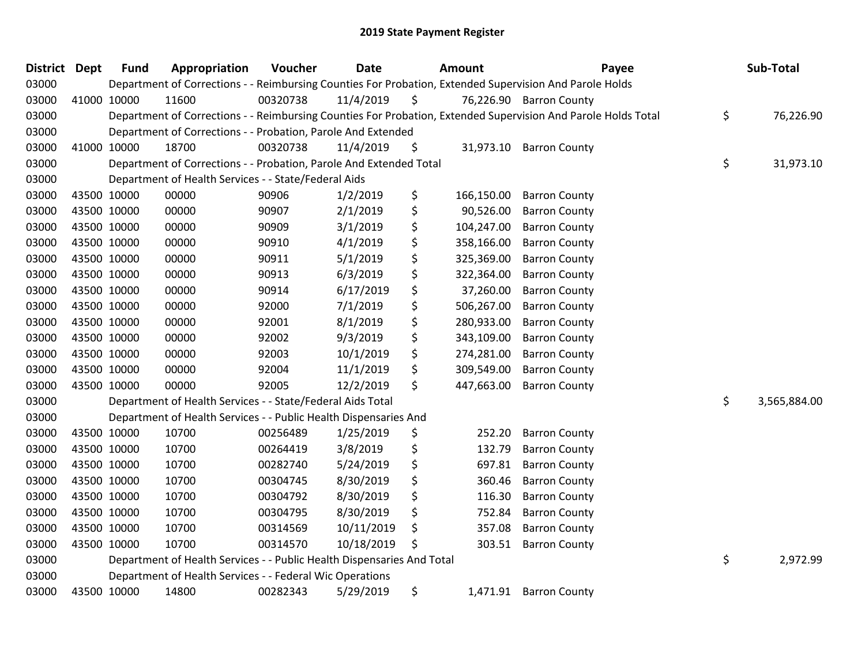| 03000 |             |             |                                                                        | Voucher  | <b>Date</b> | Amount           | Payee                                                                                                         | Sub-Total          |
|-------|-------------|-------------|------------------------------------------------------------------------|----------|-------------|------------------|---------------------------------------------------------------------------------------------------------------|--------------------|
|       |             |             |                                                                        |          |             |                  | Department of Corrections - - Reimbursing Counties For Probation, Extended Supervision And Parole Holds       |                    |
| 03000 |             | 41000 10000 | 11600                                                                  | 00320738 | 11/4/2019   | \$               | 76,226.90 Barron County                                                                                       |                    |
| 03000 |             |             |                                                                        |          |             |                  | Department of Corrections - - Reimbursing Counties For Probation, Extended Supervision And Parole Holds Total | \$<br>76,226.90    |
| 03000 |             |             | Department of Corrections - - Probation, Parole And Extended           |          |             |                  |                                                                                                               |                    |
| 03000 |             | 41000 10000 | 18700                                                                  | 00320738 | 11/4/2019   | \$               | 31,973.10 Barron County                                                                                       |                    |
| 03000 |             |             | Department of Corrections - - Probation, Parole And Extended Total     |          |             |                  |                                                                                                               | \$<br>31,973.10    |
| 03000 |             |             | Department of Health Services - - State/Federal Aids                   |          |             |                  |                                                                                                               |                    |
| 03000 |             | 43500 10000 | 00000                                                                  | 90906    | 1/2/2019    | \$<br>166,150.00 | <b>Barron County</b>                                                                                          |                    |
| 03000 | 43500 10000 |             | 00000                                                                  | 90907    | 2/1/2019    | \$<br>90,526.00  | <b>Barron County</b>                                                                                          |                    |
| 03000 | 43500 10000 |             | 00000                                                                  | 90909    | 3/1/2019    | \$<br>104,247.00 | <b>Barron County</b>                                                                                          |                    |
| 03000 |             | 43500 10000 | 00000                                                                  | 90910    | 4/1/2019    | \$<br>358,166.00 | <b>Barron County</b>                                                                                          |                    |
| 03000 | 43500 10000 |             | 00000                                                                  | 90911    | 5/1/2019    | \$<br>325,369.00 | <b>Barron County</b>                                                                                          |                    |
| 03000 |             | 43500 10000 | 00000                                                                  | 90913    | 6/3/2019    | \$<br>322,364.00 | <b>Barron County</b>                                                                                          |                    |
| 03000 | 43500 10000 |             | 00000                                                                  | 90914    | 6/17/2019   | \$<br>37,260.00  | <b>Barron County</b>                                                                                          |                    |
| 03000 | 43500 10000 |             | 00000                                                                  | 92000    | 7/1/2019    | \$<br>506,267.00 | <b>Barron County</b>                                                                                          |                    |
| 03000 | 43500 10000 |             | 00000                                                                  | 92001    | 8/1/2019    | \$<br>280,933.00 | <b>Barron County</b>                                                                                          |                    |
| 03000 | 43500 10000 |             | 00000                                                                  | 92002    | 9/3/2019    | \$<br>343,109.00 | <b>Barron County</b>                                                                                          |                    |
| 03000 |             | 43500 10000 | 00000                                                                  | 92003    | 10/1/2019   | \$<br>274,281.00 | <b>Barron County</b>                                                                                          |                    |
| 03000 | 43500 10000 |             | 00000                                                                  | 92004    | 11/1/2019   | \$<br>309,549.00 | <b>Barron County</b>                                                                                          |                    |
| 03000 | 43500 10000 |             | 00000                                                                  | 92005    | 12/2/2019   | \$<br>447,663.00 | <b>Barron County</b>                                                                                          |                    |
| 03000 |             |             | Department of Health Services - - State/Federal Aids Total             |          |             |                  |                                                                                                               | \$<br>3,565,884.00 |
| 03000 |             |             | Department of Health Services - - Public Health Dispensaries And       |          |             |                  |                                                                                                               |                    |
| 03000 |             | 43500 10000 | 10700                                                                  | 00256489 | 1/25/2019   | \$<br>252.20     | <b>Barron County</b>                                                                                          |                    |
| 03000 |             | 43500 10000 | 10700                                                                  | 00264419 | 3/8/2019    | \$<br>132.79     | <b>Barron County</b>                                                                                          |                    |
| 03000 | 43500 10000 |             | 10700                                                                  | 00282740 | 5/24/2019   | \$<br>697.81     | <b>Barron County</b>                                                                                          |                    |
| 03000 | 43500 10000 |             | 10700                                                                  | 00304745 | 8/30/2019   | \$<br>360.46     | <b>Barron County</b>                                                                                          |                    |
| 03000 | 43500 10000 |             | 10700                                                                  | 00304792 | 8/30/2019   | \$<br>116.30     | <b>Barron County</b>                                                                                          |                    |
| 03000 | 43500 10000 |             | 10700                                                                  | 00304795 | 8/30/2019   | \$<br>752.84     | <b>Barron County</b>                                                                                          |                    |
| 03000 |             | 43500 10000 | 10700                                                                  | 00314569 | 10/11/2019  | \$<br>357.08     | <b>Barron County</b>                                                                                          |                    |
| 03000 | 43500 10000 |             | 10700                                                                  | 00314570 | 10/18/2019  | \$<br>303.51     | <b>Barron County</b>                                                                                          |                    |
| 03000 |             |             | Department of Health Services - - Public Health Dispensaries And Total |          |             |                  |                                                                                                               | \$<br>2,972.99     |
| 03000 |             |             | Department of Health Services - - Federal Wic Operations               |          |             |                  |                                                                                                               |                    |
| 03000 |             | 43500 10000 | 14800                                                                  | 00282343 | 5/29/2019   | \$<br>1,471.91   | <b>Barron County</b>                                                                                          |                    |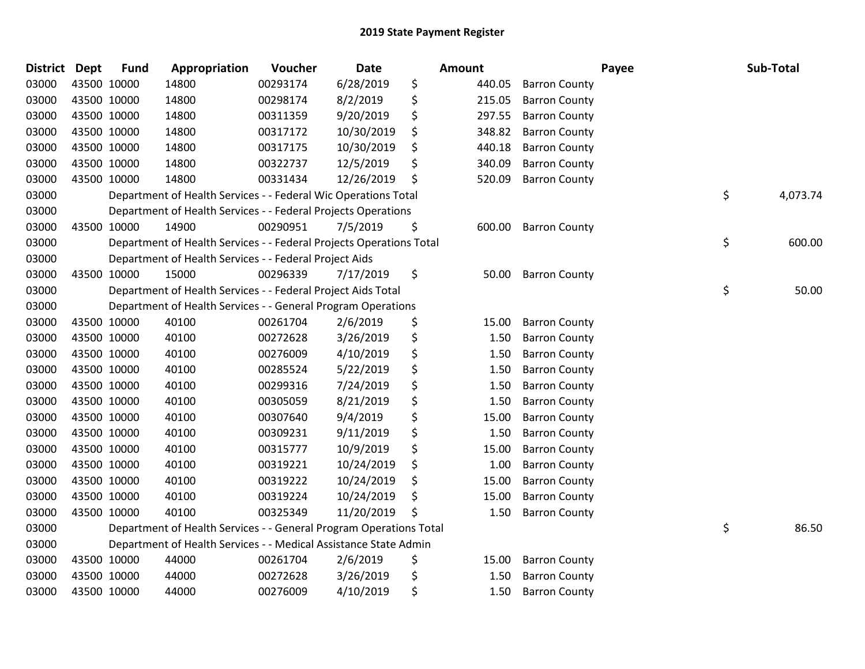| District Dept | <b>Fund</b> | Appropriation                                                       | Voucher  | <b>Date</b> | <b>Amount</b> |        |                      | Payee | Sub-Total      |
|---------------|-------------|---------------------------------------------------------------------|----------|-------------|---------------|--------|----------------------|-------|----------------|
| 03000         | 43500 10000 | 14800                                                               | 00293174 | 6/28/2019   | \$            | 440.05 | <b>Barron County</b> |       |                |
| 03000         | 43500 10000 | 14800                                                               | 00298174 | 8/2/2019    | \$            | 215.05 | <b>Barron County</b> |       |                |
| 03000         | 43500 10000 | 14800                                                               | 00311359 | 9/20/2019   | \$            | 297.55 | <b>Barron County</b> |       |                |
| 03000         | 43500 10000 | 14800                                                               | 00317172 | 10/30/2019  | \$            | 348.82 | <b>Barron County</b> |       |                |
| 03000         | 43500 10000 | 14800                                                               | 00317175 | 10/30/2019  | \$            | 440.18 | <b>Barron County</b> |       |                |
| 03000         | 43500 10000 | 14800                                                               | 00322737 | 12/5/2019   | \$            | 340.09 | <b>Barron County</b> |       |                |
| 03000         | 43500 10000 | 14800                                                               | 00331434 | 12/26/2019  | \$            | 520.09 | <b>Barron County</b> |       |                |
| 03000         |             | Department of Health Services - - Federal Wic Operations Total      |          |             |               |        |                      |       | \$<br>4,073.74 |
| 03000         |             | Department of Health Services - - Federal Projects Operations       |          |             |               |        |                      |       |                |
| 03000         | 43500 10000 | 14900                                                               | 00290951 | 7/5/2019    | \$            | 600.00 | <b>Barron County</b> |       |                |
| 03000         |             | Department of Health Services - - Federal Projects Operations Total |          |             |               |        |                      |       | \$<br>600.00   |
| 03000         |             | Department of Health Services - - Federal Project Aids              |          |             |               |        |                      |       |                |
| 03000         | 43500 10000 | 15000                                                               | 00296339 | 7/17/2019   | \$            | 50.00  | <b>Barron County</b> |       |                |
| 03000         |             | Department of Health Services - - Federal Project Aids Total        |          |             |               |        |                      |       | \$<br>50.00    |
| 03000         |             | Department of Health Services - - General Program Operations        |          |             |               |        |                      |       |                |
| 03000         | 43500 10000 | 40100                                                               | 00261704 | 2/6/2019    | \$            | 15.00  | <b>Barron County</b> |       |                |
| 03000         | 43500 10000 | 40100                                                               | 00272628 | 3/26/2019   | \$            | 1.50   | <b>Barron County</b> |       |                |
| 03000         | 43500 10000 | 40100                                                               | 00276009 | 4/10/2019   | \$            | 1.50   | <b>Barron County</b> |       |                |
| 03000         | 43500 10000 | 40100                                                               | 00285524 | 5/22/2019   | \$            | 1.50   | <b>Barron County</b> |       |                |
| 03000         | 43500 10000 | 40100                                                               | 00299316 | 7/24/2019   | \$            | 1.50   | <b>Barron County</b> |       |                |
| 03000         | 43500 10000 | 40100                                                               | 00305059 | 8/21/2019   | \$            | 1.50   | <b>Barron County</b> |       |                |
| 03000         | 43500 10000 | 40100                                                               | 00307640 | 9/4/2019    | \$            | 15.00  | <b>Barron County</b> |       |                |
| 03000         | 43500 10000 | 40100                                                               | 00309231 | 9/11/2019   | \$            | 1.50   | <b>Barron County</b> |       |                |
| 03000         | 43500 10000 | 40100                                                               | 00315777 | 10/9/2019   | \$            | 15.00  | <b>Barron County</b> |       |                |
| 03000         | 43500 10000 | 40100                                                               | 00319221 | 10/24/2019  | \$            | 1.00   | <b>Barron County</b> |       |                |
| 03000         | 43500 10000 | 40100                                                               | 00319222 | 10/24/2019  | \$            | 15.00  | <b>Barron County</b> |       |                |
| 03000         | 43500 10000 | 40100                                                               | 00319224 | 10/24/2019  | \$            | 15.00  | <b>Barron County</b> |       |                |
| 03000         | 43500 10000 | 40100                                                               | 00325349 | 11/20/2019  | \$            | 1.50   | <b>Barron County</b> |       |                |
| 03000         |             | Department of Health Services - - General Program Operations Total  |          |             |               |        |                      |       | \$<br>86.50    |
| 03000         |             | Department of Health Services - - Medical Assistance State Admin    |          |             |               |        |                      |       |                |
| 03000         | 43500 10000 | 44000                                                               | 00261704 | 2/6/2019    | \$            | 15.00  | <b>Barron County</b> |       |                |
| 03000         | 43500 10000 | 44000                                                               | 00272628 | 3/26/2019   | \$            | 1.50   | <b>Barron County</b> |       |                |
| 03000         | 43500 10000 | 44000                                                               | 00276009 | 4/10/2019   | \$            | 1.50   | <b>Barron County</b> |       |                |
|               |             |                                                                     |          |             |               |        |                      |       |                |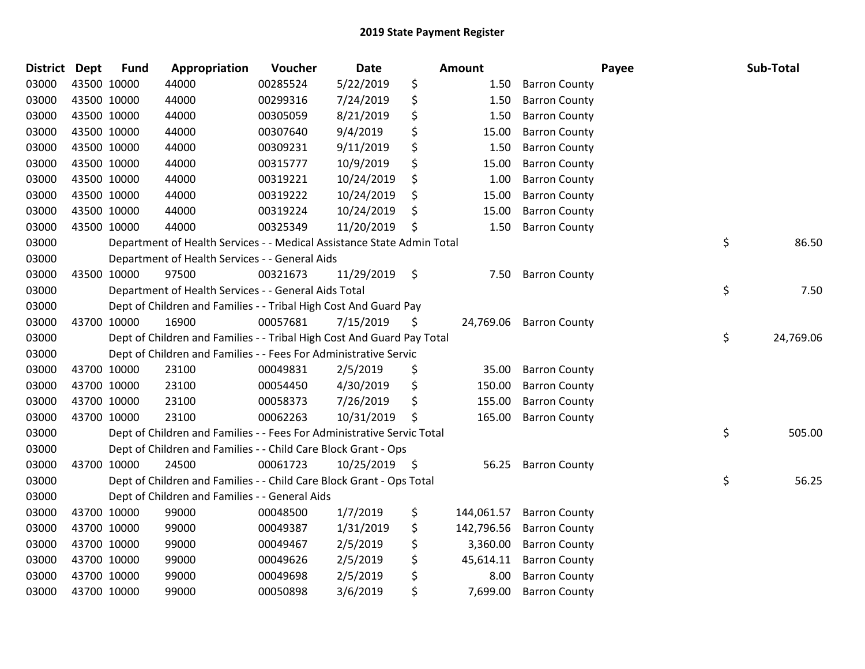| District Dept |             | <b>Fund</b> | Appropriation                                                          | Voucher  | <b>Date</b> |     | Amount     |                      | Payee | Sub-Total       |
|---------------|-------------|-------------|------------------------------------------------------------------------|----------|-------------|-----|------------|----------------------|-------|-----------------|
| 03000         | 43500 10000 |             | 44000                                                                  | 00285524 | 5/22/2019   | \$  | 1.50       | <b>Barron County</b> |       |                 |
| 03000         | 43500 10000 |             | 44000                                                                  | 00299316 | 7/24/2019   | \$  | 1.50       | <b>Barron County</b> |       |                 |
| 03000         | 43500 10000 |             | 44000                                                                  | 00305059 | 8/21/2019   | \$  | 1.50       | <b>Barron County</b> |       |                 |
| 03000         | 43500 10000 |             | 44000                                                                  | 00307640 | 9/4/2019    | \$  | 15.00      | <b>Barron County</b> |       |                 |
| 03000         | 43500 10000 |             | 44000                                                                  | 00309231 | 9/11/2019   | \$  | 1.50       | <b>Barron County</b> |       |                 |
| 03000         | 43500 10000 |             | 44000                                                                  | 00315777 | 10/9/2019   | \$  | 15.00      | <b>Barron County</b> |       |                 |
| 03000         | 43500 10000 |             | 44000                                                                  | 00319221 | 10/24/2019  | \$  | 1.00       | <b>Barron County</b> |       |                 |
| 03000         | 43500 10000 |             | 44000                                                                  | 00319222 | 10/24/2019  | \$  | 15.00      | <b>Barron County</b> |       |                 |
| 03000         | 43500 10000 |             | 44000                                                                  | 00319224 | 10/24/2019  | \$  | 15.00      | <b>Barron County</b> |       |                 |
| 03000         | 43500 10000 |             | 44000                                                                  | 00325349 | 11/20/2019  | \$  | 1.50       | <b>Barron County</b> |       |                 |
| 03000         |             |             | Department of Health Services - - Medical Assistance State Admin Total |          |             |     |            |                      |       | \$<br>86.50     |
| 03000         |             |             | Department of Health Services - - General Aids                         |          |             |     |            |                      |       |                 |
| 03000         |             | 43500 10000 | 97500                                                                  | 00321673 | 11/29/2019  | \$  | 7.50       | <b>Barron County</b> |       |                 |
| 03000         |             |             | Department of Health Services - - General Aids Total                   |          |             |     |            |                      |       | \$<br>7.50      |
| 03000         |             |             | Dept of Children and Families - - Tribal High Cost And Guard Pay       |          |             |     |            |                      |       |                 |
| 03000         | 43700 10000 |             | 16900                                                                  | 00057681 | 7/15/2019   | \$  | 24,769.06  | <b>Barron County</b> |       |                 |
| 03000         |             |             | Dept of Children and Families - - Tribal High Cost And Guard Pay Total |          |             |     |            |                      |       | \$<br>24,769.06 |
| 03000         |             |             | Dept of Children and Families - - Fees For Administrative Servic       |          |             |     |            |                      |       |                 |
| 03000         |             | 43700 10000 | 23100                                                                  | 00049831 | 2/5/2019    | \$  | 35.00      | <b>Barron County</b> |       |                 |
| 03000         | 43700 10000 |             | 23100                                                                  | 00054450 | 4/30/2019   | \$  | 150.00     | <b>Barron County</b> |       |                 |
| 03000         | 43700 10000 |             | 23100                                                                  | 00058373 | 7/26/2019   | \$  | 155.00     | <b>Barron County</b> |       |                 |
| 03000         | 43700 10000 |             | 23100                                                                  | 00062263 | 10/31/2019  |     | 165.00     | <b>Barron County</b> |       |                 |
| 03000         |             |             | Dept of Children and Families - - Fees For Administrative Servic Total |          |             |     |            |                      |       | \$<br>505.00    |
| 03000         |             |             | Dept of Children and Families - - Child Care Block Grant - Ops         |          |             |     |            |                      |       |                 |
| 03000         | 43700 10000 |             | 24500                                                                  | 00061723 | 10/25/2019  | -\$ | 56.25      | <b>Barron County</b> |       |                 |
| 03000         |             |             | Dept of Children and Families - - Child Care Block Grant - Ops Total   |          |             |     |            |                      |       | \$<br>56.25     |
| 03000         |             |             | Dept of Children and Families - - General Aids                         |          |             |     |            |                      |       |                 |
| 03000         | 43700 10000 |             | 99000                                                                  | 00048500 | 1/7/2019    | \$  | 144,061.57 | <b>Barron County</b> |       |                 |
| 03000         | 43700 10000 |             | 99000                                                                  | 00049387 | 1/31/2019   | \$  | 142,796.56 | <b>Barron County</b> |       |                 |
| 03000         | 43700 10000 |             | 99000                                                                  | 00049467 | 2/5/2019    | \$  | 3,360.00   | <b>Barron County</b> |       |                 |
| 03000         | 43700 10000 |             | 99000                                                                  | 00049626 | 2/5/2019    | \$  | 45,614.11  | <b>Barron County</b> |       |                 |
| 03000         | 43700 10000 |             | 99000                                                                  | 00049698 | 2/5/2019    | \$  | 8.00       | <b>Barron County</b> |       |                 |
| 03000         | 43700 10000 |             | 99000                                                                  | 00050898 | 3/6/2019    | \$  | 7,699.00   | <b>Barron County</b> |       |                 |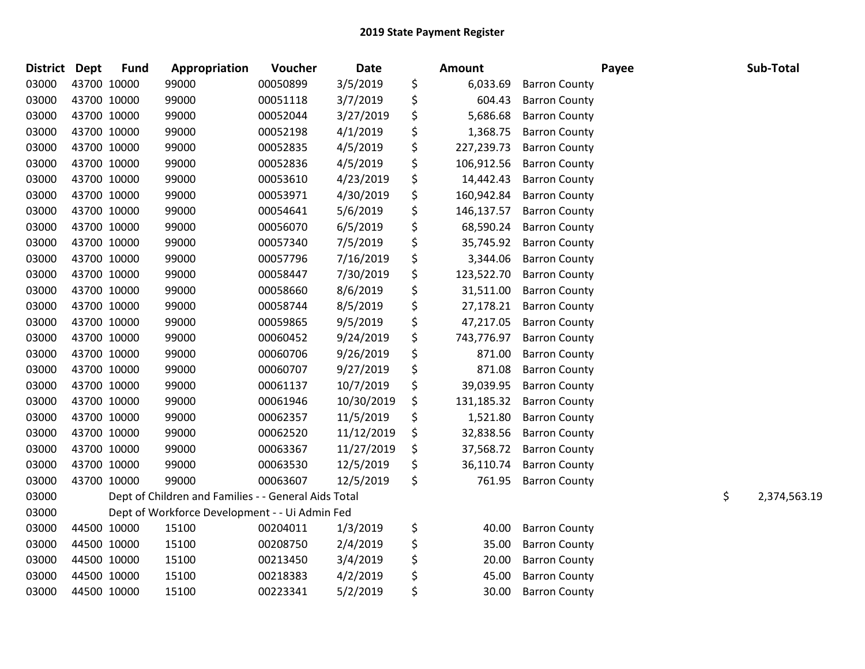| District Dept | <b>Fund</b> | Appropriation                                        | Voucher  | Date       | <b>Amount</b>    |                      | Payee | Sub-Total          |
|---------------|-------------|------------------------------------------------------|----------|------------|------------------|----------------------|-------|--------------------|
| 03000         | 43700 10000 | 99000                                                | 00050899 | 3/5/2019   | \$<br>6,033.69   | <b>Barron County</b> |       |                    |
| 03000         | 43700 10000 | 99000                                                | 00051118 | 3/7/2019   | \$<br>604.43     | <b>Barron County</b> |       |                    |
| 03000         | 43700 10000 | 99000                                                | 00052044 | 3/27/2019  | \$<br>5,686.68   | <b>Barron County</b> |       |                    |
| 03000         | 43700 10000 | 99000                                                | 00052198 | 4/1/2019   | \$<br>1,368.75   | <b>Barron County</b> |       |                    |
| 03000         | 43700 10000 | 99000                                                | 00052835 | 4/5/2019   | \$<br>227,239.73 | <b>Barron County</b> |       |                    |
| 03000         | 43700 10000 | 99000                                                | 00052836 | 4/5/2019   | \$<br>106,912.56 | <b>Barron County</b> |       |                    |
| 03000         | 43700 10000 | 99000                                                | 00053610 | 4/23/2019  | \$<br>14,442.43  | <b>Barron County</b> |       |                    |
| 03000         | 43700 10000 | 99000                                                | 00053971 | 4/30/2019  | \$<br>160,942.84 | <b>Barron County</b> |       |                    |
| 03000         | 43700 10000 | 99000                                                | 00054641 | 5/6/2019   | \$<br>146,137.57 | <b>Barron County</b> |       |                    |
| 03000         | 43700 10000 | 99000                                                | 00056070 | 6/5/2019   | \$<br>68,590.24  | <b>Barron County</b> |       |                    |
| 03000         | 43700 10000 | 99000                                                | 00057340 | 7/5/2019   | \$<br>35,745.92  | <b>Barron County</b> |       |                    |
| 03000         | 43700 10000 | 99000                                                | 00057796 | 7/16/2019  | \$<br>3,344.06   | <b>Barron County</b> |       |                    |
| 03000         | 43700 10000 | 99000                                                | 00058447 | 7/30/2019  | \$<br>123,522.70 | <b>Barron County</b> |       |                    |
| 03000         | 43700 10000 | 99000                                                | 00058660 | 8/6/2019   | \$<br>31,511.00  | <b>Barron County</b> |       |                    |
| 03000         | 43700 10000 | 99000                                                | 00058744 | 8/5/2019   | \$<br>27,178.21  | <b>Barron County</b> |       |                    |
| 03000         | 43700 10000 | 99000                                                | 00059865 | 9/5/2019   | \$<br>47,217.05  | <b>Barron County</b> |       |                    |
| 03000         | 43700 10000 | 99000                                                | 00060452 | 9/24/2019  | \$<br>743,776.97 | <b>Barron County</b> |       |                    |
| 03000         | 43700 10000 | 99000                                                | 00060706 | 9/26/2019  | \$<br>871.00     | <b>Barron County</b> |       |                    |
| 03000         | 43700 10000 | 99000                                                | 00060707 | 9/27/2019  | \$<br>871.08     | <b>Barron County</b> |       |                    |
| 03000         | 43700 10000 | 99000                                                | 00061137 | 10/7/2019  | \$<br>39,039.95  | <b>Barron County</b> |       |                    |
| 03000         | 43700 10000 | 99000                                                | 00061946 | 10/30/2019 | \$<br>131,185.32 | <b>Barron County</b> |       |                    |
| 03000         | 43700 10000 | 99000                                                | 00062357 | 11/5/2019  | \$<br>1,521.80   | <b>Barron County</b> |       |                    |
| 03000         | 43700 10000 | 99000                                                | 00062520 | 11/12/2019 | \$<br>32,838.56  | <b>Barron County</b> |       |                    |
| 03000         | 43700 10000 | 99000                                                | 00063367 | 11/27/2019 | \$<br>37,568.72  | <b>Barron County</b> |       |                    |
| 03000         | 43700 10000 | 99000                                                | 00063530 | 12/5/2019  | \$<br>36,110.74  | <b>Barron County</b> |       |                    |
| 03000         | 43700 10000 | 99000                                                | 00063607 | 12/5/2019  | \$<br>761.95     | <b>Barron County</b> |       |                    |
| 03000         |             | Dept of Children and Families - - General Aids Total |          |            |                  |                      |       | \$<br>2,374,563.19 |
| 03000         |             | Dept of Workforce Development - - Ui Admin Fed       |          |            |                  |                      |       |                    |
| 03000         | 44500 10000 | 15100                                                | 00204011 | 1/3/2019   | \$<br>40.00      | <b>Barron County</b> |       |                    |
| 03000         | 44500 10000 | 15100                                                | 00208750 | 2/4/2019   | \$<br>35.00      | <b>Barron County</b> |       |                    |
| 03000         | 44500 10000 | 15100                                                | 00213450 | 3/4/2019   | \$<br>20.00      | <b>Barron County</b> |       |                    |
| 03000         | 44500 10000 | 15100                                                | 00218383 | 4/2/2019   | \$<br>45.00      | <b>Barron County</b> |       |                    |
| 03000         | 44500 10000 | 15100                                                | 00223341 | 5/2/2019   | \$<br>30.00      | <b>Barron County</b> |       |                    |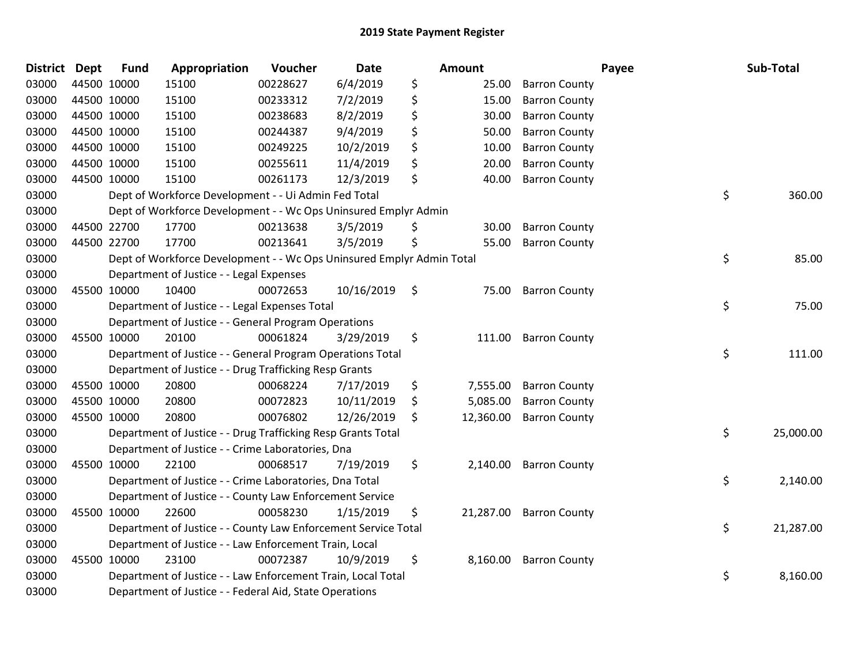| <b>District Dept</b> |             | <b>Fund</b> | Appropriation                                                         | Voucher  | <b>Date</b>   | Amount          |                      | Payee | Sub-Total       |
|----------------------|-------------|-------------|-----------------------------------------------------------------------|----------|---------------|-----------------|----------------------|-------|-----------------|
| 03000                |             | 44500 10000 | 15100                                                                 | 00228627 | 6/4/2019      | \$<br>25.00     | <b>Barron County</b> |       |                 |
| 03000                |             | 44500 10000 | 15100                                                                 | 00233312 | 7/2/2019      | \$<br>15.00     | <b>Barron County</b> |       |                 |
| 03000                | 44500 10000 |             | 15100                                                                 | 00238683 | 8/2/2019      | \$<br>30.00     | <b>Barron County</b> |       |                 |
| 03000                | 44500 10000 |             | 15100                                                                 | 00244387 | 9/4/2019      | \$<br>50.00     | <b>Barron County</b> |       |                 |
| 03000                | 44500 10000 |             | 15100                                                                 | 00249225 | 10/2/2019     | \$<br>10.00     | <b>Barron County</b> |       |                 |
| 03000                |             | 44500 10000 | 15100                                                                 | 00255611 | 11/4/2019     | \$<br>20.00     | <b>Barron County</b> |       |                 |
| 03000                |             | 44500 10000 | 15100                                                                 | 00261173 | 12/3/2019     | \$<br>40.00     | <b>Barron County</b> |       |                 |
| 03000                |             |             | Dept of Workforce Development - - Ui Admin Fed Total                  |          |               |                 |                      |       | \$<br>360.00    |
| 03000                |             |             | Dept of Workforce Development - - Wc Ops Uninsured Emplyr Admin       |          |               |                 |                      |       |                 |
| 03000                |             | 44500 22700 | 17700                                                                 | 00213638 | 3/5/2019      | \$<br>30.00     | <b>Barron County</b> |       |                 |
| 03000                |             | 44500 22700 | 17700                                                                 | 00213641 | 3/5/2019      | \$<br>55.00     | <b>Barron County</b> |       |                 |
| 03000                |             |             | Dept of Workforce Development - - Wc Ops Uninsured Emplyr Admin Total |          |               |                 |                      |       | \$<br>85.00     |
| 03000                |             |             | Department of Justice - - Legal Expenses                              |          |               |                 |                      |       |                 |
| 03000                |             | 45500 10000 | 10400                                                                 | 00072653 | 10/16/2019 \$ | 75.00           | <b>Barron County</b> |       |                 |
| 03000                |             |             | Department of Justice - - Legal Expenses Total                        |          |               |                 |                      |       | \$<br>75.00     |
| 03000                |             |             | Department of Justice - - General Program Operations                  |          |               |                 |                      |       |                 |
| 03000                |             | 45500 10000 | 20100                                                                 | 00061824 | 3/29/2019     | \$<br>111.00    | <b>Barron County</b> |       |                 |
| 03000                |             |             | Department of Justice - - General Program Operations Total            |          |               |                 |                      |       | \$<br>111.00    |
| 03000                |             |             | Department of Justice - - Drug Trafficking Resp Grants                |          |               |                 |                      |       |                 |
| 03000                |             | 45500 10000 | 20800                                                                 | 00068224 | 7/17/2019     | \$<br>7,555.00  | <b>Barron County</b> |       |                 |
| 03000                |             | 45500 10000 | 20800                                                                 | 00072823 | 10/11/2019    | \$<br>5,085.00  | <b>Barron County</b> |       |                 |
| 03000                |             | 45500 10000 | 20800                                                                 | 00076802 | 12/26/2019    | \$<br>12,360.00 | <b>Barron County</b> |       |                 |
| 03000                |             |             | Department of Justice - - Drug Trafficking Resp Grants Total          |          |               |                 |                      |       | \$<br>25,000.00 |
| 03000                |             |             | Department of Justice - - Crime Laboratories, Dna                     |          |               |                 |                      |       |                 |
| 03000                |             | 45500 10000 | 22100                                                                 | 00068517 | 7/19/2019     | \$<br>2,140.00  | <b>Barron County</b> |       |                 |
| 03000                |             |             | Department of Justice - - Crime Laboratories, Dna Total               |          |               |                 |                      |       | \$<br>2,140.00  |
| 03000                |             |             | Department of Justice - - County Law Enforcement Service              |          |               |                 |                      |       |                 |
| 03000                |             | 45500 10000 | 22600                                                                 | 00058230 | 1/15/2019     | \$<br>21,287.00 | <b>Barron County</b> |       |                 |
| 03000                |             |             | Department of Justice - - County Law Enforcement Service Total        |          |               |                 |                      |       | \$<br>21,287.00 |
| 03000                |             |             | Department of Justice - - Law Enforcement Train, Local                |          |               |                 |                      |       |                 |
| 03000                |             | 45500 10000 | 23100                                                                 | 00072387 | 10/9/2019     | \$<br>8,160.00  | <b>Barron County</b> |       |                 |
| 03000                |             |             | Department of Justice - - Law Enforcement Train, Local Total          |          |               |                 |                      |       | \$<br>8,160.00  |
| 03000                |             |             | Department of Justice - - Federal Aid, State Operations               |          |               |                 |                      |       |                 |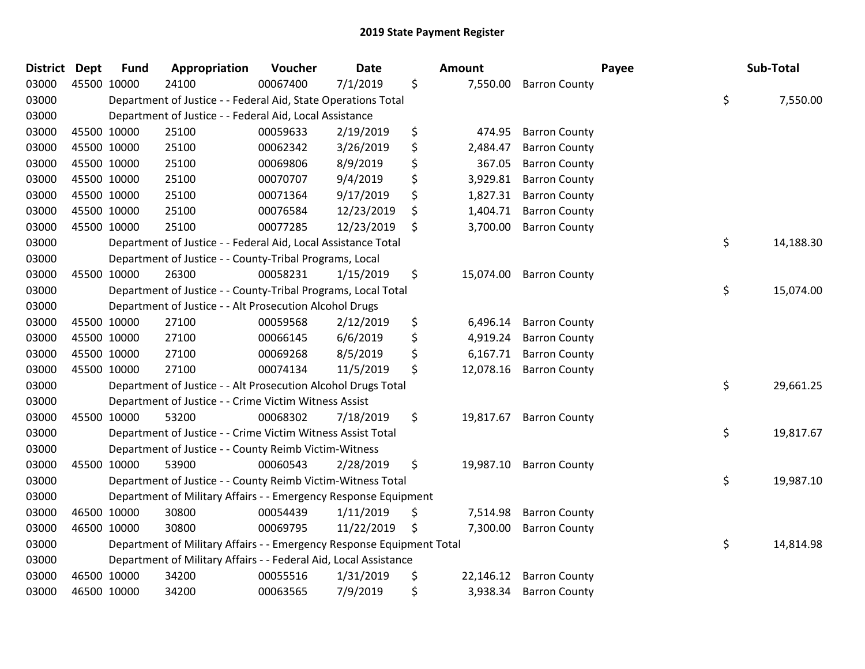| District | <b>Dept</b> | <b>Fund</b> | Appropriation                                                         | Voucher  | <b>Date</b> | Amount          |                         | Payee | Sub-Total       |
|----------|-------------|-------------|-----------------------------------------------------------------------|----------|-------------|-----------------|-------------------------|-------|-----------------|
| 03000    | 45500 10000 |             | 24100                                                                 | 00067400 | 7/1/2019    | \$<br>7,550.00  | <b>Barron County</b>    |       |                 |
| 03000    |             |             | Department of Justice - - Federal Aid, State Operations Total         |          |             |                 |                         |       | \$<br>7,550.00  |
| 03000    |             |             | Department of Justice - - Federal Aid, Local Assistance               |          |             |                 |                         |       |                 |
| 03000    |             | 45500 10000 | 25100                                                                 | 00059633 | 2/19/2019   | \$<br>474.95    | <b>Barron County</b>    |       |                 |
| 03000    |             | 45500 10000 | 25100                                                                 | 00062342 | 3/26/2019   | \$<br>2,484.47  | <b>Barron County</b>    |       |                 |
| 03000    |             | 45500 10000 | 25100                                                                 | 00069806 | 8/9/2019    | \$<br>367.05    | <b>Barron County</b>    |       |                 |
| 03000    |             | 45500 10000 | 25100                                                                 | 00070707 | 9/4/2019    | \$<br>3,929.81  | <b>Barron County</b>    |       |                 |
| 03000    |             | 45500 10000 | 25100                                                                 | 00071364 | 9/17/2019   | \$<br>1,827.31  | <b>Barron County</b>    |       |                 |
| 03000    |             | 45500 10000 | 25100                                                                 | 00076584 | 12/23/2019  | \$<br>1,404.71  | <b>Barron County</b>    |       |                 |
| 03000    | 45500 10000 |             | 25100                                                                 | 00077285 | 12/23/2019  | \$<br>3,700.00  | <b>Barron County</b>    |       |                 |
| 03000    |             |             | Department of Justice - - Federal Aid, Local Assistance Total         |          |             |                 |                         |       | \$<br>14,188.30 |
| 03000    |             |             | Department of Justice - - County-Tribal Programs, Local               |          |             |                 |                         |       |                 |
| 03000    |             | 45500 10000 | 26300                                                                 | 00058231 | 1/15/2019   | \$              | 15,074.00 Barron County |       |                 |
| 03000    |             |             | Department of Justice - - County-Tribal Programs, Local Total         |          |             |                 |                         |       | \$<br>15,074.00 |
| 03000    |             |             | Department of Justice - - Alt Prosecution Alcohol Drugs               |          |             |                 |                         |       |                 |
| 03000    | 45500 10000 |             | 27100                                                                 | 00059568 | 2/12/2019   | \$<br>6,496.14  | <b>Barron County</b>    |       |                 |
| 03000    |             | 45500 10000 | 27100                                                                 | 00066145 | 6/6/2019    | \$<br>4,919.24  | <b>Barron County</b>    |       |                 |
| 03000    |             | 45500 10000 | 27100                                                                 | 00069268 | 8/5/2019    | \$<br>6,167.71  | <b>Barron County</b>    |       |                 |
| 03000    |             | 45500 10000 | 27100                                                                 | 00074134 | 11/5/2019   | \$<br>12,078.16 | <b>Barron County</b>    |       |                 |
| 03000    |             |             | Department of Justice - - Alt Prosecution Alcohol Drugs Total         |          |             |                 |                         |       | \$<br>29,661.25 |
| 03000    |             |             | Department of Justice - - Crime Victim Witness Assist                 |          |             |                 |                         |       |                 |
| 03000    |             | 45500 10000 | 53200                                                                 | 00068302 | 7/18/2019   | \$              | 19,817.67 Barron County |       |                 |
| 03000    |             |             | Department of Justice - - Crime Victim Witness Assist Total           |          |             |                 |                         |       | \$<br>19,817.67 |
| 03000    |             |             | Department of Justice - - County Reimb Victim-Witness                 |          |             |                 |                         |       |                 |
| 03000    | 45500 10000 |             | 53900                                                                 | 00060543 | 2/28/2019   | \$<br>19,987.10 | <b>Barron County</b>    |       |                 |
| 03000    |             |             | Department of Justice - - County Reimb Victim-Witness Total           |          |             |                 |                         |       | \$<br>19,987.10 |
| 03000    |             |             | Department of Military Affairs - - Emergency Response Equipment       |          |             |                 |                         |       |                 |
| 03000    |             | 46500 10000 | 30800                                                                 | 00054439 | 1/11/2019   | \$<br>7,514.98  | <b>Barron County</b>    |       |                 |
| 03000    | 46500 10000 |             | 30800                                                                 | 00069795 | 11/22/2019  | \$<br>7,300.00  | <b>Barron County</b>    |       |                 |
| 03000    |             |             | Department of Military Affairs - - Emergency Response Equipment Total |          |             |                 |                         |       | \$<br>14,814.98 |
| 03000    |             |             | Department of Military Affairs - - Federal Aid, Local Assistance      |          |             |                 |                         |       |                 |
| 03000    |             | 46500 10000 | 34200                                                                 | 00055516 | 1/31/2019   | \$<br>22,146.12 | <b>Barron County</b>    |       |                 |
| 03000    | 46500 10000 |             | 34200                                                                 | 00063565 | 7/9/2019    | \$<br>3,938.34  | <b>Barron County</b>    |       |                 |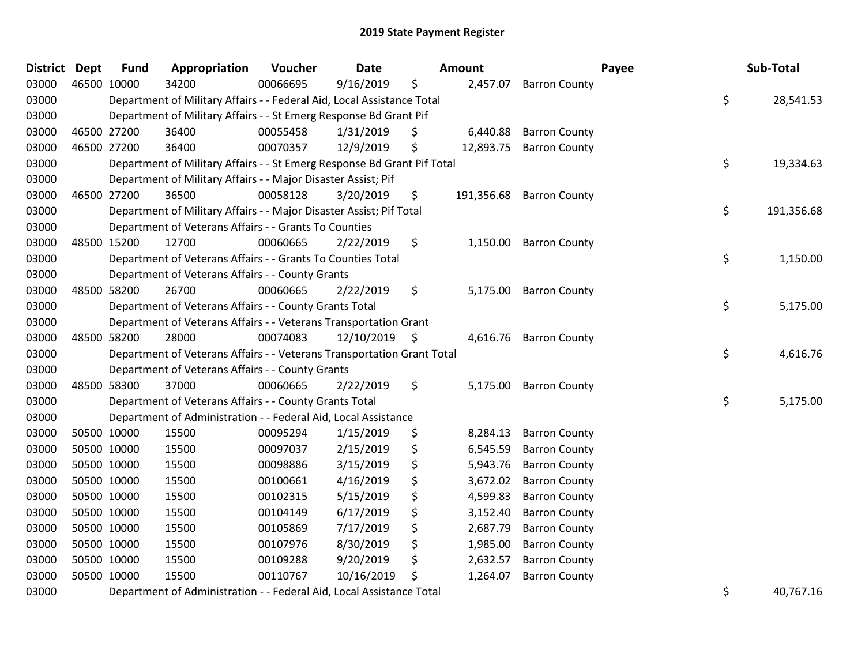| <b>District Dept</b> |             | <b>Fund</b> | Appropriation                                                           | Voucher  | <b>Date</b>     |     | Amount     |                      | Payee | Sub-Total  |
|----------------------|-------------|-------------|-------------------------------------------------------------------------|----------|-----------------|-----|------------|----------------------|-------|------------|
| 03000                | 46500 10000 |             | 34200                                                                   | 00066695 | 9/16/2019       | \$  | 2,457.07   | <b>Barron County</b> |       |            |
| 03000                |             |             | Department of Military Affairs - - Federal Aid, Local Assistance Total  |          |                 |     |            |                      | \$    | 28,541.53  |
| 03000                |             |             | Department of Military Affairs - - St Emerg Response Bd Grant Pif       |          |                 |     |            |                      |       |            |
| 03000                |             | 46500 27200 | 36400                                                                   | 00055458 | 1/31/2019       | \$  | 6,440.88   | <b>Barron County</b> |       |            |
| 03000                |             | 46500 27200 | 36400                                                                   | 00070357 | 12/9/2019       | \$  | 12,893.75  | <b>Barron County</b> |       |            |
| 03000                |             |             | Department of Military Affairs - - St Emerg Response Bd Grant Pif Total |          |                 |     |            |                      | \$    | 19,334.63  |
| 03000                |             |             | Department of Military Affairs - - Major Disaster Assist; Pif           |          |                 |     |            |                      |       |            |
| 03000                |             | 46500 27200 | 36500                                                                   | 00058128 | 3/20/2019       | \$. | 191,356.68 | <b>Barron County</b> |       |            |
| 03000                |             |             | Department of Military Affairs - - Major Disaster Assist; Pif Total     |          |                 |     |            |                      | \$    | 191,356.68 |
| 03000                |             |             | Department of Veterans Affairs - - Grants To Counties                   |          |                 |     |            |                      |       |            |
| 03000                |             | 48500 15200 | 12700                                                                   | 00060665 | 2/22/2019       | \$  | 1,150.00   | <b>Barron County</b> |       |            |
| 03000                |             |             | Department of Veterans Affairs - - Grants To Counties Total             |          |                 |     |            |                      | \$    | 1,150.00   |
| 03000                |             |             | Department of Veterans Affairs - - County Grants                        |          |                 |     |            |                      |       |            |
| 03000                |             | 48500 58200 | 26700                                                                   | 00060665 | 2/22/2019       | \$  | 5,175.00   | <b>Barron County</b> |       |            |
| 03000                |             |             | Department of Veterans Affairs - - County Grants Total                  |          |                 |     |            |                      | \$    | 5,175.00   |
| 03000                |             |             | Department of Veterans Affairs - - Veterans Transportation Grant        |          |                 |     |            |                      |       |            |
| 03000                |             | 48500 58200 | 28000                                                                   | 00074083 | $12/10/2019$ \$ |     | 4,616.76   | <b>Barron County</b> |       |            |
| 03000                |             |             | Department of Veterans Affairs - - Veterans Transportation Grant Total  |          |                 |     |            |                      | \$    | 4,616.76   |
| 03000                |             |             | Department of Veterans Affairs - - County Grants                        |          |                 |     |            |                      |       |            |
| 03000                |             | 48500 58300 | 37000                                                                   | 00060665 | 2/22/2019       | \$  | 5,175.00   | <b>Barron County</b> |       |            |
| 03000                |             |             | Department of Veterans Affairs - - County Grants Total                  |          |                 |     |            |                      | \$    | 5,175.00   |
| 03000                |             |             | Department of Administration - - Federal Aid, Local Assistance          |          |                 |     |            |                      |       |            |
| 03000                |             | 50500 10000 | 15500                                                                   | 00095294 | 1/15/2019       | \$  | 8,284.13   | <b>Barron County</b> |       |            |
| 03000                |             | 50500 10000 | 15500                                                                   | 00097037 | 2/15/2019       | \$  | 6,545.59   | <b>Barron County</b> |       |            |
| 03000                |             | 50500 10000 | 15500                                                                   | 00098886 | 3/15/2019       | \$  | 5,943.76   | <b>Barron County</b> |       |            |
| 03000                |             | 50500 10000 | 15500                                                                   | 00100661 | 4/16/2019       | \$  | 3,672.02   | <b>Barron County</b> |       |            |
| 03000                |             | 50500 10000 | 15500                                                                   | 00102315 | 5/15/2019       | \$  | 4,599.83   | <b>Barron County</b> |       |            |
| 03000                |             | 50500 10000 | 15500                                                                   | 00104149 | 6/17/2019       | \$  | 3,152.40   | <b>Barron County</b> |       |            |
| 03000                |             | 50500 10000 | 15500                                                                   | 00105869 | 7/17/2019       | \$  | 2,687.79   | <b>Barron County</b> |       |            |
| 03000                |             | 50500 10000 | 15500                                                                   | 00107976 | 8/30/2019       | \$  | 1,985.00   | <b>Barron County</b> |       |            |
| 03000                |             | 50500 10000 | 15500                                                                   | 00109288 | 9/20/2019       | \$  | 2,632.57   | <b>Barron County</b> |       |            |
| 03000                |             | 50500 10000 | 15500                                                                   | 00110767 | 10/16/2019      | \$  | 1,264.07   | <b>Barron County</b> |       |            |
| nannn.               |             |             | Department of Administration [oderal Aid Local Accistance Total         |          |                 |     |            |                      | ċ     | AOZCTAC    |

03000 Department of Administration - - Federal Aid, Local Assistance Total \$ 40,767.16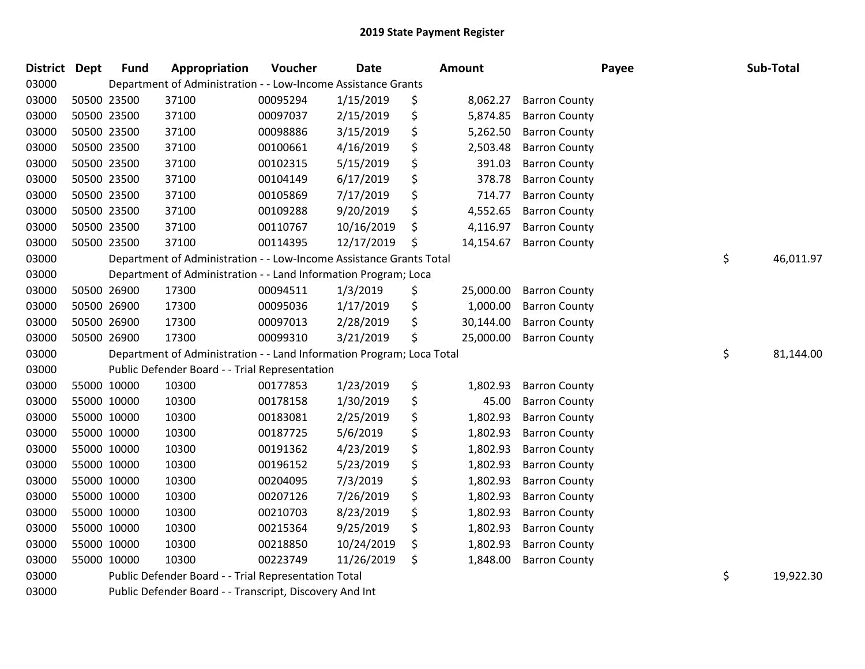| <b>District</b> | Dept | <b>Fund</b> | Appropriation                                                                                                                                                                                                                        | Voucher  | <b>Date</b> |    | <b>Amount</b> |                      | Payee | Sub-Total |
|-----------------|------|-------------|--------------------------------------------------------------------------------------------------------------------------------------------------------------------------------------------------------------------------------------|----------|-------------|----|---------------|----------------------|-------|-----------|
| 03000           |      |             | Department of Administration - - Low-Income Assistance Grants                                                                                                                                                                        |          |             |    |               |                      |       |           |
| 03000           |      | 50500 23500 | 37100                                                                                                                                                                                                                                | 00095294 | 1/15/2019   | \$ | 8,062.27      | <b>Barron County</b> |       |           |
| 03000           |      | 50500 23500 | 37100                                                                                                                                                                                                                                | 00097037 | 2/15/2019   | \$ | 5,874.85      | <b>Barron County</b> |       |           |
| 03000           |      | 50500 23500 | 37100                                                                                                                                                                                                                                | 00098886 | 3/15/2019   | \$ | 5,262.50      | <b>Barron County</b> |       |           |
| 03000           |      | 50500 23500 | 37100                                                                                                                                                                                                                                | 00100661 | 4/16/2019   | \$ | 2,503.48      | <b>Barron County</b> |       |           |
| 03000           |      | 50500 23500 | 37100                                                                                                                                                                                                                                | 00102315 | 5/15/2019   | \$ | 391.03        | <b>Barron County</b> |       |           |
| 03000           |      | 50500 23500 | 37100                                                                                                                                                                                                                                | 00104149 | 6/17/2019   | \$ | 378.78        | <b>Barron County</b> |       |           |
| 03000           |      | 50500 23500 | 37100                                                                                                                                                                                                                                | 00105869 | 7/17/2019   | \$ | 714.77        | <b>Barron County</b> |       |           |
| 03000           |      | 50500 23500 | 37100                                                                                                                                                                                                                                | 00109288 | 9/20/2019   | \$ | 4,552.65      | <b>Barron County</b> |       |           |
| 03000           |      | 50500 23500 | 37100                                                                                                                                                                                                                                | 00110767 | 10/16/2019  | \$ | 4,116.97      | <b>Barron County</b> |       |           |
| 03000           |      | 50500 23500 | 37100                                                                                                                                                                                                                                | 00114395 | 12/17/2019  | \$ | 14,154.67     | <b>Barron County</b> |       |           |
| 03000           |      |             | Department of Administration - - Low-Income Assistance Grants Total                                                                                                                                                                  |          |             |    |               |                      | \$    | 46,011.97 |
| 03000           |      |             | Department of Administration - - Land Information Program; Loca                                                                                                                                                                      |          |             |    |               |                      |       |           |
| 03000           |      | 50500 26900 | 17300                                                                                                                                                                                                                                | 00094511 | 1/3/2019    | \$ | 25,000.00     | <b>Barron County</b> |       |           |
| 03000           |      | 50500 26900 | 17300                                                                                                                                                                                                                                | 00095036 | 1/17/2019   | \$ | 1,000.00      | <b>Barron County</b> |       |           |
| 03000           |      | 50500 26900 | 17300                                                                                                                                                                                                                                | 00097013 | 2/28/2019   | \$ | 30,144.00     | <b>Barron County</b> |       |           |
| 03000           |      | 50500 26900 | 17300                                                                                                                                                                                                                                | 00099310 | 3/21/2019   | \$ | 25,000.00     | <b>Barron County</b> |       |           |
| 03000           |      |             | Department of Administration - - Land Information Program; Loca Total                                                                                                                                                                |          |             |    |               |                      | \$    | 81,144.00 |
| 03000           |      |             | Public Defender Board - - Trial Representation                                                                                                                                                                                       |          |             |    |               |                      |       |           |
| 03000           |      | 55000 10000 | 10300                                                                                                                                                                                                                                | 00177853 | 1/23/2019   | \$ | 1,802.93      | <b>Barron County</b> |       |           |
| 03000           |      | 55000 10000 | 10300                                                                                                                                                                                                                                | 00178158 | 1/30/2019   | \$ | 45.00         | <b>Barron County</b> |       |           |
| 03000           |      | 55000 10000 | 10300                                                                                                                                                                                                                                | 00183081 | 2/25/2019   | \$ | 1,802.93      | <b>Barron County</b> |       |           |
| 03000           |      | 55000 10000 | 10300                                                                                                                                                                                                                                | 00187725 | 5/6/2019    | \$ | 1,802.93      | <b>Barron County</b> |       |           |
| 03000           |      | 55000 10000 | 10300                                                                                                                                                                                                                                | 00191362 | 4/23/2019   | \$ | 1,802.93      | <b>Barron County</b> |       |           |
| 03000           |      | 55000 10000 | 10300                                                                                                                                                                                                                                | 00196152 | 5/23/2019   | \$ | 1,802.93      | <b>Barron County</b> |       |           |
| 03000           |      | 55000 10000 | 10300                                                                                                                                                                                                                                | 00204095 | 7/3/2019    | \$ | 1,802.93      | <b>Barron County</b> |       |           |
| 03000           |      | 55000 10000 | 10300                                                                                                                                                                                                                                | 00207126 | 7/26/2019   | \$ | 1,802.93      | <b>Barron County</b> |       |           |
| 03000           |      | 55000 10000 | 10300                                                                                                                                                                                                                                | 00210703 | 8/23/2019   | \$ | 1,802.93      | <b>Barron County</b> |       |           |
| 03000           |      | 55000 10000 | 10300                                                                                                                                                                                                                                | 00215364 | 9/25/2019   | \$ | 1,802.93      | <b>Barron County</b> |       |           |
| 03000           |      | 55000 10000 | 10300                                                                                                                                                                                                                                | 00218850 | 10/24/2019  | Ş  | 1,802.93      | <b>Barron County</b> |       |           |
| 03000           |      | 55000 10000 | 10300                                                                                                                                                                                                                                | 00223749 | 11/26/2019  | \$ | 1,848.00      | <b>Barron County</b> |       |           |
| 03000           |      |             | Public Defender Board - - Trial Representation Total                                                                                                                                                                                 |          |             |    |               |                      | \$    | 19,922.30 |
| 0.200           |      |             | <b>In the Instrument of the Community of the Instrument of the Institute of the Institute of the Institute of the Institute of the Institute of the Institute of the Institute of the Institute of the Institute of the Institut</b> |          |             |    |               |                      |       |           |

Public Defender Board - - Transcript, Discovery And Int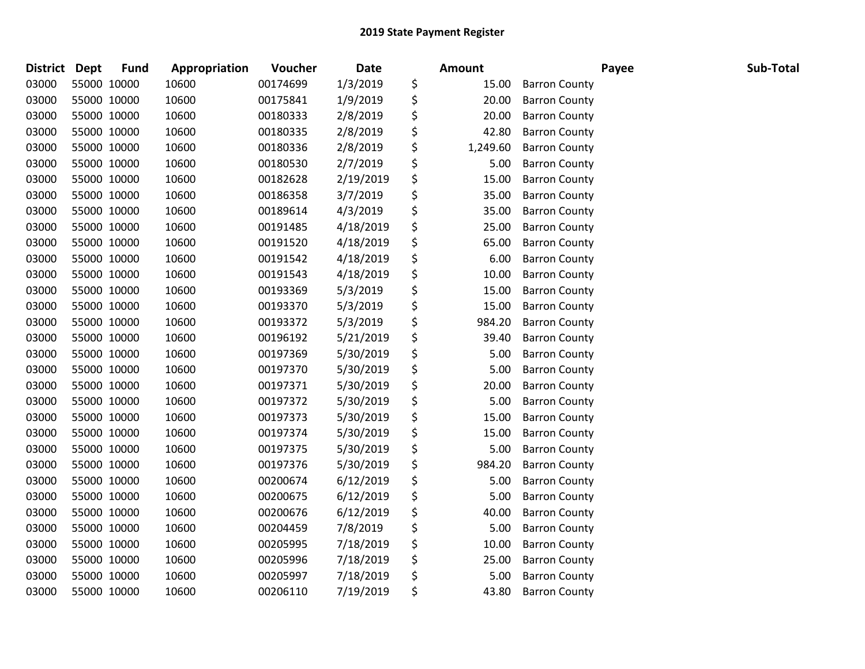| District Dept |             | <b>Fund</b> | Appropriation | Voucher  | <b>Date</b> | Amount         |                      | Payee | Sub-Total |
|---------------|-------------|-------------|---------------|----------|-------------|----------------|----------------------|-------|-----------|
| 03000         | 55000 10000 |             | 10600         | 00174699 | 1/3/2019    | \$<br>15.00    | <b>Barron County</b> |       |           |
| 03000         | 55000 10000 |             | 10600         | 00175841 | 1/9/2019    | \$<br>20.00    | <b>Barron County</b> |       |           |
| 03000         | 55000 10000 |             | 10600         | 00180333 | 2/8/2019    | \$<br>20.00    | <b>Barron County</b> |       |           |
| 03000         | 55000 10000 |             | 10600         | 00180335 | 2/8/2019    | \$<br>42.80    | <b>Barron County</b> |       |           |
| 03000         | 55000 10000 |             | 10600         | 00180336 | 2/8/2019    | \$<br>1,249.60 | <b>Barron County</b> |       |           |
| 03000         | 55000 10000 |             | 10600         | 00180530 | 2/7/2019    | \$<br>5.00     | <b>Barron County</b> |       |           |
| 03000         | 55000 10000 |             | 10600         | 00182628 | 2/19/2019   | \$<br>15.00    | <b>Barron County</b> |       |           |
| 03000         | 55000 10000 |             | 10600         | 00186358 | 3/7/2019    | \$<br>35.00    | <b>Barron County</b> |       |           |
| 03000         | 55000 10000 |             | 10600         | 00189614 | 4/3/2019    | \$<br>35.00    | <b>Barron County</b> |       |           |
| 03000         | 55000 10000 |             | 10600         | 00191485 | 4/18/2019   | \$<br>25.00    | <b>Barron County</b> |       |           |
| 03000         | 55000 10000 |             | 10600         | 00191520 | 4/18/2019   | \$<br>65.00    | <b>Barron County</b> |       |           |
| 03000         | 55000 10000 |             | 10600         | 00191542 | 4/18/2019   | \$<br>6.00     | <b>Barron County</b> |       |           |
| 03000         | 55000 10000 |             | 10600         | 00191543 | 4/18/2019   | \$<br>10.00    | <b>Barron County</b> |       |           |
| 03000         | 55000 10000 |             | 10600         | 00193369 | 5/3/2019    | \$<br>15.00    | <b>Barron County</b> |       |           |
| 03000         | 55000 10000 |             | 10600         | 00193370 | 5/3/2019    | \$<br>15.00    | <b>Barron County</b> |       |           |
| 03000         | 55000 10000 |             | 10600         | 00193372 | 5/3/2019    | \$<br>984.20   | <b>Barron County</b> |       |           |
| 03000         | 55000 10000 |             | 10600         | 00196192 | 5/21/2019   | \$<br>39.40    | <b>Barron County</b> |       |           |
| 03000         | 55000 10000 |             | 10600         | 00197369 | 5/30/2019   | \$<br>5.00     | <b>Barron County</b> |       |           |
| 03000         | 55000 10000 |             | 10600         | 00197370 | 5/30/2019   | \$<br>5.00     | <b>Barron County</b> |       |           |
| 03000         | 55000 10000 |             | 10600         | 00197371 | 5/30/2019   | \$<br>20.00    | <b>Barron County</b> |       |           |
| 03000         | 55000 10000 |             | 10600         | 00197372 | 5/30/2019   | \$<br>5.00     | <b>Barron County</b> |       |           |
| 03000         | 55000 10000 |             | 10600         | 00197373 | 5/30/2019   | \$<br>15.00    | <b>Barron County</b> |       |           |
| 03000         | 55000 10000 |             | 10600         | 00197374 | 5/30/2019   | \$<br>15.00    | <b>Barron County</b> |       |           |
| 03000         | 55000 10000 |             | 10600         | 00197375 | 5/30/2019   | \$<br>5.00     | <b>Barron County</b> |       |           |
| 03000         | 55000 10000 |             | 10600         | 00197376 | 5/30/2019   | \$<br>984.20   | <b>Barron County</b> |       |           |
| 03000         | 55000 10000 |             | 10600         | 00200674 | 6/12/2019   | \$<br>5.00     | <b>Barron County</b> |       |           |
| 03000         | 55000 10000 |             | 10600         | 00200675 | 6/12/2019   | \$<br>5.00     | <b>Barron County</b> |       |           |
| 03000         | 55000 10000 |             | 10600         | 00200676 | 6/12/2019   | \$<br>40.00    | <b>Barron County</b> |       |           |
| 03000         | 55000 10000 |             | 10600         | 00204459 | 7/8/2019    | \$<br>5.00     | <b>Barron County</b> |       |           |
| 03000         | 55000 10000 |             | 10600         | 00205995 | 7/18/2019   | \$<br>10.00    | <b>Barron County</b> |       |           |
| 03000         | 55000 10000 |             | 10600         | 00205996 | 7/18/2019   | \$<br>25.00    | <b>Barron County</b> |       |           |
| 03000         | 55000 10000 |             | 10600         | 00205997 | 7/18/2019   | \$<br>5.00     | <b>Barron County</b> |       |           |
| 03000         | 55000 10000 |             | 10600         | 00206110 | 7/19/2019   | \$<br>43.80    | <b>Barron County</b> |       |           |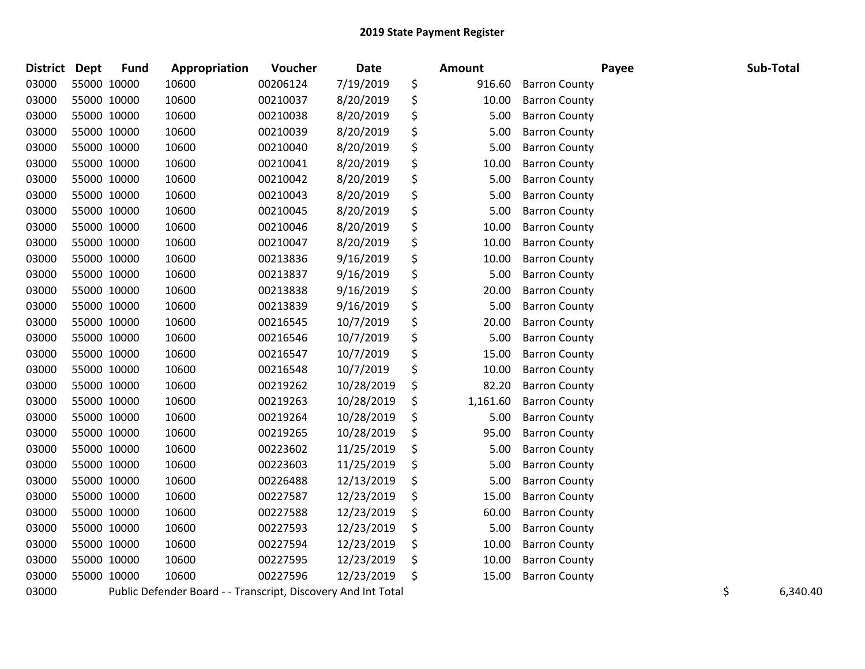| District Dept |             | <b>Fund</b> | Appropriation                                                 | Voucher  | <b>Date</b> | Amount         |                      | Payee | Sub-Total      |
|---------------|-------------|-------------|---------------------------------------------------------------|----------|-------------|----------------|----------------------|-------|----------------|
| 03000         | 55000 10000 |             | 10600                                                         | 00206124 | 7/19/2019   | \$<br>916.60   | <b>Barron County</b> |       |                |
| 03000         |             | 55000 10000 | 10600                                                         | 00210037 | 8/20/2019   | \$<br>10.00    | <b>Barron County</b> |       |                |
| 03000         | 55000 10000 |             | 10600                                                         | 00210038 | 8/20/2019   | \$<br>5.00     | <b>Barron County</b> |       |                |
| 03000         | 55000 10000 |             | 10600                                                         | 00210039 | 8/20/2019   | \$<br>5.00     | <b>Barron County</b> |       |                |
| 03000         | 55000 10000 |             | 10600                                                         | 00210040 | 8/20/2019   | \$<br>5.00     | <b>Barron County</b> |       |                |
| 03000         | 55000 10000 |             | 10600                                                         | 00210041 | 8/20/2019   | \$<br>10.00    | <b>Barron County</b> |       |                |
| 03000         | 55000 10000 |             | 10600                                                         | 00210042 | 8/20/2019   | \$<br>5.00     | <b>Barron County</b> |       |                |
| 03000         | 55000 10000 |             | 10600                                                         | 00210043 | 8/20/2019   | \$<br>5.00     | <b>Barron County</b> |       |                |
| 03000         | 55000 10000 |             | 10600                                                         | 00210045 | 8/20/2019   | \$<br>5.00     | <b>Barron County</b> |       |                |
| 03000         | 55000 10000 |             | 10600                                                         | 00210046 | 8/20/2019   | \$<br>10.00    | <b>Barron County</b> |       |                |
| 03000         | 55000 10000 |             | 10600                                                         | 00210047 | 8/20/2019   | \$<br>10.00    | <b>Barron County</b> |       |                |
| 03000         | 55000 10000 |             | 10600                                                         | 00213836 | 9/16/2019   | \$<br>10.00    | <b>Barron County</b> |       |                |
| 03000         | 55000 10000 |             | 10600                                                         | 00213837 | 9/16/2019   | \$<br>5.00     | <b>Barron County</b> |       |                |
| 03000         | 55000 10000 |             | 10600                                                         | 00213838 | 9/16/2019   | \$<br>20.00    | <b>Barron County</b> |       |                |
| 03000         |             | 55000 10000 | 10600                                                         | 00213839 | 9/16/2019   | \$<br>5.00     | <b>Barron County</b> |       |                |
| 03000         | 55000 10000 |             | 10600                                                         | 00216545 | 10/7/2019   | \$<br>20.00    | <b>Barron County</b> |       |                |
| 03000         | 55000 10000 |             | 10600                                                         | 00216546 | 10/7/2019   | \$<br>5.00     | <b>Barron County</b> |       |                |
| 03000         | 55000 10000 |             | 10600                                                         | 00216547 | 10/7/2019   | \$<br>15.00    | <b>Barron County</b> |       |                |
| 03000         | 55000 10000 |             | 10600                                                         | 00216548 | 10/7/2019   | \$<br>10.00    | <b>Barron County</b> |       |                |
| 03000         | 55000 10000 |             | 10600                                                         | 00219262 | 10/28/2019  | \$<br>82.20    | <b>Barron County</b> |       |                |
| 03000         | 55000 10000 |             | 10600                                                         | 00219263 | 10/28/2019  | \$<br>1,161.60 | <b>Barron County</b> |       |                |
| 03000         | 55000 10000 |             | 10600                                                         | 00219264 | 10/28/2019  | \$<br>5.00     | <b>Barron County</b> |       |                |
| 03000         | 55000 10000 |             | 10600                                                         | 00219265 | 10/28/2019  | \$<br>95.00    | <b>Barron County</b> |       |                |
| 03000         | 55000 10000 |             | 10600                                                         | 00223602 | 11/25/2019  | \$<br>5.00     | <b>Barron County</b> |       |                |
| 03000         | 55000 10000 |             | 10600                                                         | 00223603 | 11/25/2019  | \$<br>5.00     | <b>Barron County</b> |       |                |
| 03000         | 55000 10000 |             | 10600                                                         | 00226488 | 12/13/2019  | \$<br>5.00     | <b>Barron County</b> |       |                |
| 03000         | 55000 10000 |             | 10600                                                         | 00227587 | 12/23/2019  | \$<br>15.00    | <b>Barron County</b> |       |                |
| 03000         | 55000 10000 |             | 10600                                                         | 00227588 | 12/23/2019  | \$<br>60.00    | <b>Barron County</b> |       |                |
| 03000         | 55000 10000 |             | 10600                                                         | 00227593 | 12/23/2019  | \$<br>5.00     | <b>Barron County</b> |       |                |
| 03000         | 55000 10000 |             | 10600                                                         | 00227594 | 12/23/2019  | \$<br>10.00    | <b>Barron County</b> |       |                |
| 03000         | 55000 10000 |             | 10600                                                         | 00227595 | 12/23/2019  | \$<br>10.00    | <b>Barron County</b> |       |                |
| 03000         | 55000 10000 |             | 10600                                                         | 00227596 | 12/23/2019  | \$<br>15.00    | <b>Barron County</b> |       |                |
| 03000         |             |             | Public Defender Board - - Transcript, Discovery And Int Total |          |             |                |                      |       | \$<br>6,340.40 |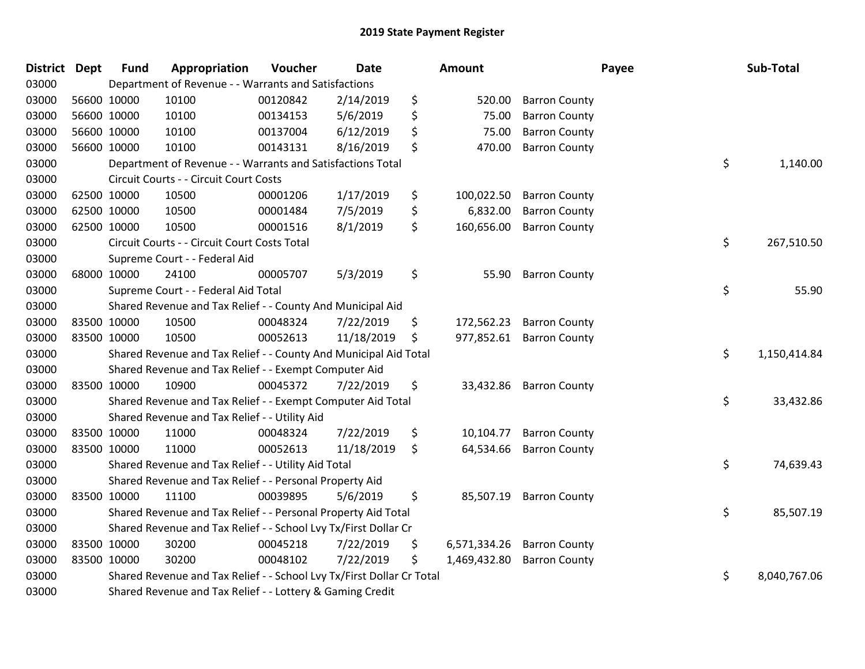| District Dept |             | <b>Fund</b> | Appropriation                                                         | Voucher  | <b>Date</b> |     | <b>Amount</b> |                      | Payee | Sub-Total    |
|---------------|-------------|-------------|-----------------------------------------------------------------------|----------|-------------|-----|---------------|----------------------|-------|--------------|
| 03000         |             |             | Department of Revenue - - Warrants and Satisfactions                  |          |             |     |               |                      |       |              |
| 03000         |             | 56600 10000 | 10100                                                                 | 00120842 | 2/14/2019   | \$  | 520.00        | <b>Barron County</b> |       |              |
| 03000         |             | 56600 10000 | 10100                                                                 | 00134153 | 5/6/2019    | \$  | 75.00         | <b>Barron County</b> |       |              |
| 03000         |             | 56600 10000 | 10100                                                                 | 00137004 | 6/12/2019   | \$  | 75.00         | <b>Barron County</b> |       |              |
| 03000         |             | 56600 10000 | 10100                                                                 | 00143131 | 8/16/2019   | \$  | 470.00        | <b>Barron County</b> |       |              |
| 03000         |             |             | Department of Revenue - - Warrants and Satisfactions Total            |          |             |     |               |                      | \$    | 1,140.00     |
| 03000         |             |             | Circuit Courts - - Circuit Court Costs                                |          |             |     |               |                      |       |              |
| 03000         | 62500 10000 |             | 10500                                                                 | 00001206 | 1/17/2019   | \$  | 100,022.50    | <b>Barron County</b> |       |              |
| 03000         |             | 62500 10000 | 10500                                                                 | 00001484 | 7/5/2019    | \$  | 6,832.00      | <b>Barron County</b> |       |              |
| 03000         |             | 62500 10000 | 10500                                                                 | 00001516 | 8/1/2019    | \$. | 160,656.00    | <b>Barron County</b> |       |              |
| 03000         |             |             | Circuit Courts - - Circuit Court Costs Total                          |          |             |     |               |                      | \$    | 267,510.50   |
| 03000         |             |             | Supreme Court - - Federal Aid                                         |          |             |     |               |                      |       |              |
| 03000         |             | 68000 10000 | 24100                                                                 | 00005707 | 5/3/2019    | \$  | 55.90         | <b>Barron County</b> |       |              |
| 03000         |             |             | Supreme Court - - Federal Aid Total                                   |          |             |     |               |                      | \$    | 55.90        |
| 03000         |             |             | Shared Revenue and Tax Relief - - County And Municipal Aid            |          |             |     |               |                      |       |              |
| 03000         |             | 83500 10000 | 10500                                                                 | 00048324 | 7/22/2019   | \$  | 172,562.23    | <b>Barron County</b> |       |              |
| 03000         | 83500 10000 |             | 10500                                                                 | 00052613 | 11/18/2019  | \$  | 977,852.61    | <b>Barron County</b> |       |              |
| 03000         |             |             | Shared Revenue and Tax Relief - - County And Municipal Aid Total      |          |             |     |               |                      | \$    | 1,150,414.84 |
| 03000         |             |             | Shared Revenue and Tax Relief - - Exempt Computer Aid                 |          |             |     |               |                      |       |              |
| 03000         |             | 83500 10000 | 10900                                                                 | 00045372 | 7/22/2019   | \$  | 33,432.86     | <b>Barron County</b> |       |              |
| 03000         |             |             | Shared Revenue and Tax Relief - - Exempt Computer Aid Total           |          |             |     |               |                      | \$    | 33,432.86    |
| 03000         |             |             | Shared Revenue and Tax Relief - - Utility Aid                         |          |             |     |               |                      |       |              |
| 03000         | 83500 10000 |             | 11000                                                                 | 00048324 | 7/22/2019   | \$  | 10,104.77     | <b>Barron County</b> |       |              |
| 03000         |             | 83500 10000 | 11000                                                                 | 00052613 | 11/18/2019  | \$  | 64,534.66     | <b>Barron County</b> |       |              |
| 03000         |             |             | Shared Revenue and Tax Relief - - Utility Aid Total                   |          |             |     |               |                      | \$    | 74,639.43    |
| 03000         |             |             | Shared Revenue and Tax Relief - - Personal Property Aid               |          |             |     |               |                      |       |              |
| 03000         | 83500 10000 |             | 11100                                                                 | 00039895 | 5/6/2019    | \$  | 85,507.19     | <b>Barron County</b> |       |              |
| 03000         |             |             | Shared Revenue and Tax Relief - - Personal Property Aid Total         |          |             |     |               |                      | \$    | 85,507.19    |
| 03000         |             |             | Shared Revenue and Tax Relief - - School Lvy Tx/First Dollar Cr       |          |             |     |               |                      |       |              |
| 03000         | 83500 10000 |             | 30200                                                                 | 00045218 | 7/22/2019   | \$  | 6,571,334.26  | <b>Barron County</b> |       |              |
| 03000         |             | 83500 10000 | 30200                                                                 | 00048102 | 7/22/2019   | \$  | 1,469,432.80  | <b>Barron County</b> |       |              |
| 03000         |             |             | Shared Revenue and Tax Relief - - School Lvy Tx/First Dollar Cr Total |          |             |     |               |                      | \$    | 8,040,767.06 |
| 03000         |             |             | Shared Revenue and Tax Relief - - Lottery & Gaming Credit             |          |             |     |               |                      |       |              |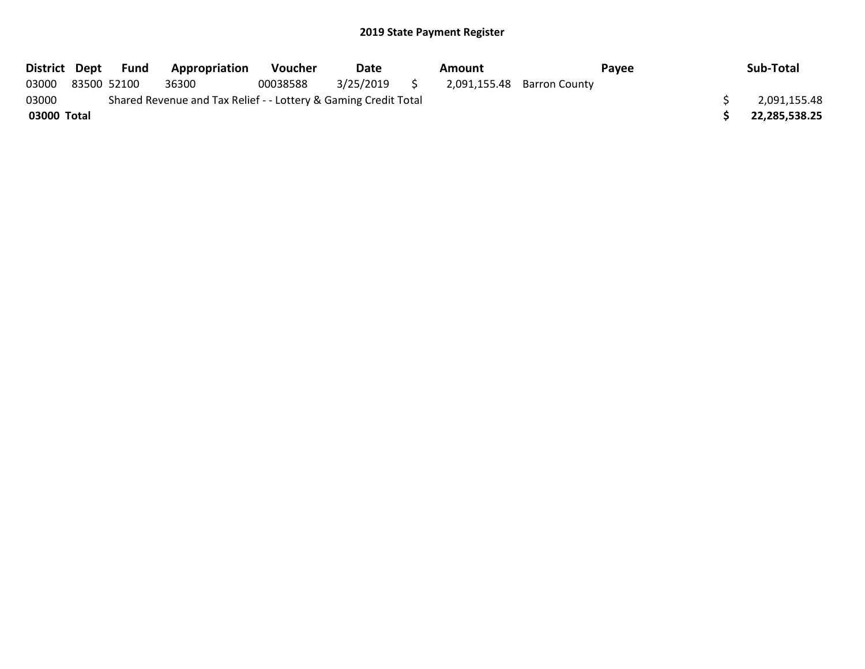|             | District Dept Fund | <b>Appropriation</b>                                            | <b>Voucher</b> | Date      |               | Amount |                            | Payee | Sub-Total     |
|-------------|--------------------|-----------------------------------------------------------------|----------------|-----------|---------------|--------|----------------------------|-------|---------------|
| 03000       | 83500 52100        | 36300                                                           | 00038588       | 3/25/2019 | $\mathcal{L}$ |        | 2,091,155.48 Barron County |       |               |
| 03000       |                    | Shared Revenue and Tax Relief - - Lottery & Gaming Credit Total |                |           |               |        |                            |       | 2,091,155.48  |
| 03000 Total |                    |                                                                 |                |           |               |        |                            |       | 22,285,538.25 |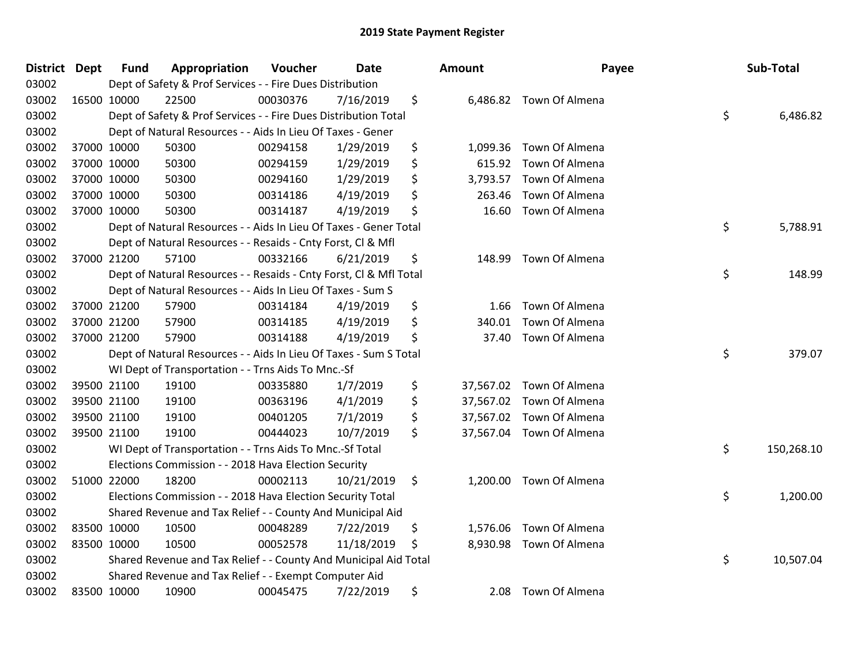| <b>District Dept</b> |             | <b>Fund</b> | <b>Appropriation</b>                                               | Voucher  | Date       | <b>Amount</b>   |                          | Payee | Sub-Total |            |
|----------------------|-------------|-------------|--------------------------------------------------------------------|----------|------------|-----------------|--------------------------|-------|-----------|------------|
| 03002                |             |             | Dept of Safety & Prof Services - - Fire Dues Distribution          |          |            |                 |                          |       |           |            |
| 03002                |             | 16500 10000 | 22500                                                              | 00030376 | 7/16/2019  | \$              | 6,486.82 Town Of Almena  |       |           |            |
| 03002                |             |             | Dept of Safety & Prof Services - - Fire Dues Distribution Total    |          |            |                 |                          | \$    |           | 6,486.82   |
| 03002                |             |             | Dept of Natural Resources - - Aids In Lieu Of Taxes - Gener        |          |            |                 |                          |       |           |            |
| 03002                |             | 37000 10000 | 50300                                                              | 00294158 | 1/29/2019  | \$<br>1,099.36  | Town Of Almena           |       |           |            |
| 03002                |             | 37000 10000 | 50300                                                              | 00294159 | 1/29/2019  | \$<br>615.92    | Town Of Almena           |       |           |            |
| 03002                |             | 37000 10000 | 50300                                                              | 00294160 | 1/29/2019  | \$<br>3,793.57  | Town Of Almena           |       |           |            |
| 03002                | 37000 10000 |             | 50300                                                              | 00314186 | 4/19/2019  | \$<br>263.46    | Town Of Almena           |       |           |            |
| 03002                |             | 37000 10000 | 50300                                                              | 00314187 | 4/19/2019  | \$<br>16.60     | Town Of Almena           |       |           |            |
| 03002                |             |             | Dept of Natural Resources - - Aids In Lieu Of Taxes - Gener Total  |          |            |                 |                          | \$    |           | 5,788.91   |
| 03002                |             |             | Dept of Natural Resources - - Resaids - Cnty Forst, Cl & Mfl       |          |            |                 |                          |       |           |            |
| 03002                |             | 37000 21200 | 57100                                                              | 00332166 | 6/21/2019  | \$<br>148.99    | Town Of Almena           |       |           |            |
| 03002                |             |             | Dept of Natural Resources - - Resaids - Cnty Forst, Cl & Mfl Total |          |            |                 |                          | \$    |           | 148.99     |
| 03002                |             |             | Dept of Natural Resources - - Aids In Lieu Of Taxes - Sum S        |          |            |                 |                          |       |           |            |
| 03002                |             | 37000 21200 | 57900                                                              | 00314184 | 4/19/2019  | \$<br>1.66      | Town Of Almena           |       |           |            |
| 03002                |             | 37000 21200 | 57900                                                              | 00314185 | 4/19/2019  | \$<br>340.01    | Town Of Almena           |       |           |            |
| 03002                |             | 37000 21200 | 57900                                                              | 00314188 | 4/19/2019  | \$<br>37.40     | Town Of Almena           |       |           |            |
| 03002                |             |             | Dept of Natural Resources - - Aids In Lieu Of Taxes - Sum S Total  |          |            |                 |                          | \$    |           | 379.07     |
| 03002                |             |             | WI Dept of Transportation - - Trns Aids To Mnc.-Sf                 |          |            |                 |                          |       |           |            |
| 03002                |             | 39500 21100 | 19100                                                              | 00335880 | 1/7/2019   | \$<br>37,567.02 | Town Of Almena           |       |           |            |
| 03002                |             | 39500 21100 | 19100                                                              | 00363196 | 4/1/2019   | \$<br>37,567.02 | Town Of Almena           |       |           |            |
| 03002                |             | 39500 21100 | 19100                                                              | 00401205 | 7/1/2019   | \$              | 37,567.02 Town Of Almena |       |           |            |
| 03002                |             | 39500 21100 | 19100                                                              | 00444023 | 10/7/2019  | \$              | 37,567.04 Town Of Almena |       |           |            |
| 03002                |             |             | WI Dept of Transportation - - Trns Aids To Mnc.-Sf Total           |          |            |                 |                          | \$    |           | 150,268.10 |
| 03002                |             |             | Elections Commission - - 2018 Hava Election Security               |          |            |                 |                          |       |           |            |
| 03002                |             | 51000 22000 | 18200                                                              | 00002113 | 10/21/2019 | \$<br>1,200.00  | Town Of Almena           |       |           |            |
| 03002                |             |             | Elections Commission - - 2018 Hava Election Security Total         |          |            |                 |                          | \$    |           | 1,200.00   |
| 03002                |             |             | Shared Revenue and Tax Relief - - County And Municipal Aid         |          |            |                 |                          |       |           |            |
| 03002                |             | 83500 10000 | 10500                                                              | 00048289 | 7/22/2019  | \$<br>1,576.06  | Town Of Almena           |       |           |            |
| 03002                |             | 83500 10000 | 10500                                                              | 00052578 | 11/18/2019 | \$<br>8,930.98  | Town Of Almena           |       |           |            |
| 03002                |             |             | Shared Revenue and Tax Relief - - County And Municipal Aid Total   |          |            |                 |                          | \$    |           | 10,507.04  |
| 03002                |             |             | Shared Revenue and Tax Relief - - Exempt Computer Aid              |          |            |                 |                          |       |           |            |
| 03002                | 83500 10000 |             | 10900                                                              | 00045475 | 7/22/2019  | \$<br>2.08      | Town Of Almena           |       |           |            |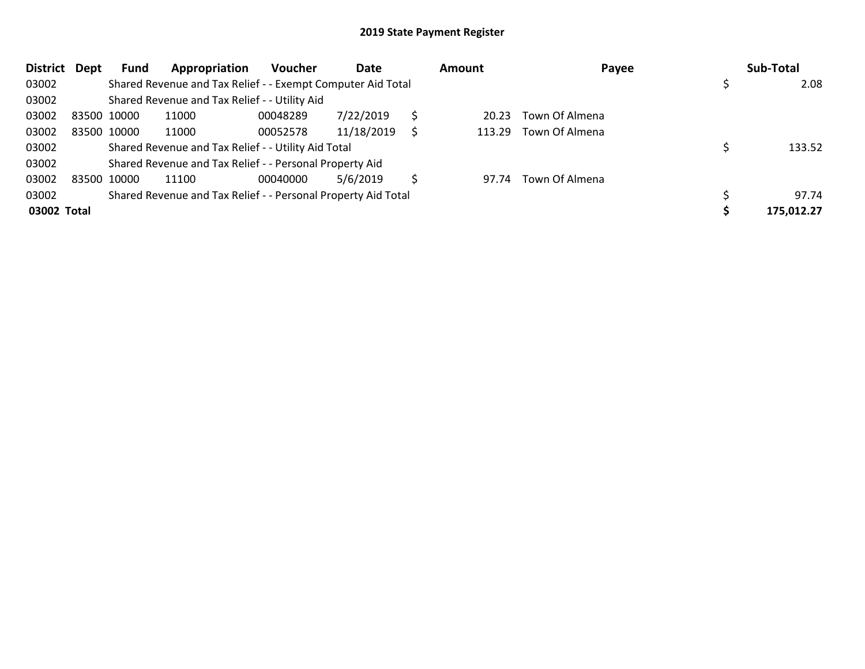| <b>District</b> | Dept | Fund        | Appropriation                                                 | <b>Voucher</b> | Date       |   | Amount | Payee          | Sub-Total  |
|-----------------|------|-------------|---------------------------------------------------------------|----------------|------------|---|--------|----------------|------------|
| 03002           |      |             | Shared Revenue and Tax Relief - - Exempt Computer Aid Total   |                |            |   |        |                | 2.08       |
| 03002           |      |             | Shared Revenue and Tax Relief - - Utility Aid                 |                |            |   |        |                |            |
| 03002           |      | 83500 10000 | 11000                                                         | 00048289       | 7/22/2019  |   | 20.23  | Town Of Almena |            |
| 03002           |      | 83500 10000 | 11000                                                         | 00052578       | 11/18/2019 | S | 113.29 | Town Of Almena |            |
| 03002           |      |             | Shared Revenue and Tax Relief - - Utility Aid Total           |                |            |   |        |                | 133.52     |
| 03002           |      |             | Shared Revenue and Tax Relief - - Personal Property Aid       |                |            |   |        |                |            |
| 03002           |      | 83500 10000 | 11100                                                         | 00040000       | 5/6/2019   |   | 97.74  | Town Of Almena |            |
| 03002           |      |             | Shared Revenue and Tax Relief - - Personal Property Aid Total |                |            |   |        |                | 97.74      |
| 03002 Total     |      |             |                                                               |                |            |   |        |                | 175,012.27 |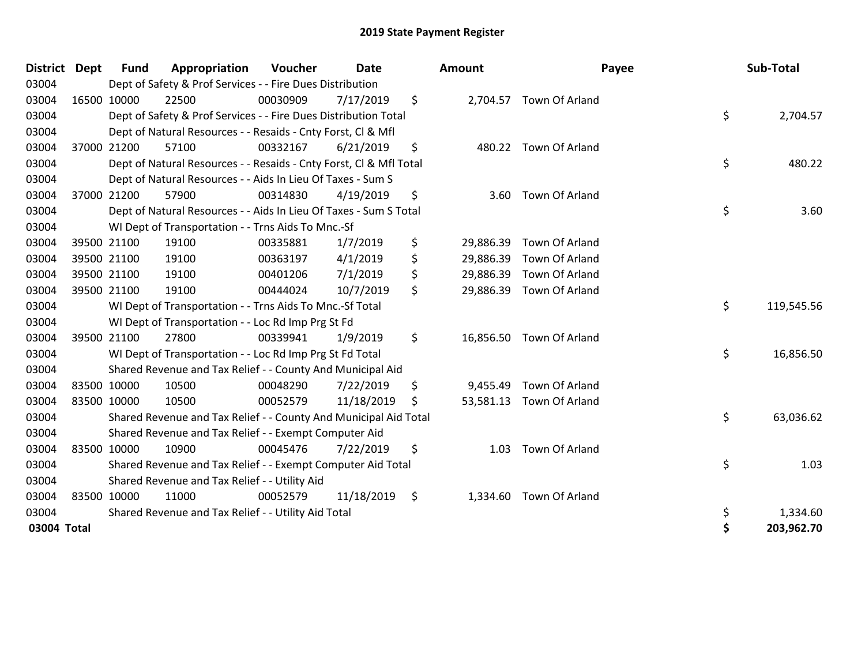| <b>District</b> | <b>Dept</b> | <b>Fund</b> | Appropriation                                                      | Voucher  | <b>Date</b> |     | Amount    |                          | Payee | Sub-Total  |
|-----------------|-------------|-------------|--------------------------------------------------------------------|----------|-------------|-----|-----------|--------------------------|-------|------------|
| 03004           |             |             | Dept of Safety & Prof Services - - Fire Dues Distribution          |          |             |     |           |                          |       |            |
| 03004           | 16500 10000 |             | 22500                                                              | 00030909 | 7/17/2019   | \$  |           | 2,704.57 Town Of Arland  |       |            |
| 03004           |             |             | Dept of Safety & Prof Services - - Fire Dues Distribution Total    |          |             |     |           |                          | \$    | 2,704.57   |
| 03004           |             |             | Dept of Natural Resources - - Resaids - Cnty Forst, CI & Mfl       |          |             |     |           |                          |       |            |
| 03004           |             | 37000 21200 | 57100                                                              | 00332167 | 6/21/2019   | \$  |           | 480.22 Town Of Arland    |       |            |
| 03004           |             |             | Dept of Natural Resources - - Resaids - Cnty Forst, Cl & Mfl Total |          |             |     |           |                          | \$    | 480.22     |
| 03004           |             |             | Dept of Natural Resources - - Aids In Lieu Of Taxes - Sum S        |          |             |     |           |                          |       |            |
| 03004           | 37000 21200 |             | 57900                                                              | 00314830 | 4/19/2019   | \$  | 3.60      | Town Of Arland           |       |            |
| 03004           |             |             | Dept of Natural Resources - - Aids In Lieu Of Taxes - Sum S Total  |          |             |     |           |                          | \$    | 3.60       |
| 03004           |             |             | WI Dept of Transportation - - Trns Aids To Mnc.-Sf                 |          |             |     |           |                          |       |            |
| 03004           |             | 39500 21100 | 19100                                                              | 00335881 | 1/7/2019    | \$  | 29,886.39 | Town Of Arland           |       |            |
| 03004           |             | 39500 21100 | 19100                                                              | 00363197 | 4/1/2019    | \$  | 29,886.39 | Town Of Arland           |       |            |
| 03004           |             | 39500 21100 | 19100                                                              | 00401206 | 7/1/2019    | \$  | 29,886.39 | Town Of Arland           |       |            |
| 03004           | 39500 21100 |             | 19100                                                              | 00444024 | 10/7/2019   | \$  | 29,886.39 | Town Of Arland           |       |            |
| 03004           |             |             | WI Dept of Transportation - - Trns Aids To Mnc.-Sf Total           |          |             |     |           |                          | \$    | 119,545.56 |
| 03004           |             |             | WI Dept of Transportation - - Loc Rd Imp Prg St Fd                 |          |             |     |           |                          |       |            |
| 03004           |             | 39500 21100 | 27800                                                              | 00339941 | 1/9/2019    | \$  |           | 16,856.50 Town Of Arland |       |            |
| 03004           |             |             | WI Dept of Transportation - - Loc Rd Imp Prg St Fd Total           |          |             |     |           |                          | \$    | 16,856.50  |
| 03004           |             |             | Shared Revenue and Tax Relief - - County And Municipal Aid         |          |             |     |           |                          |       |            |
| 03004           | 83500 10000 |             | 10500                                                              | 00048290 | 7/22/2019   | \$  | 9,455.49  | Town Of Arland           |       |            |
| 03004           | 83500 10000 |             | 10500                                                              | 00052579 | 11/18/2019  | \$. |           | 53,581.13 Town Of Arland |       |            |
| 03004           |             |             | Shared Revenue and Tax Relief - - County And Municipal Aid Total   |          |             |     |           |                          | \$    | 63,036.62  |
| 03004           |             |             | Shared Revenue and Tax Relief - - Exempt Computer Aid              |          |             |     |           |                          |       |            |
| 03004           | 83500 10000 |             | 10900                                                              | 00045476 | 7/22/2019   | \$  | 1.03      | Town Of Arland           |       |            |
| 03004           |             |             | Shared Revenue and Tax Relief - - Exempt Computer Aid Total        |          |             |     |           |                          | \$    | 1.03       |
| 03004           |             |             | Shared Revenue and Tax Relief - - Utility Aid                      |          |             |     |           |                          |       |            |
| 03004           | 83500 10000 |             | 11000                                                              | 00052579 | 11/18/2019  | \$  | 1,334.60  | Town Of Arland           |       |            |
| 03004           |             |             | Shared Revenue and Tax Relief - - Utility Aid Total                |          |             |     |           |                          | \$    | 1,334.60   |
| 03004 Total     |             |             |                                                                    |          |             |     |           |                          | \$    | 203,962.70 |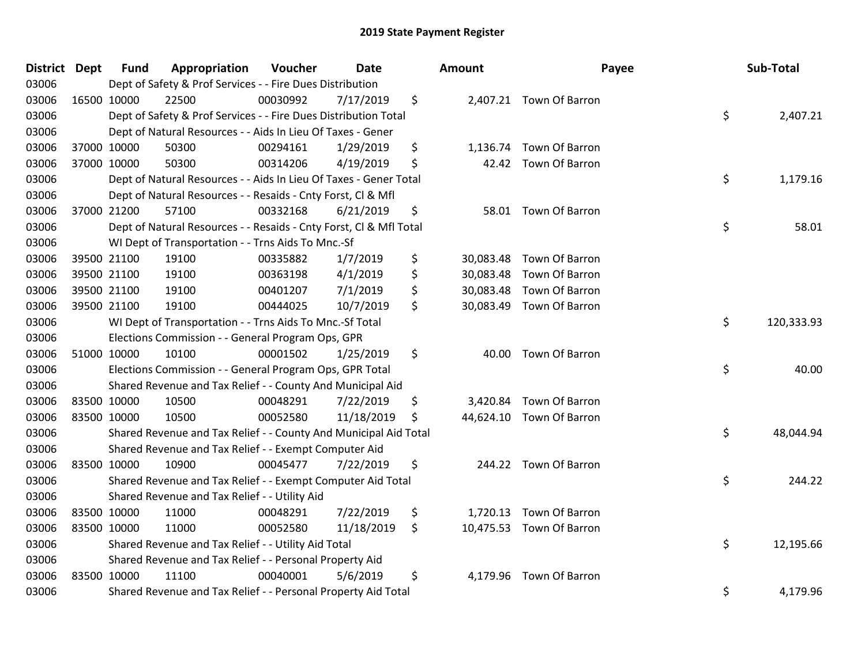| <b>District Dept</b> | <b>Fund</b> | Appropriation                                                      | Voucher  | <b>Date</b> | <b>Amount</b>   | Payee                    | Sub-Total        |
|----------------------|-------------|--------------------------------------------------------------------|----------|-------------|-----------------|--------------------------|------------------|
| 03006                |             | Dept of Safety & Prof Services - - Fire Dues Distribution          |          |             |                 |                          |                  |
| 03006                | 16500 10000 | 22500                                                              | 00030992 | 7/17/2019   | \$              | 2,407.21 Town Of Barron  |                  |
| 03006                |             | Dept of Safety & Prof Services - - Fire Dues Distribution Total    |          |             |                 |                          | \$<br>2,407.21   |
| 03006                |             | Dept of Natural Resources - - Aids In Lieu Of Taxes - Gener        |          |             |                 |                          |                  |
| 03006                | 37000 10000 | 50300                                                              | 00294161 | 1/29/2019   | \$              | 1,136.74 Town Of Barron  |                  |
| 03006                | 37000 10000 | 50300                                                              | 00314206 | 4/19/2019   | \$              | 42.42 Town Of Barron     |                  |
| 03006                |             | Dept of Natural Resources - - Aids In Lieu Of Taxes - Gener Total  |          |             |                 |                          | \$<br>1,179.16   |
| 03006                |             | Dept of Natural Resources - - Resaids - Cnty Forst, Cl & Mfl       |          |             |                 |                          |                  |
| 03006                | 37000 21200 | 57100                                                              | 00332168 | 6/21/2019   | \$              | 58.01 Town Of Barron     |                  |
| 03006                |             | Dept of Natural Resources - - Resaids - Cnty Forst, CI & Mfl Total |          |             |                 |                          | \$<br>58.01      |
| 03006                |             | WI Dept of Transportation - - Trns Aids To Mnc.-Sf                 |          |             |                 |                          |                  |
| 03006                | 39500 21100 | 19100                                                              | 00335882 | 1/7/2019    | \$              | 30,083.48 Town Of Barron |                  |
| 03006                | 39500 21100 | 19100                                                              | 00363198 | 4/1/2019    | \$<br>30,083.48 | Town Of Barron           |                  |
| 03006                | 39500 21100 | 19100                                                              | 00401207 | 7/1/2019    | \$              | 30,083.48 Town Of Barron |                  |
| 03006                | 39500 21100 | 19100                                                              | 00444025 | 10/7/2019   | \$              | 30,083.49 Town Of Barron |                  |
| 03006                |             | WI Dept of Transportation - - Trns Aids To Mnc.-Sf Total           |          |             |                 |                          | \$<br>120,333.93 |
| 03006                |             | Elections Commission - - General Program Ops, GPR                  |          |             |                 |                          |                  |
| 03006                | 51000 10000 | 10100                                                              | 00001502 | 1/25/2019   | \$              | 40.00 Town Of Barron     |                  |
| 03006                |             | Elections Commission - - General Program Ops, GPR Total            |          |             |                 |                          | \$<br>40.00      |
| 03006                |             | Shared Revenue and Tax Relief - - County And Municipal Aid         |          |             |                 |                          |                  |
| 03006                | 83500 10000 | 10500                                                              | 00048291 | 7/22/2019   | \$              | 3,420.84 Town Of Barron  |                  |
| 03006                | 83500 10000 | 10500                                                              | 00052580 | 11/18/2019  | \$              | 44,624.10 Town Of Barron |                  |
| 03006                |             | Shared Revenue and Tax Relief - - County And Municipal Aid Total   |          |             |                 |                          | \$<br>48,044.94  |
| 03006                |             | Shared Revenue and Tax Relief - - Exempt Computer Aid              |          |             |                 |                          |                  |
| 03006                | 83500 10000 | 10900                                                              | 00045477 | 7/22/2019   | \$              | 244.22 Town Of Barron    |                  |
| 03006                |             | Shared Revenue and Tax Relief - - Exempt Computer Aid Total        |          |             |                 |                          | \$<br>244.22     |
| 03006                |             | Shared Revenue and Tax Relief - - Utility Aid                      |          |             |                 |                          |                  |
| 03006                | 83500 10000 | 11000                                                              | 00048291 | 7/22/2019   | \$              | 1,720.13 Town Of Barron  |                  |
| 03006                | 83500 10000 | 11000                                                              | 00052580 | 11/18/2019  | \$              | 10,475.53 Town Of Barron |                  |
| 03006                |             | Shared Revenue and Tax Relief - - Utility Aid Total                |          |             |                 |                          | \$<br>12,195.66  |
| 03006                |             | Shared Revenue and Tax Relief - - Personal Property Aid            |          |             |                 |                          |                  |
| 03006                | 83500 10000 | 11100                                                              | 00040001 | 5/6/2019    | \$              | 4,179.96 Town Of Barron  |                  |
| 03006                |             | Shared Revenue and Tax Relief - - Personal Property Aid Total      |          |             |                 |                          | \$<br>4,179.96   |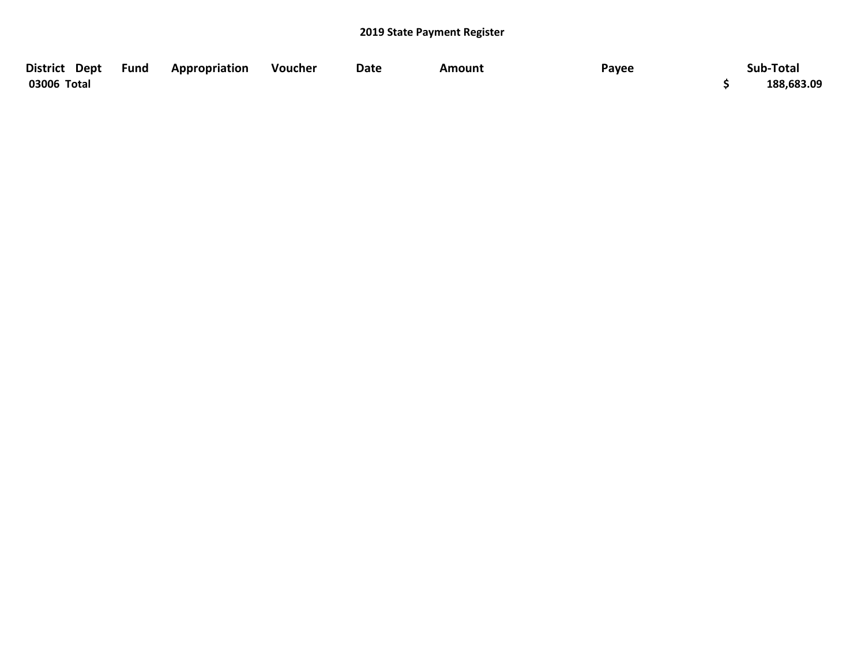| District Dept Fund | Appropriation | Voucher | <b>Date</b> | Amount | Payee | Sub-Total  |
|--------------------|---------------|---------|-------------|--------|-------|------------|
| 03006 Total        |               |         |             |        |       | 188,683.09 |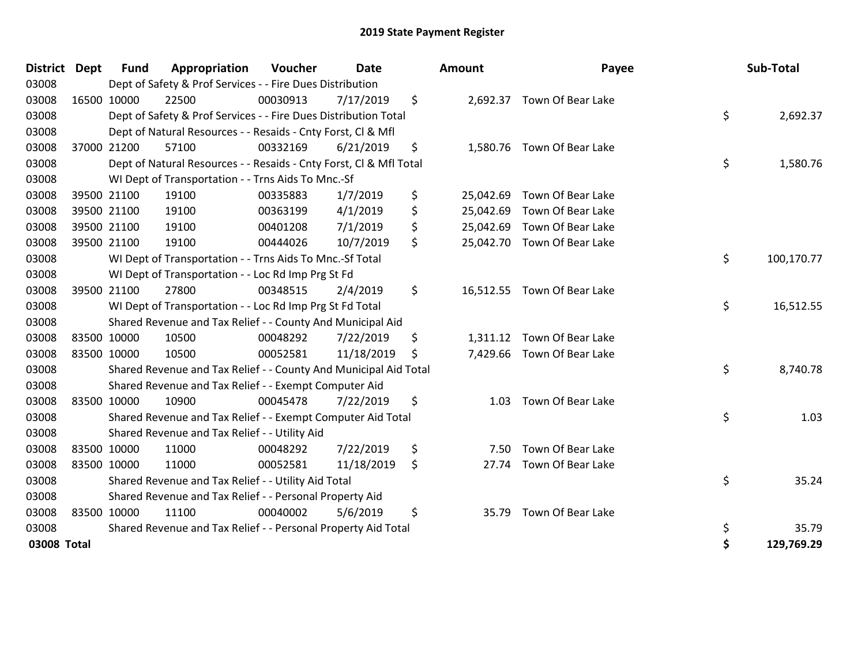| <b>Dept</b><br><b>District</b> | <b>Fund</b> | Appropriation                                                                                                                                                                                   | Voucher                                                                                                           | Date                                          |                                                                                                                                                                                                                                                                                                                                                                                                                                                                                                                                                                                                                    |                                                                                                                                                                                                                                                                                                                                           | Payee             |                                                                                                                                                                                                                                                                                  | Sub-Total            |
|--------------------------------|-------------|-------------------------------------------------------------------------------------------------------------------------------------------------------------------------------------------------|-------------------------------------------------------------------------------------------------------------------|-----------------------------------------------|--------------------------------------------------------------------------------------------------------------------------------------------------------------------------------------------------------------------------------------------------------------------------------------------------------------------------------------------------------------------------------------------------------------------------------------------------------------------------------------------------------------------------------------------------------------------------------------------------------------------|-------------------------------------------------------------------------------------------------------------------------------------------------------------------------------------------------------------------------------------------------------------------------------------------------------------------------------------------|-------------------|----------------------------------------------------------------------------------------------------------------------------------------------------------------------------------------------------------------------------------------------------------------------------------|----------------------|
|                                |             |                                                                                                                                                                                                 |                                                                                                                   |                                               |                                                                                                                                                                                                                                                                                                                                                                                                                                                                                                                                                                                                                    |                                                                                                                                                                                                                                                                                                                                           |                   |                                                                                                                                                                                                                                                                                  |                      |
|                                |             |                                                                                                                                                                                                 | 00030913                                                                                                          | 7/17/2019                                     | \$                                                                                                                                                                                                                                                                                                                                                                                                                                                                                                                                                                                                                 |                                                                                                                                                                                                                                                                                                                                           |                   |                                                                                                                                                                                                                                                                                  |                      |
|                                |             |                                                                                                                                                                                                 |                                                                                                                   |                                               |                                                                                                                                                                                                                                                                                                                                                                                                                                                                                                                                                                                                                    |                                                                                                                                                                                                                                                                                                                                           |                   | \$                                                                                                                                                                                                                                                                               | 2,692.37             |
|                                |             |                                                                                                                                                                                                 |                                                                                                                   |                                               |                                                                                                                                                                                                                                                                                                                                                                                                                                                                                                                                                                                                                    |                                                                                                                                                                                                                                                                                                                                           |                   |                                                                                                                                                                                                                                                                                  |                      |
|                                |             |                                                                                                                                                                                                 | 00332169                                                                                                          | 6/21/2019                                     | \$                                                                                                                                                                                                                                                                                                                                                                                                                                                                                                                                                                                                                 |                                                                                                                                                                                                                                                                                                                                           |                   |                                                                                                                                                                                                                                                                                  |                      |
|                                |             |                                                                                                                                                                                                 |                                                                                                                   |                                               |                                                                                                                                                                                                                                                                                                                                                                                                                                                                                                                                                                                                                    |                                                                                                                                                                                                                                                                                                                                           |                   | \$                                                                                                                                                                                                                                                                               | 1,580.76             |
|                                |             |                                                                                                                                                                                                 |                                                                                                                   |                                               |                                                                                                                                                                                                                                                                                                                                                                                                                                                                                                                                                                                                                    |                                                                                                                                                                                                                                                                                                                                           |                   |                                                                                                                                                                                                                                                                                  |                      |
|                                |             |                                                                                                                                                                                                 | 00335883                                                                                                          | 1/7/2019                                      | \$                                                                                                                                                                                                                                                                                                                                                                                                                                                                                                                                                                                                                 | 25,042.69                                                                                                                                                                                                                                                                                                                                 | Town Of Bear Lake |                                                                                                                                                                                                                                                                                  |                      |
|                                |             |                                                                                                                                                                                                 | 00363199                                                                                                          | 4/1/2019                                      | \$                                                                                                                                                                                                                                                                                                                                                                                                                                                                                                                                                                                                                 | 25,042.69                                                                                                                                                                                                                                                                                                                                 |                   |                                                                                                                                                                                                                                                                                  |                      |
|                                |             |                                                                                                                                                                                                 | 00401208                                                                                                          | 7/1/2019                                      | \$                                                                                                                                                                                                                                                                                                                                                                                                                                                                                                                                                                                                                 |                                                                                                                                                                                                                                                                                                                                           |                   |                                                                                                                                                                                                                                                                                  |                      |
|                                |             |                                                                                                                                                                                                 | 00444026                                                                                                          | 10/7/2019                                     | \$                                                                                                                                                                                                                                                                                                                                                                                                                                                                                                                                                                                                                 |                                                                                                                                                                                                                                                                                                                                           |                   |                                                                                                                                                                                                                                                                                  |                      |
|                                |             |                                                                                                                                                                                                 |                                                                                                                   |                                               |                                                                                                                                                                                                                                                                                                                                                                                                                                                                                                                                                                                                                    |                                                                                                                                                                                                                                                                                                                                           |                   | \$                                                                                                                                                                                                                                                                               | 100,170.77           |
|                                |             |                                                                                                                                                                                                 |                                                                                                                   |                                               |                                                                                                                                                                                                                                                                                                                                                                                                                                                                                                                                                                                                                    |                                                                                                                                                                                                                                                                                                                                           |                   |                                                                                                                                                                                                                                                                                  |                      |
|                                |             |                                                                                                                                                                                                 | 00348515                                                                                                          | 2/4/2019                                      | \$                                                                                                                                                                                                                                                                                                                                                                                                                                                                                                                                                                                                                 |                                                                                                                                                                                                                                                                                                                                           |                   |                                                                                                                                                                                                                                                                                  |                      |
|                                |             |                                                                                                                                                                                                 |                                                                                                                   |                                               |                                                                                                                                                                                                                                                                                                                                                                                                                                                                                                                                                                                                                    |                                                                                                                                                                                                                                                                                                                                           |                   | \$                                                                                                                                                                                                                                                                               | 16,512.55            |
|                                |             |                                                                                                                                                                                                 |                                                                                                                   |                                               |                                                                                                                                                                                                                                                                                                                                                                                                                                                                                                                                                                                                                    |                                                                                                                                                                                                                                                                                                                                           |                   |                                                                                                                                                                                                                                                                                  |                      |
|                                |             |                                                                                                                                                                                                 | 00048292                                                                                                          | 7/22/2019                                     | \$                                                                                                                                                                                                                                                                                                                                                                                                                                                                                                                                                                                                                 |                                                                                                                                                                                                                                                                                                                                           |                   |                                                                                                                                                                                                                                                                                  |                      |
|                                |             |                                                                                                                                                                                                 | 00052581                                                                                                          | 11/18/2019                                    | \$                                                                                                                                                                                                                                                                                                                                                                                                                                                                                                                                                                                                                 |                                                                                                                                                                                                                                                                                                                                           |                   |                                                                                                                                                                                                                                                                                  |                      |
|                                |             |                                                                                                                                                                                                 |                                                                                                                   |                                               |                                                                                                                                                                                                                                                                                                                                                                                                                                                                                                                                                                                                                    |                                                                                                                                                                                                                                                                                                                                           |                   |                                                                                                                                                                                                                                                                                  | 8,740.78             |
|                                |             |                                                                                                                                                                                                 |                                                                                                                   |                                               |                                                                                                                                                                                                                                                                                                                                                                                                                                                                                                                                                                                                                    |                                                                                                                                                                                                                                                                                                                                           |                   |                                                                                                                                                                                                                                                                                  |                      |
|                                |             |                                                                                                                                                                                                 | 00045478                                                                                                          | 7/22/2019                                     | \$                                                                                                                                                                                                                                                                                                                                                                                                                                                                                                                                                                                                                 | 1.03                                                                                                                                                                                                                                                                                                                                      | Town Of Bear Lake |                                                                                                                                                                                                                                                                                  |                      |
|                                |             |                                                                                                                                                                                                 |                                                                                                                   |                                               |                                                                                                                                                                                                                                                                                                                                                                                                                                                                                                                                                                                                                    |                                                                                                                                                                                                                                                                                                                                           |                   |                                                                                                                                                                                                                                                                                  | 1.03                 |
|                                |             |                                                                                                                                                                                                 |                                                                                                                   |                                               |                                                                                                                                                                                                                                                                                                                                                                                                                                                                                                                                                                                                                    |                                                                                                                                                                                                                                                                                                                                           |                   |                                                                                                                                                                                                                                                                                  |                      |
|                                |             |                                                                                                                                                                                                 | 00048292                                                                                                          | 7/22/2019                                     | \$                                                                                                                                                                                                                                                                                                                                                                                                                                                                                                                                                                                                                 | 7.50                                                                                                                                                                                                                                                                                                                                      |                   |                                                                                                                                                                                                                                                                                  |                      |
|                                |             |                                                                                                                                                                                                 | 00052581                                                                                                          | 11/18/2019                                    | \$                                                                                                                                                                                                                                                                                                                                                                                                                                                                                                                                                                                                                 | 27.74                                                                                                                                                                                                                                                                                                                                     | Town Of Bear Lake |                                                                                                                                                                                                                                                                                  |                      |
|                                |             |                                                                                                                                                                                                 |                                                                                                                   |                                               |                                                                                                                                                                                                                                                                                                                                                                                                                                                                                                                                                                                                                    |                                                                                                                                                                                                                                                                                                                                           |                   |                                                                                                                                                                                                                                                                                  | 35.24                |
|                                |             |                                                                                                                                                                                                 |                                                                                                                   |                                               |                                                                                                                                                                                                                                                                                                                                                                                                                                                                                                                                                                                                                    |                                                                                                                                                                                                                                                                                                                                           |                   |                                                                                                                                                                                                                                                                                  |                      |
|                                |             |                                                                                                                                                                                                 | 00040002                                                                                                          |                                               | \$                                                                                                                                                                                                                                                                                                                                                                                                                                                                                                                                                                                                                 | 35.79                                                                                                                                                                                                                                                                                                                                     |                   |                                                                                                                                                                                                                                                                                  |                      |
|                                |             |                                                                                                                                                                                                 |                                                                                                                   |                                               |                                                                                                                                                                                                                                                                                                                                                                                                                                                                                                                                                                                                                    |                                                                                                                                                                                                                                                                                                                                           |                   | \$                                                                                                                                                                                                                                                                               | 35.79                |
|                                |             |                                                                                                                                                                                                 |                                                                                                                   |                                               |                                                                                                                                                                                                                                                                                                                                                                                                                                                                                                                                                                                                                    |                                                                                                                                                                                                                                                                                                                                           |                   |                                                                                                                                                                                                                                                                                  | 129,769.29           |
|                                | 03008 Total | 16500 10000<br>37000 21200<br>39500 21100<br>39500 21100<br>39500 21100<br>39500 21100<br>39500 21100<br>83500 10000<br>83500 10000<br>83500 10000<br>83500 10000<br>83500 10000<br>83500 10000 | 22500<br>57100<br>19100<br>19100<br>19100<br>19100<br>27800<br>10500<br>10500<br>10900<br>11000<br>11000<br>11100 | Shared Revenue and Tax Relief - - Utility Aid | Dept of Safety & Prof Services - - Fire Dues Distribution<br>Dept of Natural Resources - - Resaids - Cnty Forst, Cl & Mfl<br>WI Dept of Transportation - - Trns Aids To Mnc.-Sf<br>WI Dept of Transportation - - Trns Aids To Mnc.-Sf Total<br>WI Dept of Transportation - - Loc Rd Imp Prg St Fd<br>WI Dept of Transportation - - Loc Rd Imp Prg St Fd Total<br>Shared Revenue and Tax Relief - - County And Municipal Aid<br>Shared Revenue and Tax Relief - - Exempt Computer Aid<br>Shared Revenue and Tax Relief - - Utility Aid Total<br>Shared Revenue and Tax Relief - - Personal Property Aid<br>5/6/2019 | Dept of Safety & Prof Services - - Fire Dues Distribution Total<br>Dept of Natural Resources - - Resaids - Cnty Forst, CI & Mfl Total<br>Shared Revenue and Tax Relief - - County And Municipal Aid Total<br>Shared Revenue and Tax Relief - - Exempt Computer Aid Total<br>Shared Revenue and Tax Relief - - Personal Property Aid Total | <b>Amount</b>     | 2,692.37 Town Of Bear Lake<br>1,580.76 Town Of Bear Lake<br>Town Of Bear Lake<br>25,042.69 Town Of Bear Lake<br>25,042.70 Town Of Bear Lake<br>16,512.55 Town Of Bear Lake<br>1,311.12 Town Of Bear Lake<br>7,429.66 Town Of Bear Lake<br>Town Of Bear Lake<br>Town Of Bear Lake | \$<br>\$<br>\$<br>\$ |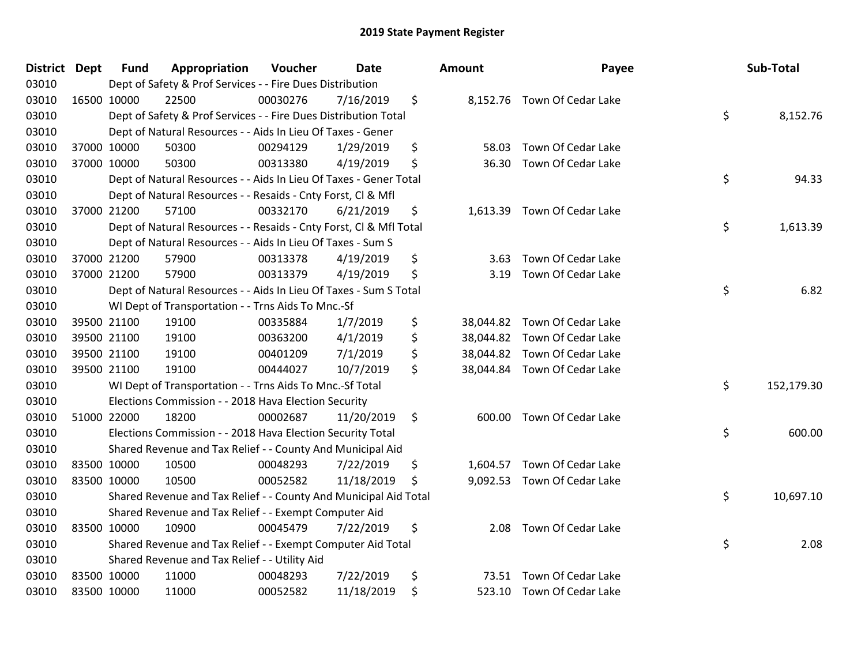| <b>District</b> | <b>Dept</b> | <b>Fund</b> | Appropriation                                                      | Voucher  | Date       | <b>Amount</b>   | Payee                        | Sub-Total        |
|-----------------|-------------|-------------|--------------------------------------------------------------------|----------|------------|-----------------|------------------------------|------------------|
| 03010           |             |             | Dept of Safety & Prof Services - - Fire Dues Distribution          |          |            |                 |                              |                  |
| 03010           |             | 16500 10000 | 22500                                                              | 00030276 | 7/16/2019  | \$              | 8,152.76 Town Of Cedar Lake  |                  |
| 03010           |             |             | Dept of Safety & Prof Services - - Fire Dues Distribution Total    |          |            |                 |                              | \$<br>8,152.76   |
| 03010           |             |             | Dept of Natural Resources - - Aids In Lieu Of Taxes - Gener        |          |            |                 |                              |                  |
| 03010           |             | 37000 10000 | 50300                                                              | 00294129 | 1/29/2019  | \$<br>58.03     | Town Of Cedar Lake           |                  |
| 03010           |             | 37000 10000 | 50300                                                              | 00313380 | 4/19/2019  | \$<br>36.30     | Town Of Cedar Lake           |                  |
| 03010           |             |             | Dept of Natural Resources - - Aids In Lieu Of Taxes - Gener Total  |          |            |                 |                              | \$<br>94.33      |
| 03010           |             |             | Dept of Natural Resources - - Resaids - Cnty Forst, Cl & Mfl       |          |            |                 |                              |                  |
| 03010           |             | 37000 21200 | 57100                                                              | 00332170 | 6/21/2019  | \$              | 1,613.39 Town Of Cedar Lake  |                  |
| 03010           |             |             | Dept of Natural Resources - - Resaids - Cnty Forst, Cl & Mfl Total |          |            |                 |                              | \$<br>1,613.39   |
| 03010           |             |             | Dept of Natural Resources - - Aids In Lieu Of Taxes - Sum S        |          |            |                 |                              |                  |
| 03010           |             | 37000 21200 | 57900                                                              | 00313378 | 4/19/2019  | \$<br>3.63      | Town Of Cedar Lake           |                  |
| 03010           |             | 37000 21200 | 57900                                                              | 00313379 | 4/19/2019  | \$<br>3.19      | Town Of Cedar Lake           |                  |
| 03010           |             |             | Dept of Natural Resources - - Aids In Lieu Of Taxes - Sum S Total  |          |            |                 |                              | \$<br>6.82       |
| 03010           |             |             | WI Dept of Transportation - - Trns Aids To Mnc.-Sf                 |          |            |                 |                              |                  |
| 03010           |             | 39500 21100 | 19100                                                              | 00335884 | 1/7/2019   | \$<br>38,044.82 | Town Of Cedar Lake           |                  |
| 03010           |             | 39500 21100 | 19100                                                              | 00363200 | 4/1/2019   | \$<br>38,044.82 | Town Of Cedar Lake           |                  |
| 03010           |             | 39500 21100 | 19100                                                              | 00401209 | 7/1/2019   | \$<br>38,044.82 | Town Of Cedar Lake           |                  |
| 03010           |             | 39500 21100 | 19100                                                              | 00444027 | 10/7/2019  | \$              | 38,044.84 Town Of Cedar Lake |                  |
| 03010           |             |             | WI Dept of Transportation - - Trns Aids To Mnc.-Sf Total           |          |            |                 |                              | \$<br>152,179.30 |
| 03010           |             |             | Elections Commission - - 2018 Hava Election Security               |          |            |                 |                              |                  |
| 03010           |             | 51000 22000 | 18200                                                              | 00002687 | 11/20/2019 | \$              | 600.00 Town Of Cedar Lake    |                  |
| 03010           |             |             | Elections Commission - - 2018 Hava Election Security Total         |          |            |                 |                              | \$<br>600.00     |
| 03010           |             |             | Shared Revenue and Tax Relief - - County And Municipal Aid         |          |            |                 |                              |                  |
| 03010           | 83500 10000 |             | 10500                                                              | 00048293 | 7/22/2019  | \$              | 1,604.57 Town Of Cedar Lake  |                  |
| 03010           |             | 83500 10000 | 10500                                                              | 00052582 | 11/18/2019 | \$              | 9,092.53 Town Of Cedar Lake  |                  |
| 03010           |             |             | Shared Revenue and Tax Relief - - County And Municipal Aid Total   |          |            |                 |                              | \$<br>10,697.10  |
| 03010           |             |             | Shared Revenue and Tax Relief - - Exempt Computer Aid              |          |            |                 |                              |                  |
| 03010           |             | 83500 10000 | 10900                                                              | 00045479 | 7/22/2019  | \$<br>2.08      | Town Of Cedar Lake           |                  |
| 03010           |             |             | Shared Revenue and Tax Relief - - Exempt Computer Aid Total        |          |            |                 |                              | \$<br>2.08       |
| 03010           |             |             | Shared Revenue and Tax Relief - - Utility Aid                      |          |            |                 |                              |                  |
| 03010           |             | 83500 10000 | 11000                                                              | 00048293 | 7/22/2019  | \$<br>73.51     | Town Of Cedar Lake           |                  |
| 03010           |             | 83500 10000 | 11000                                                              | 00052582 | 11/18/2019 | \$              | 523.10 Town Of Cedar Lake    |                  |
|                 |             |             |                                                                    |          |            |                 |                              |                  |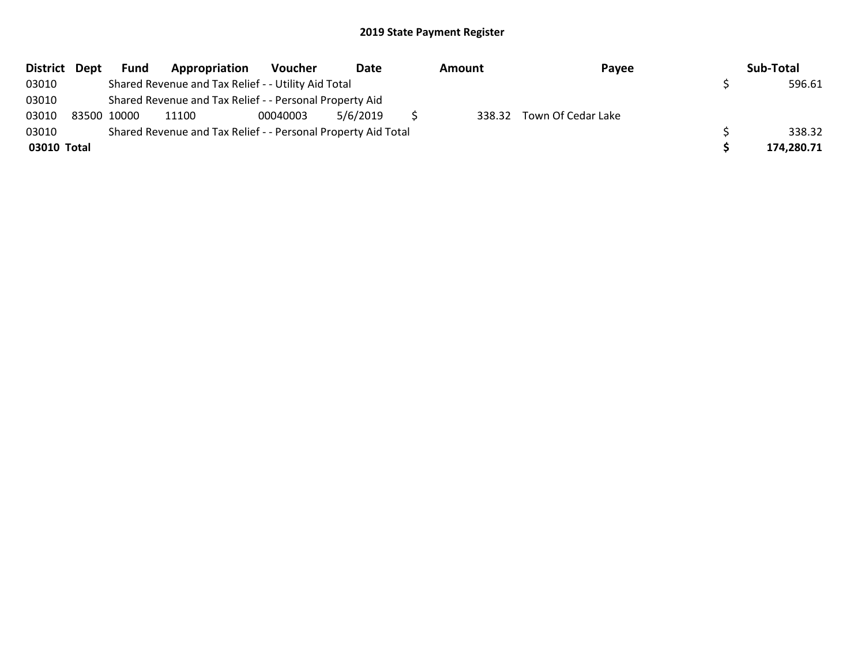| District Dept | <b>Fund</b> | Appropriation                                                 | Voucher  | Date     | Amount | Payee                     | Sub-Total  |
|---------------|-------------|---------------------------------------------------------------|----------|----------|--------|---------------------------|------------|
| 03010         |             | Shared Revenue and Tax Relief - - Utility Aid Total           |          |          |        |                           | 596.61     |
| 03010         |             | Shared Revenue and Tax Relief - - Personal Property Aid       |          |          |        |                           |            |
| 03010         | 83500 10000 | 11100                                                         | 00040003 | 5/6/2019 |        | 338.32 Town Of Cedar Lake |            |
| 03010         |             | Shared Revenue and Tax Relief - - Personal Property Aid Total |          |          |        |                           | 338.32     |
| 03010 Total   |             |                                                               |          |          |        |                           | 174,280.71 |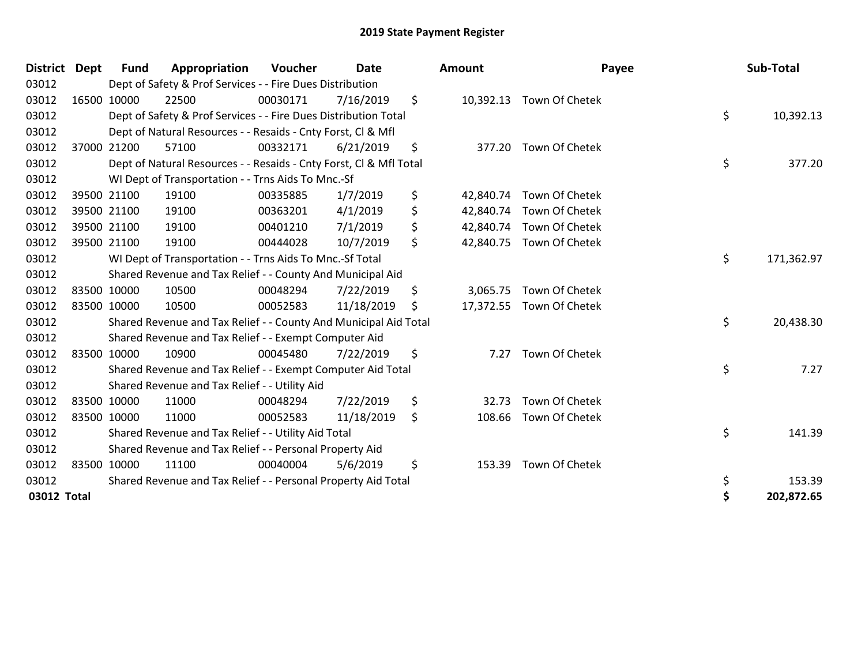| <b>District</b> | <b>Dept</b> | <b>Fund</b> | Appropriation                                                      | Voucher  | <b>Date</b> | Amount          | Payee                    | Sub-Total        |
|-----------------|-------------|-------------|--------------------------------------------------------------------|----------|-------------|-----------------|--------------------------|------------------|
| 03012           |             |             | Dept of Safety & Prof Services - - Fire Dues Distribution          |          |             |                 |                          |                  |
| 03012           |             | 16500 10000 | 22500                                                              | 00030171 | 7/16/2019   | \$              | 10,392.13 Town Of Chetek |                  |
| 03012           |             |             | Dept of Safety & Prof Services - - Fire Dues Distribution Total    |          |             |                 |                          | \$<br>10,392.13  |
| 03012           |             |             | Dept of Natural Resources - - Resaids - Cnty Forst, CI & Mfl       |          |             |                 |                          |                  |
| 03012           |             | 37000 21200 | 57100                                                              | 00332171 | 6/21/2019   | \$<br>377.20    | Town Of Chetek           |                  |
| 03012           |             |             | Dept of Natural Resources - - Resaids - Cnty Forst, CI & Mfl Total |          |             |                 |                          | \$<br>377.20     |
| 03012           |             |             | WI Dept of Transportation - - Trns Aids To Mnc.-Sf                 |          |             |                 |                          |                  |
| 03012           |             | 39500 21100 | 19100                                                              | 00335885 | 1/7/2019    | \$<br>42,840.74 | Town Of Chetek           |                  |
| 03012           |             | 39500 21100 | 19100                                                              | 00363201 | 4/1/2019    | \$<br>42,840.74 | Town Of Chetek           |                  |
| 03012           |             | 39500 21100 | 19100                                                              | 00401210 | 7/1/2019    | \$              | 42,840.74 Town Of Chetek |                  |
| 03012           |             | 39500 21100 | 19100                                                              | 00444028 | 10/7/2019   | \$              | 42,840.75 Town Of Chetek |                  |
| 03012           |             |             | WI Dept of Transportation - - Trns Aids To Mnc.-Sf Total           |          |             |                 |                          | \$<br>171,362.97 |
| 03012           |             |             | Shared Revenue and Tax Relief - - County And Municipal Aid         |          |             |                 |                          |                  |
| 03012           | 83500 10000 |             | 10500                                                              | 00048294 | 7/22/2019   | \$<br>3,065.75  | Town Of Chetek           |                  |
| 03012           |             | 83500 10000 | 10500                                                              | 00052583 | 11/18/2019  | \$              | 17,372.55 Town Of Chetek |                  |
| 03012           |             |             | Shared Revenue and Tax Relief - - County And Municipal Aid Total   |          |             |                 |                          | \$<br>20,438.30  |
| 03012           |             |             | Shared Revenue and Tax Relief - - Exempt Computer Aid              |          |             |                 |                          |                  |
| 03012           |             | 83500 10000 | 10900                                                              | 00045480 | 7/22/2019   | \$<br>7.27      | Town Of Chetek           |                  |
| 03012           |             |             | Shared Revenue and Tax Relief - - Exempt Computer Aid Total        |          |             |                 |                          | \$<br>7.27       |
| 03012           |             |             | Shared Revenue and Tax Relief - - Utility Aid                      |          |             |                 |                          |                  |
| 03012           |             | 83500 10000 | 11000                                                              | 00048294 | 7/22/2019   | \$<br>32.73     | Town Of Chetek           |                  |
| 03012           |             | 83500 10000 | 11000                                                              | 00052583 | 11/18/2019  | \$<br>108.66    | Town Of Chetek           |                  |
| 03012           |             |             | Shared Revenue and Tax Relief - - Utility Aid Total                |          |             |                 |                          | \$<br>141.39     |
| 03012           |             |             | Shared Revenue and Tax Relief - - Personal Property Aid            |          |             |                 |                          |                  |
| 03012           |             | 83500 10000 | 11100                                                              | 00040004 | 5/6/2019    | \$<br>153.39    | Town Of Chetek           |                  |
| 03012           |             |             | Shared Revenue and Tax Relief - - Personal Property Aid Total      |          |             |                 |                          | \$<br>153.39     |
| 03012 Total     |             |             |                                                                    |          |             |                 |                          | \$<br>202,872.65 |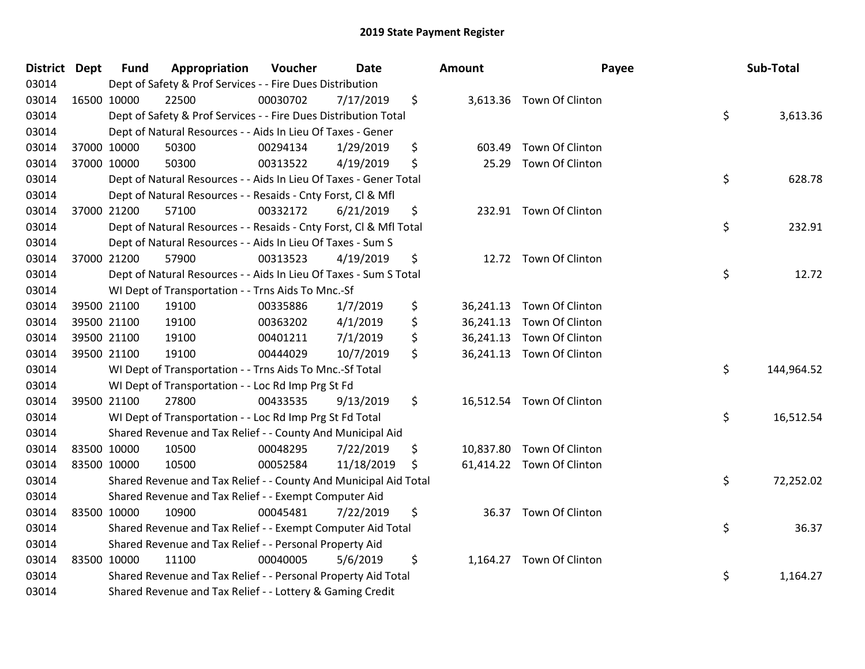| District Dept | <b>Fund</b> | Appropriation                                                      | Voucher  | Date       | <b>Amount</b>   | Payee                     | Sub-Total        |
|---------------|-------------|--------------------------------------------------------------------|----------|------------|-----------------|---------------------------|------------------|
| 03014         |             | Dept of Safety & Prof Services - - Fire Dues Distribution          |          |            |                 |                           |                  |
| 03014         | 16500 10000 | 22500                                                              | 00030702 | 7/17/2019  | \$              | 3,613.36 Town Of Clinton  |                  |
| 03014         |             | Dept of Safety & Prof Services - - Fire Dues Distribution Total    |          |            |                 |                           | \$<br>3,613.36   |
| 03014         |             | Dept of Natural Resources - - Aids In Lieu Of Taxes - Gener        |          |            |                 |                           |                  |
| 03014         | 37000 10000 | 50300                                                              | 00294134 | 1/29/2019  | \$<br>603.49    | Town Of Clinton           |                  |
| 03014         | 37000 10000 | 50300                                                              | 00313522 | 4/19/2019  | \$<br>25.29     | Town Of Clinton           |                  |
| 03014         |             | Dept of Natural Resources - - Aids In Lieu Of Taxes - Gener Total  |          |            |                 |                           | \$<br>628.78     |
| 03014         |             | Dept of Natural Resources - - Resaids - Cnty Forst, Cl & Mfl       |          |            |                 |                           |                  |
| 03014         | 37000 21200 | 57100                                                              | 00332172 | 6/21/2019  | \$              | 232.91 Town Of Clinton    |                  |
| 03014         |             | Dept of Natural Resources - - Resaids - Cnty Forst, Cl & Mfl Total |          |            |                 |                           | \$<br>232.91     |
| 03014         |             | Dept of Natural Resources - - Aids In Lieu Of Taxes - Sum S        |          |            |                 |                           |                  |
| 03014         | 37000 21200 | 57900                                                              | 00313523 | 4/19/2019  | \$              | 12.72 Town Of Clinton     |                  |
| 03014         |             | Dept of Natural Resources - - Aids In Lieu Of Taxes - Sum S Total  |          |            |                 |                           | \$<br>12.72      |
| 03014         |             | WI Dept of Transportation - - Trns Aids To Mnc.-Sf                 |          |            |                 |                           |                  |
| 03014         | 39500 21100 | 19100                                                              | 00335886 | 1/7/2019   | \$<br>36,241.13 | Town Of Clinton           |                  |
| 03014         | 39500 21100 | 19100                                                              | 00363202 | 4/1/2019   | \$              | 36,241.13 Town Of Clinton |                  |
| 03014         | 39500 21100 | 19100                                                              | 00401211 | 7/1/2019   | \$              | 36,241.13 Town Of Clinton |                  |
| 03014         | 39500 21100 | 19100                                                              | 00444029 | 10/7/2019  | \$              | 36,241.13 Town Of Clinton |                  |
| 03014         |             | WI Dept of Transportation - - Trns Aids To Mnc.-Sf Total           |          |            |                 |                           | \$<br>144,964.52 |
| 03014         |             | WI Dept of Transportation - - Loc Rd Imp Prg St Fd                 |          |            |                 |                           |                  |
| 03014         | 39500 21100 | 27800                                                              | 00433535 | 9/13/2019  | \$              | 16,512.54 Town Of Clinton |                  |
| 03014         |             | WI Dept of Transportation - - Loc Rd Imp Prg St Fd Total           |          |            |                 |                           | \$<br>16,512.54  |
| 03014         |             | Shared Revenue and Tax Relief - - County And Municipal Aid         |          |            |                 |                           |                  |
| 03014         | 83500 10000 | 10500                                                              | 00048295 | 7/22/2019  | \$              | 10,837.80 Town Of Clinton |                  |
| 03014         | 83500 10000 | 10500                                                              | 00052584 | 11/18/2019 | \$              | 61,414.22 Town Of Clinton |                  |
| 03014         |             | Shared Revenue and Tax Relief - - County And Municipal Aid Total   |          |            |                 |                           | \$<br>72,252.02  |
| 03014         |             | Shared Revenue and Tax Relief - - Exempt Computer Aid              |          |            |                 |                           |                  |
| 03014         | 83500 10000 | 10900                                                              | 00045481 | 7/22/2019  | \$              | 36.37 Town Of Clinton     |                  |
| 03014         |             | Shared Revenue and Tax Relief - - Exempt Computer Aid Total        |          |            |                 |                           | \$<br>36.37      |
| 03014         |             | Shared Revenue and Tax Relief - - Personal Property Aid            |          |            |                 |                           |                  |
| 03014         | 83500 10000 | 11100                                                              | 00040005 | 5/6/2019   | \$              | 1,164.27 Town Of Clinton  |                  |
| 03014         |             | Shared Revenue and Tax Relief - - Personal Property Aid Total      |          |            |                 |                           | \$<br>1,164.27   |
| 03014         |             | Shared Revenue and Tax Relief - - Lottery & Gaming Credit          |          |            |                 |                           |                  |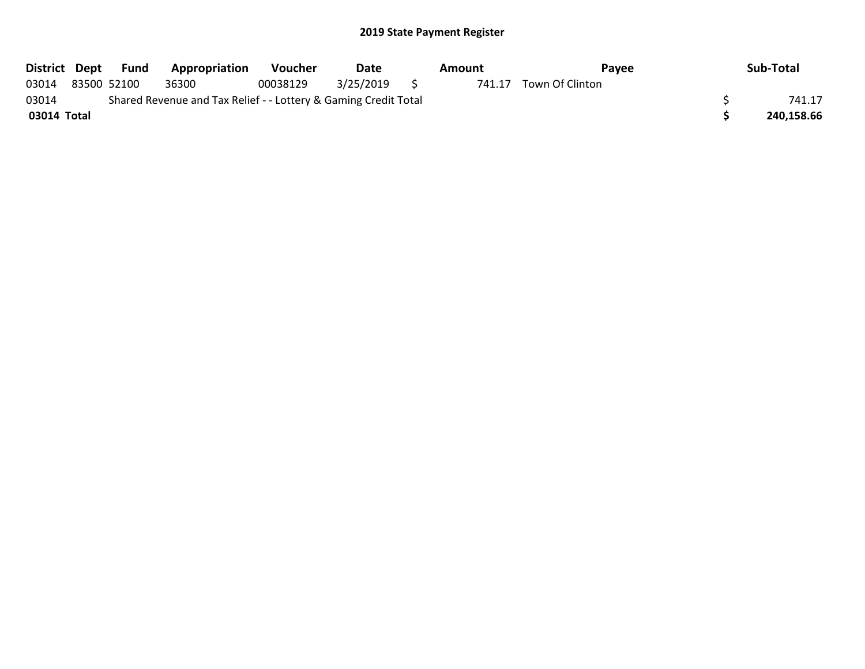|             |                                                                 | District Dept Fund | <b>Appropriation</b> | Voucher  | Date      | Amount |        | Payee           |  | Sub-Total  |
|-------------|-----------------------------------------------------------------|--------------------|----------------------|----------|-----------|--------|--------|-----------------|--|------------|
| 03014       |                                                                 | 83500 52100        | 36300                | 00038129 | 3/25/2019 |        | 741.17 | Town Of Clinton |  |            |
| 03014       | Shared Revenue and Tax Relief - - Lottery & Gaming Credit Total |                    |                      |          |           |        |        |                 |  | 741.17     |
| 03014 Total |                                                                 |                    |                      |          |           |        |        |                 |  | 240.158.66 |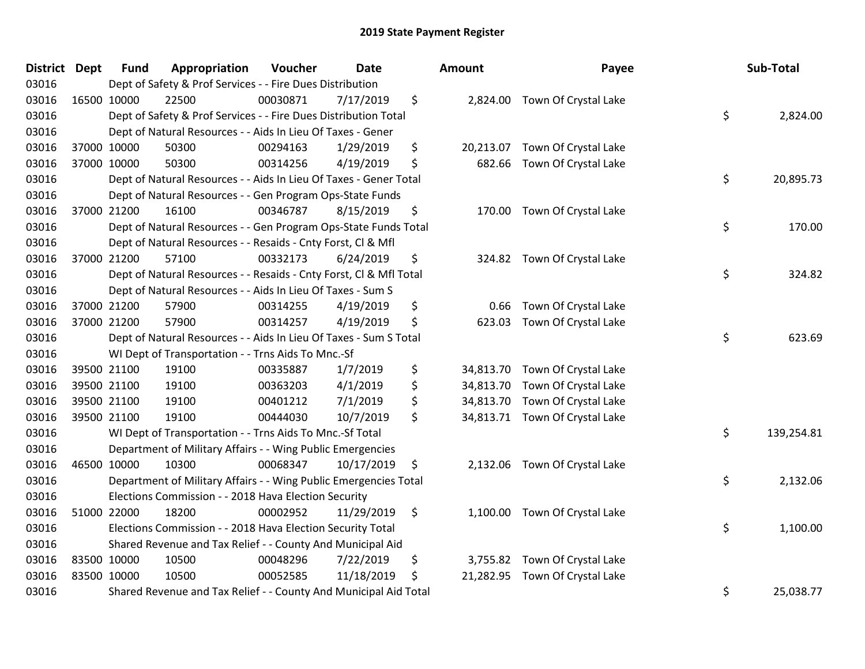| <b>District Dept</b> | <b>Fund</b> | Appropriation                                                      | Voucher  | <b>Date</b> | <b>Amount</b>   | Payee                          | Sub-Total        |
|----------------------|-------------|--------------------------------------------------------------------|----------|-------------|-----------------|--------------------------------|------------------|
| 03016                |             | Dept of Safety & Prof Services - - Fire Dues Distribution          |          |             |                 |                                |                  |
| 03016                | 16500 10000 | 22500                                                              | 00030871 | 7/17/2019   | \$              | 2,824.00 Town Of Crystal Lake  |                  |
| 03016                |             | Dept of Safety & Prof Services - - Fire Dues Distribution Total    |          |             |                 |                                | \$<br>2,824.00   |
| 03016                |             | Dept of Natural Resources - - Aids In Lieu Of Taxes - Gener        |          |             |                 |                                |                  |
| 03016                | 37000 10000 | 50300                                                              | 00294163 | 1/29/2019   | \$<br>20,213.07 | Town Of Crystal Lake           |                  |
| 03016                | 37000 10000 | 50300                                                              | 00314256 | 4/19/2019   | \$<br>682.66    | Town Of Crystal Lake           |                  |
| 03016                |             | Dept of Natural Resources - - Aids In Lieu Of Taxes - Gener Total  |          |             |                 |                                | \$<br>20,895.73  |
| 03016                |             | Dept of Natural Resources - - Gen Program Ops-State Funds          |          |             |                 |                                |                  |
| 03016                | 37000 21200 | 16100                                                              | 00346787 | 8/15/2019   | \$              | 170.00 Town Of Crystal Lake    |                  |
| 03016                |             | Dept of Natural Resources - - Gen Program Ops-State Funds Total    |          |             |                 |                                | \$<br>170.00     |
| 03016                |             | Dept of Natural Resources - - Resaids - Cnty Forst, Cl & Mfl       |          |             |                 |                                |                  |
| 03016                | 37000 21200 | 57100                                                              | 00332173 | 6/24/2019   | \$              | 324.82 Town Of Crystal Lake    |                  |
| 03016                |             | Dept of Natural Resources - - Resaids - Cnty Forst, Cl & Mfl Total |          |             |                 |                                | \$<br>324.82     |
| 03016                |             | Dept of Natural Resources - - Aids In Lieu Of Taxes - Sum S        |          |             |                 |                                |                  |
| 03016                | 37000 21200 | 57900                                                              | 00314255 | 4/19/2019   | \$<br>0.66      | Town Of Crystal Lake           |                  |
| 03016                | 37000 21200 | 57900                                                              | 00314257 | 4/19/2019   | \$<br>623.03    | Town Of Crystal Lake           |                  |
| 03016                |             | Dept of Natural Resources - - Aids In Lieu Of Taxes - Sum S Total  |          |             |                 |                                | \$<br>623.69     |
| 03016                |             | WI Dept of Transportation - - Trns Aids To Mnc.-Sf                 |          |             |                 |                                |                  |
| 03016                | 39500 21100 | 19100                                                              | 00335887 | 1/7/2019    | \$              | 34,813.70 Town Of Crystal Lake |                  |
| 03016                | 39500 21100 | 19100                                                              | 00363203 | 4/1/2019    | \$<br>34,813.70 | Town Of Crystal Lake           |                  |
| 03016                | 39500 21100 | 19100                                                              | 00401212 | 7/1/2019    | \$<br>34,813.70 | Town Of Crystal Lake           |                  |
| 03016                | 39500 21100 | 19100                                                              | 00444030 | 10/7/2019   | \$              | 34,813.71 Town Of Crystal Lake |                  |
| 03016                |             | WI Dept of Transportation - - Trns Aids To Mnc.-Sf Total           |          |             |                 |                                | \$<br>139,254.81 |
| 03016                |             | Department of Military Affairs - - Wing Public Emergencies         |          |             |                 |                                |                  |
| 03016                | 46500 10000 | 10300                                                              | 00068347 | 10/17/2019  | \$<br>2,132.06  | Town Of Crystal Lake           |                  |
| 03016                |             | Department of Military Affairs - - Wing Public Emergencies Total   |          |             |                 |                                | \$<br>2,132.06   |
| 03016                |             | Elections Commission - - 2018 Hava Election Security               |          |             |                 |                                |                  |
| 03016                | 51000 22000 | 18200                                                              | 00002952 | 11/29/2019  | \$              | 1,100.00 Town Of Crystal Lake  |                  |
| 03016                |             | Elections Commission - - 2018 Hava Election Security Total         |          |             |                 |                                | \$<br>1,100.00   |
| 03016                |             | Shared Revenue and Tax Relief - - County And Municipal Aid         |          |             |                 |                                |                  |
| 03016                | 83500 10000 | 10500                                                              | 00048296 | 7/22/2019   | \$<br>3,755.82  | Town Of Crystal Lake           |                  |
| 03016                | 83500 10000 | 10500                                                              | 00052585 | 11/18/2019  | \$<br>21,282.95 | Town Of Crystal Lake           |                  |
| 03016                |             | Shared Revenue and Tax Relief - - County And Municipal Aid Total   |          |             |                 |                                | \$<br>25,038.77  |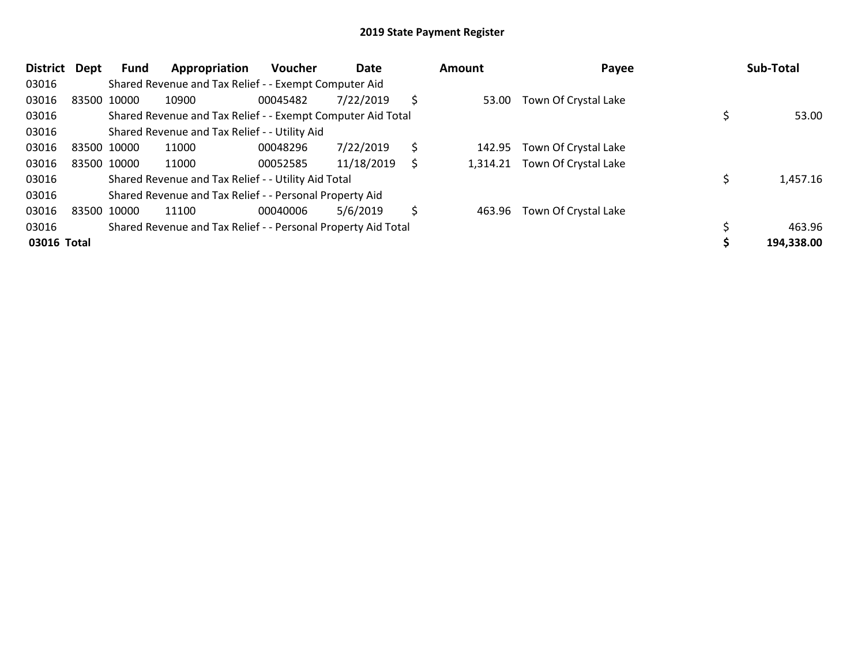| <b>District</b> | Dept | Fund        | Appropriation                                                 | <b>Voucher</b> | Date       |    | Amount   | Payee                | Sub-Total  |
|-----------------|------|-------------|---------------------------------------------------------------|----------------|------------|----|----------|----------------------|------------|
| 03016           |      |             | Shared Revenue and Tax Relief - - Exempt Computer Aid         |                |            |    |          |                      |            |
| 03016           |      | 83500 10000 | 10900                                                         | 00045482       | 7/22/2019  | Ś  | 53.00    | Town Of Crystal Lake |            |
| 03016           |      |             | Shared Revenue and Tax Relief - - Exempt Computer Aid Total   |                |            |    |          |                      | 53.00      |
| 03016           |      |             | Shared Revenue and Tax Relief - - Utility Aid                 |                |            |    |          |                      |            |
| 03016           |      | 83500 10000 | 11000                                                         | 00048296       | 7/22/2019  | \$ | 142.95   | Town Of Crystal Lake |            |
| 03016           |      | 83500 10000 | 11000                                                         | 00052585       | 11/18/2019 | S  | 1,314.21 | Town Of Crystal Lake |            |
| 03016           |      |             | Shared Revenue and Tax Relief - - Utility Aid Total           |                |            |    |          |                      | 1,457.16   |
| 03016           |      |             | Shared Revenue and Tax Relief - - Personal Property Aid       |                |            |    |          |                      |            |
| 03016           |      | 83500 10000 | 11100                                                         | 00040006       | 5/6/2019   | Ś  | 463.96   | Town Of Crystal Lake |            |
| 03016           |      |             | Shared Revenue and Tax Relief - - Personal Property Aid Total |                |            |    |          |                      | 463.96     |
| 03016 Total     |      |             |                                                               |                |            |    |          |                      | 194,338.00 |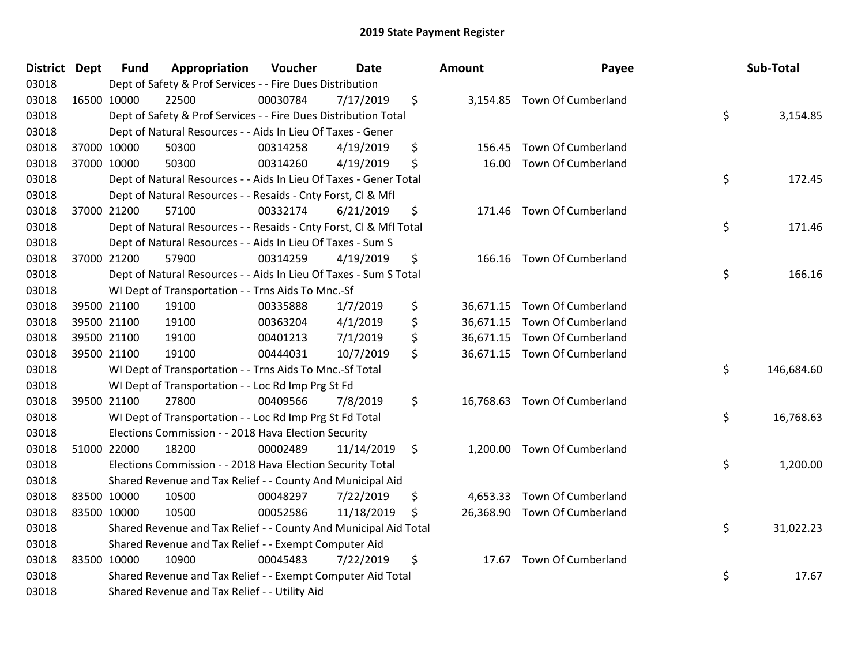| <b>District</b> | <b>Dept</b> | <b>Fund</b> | Appropriation                                                      | Voucher  | Date       | <b>Amount</b>   | Payee                        | Sub-Total        |
|-----------------|-------------|-------------|--------------------------------------------------------------------|----------|------------|-----------------|------------------------------|------------------|
| 03018           |             |             | Dept of Safety & Prof Services - - Fire Dues Distribution          |          |            |                 |                              |                  |
| 03018           |             | 16500 10000 | 22500                                                              | 00030784 | 7/17/2019  | \$              | 3,154.85 Town Of Cumberland  |                  |
| 03018           |             |             | Dept of Safety & Prof Services - - Fire Dues Distribution Total    |          |            |                 |                              | \$<br>3,154.85   |
| 03018           |             |             | Dept of Natural Resources - - Aids In Lieu Of Taxes - Gener        |          |            |                 |                              |                  |
| 03018           |             | 37000 10000 | 50300                                                              | 00314258 | 4/19/2019  | \$<br>156.45    | Town Of Cumberland           |                  |
| 03018           |             | 37000 10000 | 50300                                                              | 00314260 | 4/19/2019  | \$<br>16.00     | Town Of Cumberland           |                  |
| 03018           |             |             | Dept of Natural Resources - - Aids In Lieu Of Taxes - Gener Total  |          |            |                 |                              | \$<br>172.45     |
| 03018           |             |             | Dept of Natural Resources - - Resaids - Cnty Forst, Cl & Mfl       |          |            |                 |                              |                  |
| 03018           |             | 37000 21200 | 57100                                                              | 00332174 | 6/21/2019  | \$              | 171.46 Town Of Cumberland    |                  |
| 03018           |             |             | Dept of Natural Resources - - Resaids - Cnty Forst, Cl & Mfl Total |          |            |                 |                              | \$<br>171.46     |
| 03018           |             |             | Dept of Natural Resources - - Aids In Lieu Of Taxes - Sum S        |          |            |                 |                              |                  |
| 03018           |             | 37000 21200 | 57900                                                              | 00314259 | 4/19/2019  | \$              | 166.16 Town Of Cumberland    |                  |
| 03018           |             |             | Dept of Natural Resources - - Aids In Lieu Of Taxes - Sum S Total  |          |            |                 |                              | \$<br>166.16     |
| 03018           |             |             | WI Dept of Transportation - - Trns Aids To Mnc.-Sf                 |          |            |                 |                              |                  |
| 03018           |             | 39500 21100 | 19100                                                              | 00335888 | 1/7/2019   | \$<br>36,671.15 | Town Of Cumberland           |                  |
| 03018           |             | 39500 21100 | 19100                                                              | 00363204 | 4/1/2019   | \$              | 36,671.15 Town Of Cumberland |                  |
| 03018           |             | 39500 21100 | 19100                                                              | 00401213 | 7/1/2019   | \$              | 36,671.15 Town Of Cumberland |                  |
| 03018           |             | 39500 21100 | 19100                                                              | 00444031 | 10/7/2019  | \$              | 36,671.15 Town Of Cumberland |                  |
| 03018           |             |             | WI Dept of Transportation - - Trns Aids To Mnc.-Sf Total           |          |            |                 |                              | \$<br>146,684.60 |
| 03018           |             |             | WI Dept of Transportation - - Loc Rd Imp Prg St Fd                 |          |            |                 |                              |                  |
| 03018           |             | 39500 21100 | 27800                                                              | 00409566 | 7/8/2019   | \$              | 16,768.63 Town Of Cumberland |                  |
| 03018           |             |             | WI Dept of Transportation - - Loc Rd Imp Prg St Fd Total           |          |            |                 |                              | \$<br>16,768.63  |
| 03018           |             |             | Elections Commission - - 2018 Hava Election Security               |          |            |                 |                              |                  |
| 03018           |             | 51000 22000 | 18200                                                              | 00002489 | 11/14/2019 | \$<br>1,200.00  | Town Of Cumberland           |                  |
| 03018           |             |             | Elections Commission - - 2018 Hava Election Security Total         |          |            |                 |                              | \$<br>1,200.00   |
| 03018           |             |             | Shared Revenue and Tax Relief - - County And Municipal Aid         |          |            |                 |                              |                  |
| 03018           | 83500 10000 |             | 10500                                                              | 00048297 | 7/22/2019  | \$<br>4,653.33  | Town Of Cumberland           |                  |
| 03018           | 83500 10000 |             | 10500                                                              | 00052586 | 11/18/2019 | \$              | 26,368.90 Town Of Cumberland |                  |
| 03018           |             |             | Shared Revenue and Tax Relief - - County And Municipal Aid Total   |          |            |                 |                              | \$<br>31,022.23  |
| 03018           |             |             | Shared Revenue and Tax Relief - - Exempt Computer Aid              |          |            |                 |                              |                  |
| 03018           |             | 83500 10000 | 10900                                                              | 00045483 | 7/22/2019  | \$<br>17.67     | Town Of Cumberland           |                  |
| 03018           |             |             | Shared Revenue and Tax Relief - - Exempt Computer Aid Total        |          |            |                 |                              | \$<br>17.67      |
| 03018           |             |             | Shared Revenue and Tax Relief - - Utility Aid                      |          |            |                 |                              |                  |

| າount     | Payee                        | Sub-Total        |
|-----------|------------------------------|------------------|
| 3,154.85  | Town Of Cumberland           | \$<br>3,154.85   |
| 156.45    | <b>Town Of Cumberland</b>    |                  |
| 16.00     | Town Of Cumberland           | \$<br>172.45     |
| 171.46    | Town Of Cumberland           | \$<br>171.46     |
| 166.16    | Town Of Cumberland           | \$<br>166.16     |
| 36,671.15 | Town Of Cumberland           |                  |
| 36,671.15 | Town Of Cumberland           |                  |
|           | 36,671.15 Town Of Cumberland |                  |
| 36,671.15 | Town Of Cumberland           |                  |
|           |                              | \$<br>146,684.60 |
| 16,768.63 | Town Of Cumberland           | \$<br>16,768.63  |
| 1,200.00  | Town Of Cumberland           | \$<br>1,200.00   |
| 4,653.33  | Town Of Cumberland           |                  |
| 26,368.90 | Town Of Cumberland           |                  |
|           |                              | \$<br>31,022.23  |
| 17.67     | Town Of Cumberland           | \$<br>17.67      |
|           |                              |                  |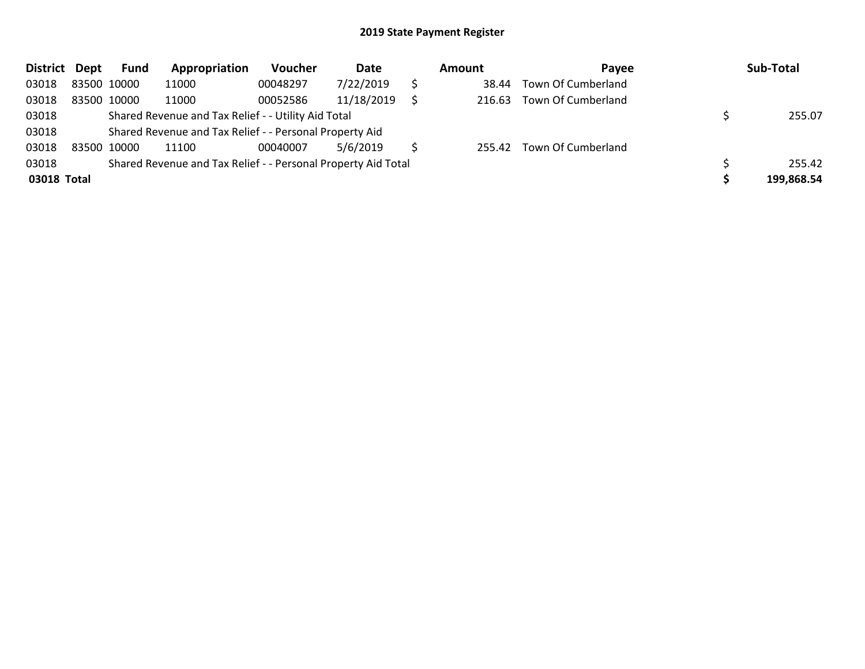| <b>District</b> | Dept        | <b>Fund</b> | Appropriation                                                 | Voucher  | Date       |   | Amount | Payee              | Sub-Total  |
|-----------------|-------------|-------------|---------------------------------------------------------------|----------|------------|---|--------|--------------------|------------|
| 03018           | 83500 10000 |             | 11000                                                         | 00048297 | 7/22/2019  | S | 38.44  | Town Of Cumberland |            |
| 03018           | 83500 10000 |             | 11000                                                         | 00052586 | 11/18/2019 |   | 216.63 | Town Of Cumberland |            |
| 03018           |             |             | Shared Revenue and Tax Relief - - Utility Aid Total           |          |            |   |        |                    | 255.07     |
| 03018           |             |             | Shared Revenue and Tax Relief - - Personal Property Aid       |          |            |   |        |                    |            |
| 03018           | 83500 10000 |             | 11100                                                         | 00040007 | 5/6/2019   |   | 255.42 | Town Of Cumberland |            |
| 03018           |             |             | Shared Revenue and Tax Relief - - Personal Property Aid Total |          |            |   |        |                    | 255.42     |
| 03018 Total     |             |             |                                                               |          |            |   |        |                    | 199,868.54 |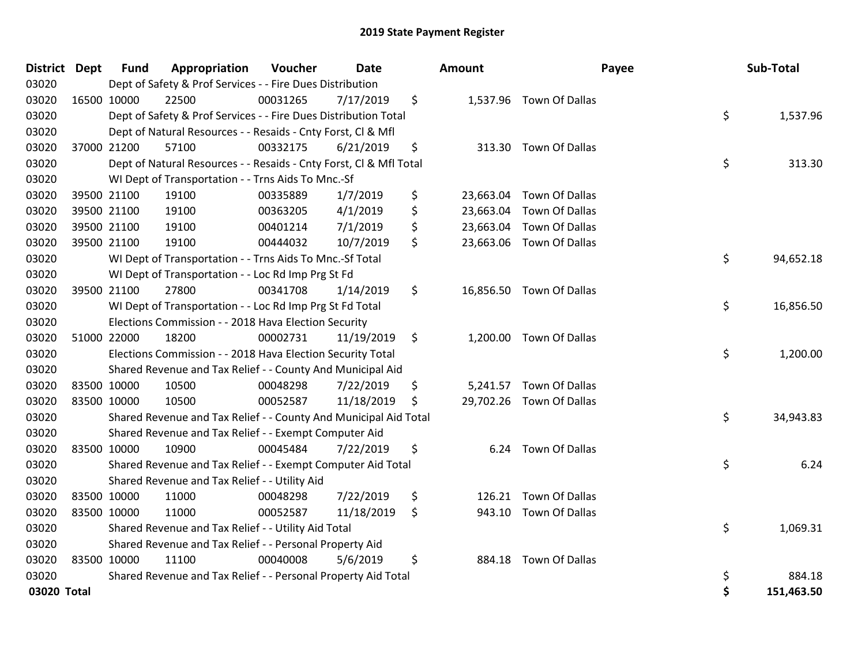| <b>District Dept</b> |             | <b>Fund</b> | Appropriation                                                      | Voucher  | <b>Date</b> | <b>Amount</b>   |                          | Payee | Sub-Total  |
|----------------------|-------------|-------------|--------------------------------------------------------------------|----------|-------------|-----------------|--------------------------|-------|------------|
| 03020                |             |             | Dept of Safety & Prof Services - - Fire Dues Distribution          |          |             |                 |                          |       |            |
| 03020                |             | 16500 10000 | 22500                                                              | 00031265 | 7/17/2019   | \$              | 1,537.96 Town Of Dallas  |       |            |
| 03020                |             |             | Dept of Safety & Prof Services - - Fire Dues Distribution Total    |          |             |                 |                          | \$    | 1,537.96   |
| 03020                |             |             | Dept of Natural Resources - - Resaids - Cnty Forst, Cl & Mfl       |          |             |                 |                          |       |            |
| 03020                |             | 37000 21200 | 57100                                                              | 00332175 | 6/21/2019   | \$              | 313.30 Town Of Dallas    |       |            |
| 03020                |             |             | Dept of Natural Resources - - Resaids - Cnty Forst, CI & Mfl Total |          |             |                 |                          | \$    | 313.30     |
| 03020                |             |             | WI Dept of Transportation - - Trns Aids To Mnc.-Sf                 |          |             |                 |                          |       |            |
| 03020                |             | 39500 21100 | 19100                                                              | 00335889 | 1/7/2019    | \$<br>23,663.04 | Town Of Dallas           |       |            |
| 03020                |             | 39500 21100 | 19100                                                              | 00363205 | 4/1/2019    | \$              | 23,663.04 Town Of Dallas |       |            |
| 03020                |             | 39500 21100 | 19100                                                              | 00401214 | 7/1/2019    | \$              | 23,663.04 Town Of Dallas |       |            |
| 03020                |             | 39500 21100 | 19100                                                              | 00444032 | 10/7/2019   | \$              | 23,663.06 Town Of Dallas |       |            |
| 03020                |             |             | WI Dept of Transportation - - Trns Aids To Mnc.-Sf Total           |          |             |                 |                          | \$    | 94,652.18  |
| 03020                |             |             | WI Dept of Transportation - - Loc Rd Imp Prg St Fd                 |          |             |                 |                          |       |            |
| 03020                |             | 39500 21100 | 27800                                                              | 00341708 | 1/14/2019   | \$              | 16,856.50 Town Of Dallas |       |            |
| 03020                |             |             | WI Dept of Transportation - - Loc Rd Imp Prg St Fd Total           |          |             |                 |                          | \$    | 16,856.50  |
| 03020                |             |             | Elections Commission - - 2018 Hava Election Security               |          |             |                 |                          |       |            |
| 03020                |             | 51000 22000 | 18200                                                              | 00002731 | 11/19/2019  | \$              | 1,200.00 Town Of Dallas  |       |            |
| 03020                |             |             | Elections Commission - - 2018 Hava Election Security Total         |          |             |                 |                          | \$    | 1,200.00   |
| 03020                |             |             | Shared Revenue and Tax Relief - - County And Municipal Aid         |          |             |                 |                          |       |            |
| 03020                |             | 83500 10000 | 10500                                                              | 00048298 | 7/22/2019   | \$              | 5,241.57 Town Of Dallas  |       |            |
| 03020                |             | 83500 10000 | 10500                                                              | 00052587 | 11/18/2019  | \$              | 29,702.26 Town Of Dallas |       |            |
| 03020                |             |             | Shared Revenue and Tax Relief - - County And Municipal Aid Total   |          |             |                 |                          | \$    | 34,943.83  |
| 03020                |             |             | Shared Revenue and Tax Relief - - Exempt Computer Aid              |          |             |                 |                          |       |            |
| 03020                |             | 83500 10000 | 10900                                                              | 00045484 | 7/22/2019   | \$<br>6.24      | Town Of Dallas           |       |            |
| 03020                |             |             | Shared Revenue and Tax Relief - - Exempt Computer Aid Total        |          |             |                 |                          | \$    | 6.24       |
| 03020                |             |             | Shared Revenue and Tax Relief - - Utility Aid                      |          |             |                 |                          |       |            |
| 03020                |             | 83500 10000 | 11000                                                              | 00048298 | 7/22/2019   | \$<br>126.21    | Town Of Dallas           |       |            |
| 03020                | 83500 10000 |             | 11000                                                              | 00052587 | 11/18/2019  | \$              | 943.10 Town Of Dallas    |       |            |
| 03020                |             |             | Shared Revenue and Tax Relief - - Utility Aid Total                |          |             |                 |                          | \$    | 1,069.31   |
| 03020                |             |             | Shared Revenue and Tax Relief - - Personal Property Aid            |          |             |                 |                          |       |            |
| 03020                |             | 83500 10000 | 11100                                                              | 00040008 | 5/6/2019    | \$<br>884.18    | Town Of Dallas           |       |            |
| 03020                |             |             | Shared Revenue and Tax Relief - - Personal Property Aid Total      |          |             |                 |                          | \$    | 884.18     |
| 03020 Total          |             |             |                                                                    |          |             |                 |                          | \$    | 151,463.50 |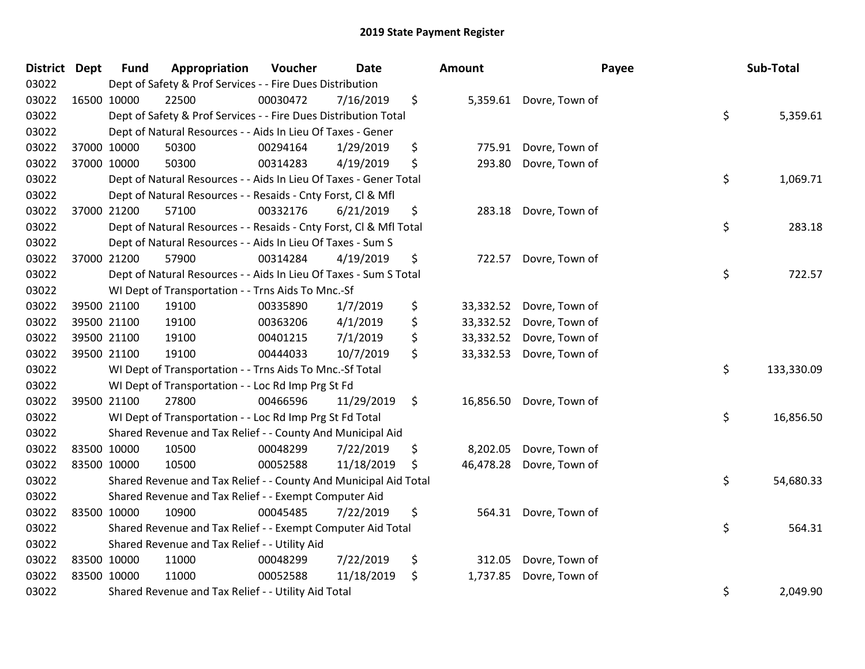| <b>District Dept</b> |             | <b>Fund</b>                                                              | Appropriation | Voucher  | <b>Date</b> |    | <b>Amount</b> |                          | Payee | Sub-Total  |
|----------------------|-------------|--------------------------------------------------------------------------|---------------|----------|-------------|----|---------------|--------------------------|-------|------------|
| 03022                |             | Dept of Safety & Prof Services - - Fire Dues Distribution                |               |          |             |    |               |                          |       |            |
| 03022                | 16500 10000 |                                                                          | 22500         | 00030472 | 7/16/2019   | \$ |               | 5,359.61 Dovre, Town of  |       |            |
| 03022                |             | \$<br>Dept of Safety & Prof Services - - Fire Dues Distribution Total    |               |          |             |    |               |                          |       | 5,359.61   |
| 03022                |             | Dept of Natural Resources - - Aids In Lieu Of Taxes - Gener              |               |          |             |    |               |                          |       |            |
| 03022                |             | 37000 10000                                                              | 50300         | 00294164 | 1/29/2019   | \$ | 775.91        | Dovre, Town of           |       |            |
| 03022                |             | 37000 10000                                                              | 50300         | 00314283 | 4/19/2019   | \$ | 293.80        | Dovre, Town of           |       |            |
| 03022                |             | \$<br>Dept of Natural Resources - - Aids In Lieu Of Taxes - Gener Total  |               |          |             |    |               |                          |       | 1,069.71   |
| 03022                |             | Dept of Natural Resources - - Resaids - Cnty Forst, Cl & Mfl             |               |          |             |    |               |                          |       |            |
| 03022                | 37000 21200 |                                                                          | 57100         | 00332176 | 6/21/2019   | \$ | 283.18        | Dovre, Town of           |       |            |
| 03022                |             | \$<br>Dept of Natural Resources - - Resaids - Cnty Forst, Cl & Mfl Total |               |          |             |    |               |                          |       | 283.18     |
| 03022                |             | Dept of Natural Resources - - Aids In Lieu Of Taxes - Sum S              |               |          |             |    |               |                          |       |            |
| 03022                |             | 37000 21200                                                              | 57900         | 00314284 | 4/19/2019   | \$ | 722.57        | Dovre, Town of           |       |            |
| 03022                |             | \$<br>Dept of Natural Resources - - Aids In Lieu Of Taxes - Sum S Total  |               |          |             |    |               |                          |       | 722.57     |
| 03022                |             | WI Dept of Transportation - - Trns Aids To Mnc.-Sf                       |               |          |             |    |               |                          |       |            |
| 03022                |             | 39500 21100                                                              | 19100         | 00335890 | 1/7/2019    | \$ | 33,332.52     | Dovre, Town of           |       |            |
| 03022                |             | 39500 21100                                                              | 19100         | 00363206 | 4/1/2019    | \$ | 33,332.52     | Dovre, Town of           |       |            |
| 03022                | 39500 21100 |                                                                          | 19100         | 00401215 | 7/1/2019    | \$ | 33,332.52     | Dovre, Town of           |       |            |
| 03022                | 39500 21100 |                                                                          | 19100         | 00444033 | 10/7/2019   | \$ | 33,332.53     | Dovre, Town of           |       |            |
| 03022                |             | \$<br>WI Dept of Transportation - - Trns Aids To Mnc.-Sf Total           |               |          |             |    |               |                          |       | 133,330.09 |
| 03022                |             | WI Dept of Transportation - - Loc Rd Imp Prg St Fd                       |               |          |             |    |               |                          |       |            |
| 03022                |             | 39500 21100                                                              | 27800         | 00466596 | 11/29/2019  | \$ |               | 16,856.50 Dovre, Town of |       |            |
| 03022                |             | \$<br>WI Dept of Transportation - - Loc Rd Imp Prg St Fd Total           |               |          |             |    |               |                          |       | 16,856.50  |
| 03022                |             | Shared Revenue and Tax Relief - - County And Municipal Aid               |               |          |             |    |               |                          |       |            |
| 03022                | 83500 10000 |                                                                          | 10500         | 00048299 | 7/22/2019   | \$ | 8,202.05      | Dovre, Town of           |       |            |
| 03022                | 83500 10000 |                                                                          | 10500         | 00052588 | 11/18/2019  | \$ | 46,478.28     | Dovre, Town of           |       |            |
| 03022                |             | \$<br>Shared Revenue and Tax Relief - - County And Municipal Aid Total   |               |          |             |    |               |                          |       | 54,680.33  |
| 03022                |             | Shared Revenue and Tax Relief - - Exempt Computer Aid                    |               |          |             |    |               |                          |       |            |
| 03022                | 83500 10000 |                                                                          | 10900         | 00045485 | 7/22/2019   | \$ |               | 564.31 Dovre, Town of    |       |            |
| 03022                |             | \$<br>Shared Revenue and Tax Relief - - Exempt Computer Aid Total        |               |          |             |    |               |                          |       | 564.31     |
| 03022                |             | Shared Revenue and Tax Relief - - Utility Aid                            |               |          |             |    |               |                          |       |            |
| 03022                | 83500 10000 |                                                                          | 11000         | 00048299 | 7/22/2019   | \$ | 312.05        | Dovre, Town of           |       |            |
| 03022                | 83500 10000 |                                                                          | 11000         | 00052588 | 11/18/2019  | \$ | 1,737.85      | Dovre, Town of           |       |            |
| 03022                |             | Shared Revenue and Tax Relief - - Utility Aid Total                      |               |          |             |    |               |                          |       | 2,049.90   |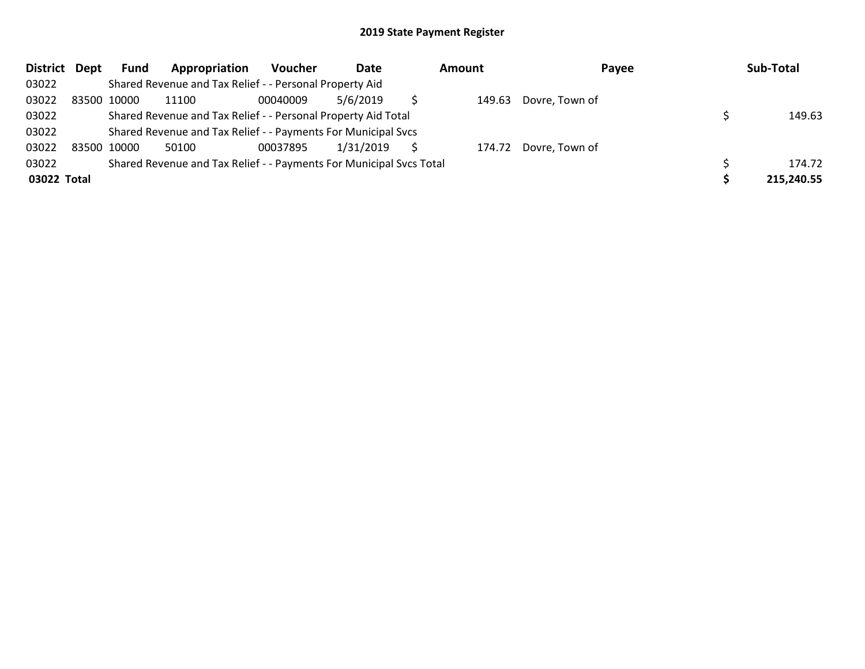| District Dept | <b>Fund</b> | Appropriation                                                       | Voucher  | Date      | <b>Amount</b> | Payee                 | Sub-Total  |
|---------------|-------------|---------------------------------------------------------------------|----------|-----------|---------------|-----------------------|------------|
| 03022         |             | Shared Revenue and Tax Relief - - Personal Property Aid             |          |           |               |                       |            |
| 03022         | 83500 10000 | 11100                                                               | 00040009 | 5/6/2019  | 149.63        | Dovre, Town of        |            |
| 03022         |             | Shared Revenue and Tax Relief - - Personal Property Aid Total       |          |           |               |                       | 149.63     |
| 03022         |             | Shared Revenue and Tax Relief - - Payments For Municipal Svcs       |          |           |               |                       |            |
| 03022         | 83500 10000 | 50100                                                               | 00037895 | 1/31/2019 |               | 174.72 Dovre, Town of |            |
| 03022         |             | Shared Revenue and Tax Relief - - Payments For Municipal Svcs Total |          |           |               |                       | 174.72     |
| 03022 Total   |             |                                                                     |          |           |               |                       | 215,240.55 |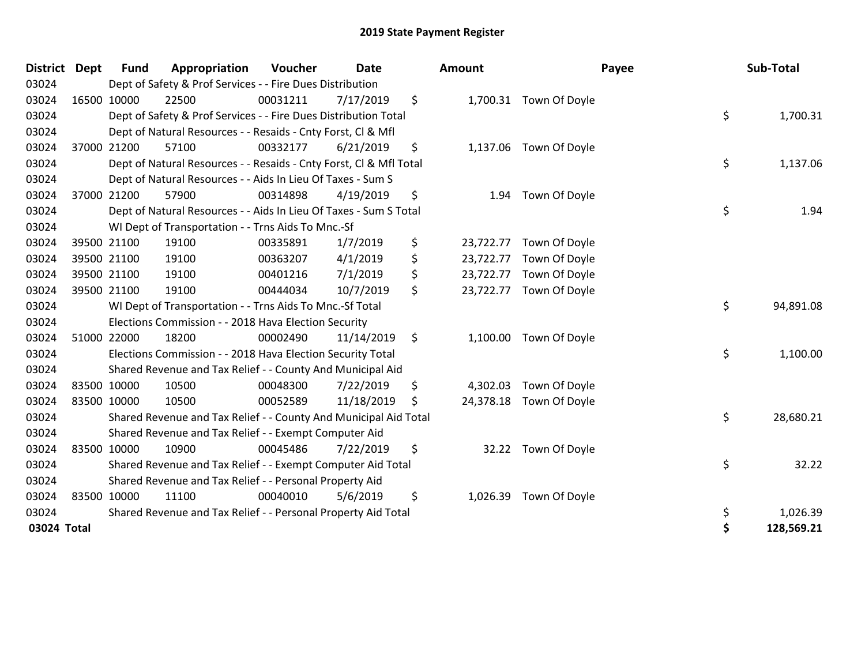| <b>District Dept</b> |             | <b>Fund</b> | Appropriation                                                      | Voucher  | <b>Date</b> | Amount          |                         | Payee | Sub-Total  |
|----------------------|-------------|-------------|--------------------------------------------------------------------|----------|-------------|-----------------|-------------------------|-------|------------|
| 03024                |             |             | Dept of Safety & Prof Services - - Fire Dues Distribution          |          |             |                 |                         |       |            |
| 03024                |             | 16500 10000 | 22500                                                              | 00031211 | 7/17/2019   | \$              | 1,700.31 Town Of Doyle  |       |            |
| 03024                |             |             | Dept of Safety & Prof Services - - Fire Dues Distribution Total    |          |             |                 |                         | \$    | 1,700.31   |
| 03024                |             |             | Dept of Natural Resources - - Resaids - Cnty Forst, Cl & Mfl       |          |             |                 |                         |       |            |
| 03024                |             | 37000 21200 | 57100                                                              | 00332177 | 6/21/2019   | \$              | 1,137.06 Town Of Doyle  |       |            |
| 03024                |             |             | Dept of Natural Resources - - Resaids - Cnty Forst, Cl & Mfl Total |          |             |                 |                         | \$    | 1,137.06   |
| 03024                |             |             | Dept of Natural Resources - - Aids In Lieu Of Taxes - Sum S        |          |             |                 |                         |       |            |
| 03024                | 37000 21200 |             | 57900                                                              | 00314898 | 4/19/2019   | \$<br>1.94      | Town Of Doyle           |       |            |
| 03024                |             |             | Dept of Natural Resources - - Aids In Lieu Of Taxes - Sum S Total  |          |             |                 |                         | \$    | 1.94       |
| 03024                |             |             | WI Dept of Transportation - - Trns Aids To Mnc.-Sf                 |          |             |                 |                         |       |            |
| 03024                |             | 39500 21100 | 19100                                                              | 00335891 | 1/7/2019    | \$<br>23,722.77 | Town Of Doyle           |       |            |
| 03024                |             | 39500 21100 | 19100                                                              | 00363207 | 4/1/2019    | \$<br>23,722.77 | Town Of Doyle           |       |            |
| 03024                |             | 39500 21100 | 19100                                                              | 00401216 | 7/1/2019    | \$              | 23,722.77 Town Of Doyle |       |            |
| 03024                | 39500 21100 |             | 19100                                                              | 00444034 | 10/7/2019   | \$<br>23,722.77 | Town Of Doyle           |       |            |
| 03024                |             |             | WI Dept of Transportation - - Trns Aids To Mnc.-Sf Total           |          |             |                 |                         | \$    | 94,891.08  |
| 03024                |             |             | Elections Commission - - 2018 Hava Election Security               |          |             |                 |                         |       |            |
| 03024                | 51000 22000 |             | 18200                                                              | 00002490 | 11/14/2019  | \$              | 1,100.00 Town Of Doyle  |       |            |
| 03024                |             |             | Elections Commission - - 2018 Hava Election Security Total         |          |             |                 |                         | \$    | 1,100.00   |
| 03024                |             |             | Shared Revenue and Tax Relief - - County And Municipal Aid         |          |             |                 |                         |       |            |
| 03024                | 83500 10000 |             | 10500                                                              | 00048300 | 7/22/2019   | \$<br>4,302.03  | Town Of Doyle           |       |            |
| 03024                | 83500 10000 |             | 10500                                                              | 00052589 | 11/18/2019  | \$              | 24,378.18 Town Of Doyle |       |            |
| 03024                |             |             | Shared Revenue and Tax Relief - - County And Municipal Aid Total   |          |             |                 |                         | \$    | 28,680.21  |
| 03024                |             |             | Shared Revenue and Tax Relief - - Exempt Computer Aid              |          |             |                 |                         |       |            |
| 03024                | 83500 10000 |             | 10900                                                              | 00045486 | 7/22/2019   | \$              | 32.22 Town Of Doyle     |       |            |
| 03024                |             |             | Shared Revenue and Tax Relief - - Exempt Computer Aid Total        |          |             |                 |                         | \$    | 32.22      |
| 03024                |             |             | Shared Revenue and Tax Relief - - Personal Property Aid            |          |             |                 |                         |       |            |
| 03024                | 83500 10000 |             | 11100                                                              | 00040010 | 5/6/2019    | \$<br>1,026.39  | Town Of Doyle           |       |            |
| 03024                |             |             | Shared Revenue and Tax Relief - - Personal Property Aid Total      |          |             |                 |                         | \$    | 1,026.39   |
| 03024 Total          |             |             |                                                                    |          |             |                 |                         | \$    | 128,569.21 |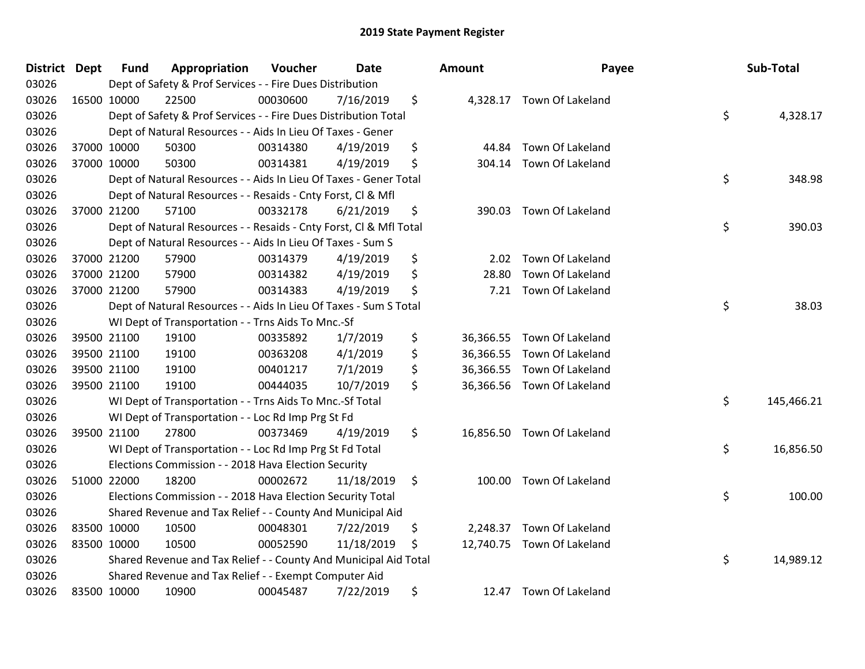| District Dept |             | <b>Fund</b> | Appropriation                                                      | Voucher  | <b>Date</b> | <b>Amount</b>   | Payee                      | Sub-Total        |
|---------------|-------------|-------------|--------------------------------------------------------------------|----------|-------------|-----------------|----------------------------|------------------|
| 03026         |             |             | Dept of Safety & Prof Services - - Fire Dues Distribution          |          |             |                 |                            |                  |
| 03026         |             | 16500 10000 | 22500                                                              | 00030600 | 7/16/2019   | \$              | 4,328.17 Town Of Lakeland  |                  |
| 03026         |             |             | Dept of Safety & Prof Services - - Fire Dues Distribution Total    |          |             |                 |                            | \$<br>4,328.17   |
| 03026         |             |             | Dept of Natural Resources - - Aids In Lieu Of Taxes - Gener        |          |             |                 |                            |                  |
| 03026         |             | 37000 10000 | 50300                                                              | 00314380 | 4/19/2019   | \$<br>44.84     | Town Of Lakeland           |                  |
| 03026         |             | 37000 10000 | 50300                                                              | 00314381 | 4/19/2019   | \$<br>304.14    | Town Of Lakeland           |                  |
| 03026         |             |             | Dept of Natural Resources - - Aids In Lieu Of Taxes - Gener Total  |          |             |                 |                            | \$<br>348.98     |
| 03026         |             |             | Dept of Natural Resources - - Resaids - Cnty Forst, Cl & Mfl       |          |             |                 |                            |                  |
| 03026         |             | 37000 21200 | 57100                                                              | 00332178 | 6/21/2019   | \$              | 390.03 Town Of Lakeland    |                  |
| 03026         |             |             | Dept of Natural Resources - - Resaids - Cnty Forst, Cl & Mfl Total |          |             |                 |                            | \$<br>390.03     |
| 03026         |             |             | Dept of Natural Resources - - Aids In Lieu Of Taxes - Sum S        |          |             |                 |                            |                  |
| 03026         |             | 37000 21200 | 57900                                                              | 00314379 | 4/19/2019   | \$<br>2.02      | Town Of Lakeland           |                  |
| 03026         |             | 37000 21200 | 57900                                                              | 00314382 | 4/19/2019   | \$<br>28.80     | Town Of Lakeland           |                  |
| 03026         |             | 37000 21200 | 57900                                                              | 00314383 | 4/19/2019   | \$<br>7.21      | Town Of Lakeland           |                  |
| 03026         |             |             | Dept of Natural Resources - - Aids In Lieu Of Taxes - Sum S Total  |          |             |                 |                            | \$<br>38.03      |
| 03026         |             |             | WI Dept of Transportation - - Trns Aids To Mnc.-Sf                 |          |             |                 |                            |                  |
| 03026         |             | 39500 21100 | 19100                                                              | 00335892 | 1/7/2019    | \$<br>36,366.55 | Town Of Lakeland           |                  |
| 03026         | 39500 21100 |             | 19100                                                              | 00363208 | 4/1/2019    | \$              | 36,366.55 Town Of Lakeland |                  |
| 03026         |             | 39500 21100 | 19100                                                              | 00401217 | 7/1/2019    | \$              | 36,366.55 Town Of Lakeland |                  |
| 03026         |             | 39500 21100 | 19100                                                              | 00444035 | 10/7/2019   | \$              | 36,366.56 Town Of Lakeland |                  |
| 03026         |             |             | WI Dept of Transportation - - Trns Aids To Mnc.-Sf Total           |          |             |                 |                            | \$<br>145,466.21 |
| 03026         |             |             | WI Dept of Transportation - - Loc Rd Imp Prg St Fd                 |          |             |                 |                            |                  |
| 03026         |             | 39500 21100 | 27800                                                              | 00373469 | 4/19/2019   | \$              | 16,856.50 Town Of Lakeland |                  |
| 03026         |             |             | WI Dept of Transportation - - Loc Rd Imp Prg St Fd Total           |          |             |                 |                            | \$<br>16,856.50  |
| 03026         |             |             | Elections Commission - - 2018 Hava Election Security               |          |             |                 |                            |                  |
| 03026         |             | 51000 22000 | 18200                                                              | 00002672 | 11/18/2019  | \$<br>100.00    | Town Of Lakeland           |                  |
| 03026         |             |             | Elections Commission - - 2018 Hava Election Security Total         |          |             |                 |                            | \$<br>100.00     |
| 03026         |             |             | Shared Revenue and Tax Relief - - County And Municipal Aid         |          |             |                 |                            |                  |
| 03026         | 83500 10000 |             | 10500                                                              | 00048301 | 7/22/2019   | \$<br>2,248.37  | Town Of Lakeland           |                  |
| 03026         | 83500 10000 |             | 10500                                                              | 00052590 | 11/18/2019  | \$              | 12,740.75 Town Of Lakeland |                  |
| 03026         |             |             | Shared Revenue and Tax Relief - - County And Municipal Aid Total   |          |             |                 |                            | \$<br>14,989.12  |
| 03026         |             |             | Shared Revenue and Tax Relief - - Exempt Computer Aid              |          |             |                 |                            |                  |
| 03026         | 83500 10000 |             | 10900                                                              | 00045487 | 7/22/2019   | \$<br>12.47     | Town Of Lakeland           |                  |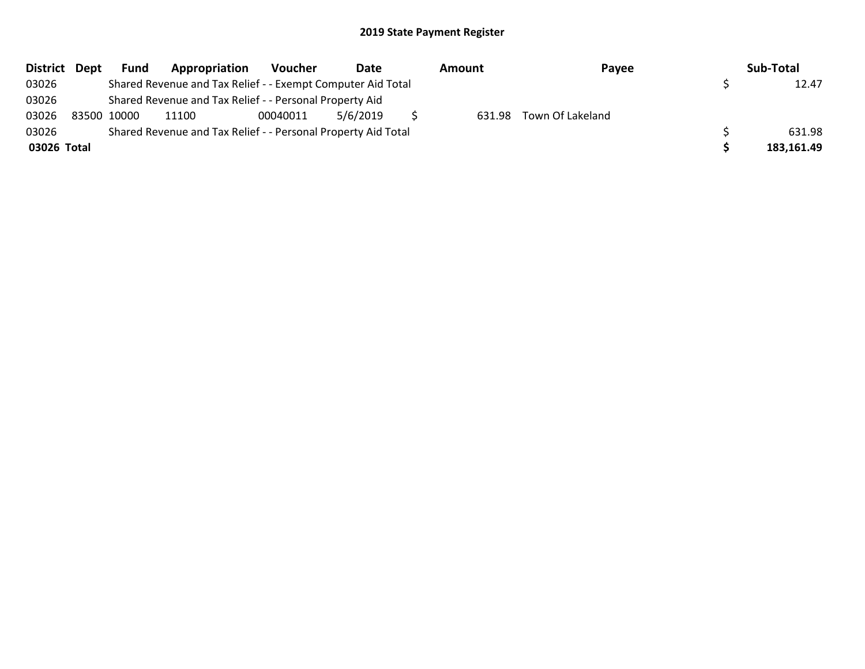| District Dept | Fund        | Appropriation                                                 | Voucher  | Date     | Amount | Payee                   | Sub-Total  |
|---------------|-------------|---------------------------------------------------------------|----------|----------|--------|-------------------------|------------|
| 03026         |             | Shared Revenue and Tax Relief - - Exempt Computer Aid Total   |          |          |        |                         | 12.47      |
| 03026         |             | Shared Revenue and Tax Relief - - Personal Property Aid       |          |          |        |                         |            |
| 03026         | 83500 10000 | 11100                                                         | 00040011 | 5/6/2019 |        | 631.98 Town Of Lakeland |            |
| 03026         |             | Shared Revenue and Tax Relief - - Personal Property Aid Total |          |          |        |                         | 631.98     |
| 03026 Total   |             |                                                               |          |          |        |                         | 183,161.49 |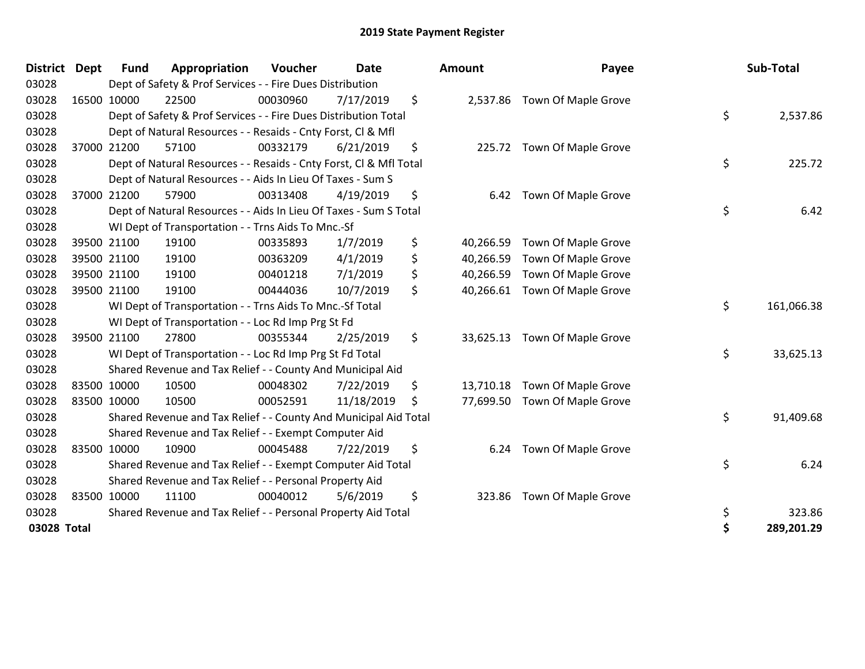| District Dept |             | <b>Fund</b> | Appropriation                                                      | <b>Voucher</b> | <b>Date</b> | <b>Amount</b>   | Payee                         | Sub-Total        |
|---------------|-------------|-------------|--------------------------------------------------------------------|----------------|-------------|-----------------|-------------------------------|------------------|
| 03028         |             |             | Dept of Safety & Prof Services - - Fire Dues Distribution          |                |             |                 |                               |                  |
| 03028         |             | 16500 10000 | 22500                                                              | 00030960       | 7/17/2019   | \$<br>2,537.86  | Town Of Maple Grove           |                  |
| 03028         |             |             | Dept of Safety & Prof Services - - Fire Dues Distribution Total    |                |             |                 |                               | \$<br>2,537.86   |
| 03028         |             |             | Dept of Natural Resources - - Resaids - Cnty Forst, Cl & Mfl       |                |             |                 |                               |                  |
| 03028         | 37000       | 21200       | 57100                                                              | 00332179       | 6/21/2019   | \$              | 225.72 Town Of Maple Grove    |                  |
| 03028         |             |             | Dept of Natural Resources - - Resaids - Cnty Forst, Cl & Mfl Total |                |             |                 |                               | \$<br>225.72     |
| 03028         |             |             | Dept of Natural Resources - - Aids In Lieu Of Taxes - Sum S        |                |             |                 |                               |                  |
| 03028         |             | 37000 21200 | 57900                                                              | 00313408       | 4/19/2019   | \$<br>6.42      | Town Of Maple Grove           |                  |
| 03028         |             |             | Dept of Natural Resources - - Aids In Lieu Of Taxes - Sum S Total  |                |             |                 |                               | \$<br>6.42       |
| 03028         |             |             | WI Dept of Transportation - - Trns Aids To Mnc.-Sf                 |                |             |                 |                               |                  |
| 03028         |             | 39500 21100 | 19100                                                              | 00335893       | 1/7/2019    | \$<br>40,266.59 | Town Of Maple Grove           |                  |
| 03028         |             | 39500 21100 | 19100                                                              | 00363209       | 4/1/2019    | \$<br>40,266.59 | Town Of Maple Grove           |                  |
| 03028         | 39500 21100 |             | 19100                                                              | 00401218       | 7/1/2019    | \$<br>40,266.59 | Town Of Maple Grove           |                  |
| 03028         |             | 39500 21100 | 19100                                                              | 00444036       | 10/7/2019   | \$<br>40,266.61 | Town Of Maple Grove           |                  |
| 03028         |             |             | WI Dept of Transportation - - Trns Aids To Mnc.-Sf Total           |                |             |                 |                               | \$<br>161,066.38 |
| 03028         |             |             | WI Dept of Transportation - - Loc Rd Imp Prg St Fd                 |                |             |                 |                               |                  |
| 03028         |             | 39500 21100 | 27800                                                              | 00355344       | 2/25/2019   | \$<br>33,625.13 | Town Of Maple Grove           |                  |
| 03028         |             |             | WI Dept of Transportation - - Loc Rd Imp Prg St Fd Total           |                |             |                 |                               | \$<br>33,625.13  |
| 03028         |             |             | Shared Revenue and Tax Relief - - County And Municipal Aid         |                |             |                 |                               |                  |
| 03028         |             | 83500 10000 | 10500                                                              | 00048302       | 7/22/2019   | \$<br>13,710.18 | Town Of Maple Grove           |                  |
| 03028         |             | 83500 10000 | 10500                                                              | 00052591       | 11/18/2019  | \$              | 77,699.50 Town Of Maple Grove |                  |
| 03028         |             |             | Shared Revenue and Tax Relief - - County And Municipal Aid Total   |                |             |                 |                               | \$<br>91,409.68  |
| 03028         |             |             | Shared Revenue and Tax Relief - - Exempt Computer Aid              |                |             |                 |                               |                  |
| 03028         |             | 83500 10000 | 10900                                                              | 00045488       | 7/22/2019   | \$<br>6.24      | Town Of Maple Grove           |                  |
| 03028         |             |             | Shared Revenue and Tax Relief - - Exempt Computer Aid Total        |                |             |                 |                               | \$<br>6.24       |
| 03028         |             |             | Shared Revenue and Tax Relief - - Personal Property Aid            |                |             |                 |                               |                  |
| 03028         | 83500 10000 |             | 11100                                                              | 00040012       | 5/6/2019    | \$<br>323.86    | Town Of Maple Grove           |                  |
| 03028         |             |             | Shared Revenue and Tax Relief - - Personal Property Aid Total      |                |             |                 |                               | \$<br>323.86     |
| 03028 Total   |             |             |                                                                    |                |             |                 |                               | \$<br>289,201.29 |

| ount      | Payee               | Sub-Total |            |  |
|-----------|---------------------|-----------|------------|--|
| 2,537.86  | Town Of Maple Grove | \$        | 2,537.86   |  |
| 225.72    | Town Of Maple Grove |           |            |  |
|           |                     | \$        | 225.72     |  |
| 6.42      | Town Of Maple Grove | \$        | 6.42       |  |
| 40,266.59 | Town Of Maple Grove |           |            |  |
| 40,266.59 | Town Of Maple Grove |           |            |  |
| 40,266.59 | Town Of Maple Grove |           |            |  |
| 40,266.61 | Town Of Maple Grove |           |            |  |
|           |                     | \$        | 161,066.38 |  |
| 33,625.13 | Town Of Maple Grove |           |            |  |
|           |                     | \$        | 33,625.13  |  |
| 13,710.18 | Town Of Maple Grove |           |            |  |
| 77,699.50 | Town Of Maple Grove |           |            |  |
|           |                     | \$        | 91,409.68  |  |
| 6.24      | Town Of Maple Grove |           |            |  |
|           |                     | \$        | 6.24       |  |
| 323.86    | Town Of Maple Grove |           |            |  |
|           |                     | \$        | 323.86     |  |
|           |                     | \$        | 289,201.29 |  |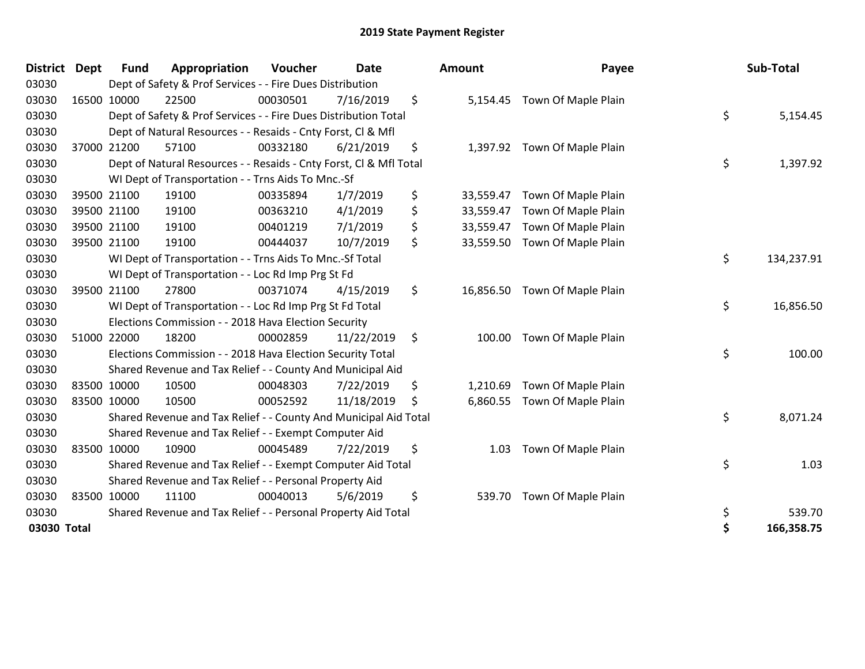| <b>District</b> | <b>Dept</b> | <b>Fund</b> | Appropriation                                                      | Voucher  | <b>Date</b> | <b>Amount</b>   | Payee                        | Sub-Total        |
|-----------------|-------------|-------------|--------------------------------------------------------------------|----------|-------------|-----------------|------------------------------|------------------|
| 03030           |             |             | Dept of Safety & Prof Services - - Fire Dues Distribution          |          |             |                 |                              |                  |
| 03030           |             | 16500 10000 | 22500                                                              | 00030501 | 7/16/2019   | \$<br>5,154.45  | Town Of Maple Plain          |                  |
| 03030           |             |             | Dept of Safety & Prof Services - - Fire Dues Distribution Total    |          |             |                 |                              | \$<br>5,154.45   |
| 03030           |             |             | Dept of Natural Resources - - Resaids - Cnty Forst, Cl & Mfl       |          |             |                 |                              |                  |
| 03030           |             | 37000 21200 | 57100                                                              | 00332180 | 6/21/2019   | \$              | 1,397.92 Town Of Maple Plain |                  |
| 03030           |             |             | Dept of Natural Resources - - Resaids - Cnty Forst, Cl & Mfl Total |          |             |                 |                              | \$<br>1,397.92   |
| 03030           |             |             | WI Dept of Transportation - - Trns Aids To Mnc.-Sf                 |          |             |                 |                              |                  |
| 03030           |             | 39500 21100 | 19100                                                              | 00335894 | 1/7/2019    | \$<br>33,559.47 | Town Of Maple Plain          |                  |
| 03030           |             | 39500 21100 | 19100                                                              | 00363210 | 4/1/2019    | \$<br>33,559.47 | Town Of Maple Plain          |                  |
| 03030           |             | 39500 21100 | 19100                                                              | 00401219 | 7/1/2019    | \$<br>33,559.47 | Town Of Maple Plain          |                  |
| 03030           |             | 39500 21100 | 19100                                                              | 00444037 | 10/7/2019   | \$<br>33,559.50 | Town Of Maple Plain          |                  |
| 03030           |             |             | WI Dept of Transportation - - Trns Aids To Mnc.-Sf Total           |          |             |                 |                              | \$<br>134,237.91 |
| 03030           |             |             | WI Dept of Transportation - - Loc Rd Imp Prg St Fd                 |          |             |                 |                              |                  |
| 03030           |             | 39500 21100 | 27800                                                              | 00371074 | 4/15/2019   | \$<br>16,856.50 | Town Of Maple Plain          |                  |
| 03030           |             |             | WI Dept of Transportation - - Loc Rd Imp Prg St Fd Total           |          |             |                 |                              | \$<br>16,856.50  |
| 03030           |             |             | Elections Commission - - 2018 Hava Election Security               |          |             |                 |                              |                  |
| 03030           |             | 51000 22000 | 18200                                                              | 00002859 | 11/22/2019  | \$<br>100.00    | Town Of Maple Plain          |                  |
| 03030           |             |             | Elections Commission - - 2018 Hava Election Security Total         |          |             |                 |                              | \$<br>100.00     |
| 03030           |             |             | Shared Revenue and Tax Relief - - County And Municipal Aid         |          |             |                 |                              |                  |
| 03030           |             | 83500 10000 | 10500                                                              | 00048303 | 7/22/2019   | \$<br>1,210.69  | Town Of Maple Plain          |                  |
| 03030           |             | 83500 10000 | 10500                                                              | 00052592 | 11/18/2019  | \$<br>6,860.55  | Town Of Maple Plain          |                  |
| 03030           |             |             | Shared Revenue and Tax Relief - - County And Municipal Aid Total   |          |             |                 |                              | \$<br>8,071.24   |
| 03030           |             |             | Shared Revenue and Tax Relief - - Exempt Computer Aid              |          |             |                 |                              |                  |
| 03030           |             | 83500 10000 | 10900                                                              | 00045489 | 7/22/2019   | \$<br>1.03      | Town Of Maple Plain          |                  |
| 03030           |             |             | Shared Revenue and Tax Relief - - Exempt Computer Aid Total        |          |             |                 |                              | \$<br>1.03       |
| 03030           |             |             | Shared Revenue and Tax Relief - - Personal Property Aid            |          |             |                 |                              |                  |
| 03030           |             | 83500 10000 | 11100                                                              | 00040013 | 5/6/2019    | \$<br>539.70    | Town Of Maple Plain          |                  |
| 03030           |             |             | Shared Revenue and Tax Relief - - Personal Property Aid Total      |          |             |                 |                              | \$<br>539.70     |
| 03030 Total     |             |             |                                                                    |          |             |                 |                              | \$<br>166,358.75 |

| District Dept | <b>Fund</b> | Appropriation                                                      | Voucher  | <b>Date</b> | <b>Amount</b>   | Payee                         | Sub-Total        |
|---------------|-------------|--------------------------------------------------------------------|----------|-------------|-----------------|-------------------------------|------------------|
| 03030         |             | Dept of Safety & Prof Services - - Fire Dues Distribution          |          |             |                 |                               |                  |
| 03030         | 16500 10000 | 22500                                                              | 00030501 | 7/16/2019   | \$<br>5,154.45  | Town Of Maple Plain           |                  |
| 03030         |             | Dept of Safety & Prof Services - - Fire Dues Distribution Total    |          |             |                 |                               | \$<br>5,154.45   |
| 03030         |             | Dept of Natural Resources - - Resaids - Cnty Forst, CI & Mfl       |          |             |                 |                               |                  |
| 03030         | 37000 21200 | 57100                                                              | 00332180 | 6/21/2019   | \$              | 1,397.92 Town Of Maple Plain  |                  |
| 03030         |             | Dept of Natural Resources - - Resaids - Cnty Forst, CI & Mfl Total |          |             |                 |                               | \$<br>1,397.92   |
| 03030         |             | WI Dept of Transportation - - Trns Aids To Mnc.-Sf                 |          |             |                 |                               |                  |
| 03030         | 39500 21100 | 19100                                                              | 00335894 | 1/7/2019    | \$<br>33,559.47 | Town Of Maple Plain           |                  |
| 03030         | 39500 21100 | 19100                                                              | 00363210 | 4/1/2019    | \$<br>33,559.47 | Town Of Maple Plain           |                  |
| 03030         | 39500 21100 | 19100                                                              | 00401219 | 7/1/2019    | \$<br>33,559.47 | Town Of Maple Plain           |                  |
| 03030         | 39500 21100 | 19100                                                              | 00444037 | 10/7/2019   | \$<br>33,559.50 | Town Of Maple Plain           |                  |
| 03030         |             | WI Dept of Transportation - - Trns Aids To Mnc.-Sf Total           |          |             |                 |                               | \$<br>134,237.91 |
| 03030         |             | WI Dept of Transportation - - Loc Rd Imp Prg St Fd                 |          |             |                 |                               |                  |
| 03030         | 39500 21100 | 27800                                                              | 00371074 | 4/15/2019   | \$              | 16,856.50 Town Of Maple Plain |                  |
| 03030         |             | WI Dept of Transportation - - Loc Rd Imp Prg St Fd Total           |          |             |                 |                               | \$<br>16,856.50  |
| 03030         |             | Elections Commission - - 2018 Hava Election Security               |          |             |                 |                               |                  |
| 03030         | 51000 22000 | 18200                                                              | 00002859 | 11/22/2019  | \$<br>100.00    | Town Of Maple Plain           |                  |
| 03030         |             | Elections Commission - - 2018 Hava Election Security Total         |          |             |                 |                               | \$<br>100.00     |
| 03030         |             | Shared Revenue and Tax Relief - - County And Municipal Aid         |          |             |                 |                               |                  |
| 03030         | 83500 10000 | 10500                                                              | 00048303 | 7/22/2019   | \$<br>1,210.69  | Town Of Maple Plain           |                  |
| 03030         | 83500 10000 | 10500                                                              | 00052592 | 11/18/2019  | \$              | 6,860.55 Town Of Maple Plain  |                  |
| 03030         |             | Shared Revenue and Tax Relief - - County And Municipal Aid Total   |          |             |                 |                               | \$<br>8,071.24   |
| 03030         |             | Shared Revenue and Tax Relief - - Exempt Computer Aid              |          |             |                 |                               |                  |
| 03030         | 83500 10000 | 10900                                                              | 00045489 | 7/22/2019   | \$<br>1.03      | Town Of Maple Plain           |                  |
| 03030         |             | Shared Revenue and Tax Relief - - Exempt Computer Aid Total        |          |             |                 |                               | \$<br>1.03       |
| 03030         |             | Shared Revenue and Tax Relief - - Personal Property Aid            |          |             |                 |                               |                  |
| 03030         | 83500 10000 | 11100                                                              | 00040013 | 5/6/2019    | \$<br>539.70    | Town Of Maple Plain           |                  |
| 03030         |             | Shared Revenue and Tax Relief - - Personal Property Aid Total      |          |             |                 |                               | \$<br>539.70     |
| 03030 Total   |             |                                                                    |          |             |                 |                               | \$<br>166,358.75 |
|               |             |                                                                    |          |             |                 |                               |                  |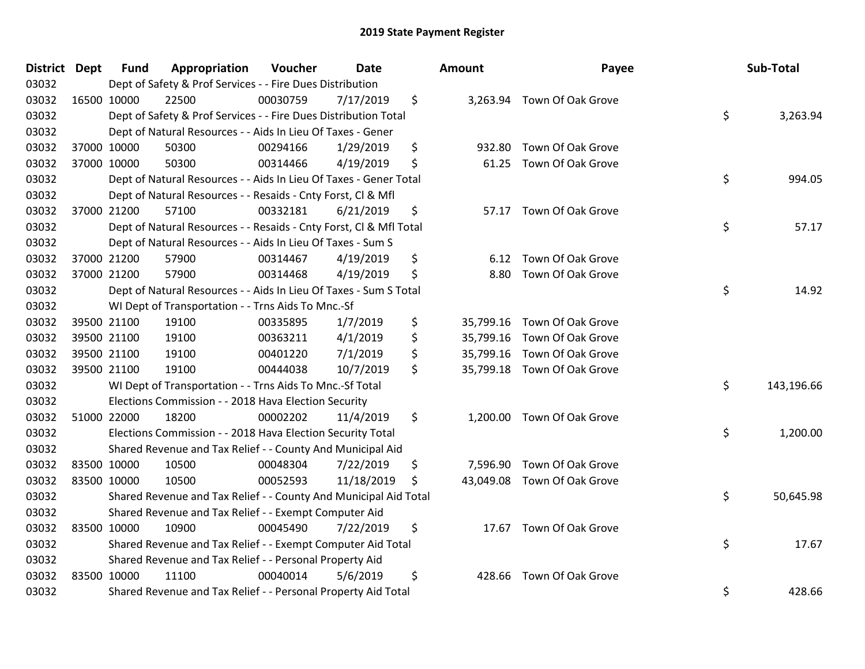| District Dept | <b>Fund</b> | Appropriation                                                      | Voucher  | Date       | <b>Amount</b>   | Payee                       | Sub-Total        |
|---------------|-------------|--------------------------------------------------------------------|----------|------------|-----------------|-----------------------------|------------------|
| 03032         |             | Dept of Safety & Prof Services - - Fire Dues Distribution          |          |            |                 |                             |                  |
| 03032         | 16500 10000 | 22500                                                              | 00030759 | 7/17/2019  | \$              | 3,263.94 Town Of Oak Grove  |                  |
| 03032         |             | Dept of Safety & Prof Services - - Fire Dues Distribution Total    |          |            |                 |                             | \$<br>3,263.94   |
| 03032         |             | Dept of Natural Resources - - Aids In Lieu Of Taxes - Gener        |          |            |                 |                             |                  |
| 03032         | 37000 10000 | 50300                                                              | 00294166 | 1/29/2019  | \$<br>932.80    | Town Of Oak Grove           |                  |
| 03032         | 37000 10000 | 50300                                                              | 00314466 | 4/19/2019  | \$<br>61.25     | Town Of Oak Grove           |                  |
| 03032         |             | Dept of Natural Resources - - Aids In Lieu Of Taxes - Gener Total  |          |            |                 |                             | \$<br>994.05     |
| 03032         |             | Dept of Natural Resources - - Resaids - Cnty Forst, Cl & Mfl       |          |            |                 |                             |                  |
| 03032         | 37000 21200 | 57100                                                              | 00332181 | 6/21/2019  | \$<br>57.17     | Town Of Oak Grove           |                  |
| 03032         |             | Dept of Natural Resources - - Resaids - Cnty Forst, CI & Mfl Total |          |            |                 |                             | \$<br>57.17      |
| 03032         |             | Dept of Natural Resources - - Aids In Lieu Of Taxes - Sum S        |          |            |                 |                             |                  |
| 03032         | 37000 21200 | 57900                                                              | 00314467 | 4/19/2019  | \$<br>6.12      | Town Of Oak Grove           |                  |
| 03032         | 37000 21200 | 57900                                                              | 00314468 | 4/19/2019  | \$<br>8.80      | Town Of Oak Grove           |                  |
| 03032         |             | Dept of Natural Resources - - Aids In Lieu Of Taxes - Sum S Total  |          |            |                 |                             | \$<br>14.92      |
| 03032         |             | WI Dept of Transportation - - Trns Aids To Mnc.-Sf                 |          |            |                 |                             |                  |
| 03032         | 39500 21100 | 19100                                                              | 00335895 | 1/7/2019   | \$<br>35,799.16 | Town Of Oak Grove           |                  |
| 03032         | 39500 21100 | 19100                                                              | 00363211 | 4/1/2019   | \$              | 35,799.16 Town Of Oak Grove |                  |
| 03032         | 39500 21100 | 19100                                                              | 00401220 | 7/1/2019   | \$              | 35,799.16 Town Of Oak Grove |                  |
| 03032         | 39500 21100 | 19100                                                              | 00444038 | 10/7/2019  | \$              | 35,799.18 Town Of Oak Grove |                  |
| 03032         |             | WI Dept of Transportation - - Trns Aids To Mnc.-Sf Total           |          |            |                 |                             | \$<br>143,196.66 |
| 03032         |             | Elections Commission - - 2018 Hava Election Security               |          |            |                 |                             |                  |
| 03032         | 51000 22000 | 18200                                                              | 00002202 | 11/4/2019  | \$              | 1,200.00 Town Of Oak Grove  |                  |
| 03032         |             | Elections Commission - - 2018 Hava Election Security Total         |          |            |                 |                             | \$<br>1,200.00   |
| 03032         |             | Shared Revenue and Tax Relief - - County And Municipal Aid         |          |            |                 |                             |                  |
| 03032         | 83500 10000 | 10500                                                              | 00048304 | 7/22/2019  | \$<br>7,596.90  | Town Of Oak Grove           |                  |
| 03032         | 83500 10000 | 10500                                                              | 00052593 | 11/18/2019 | \$<br>43,049.08 | Town Of Oak Grove           |                  |
| 03032         |             | Shared Revenue and Tax Relief - - County And Municipal Aid Total   |          |            |                 |                             | \$<br>50,645.98  |
| 03032         |             | Shared Revenue and Tax Relief - - Exempt Computer Aid              |          |            |                 |                             |                  |
| 03032         | 83500 10000 | 10900                                                              | 00045490 | 7/22/2019  | \$              | 17.67 Town Of Oak Grove     |                  |
| 03032         |             | Shared Revenue and Tax Relief - - Exempt Computer Aid Total        |          |            |                 |                             | \$<br>17.67      |
| 03032         |             | Shared Revenue and Tax Relief - - Personal Property Aid            |          |            |                 |                             |                  |
| 03032         | 83500 10000 | 11100                                                              | 00040014 | 5/6/2019   | \$<br>428.66    | Town Of Oak Grove           |                  |
| 03032         |             | Shared Revenue and Tax Relief - - Personal Property Aid Total      |          |            |                 |                             | \$<br>428.66     |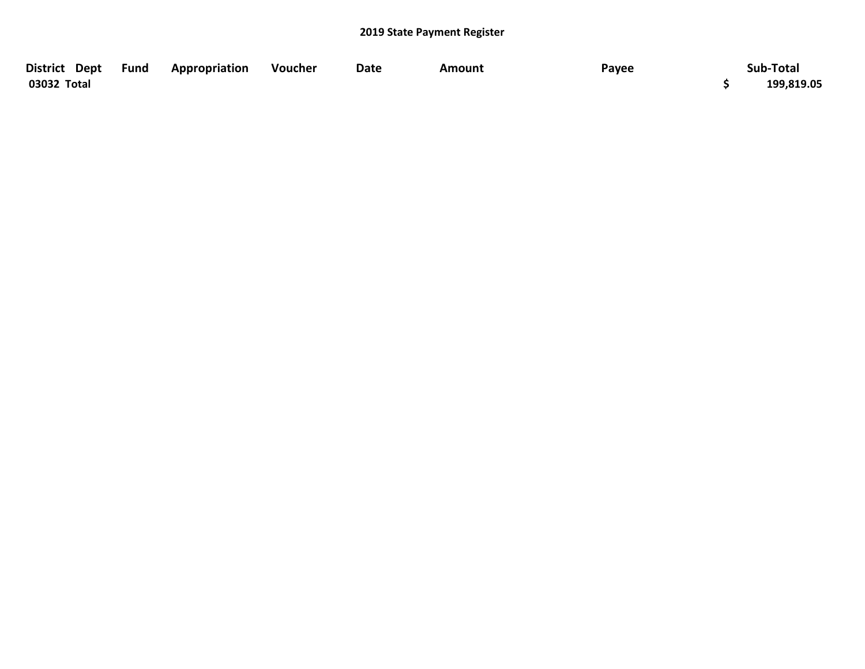| District Dept Fund | Appropriation | Voucher | Date | Amount | Payee | Sub-Total  |
|--------------------|---------------|---------|------|--------|-------|------------|
| 03032 Total        |               |         |      |        |       | 199,819.05 |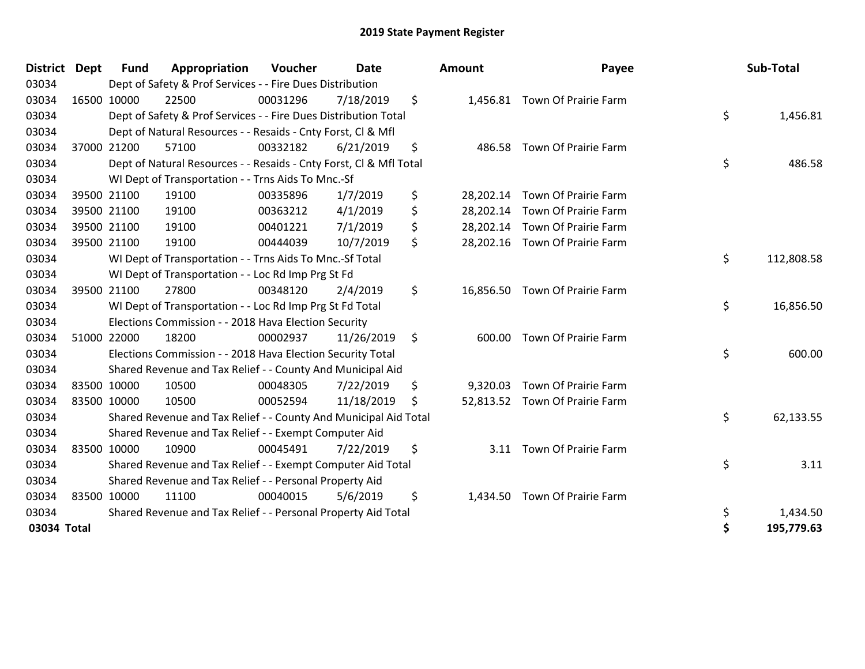| <b>District</b> | <b>Dept</b> | <b>Fund</b> | Appropriation                                                      | Voucher  | <b>Date</b> |     | <b>Amount</b> | Payee                          | Sub-Total        |
|-----------------|-------------|-------------|--------------------------------------------------------------------|----------|-------------|-----|---------------|--------------------------------|------------------|
| 03034           |             |             | Dept of Safety & Prof Services - - Fire Dues Distribution          |          |             |     |               |                                |                  |
| 03034           |             | 16500 10000 | 22500                                                              | 00031296 | 7/18/2019   | \$  |               | 1,456.81 Town Of Prairie Farm  |                  |
| 03034           |             |             | Dept of Safety & Prof Services - - Fire Dues Distribution Total    |          |             |     |               |                                | \$<br>1,456.81   |
| 03034           |             |             | Dept of Natural Resources - - Resaids - Cnty Forst, Cl & Mfl       |          |             |     |               |                                |                  |
| 03034           |             | 37000 21200 | 57100                                                              | 00332182 | 6/21/2019   | \$  |               | 486.58 Town Of Prairie Farm    |                  |
| 03034           |             |             | Dept of Natural Resources - - Resaids - Cnty Forst, Cl & Mfl Total |          |             |     |               |                                | \$<br>486.58     |
| 03034           |             |             | WI Dept of Transportation - - Trns Aids To Mnc.-Sf                 |          |             |     |               |                                |                  |
| 03034           |             | 39500 21100 | 19100                                                              | 00335896 | 1/7/2019    | \$  |               | 28,202.14 Town Of Prairie Farm |                  |
| 03034           |             | 39500 21100 | 19100                                                              | 00363212 | 4/1/2019    | \$  |               | 28,202.14 Town Of Prairie Farm |                  |
| 03034           |             | 39500 21100 | 19100                                                              | 00401221 | 7/1/2019    | \$  |               | 28,202.14 Town Of Prairie Farm |                  |
| 03034           |             | 39500 21100 | 19100                                                              | 00444039 | 10/7/2019   | \$  |               | 28,202.16 Town Of Prairie Farm |                  |
| 03034           |             |             | WI Dept of Transportation - - Trns Aids To Mnc.-Sf Total           |          |             |     |               |                                | \$<br>112,808.58 |
| 03034           |             |             | WI Dept of Transportation - - Loc Rd Imp Prg St Fd                 |          |             |     |               |                                |                  |
| 03034           |             | 39500 21100 | 27800                                                              | 00348120 | 2/4/2019    | \$  | 16,856.50     | Town Of Prairie Farm           |                  |
| 03034           |             |             | WI Dept of Transportation - - Loc Rd Imp Prg St Fd Total           |          |             |     |               |                                | \$<br>16,856.50  |
| 03034           |             |             | Elections Commission - - 2018 Hava Election Security               |          |             |     |               |                                |                  |
| 03034           |             | 51000 22000 | 18200                                                              | 00002937 | 11/26/2019  | \$  | 600.00        | Town Of Prairie Farm           |                  |
| 03034           |             |             | Elections Commission - - 2018 Hava Election Security Total         |          |             |     |               |                                | \$<br>600.00     |
| 03034           |             |             | Shared Revenue and Tax Relief - - County And Municipal Aid         |          |             |     |               |                                |                  |
| 03034           |             | 83500 10000 | 10500                                                              | 00048305 | 7/22/2019   | \$  | 9,320.03      | Town Of Prairie Farm           |                  |
| 03034           |             | 83500 10000 | 10500                                                              | 00052594 | 11/18/2019  | \$. |               | 52,813.52 Town Of Prairie Farm |                  |
| 03034           |             |             | Shared Revenue and Tax Relief - - County And Municipal Aid Total   |          |             |     |               |                                | \$<br>62,133.55  |
| 03034           |             |             | Shared Revenue and Tax Relief - - Exempt Computer Aid              |          |             |     |               |                                |                  |
| 03034           |             | 83500 10000 | 10900                                                              | 00045491 | 7/22/2019   | \$  | 3.11          | Town Of Prairie Farm           |                  |
| 03034           |             |             | Shared Revenue and Tax Relief - - Exempt Computer Aid Total        |          |             |     |               |                                | \$<br>3.11       |
| 03034           |             |             | Shared Revenue and Tax Relief - - Personal Property Aid            |          |             |     |               |                                |                  |
| 03034           |             | 83500 10000 | 11100                                                              | 00040015 | 5/6/2019    | \$  | 1,434.50      | Town Of Prairie Farm           |                  |
| 03034           |             |             | Shared Revenue and Tax Relief - - Personal Property Aid Total      |          |             |     |               |                                | \$<br>1,434.50   |
| 03034 Total     |             |             |                                                                    |          |             |     |               |                                | \$<br>195,779.63 |

| District Dept |             | <b>Fund</b> | Appropriation                                                      | Voucher  | <b>Date</b> |    | Amount   | Payee                          | Sub-Total        |
|---------------|-------------|-------------|--------------------------------------------------------------------|----------|-------------|----|----------|--------------------------------|------------------|
| 03034         |             |             | Dept of Safety & Prof Services - - Fire Dues Distribution          |          |             |    |          |                                |                  |
| 03034         |             | 16500 10000 | 22500                                                              | 00031296 | 7/18/2019   | \$ |          | 1,456.81 Town Of Prairie Farm  |                  |
| 03034         |             |             | Dept of Safety & Prof Services - - Fire Dues Distribution Total    |          |             |    |          |                                | \$<br>1,456.81   |
| 03034         |             |             | Dept of Natural Resources - - Resaids - Cnty Forst, CI & Mfl       |          |             |    |          |                                |                  |
| 03034         |             | 37000 21200 | 57100                                                              | 00332182 | 6/21/2019   | \$ |          | 486.58 Town Of Prairie Farm    |                  |
| 03034         |             |             | Dept of Natural Resources - - Resaids - Cnty Forst, CI & Mfl Total |          |             |    |          |                                | \$<br>486.58     |
| 03034         |             |             | WI Dept of Transportation - - Trns Aids To Mnc.-Sf                 |          |             |    |          |                                |                  |
| 03034         |             | 39500 21100 | 19100                                                              | 00335896 | 1/7/2019    | \$ |          | 28,202.14 Town Of Prairie Farm |                  |
| 03034         |             | 39500 21100 | 19100                                                              | 00363212 | 4/1/2019    | \$ |          | 28,202.14 Town Of Prairie Farm |                  |
| 03034         |             | 39500 21100 | 19100                                                              | 00401221 | 7/1/2019    | \$ |          | 28,202.14 Town Of Prairie Farm |                  |
| 03034         |             | 39500 21100 | 19100                                                              | 00444039 | 10/7/2019   | \$ |          | 28,202.16 Town Of Prairie Farm |                  |
| 03034         |             |             | WI Dept of Transportation - - Trns Aids To Mnc.-Sf Total           |          |             |    |          |                                | \$<br>112,808.58 |
| 03034         |             |             | WI Dept of Transportation - - Loc Rd Imp Prg St Fd                 |          |             |    |          |                                |                  |
| 03034         |             | 39500 21100 | 27800                                                              | 00348120 | 2/4/2019    | \$ |          | 16,856.50 Town Of Prairie Farm |                  |
| 03034         |             |             | WI Dept of Transportation - - Loc Rd Imp Prg St Fd Total           |          |             |    |          |                                | \$<br>16,856.50  |
| 03034         |             |             | Elections Commission - - 2018 Hava Election Security               |          |             |    |          |                                |                  |
| 03034         |             | 51000 22000 | 18200                                                              | 00002937 | 11/26/2019  | \$ |          | 600.00 Town Of Prairie Farm    |                  |
| 03034         |             |             | Elections Commission - - 2018 Hava Election Security Total         |          |             |    |          |                                | \$<br>600.00     |
| 03034         |             |             | Shared Revenue and Tax Relief - - County And Municipal Aid         |          |             |    |          |                                |                  |
| 03034         |             | 83500 10000 | 10500                                                              | 00048305 | 7/22/2019   | S  | 9,320.03 | Town Of Prairie Farm           |                  |
| 03034         | 83500 10000 |             | 10500                                                              | 00052594 | 11/18/2019  | \$ |          | 52,813.52 Town Of Prairie Farm |                  |
| 03034         |             |             | Shared Revenue and Tax Relief - - County And Municipal Aid Total   |          |             |    |          |                                | \$<br>62,133.55  |
| 03034         |             |             | Shared Revenue and Tax Relief - - Exempt Computer Aid              |          |             |    |          |                                |                  |
| 03034         |             | 83500 10000 | 10900                                                              | 00045491 | 7/22/2019   | \$ | 3.11     | Town Of Prairie Farm           |                  |
| 03034         |             |             | Shared Revenue and Tax Relief - - Exempt Computer Aid Total        |          |             |    |          |                                | \$<br>3.11       |
| 03034         |             |             | Shared Revenue and Tax Relief - - Personal Property Aid            |          |             |    |          |                                |                  |
| 03034         |             | 83500 10000 | 11100                                                              | 00040015 | 5/6/2019    | \$ |          | 1,434.50 Town Of Prairie Farm  |                  |
| 03034         |             |             | Shared Revenue and Tax Relief - - Personal Property Aid Total      |          |             |    |          |                                | \$<br>1,434.50   |
| 03034 Total   |             |             |                                                                    |          |             |    |          |                                | \$<br>195,779.63 |
|               |             |             |                                                                    |          |             |    |          |                                |                  |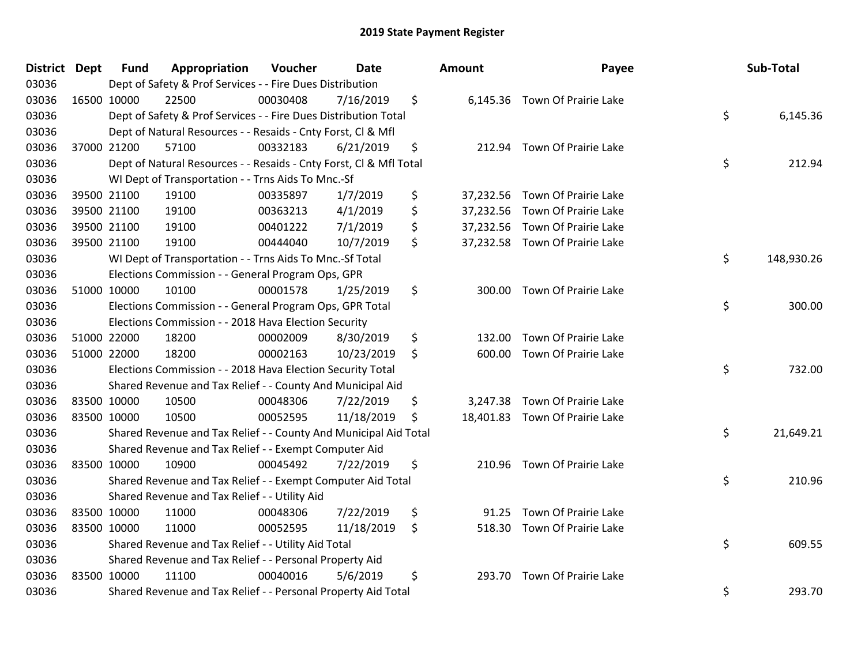| District Dept |             | Fund        | Appropriation                                                      | Voucher  | <b>Date</b> | <b>Amount</b> | Payee                          | Sub-Total        |
|---------------|-------------|-------------|--------------------------------------------------------------------|----------|-------------|---------------|--------------------------------|------------------|
| 03036         |             |             | Dept of Safety & Prof Services - - Fire Dues Distribution          |          |             |               |                                |                  |
| 03036         |             | 16500 10000 | 22500                                                              | 00030408 | 7/16/2019   | \$            | 6,145.36 Town Of Prairie Lake  |                  |
| 03036         |             |             | Dept of Safety & Prof Services - - Fire Dues Distribution Total    |          |             |               |                                | \$<br>6,145.36   |
| 03036         |             |             | Dept of Natural Resources - - Resaids - Cnty Forst, Cl & Mfl       |          |             |               |                                |                  |
| 03036         |             | 37000 21200 | 57100                                                              | 00332183 | 6/21/2019   | \$            | 212.94 Town Of Prairie Lake    |                  |
| 03036         |             |             | Dept of Natural Resources - - Resaids - Cnty Forst, Cl & Mfl Total |          |             |               |                                | \$<br>212.94     |
| 03036         |             |             | WI Dept of Transportation - - Trns Aids To Mnc.-Sf                 |          |             |               |                                |                  |
| 03036         |             | 39500 21100 | 19100                                                              | 00335897 | 1/7/2019    | \$            | 37,232.56 Town Of Prairie Lake |                  |
| 03036         |             | 39500 21100 | 19100                                                              | 00363213 | 4/1/2019    | \$            | 37,232.56 Town Of Prairie Lake |                  |
| 03036         |             | 39500 21100 | 19100                                                              | 00401222 | 7/1/2019    | \$            | 37,232.56 Town Of Prairie Lake |                  |
| 03036         |             | 39500 21100 | 19100                                                              | 00444040 | 10/7/2019   | \$            | 37,232.58 Town Of Prairie Lake |                  |
| 03036         |             |             | WI Dept of Transportation - - Trns Aids To Mnc.-Sf Total           |          |             |               |                                | \$<br>148,930.26 |
| 03036         |             |             | Elections Commission - - General Program Ops, GPR                  |          |             |               |                                |                  |
| 03036         |             | 51000 10000 | 10100                                                              | 00001578 | 1/25/2019   | \$<br>300.00  | Town Of Prairie Lake           |                  |
| 03036         |             |             | Elections Commission - - General Program Ops, GPR Total            |          |             |               |                                | \$<br>300.00     |
| 03036         |             |             | Elections Commission - - 2018 Hava Election Security               |          |             |               |                                |                  |
| 03036         |             | 51000 22000 | 18200                                                              | 00002009 | 8/30/2019   | \$<br>132.00  | Town Of Prairie Lake           |                  |
| 03036         |             | 51000 22000 | 18200                                                              | 00002163 | 10/23/2019  | \$<br>600.00  | Town Of Prairie Lake           |                  |
| 03036         |             |             | Elections Commission - - 2018 Hava Election Security Total         |          |             |               |                                | \$<br>732.00     |
| 03036         |             |             | Shared Revenue and Tax Relief - - County And Municipal Aid         |          |             |               |                                |                  |
| 03036         | 83500 10000 |             | 10500                                                              | 00048306 | 7/22/2019   | \$            | 3,247.38 Town Of Prairie Lake  |                  |
| 03036         |             | 83500 10000 | 10500                                                              | 00052595 | 11/18/2019  | \$            | 18,401.83 Town Of Prairie Lake |                  |
| 03036         |             |             | Shared Revenue and Tax Relief - - County And Municipal Aid Total   |          |             |               |                                | \$<br>21,649.21  |
| 03036         |             |             | Shared Revenue and Tax Relief - - Exempt Computer Aid              |          |             |               |                                |                  |
| 03036         |             | 83500 10000 | 10900                                                              | 00045492 | 7/22/2019   | \$<br>210.96  | Town Of Prairie Lake           |                  |
| 03036         |             |             | Shared Revenue and Tax Relief - - Exempt Computer Aid Total        |          |             |               |                                | \$<br>210.96     |
| 03036         |             |             | Shared Revenue and Tax Relief - - Utility Aid                      |          |             |               |                                |                  |
| 03036         |             | 83500 10000 | 11000                                                              | 00048306 | 7/22/2019   | \$<br>91.25   | Town Of Prairie Lake           |                  |
| 03036         | 83500 10000 |             | 11000                                                              | 00052595 | 11/18/2019  | \$            | 518.30 Town Of Prairie Lake    |                  |
| 03036         |             |             | Shared Revenue and Tax Relief - - Utility Aid Total                |          |             |               |                                | \$<br>609.55     |
| 03036         |             |             | Shared Revenue and Tax Relief - - Personal Property Aid            |          |             |               |                                |                  |
| 03036         |             | 83500 10000 | 11100                                                              | 00040016 | 5/6/2019    | \$<br>293.70  | Town Of Prairie Lake           |                  |
| 03036         |             |             | Shared Revenue and Tax Relief - - Personal Property Aid Total      |          |             |               |                                | \$<br>293.70     |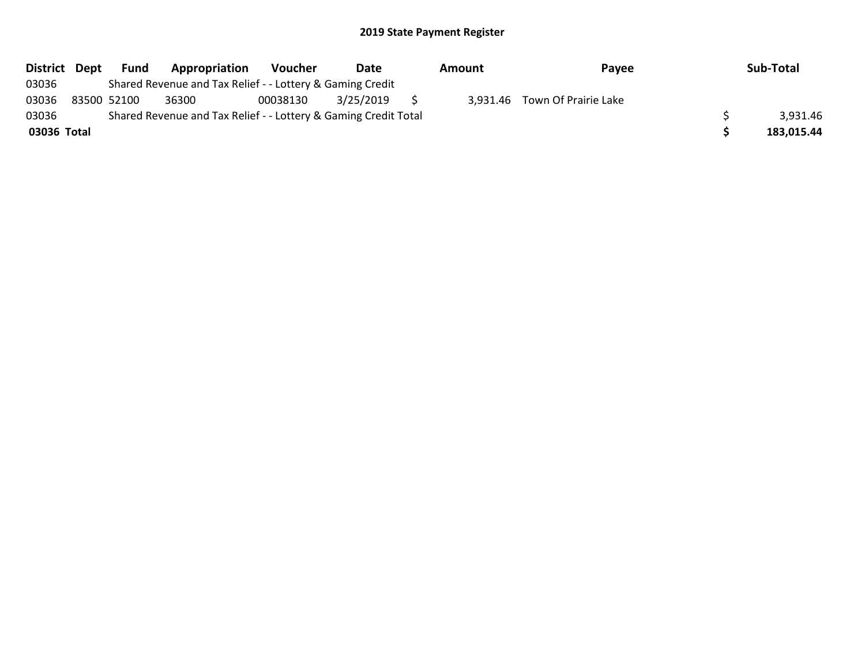| District Dept | Fund        | Appropriation                                                   | Voucher  | Date      | Amount | Payee                         | Sub-Total  |
|---------------|-------------|-----------------------------------------------------------------|----------|-----------|--------|-------------------------------|------------|
| 03036         |             | Shared Revenue and Tax Relief - - Lottery & Gaming Credit       |          |           |        |                               |            |
| 03036         | 83500 52100 | 36300                                                           | 00038130 | 3/25/2019 |        | 3,931.46 Town Of Prairie Lake |            |
| 03036         |             | Shared Revenue and Tax Relief - - Lottery & Gaming Credit Total |          |           |        |                               | 3,931.46   |
| 03036 Total   |             |                                                                 |          |           |        |                               | 183,015.44 |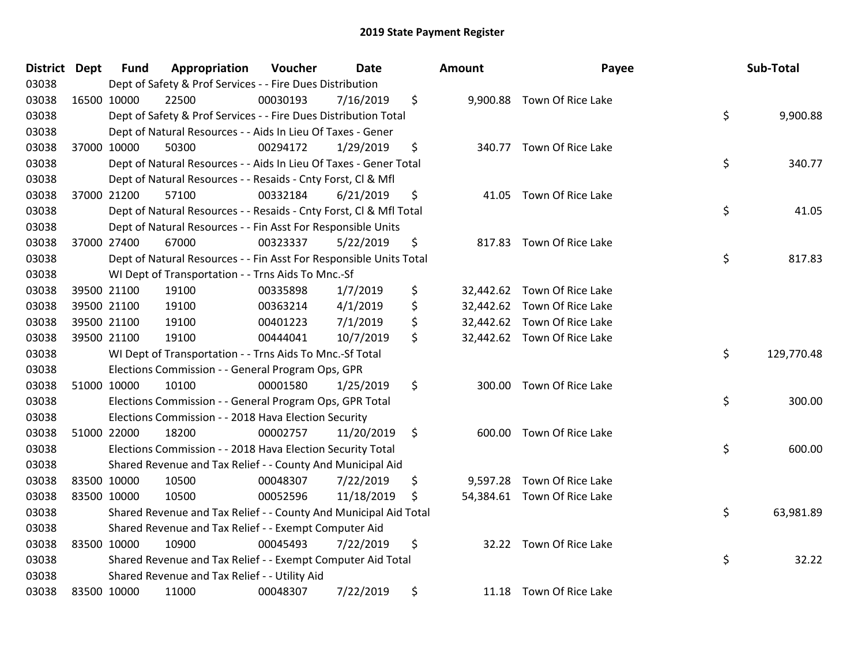| <b>District Dept</b> | Fund        | Appropriation                                                      | Voucher  | Date       |         | <b>Amount</b> | Payee                       | Sub-Total        |
|----------------------|-------------|--------------------------------------------------------------------|----------|------------|---------|---------------|-----------------------------|------------------|
| 03038                |             | Dept of Safety & Prof Services - - Fire Dues Distribution          |          |            |         |               |                             |                  |
| 03038                | 16500 10000 | 22500                                                              | 00030193 | 7/16/2019  | \$      |               | 9,900.88 Town Of Rice Lake  |                  |
| 03038                |             | Dept of Safety & Prof Services - - Fire Dues Distribution Total    |          |            |         |               |                             | \$<br>9,900.88   |
| 03038                |             | Dept of Natural Resources - - Aids In Lieu Of Taxes - Gener        |          |            |         |               |                             |                  |
| 03038                | 37000 10000 | 50300                                                              | 00294172 | 1/29/2019  | \$      | 340.77        | Town Of Rice Lake           |                  |
| 03038                |             | Dept of Natural Resources - - Aids In Lieu Of Taxes - Gener Total  |          |            |         |               |                             | \$<br>340.77     |
| 03038                |             | Dept of Natural Resources - - Resaids - Cnty Forst, Cl & Mfl       |          |            |         |               |                             |                  |
| 03038                | 37000 21200 | 57100                                                              | 00332184 | 6/21/2019  | \$      | 41.05         | Town Of Rice Lake           |                  |
| 03038                |             | Dept of Natural Resources - - Resaids - Cnty Forst, Cl & Mfl Total |          |            |         |               |                             | \$<br>41.05      |
| 03038                |             | Dept of Natural Resources - - Fin Asst For Responsible Units       |          |            |         |               |                             |                  |
| 03038                | 37000 27400 | 67000                                                              | 00323337 | 5/22/2019  | \$      |               | 817.83 Town Of Rice Lake    |                  |
| 03038                |             | Dept of Natural Resources - - Fin Asst For Responsible Units Total |          |            |         |               |                             | \$<br>817.83     |
| 03038                |             | WI Dept of Transportation - - Trns Aids To Mnc.-Sf                 |          |            |         |               |                             |                  |
| 03038                | 39500 21100 | 19100                                                              | 00335898 | 1/7/2019   | \$      | 32,442.62     | Town Of Rice Lake           |                  |
| 03038                | 39500 21100 | 19100                                                              | 00363214 | 4/1/2019   | \$      | 32,442.62     | Town Of Rice Lake           |                  |
| 03038                | 39500 21100 | 19100                                                              | 00401223 | 7/1/2019   | \$      |               | 32,442.62 Town Of Rice Lake |                  |
| 03038                | 39500 21100 | 19100                                                              | 00444041 | 10/7/2019  | \$      |               | 32,442.62 Town Of Rice Lake |                  |
| 03038                |             | WI Dept of Transportation - - Trns Aids To Mnc.-Sf Total           |          |            |         |               |                             | \$<br>129,770.48 |
| 03038                |             | Elections Commission - - General Program Ops, GPR                  |          |            |         |               |                             |                  |
| 03038                | 51000 10000 | 10100                                                              | 00001580 | 1/25/2019  | \$      | 300.00        | Town Of Rice Lake           |                  |
| 03038                |             | Elections Commission - - General Program Ops, GPR Total            |          |            |         |               |                             | \$<br>300.00     |
| 03038                |             | Elections Commission - - 2018 Hava Election Security               |          |            |         |               |                             |                  |
| 03038                | 51000 22000 | 18200                                                              | 00002757 | 11/20/2019 | $\zeta$ | 600.00        | Town Of Rice Lake           |                  |
| 03038                |             | Elections Commission - - 2018 Hava Election Security Total         |          |            |         |               |                             | \$<br>600.00     |
| 03038                |             | Shared Revenue and Tax Relief - - County And Municipal Aid         |          |            |         |               |                             |                  |
| 03038                | 83500 10000 | 10500                                                              | 00048307 | 7/22/2019  | \$      | 9,597.28      | Town Of Rice Lake           |                  |
| 03038                | 83500 10000 | 10500                                                              | 00052596 | 11/18/2019 | \$      |               | 54,384.61 Town Of Rice Lake |                  |
| 03038                |             | Shared Revenue and Tax Relief - - County And Municipal Aid Total   |          |            |         |               |                             | \$<br>63,981.89  |
| 03038                |             | Shared Revenue and Tax Relief - - Exempt Computer Aid              |          |            |         |               |                             |                  |
| 03038                | 83500 10000 | 10900                                                              | 00045493 | 7/22/2019  | \$      |               | 32.22 Town Of Rice Lake     |                  |
| 03038                |             | Shared Revenue and Tax Relief - - Exempt Computer Aid Total        |          |            |         |               |                             | \$<br>32.22      |
| 03038                |             | Shared Revenue and Tax Relief - - Utility Aid                      |          |            |         |               |                             |                  |
| 03038                | 83500 10000 | 11000                                                              | 00048307 | 7/22/2019  | \$      |               | 11.18 Town Of Rice Lake     |                  |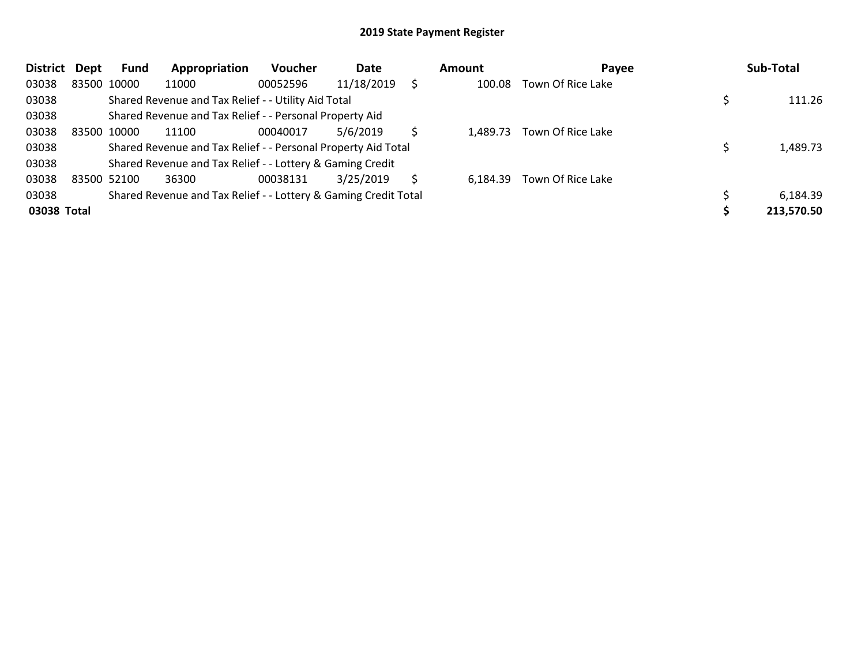| <b>District</b> | Dept | <b>Fund</b> | Appropriation                                                   | <b>Voucher</b> | Date       |   | Amount   | Payee             | Sub-Total  |
|-----------------|------|-------------|-----------------------------------------------------------------|----------------|------------|---|----------|-------------------|------------|
| 03038           |      | 83500 10000 | 11000                                                           | 00052596       | 11/18/2019 |   | 100.08   | Town Of Rice Lake |            |
| 03038           |      |             | Shared Revenue and Tax Relief - - Utility Aid Total             |                |            |   |          |                   | 111.26     |
| 03038           |      |             | Shared Revenue and Tax Relief - - Personal Property Aid         |                |            |   |          |                   |            |
| 03038           |      | 83500 10000 | 11100                                                           | 00040017       | 5/6/2019   |   | 1.489.73 | Town Of Rice Lake |            |
| 03038           |      |             | Shared Revenue and Tax Relief - - Personal Property Aid Total   |                |            |   |          |                   | 1,489.73   |
| 03038           |      |             | Shared Revenue and Tax Relief - - Lottery & Gaming Credit       |                |            |   |          |                   |            |
| 03038           |      | 83500 52100 | 36300                                                           | 00038131       | 3/25/2019  | S | 6.184.39 | Town Of Rice Lake |            |
| 03038           |      |             | Shared Revenue and Tax Relief - - Lottery & Gaming Credit Total |                |            |   |          |                   | 6,184.39   |
| 03038 Total     |      |             |                                                                 |                |            |   |          |                   | 213,570.50 |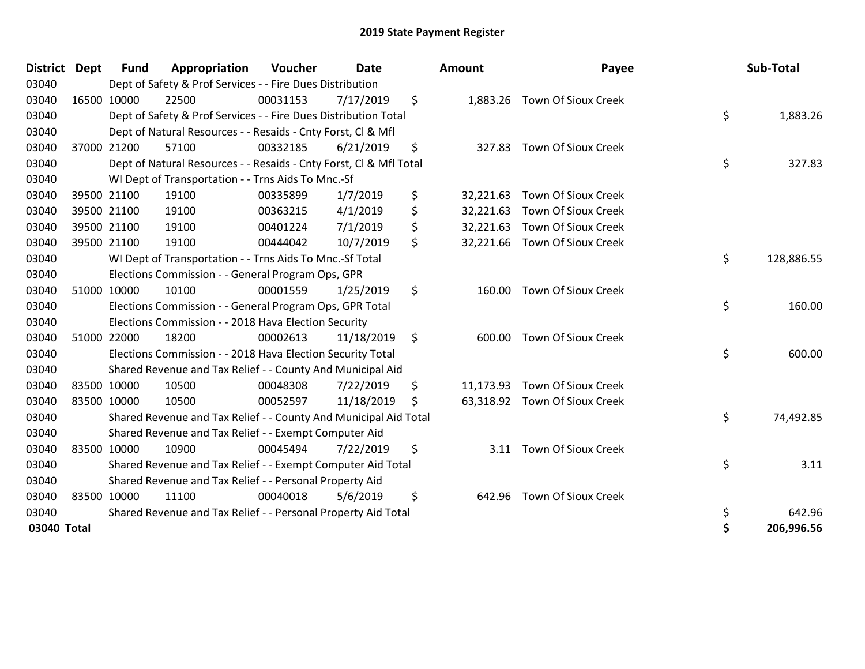| <b>District</b> | <b>Dept</b> | <b>Fund</b> | Appropriation                                                      | Voucher  | <b>Date</b> |    | Amount    | Payee                         | Sub-Total        |
|-----------------|-------------|-------------|--------------------------------------------------------------------|----------|-------------|----|-----------|-------------------------------|------------------|
| 03040           |             |             | Dept of Safety & Prof Services - - Fire Dues Distribution          |          |             |    |           |                               |                  |
| 03040           |             | 16500 10000 | 22500                                                              | 00031153 | 7/17/2019   | \$ |           | 1,883.26 Town Of Sioux Creek  |                  |
| 03040           |             |             | Dept of Safety & Prof Services - - Fire Dues Distribution Total    |          |             |    |           |                               | \$<br>1,883.26   |
| 03040           |             |             | Dept of Natural Resources - - Resaids - Cnty Forst, Cl & Mfl       |          |             |    |           |                               |                  |
| 03040           |             | 37000 21200 | 57100                                                              | 00332185 | 6/21/2019   | \$ |           | 327.83 Town Of Sioux Creek    |                  |
| 03040           |             |             | Dept of Natural Resources - - Resaids - Cnty Forst, CI & Mfl Total |          |             |    |           |                               | \$<br>327.83     |
| 03040           |             |             | WI Dept of Transportation - - Trns Aids To Mnc.-Sf                 |          |             |    |           |                               |                  |
| 03040           |             | 39500 21100 | 19100                                                              | 00335899 | 1/7/2019    | \$ |           | 32,221.63 Town Of Sioux Creek |                  |
| 03040           |             | 39500 21100 | 19100                                                              | 00363215 | 4/1/2019    | \$ | 32,221.63 | <b>Town Of Sioux Creek</b>    |                  |
| 03040           |             | 39500 21100 | 19100                                                              | 00401224 | 7/1/2019    | \$ |           | 32,221.63 Town Of Sioux Creek |                  |
| 03040           |             | 39500 21100 | 19100                                                              | 00444042 | 10/7/2019   | \$ |           | 32,221.66 Town Of Sioux Creek |                  |
| 03040           |             |             | WI Dept of Transportation - - Trns Aids To Mnc.-Sf Total           |          |             |    |           |                               | \$<br>128,886.55 |
| 03040           |             |             | Elections Commission - - General Program Ops, GPR                  |          |             |    |           |                               |                  |
| 03040           |             | 51000 10000 | 10100                                                              | 00001559 | 1/25/2019   | \$ | 160.00    | <b>Town Of Sioux Creek</b>    |                  |
| 03040           |             |             | Elections Commission - - General Program Ops, GPR Total            |          |             |    |           |                               | \$<br>160.00     |
| 03040           |             |             | Elections Commission - - 2018 Hava Election Security               |          |             |    |           |                               |                  |
| 03040           |             | 51000 22000 | 18200                                                              | 00002613 | 11/18/2019  | \$ | 600.00    | <b>Town Of Sioux Creek</b>    |                  |
| 03040           |             |             | Elections Commission - - 2018 Hava Election Security Total         |          |             |    |           |                               | \$<br>600.00     |
| 03040           |             |             | Shared Revenue and Tax Relief - - County And Municipal Aid         |          |             |    |           |                               |                  |
| 03040           |             | 83500 10000 | 10500                                                              | 00048308 | 7/22/2019   | \$ |           | 11,173.93 Town Of Sioux Creek |                  |
| 03040           |             | 83500 10000 | 10500                                                              | 00052597 | 11/18/2019  | Ś  |           | 63,318.92 Town Of Sioux Creek |                  |
| 03040           |             |             | Shared Revenue and Tax Relief - - County And Municipal Aid Total   |          |             |    |           |                               | \$<br>74,492.85  |
| 03040           |             |             | Shared Revenue and Tax Relief - - Exempt Computer Aid              |          |             |    |           |                               |                  |
| 03040           |             | 83500 10000 | 10900                                                              | 00045494 | 7/22/2019   | \$ |           | 3.11 Town Of Sioux Creek      |                  |
| 03040           |             |             | Shared Revenue and Tax Relief - - Exempt Computer Aid Total        |          |             |    |           |                               | \$<br>3.11       |
| 03040           |             |             | Shared Revenue and Tax Relief - - Personal Property Aid            |          |             |    |           |                               |                  |
| 03040           |             | 83500 10000 | 11100                                                              | 00040018 | 5/6/2019    | \$ | 642.96    | <b>Town Of Sioux Creek</b>    |                  |
| 03040           |             |             | Shared Revenue and Tax Relief - - Personal Property Aid Total      |          |             |    |           |                               | \$<br>642.96     |
| 03040 Total     |             |             |                                                                    |          |             |    |           |                               | \$<br>206,996.56 |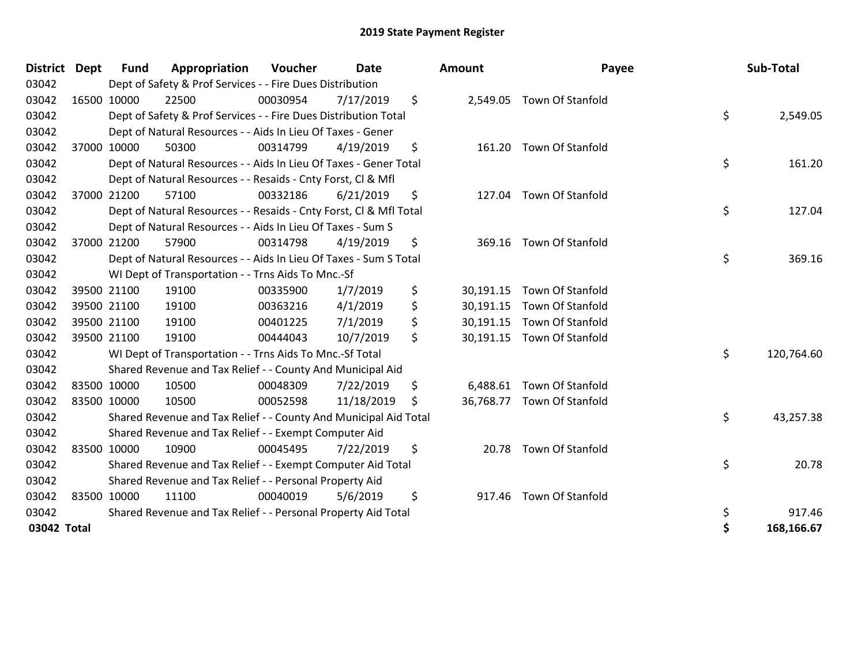| <b>District</b> | <b>Dept</b> | Fund        | Appropriation                                                      | Voucher  | <b>Date</b> |     | Amount    | Payee                      | Sub-Total        |
|-----------------|-------------|-------------|--------------------------------------------------------------------|----------|-------------|-----|-----------|----------------------------|------------------|
| 03042           |             |             | Dept of Safety & Prof Services - - Fire Dues Distribution          |          |             |     |           |                            |                  |
| 03042           |             | 16500 10000 | 22500                                                              | 00030954 | 7/17/2019   | \$  |           | 2,549.05 Town Of Stanfold  |                  |
| 03042           |             |             | Dept of Safety & Prof Services - - Fire Dues Distribution Total    |          |             |     |           |                            | \$<br>2,549.05   |
| 03042           |             |             | Dept of Natural Resources - - Aids In Lieu Of Taxes - Gener        |          |             |     |           |                            |                  |
| 03042           |             | 37000 10000 | 50300                                                              | 00314799 | 4/19/2019   | \$  |           | 161.20 Town Of Stanfold    |                  |
| 03042           |             |             | Dept of Natural Resources - - Aids In Lieu Of Taxes - Gener Total  |          |             |     |           |                            | \$<br>161.20     |
| 03042           |             |             | Dept of Natural Resources - - Resaids - Cnty Forst, Cl & Mfl       |          |             |     |           |                            |                  |
| 03042           |             | 37000 21200 | 57100                                                              | 00332186 | 6/21/2019   | \$  | 127.04    | Town Of Stanfold           |                  |
| 03042           |             |             | Dept of Natural Resources - - Resaids - Cnty Forst, CI & Mfl Total |          |             |     |           |                            | \$<br>127.04     |
| 03042           |             |             | Dept of Natural Resources - - Aids In Lieu Of Taxes - Sum S        |          |             |     |           |                            |                  |
| 03042           |             | 37000 21200 | 57900                                                              | 00314798 | 4/19/2019   | \$  | 369.16    | <b>Town Of Stanfold</b>    |                  |
| 03042           |             |             | Dept of Natural Resources - - Aids In Lieu Of Taxes - Sum S Total  |          |             |     |           |                            | \$<br>369.16     |
| 03042           |             |             | WI Dept of Transportation - - Trns Aids To Mnc.-Sf                 |          |             |     |           |                            |                  |
| 03042           |             | 39500 21100 | 19100                                                              | 00335900 | 1/7/2019    | \$  | 30,191.15 | Town Of Stanfold           |                  |
| 03042           |             | 39500 21100 | 19100                                                              | 00363216 | 4/1/2019    | \$  |           | 30,191.15 Town Of Stanfold |                  |
| 03042           |             | 39500 21100 | 19100                                                              | 00401225 | 7/1/2019    | \$  |           | 30,191.15 Town Of Stanfold |                  |
| 03042           |             | 39500 21100 | 19100                                                              | 00444043 | 10/7/2019   | \$  |           | 30,191.15 Town Of Stanfold |                  |
| 03042           |             |             | WI Dept of Transportation - - Trns Aids To Mnc.-Sf Total           |          |             |     |           |                            | \$<br>120,764.60 |
| 03042           |             |             | Shared Revenue and Tax Relief - - County And Municipal Aid         |          |             |     |           |                            |                  |
| 03042           |             | 83500 10000 | 10500                                                              | 00048309 | 7/22/2019   | \$  |           | 6,488.61 Town Of Stanfold  |                  |
| 03042           | 83500 10000 |             | 10500                                                              | 00052598 | 11/18/2019  | \$. |           | 36,768.77 Town Of Stanfold |                  |
| 03042           |             |             | Shared Revenue and Tax Relief - - County And Municipal Aid Total   |          |             |     |           |                            | \$<br>43,257.38  |
| 03042           |             |             | Shared Revenue and Tax Relief - - Exempt Computer Aid              |          |             |     |           |                            |                  |
| 03042           |             | 83500 10000 | 10900                                                              | 00045495 | 7/22/2019   | \$  |           | 20.78 Town Of Stanfold     |                  |
| 03042           |             |             | Shared Revenue and Tax Relief - - Exempt Computer Aid Total        |          |             |     |           |                            | \$<br>20.78      |
| 03042           |             |             | Shared Revenue and Tax Relief - - Personal Property Aid            |          |             |     |           |                            |                  |
| 03042           |             | 83500 10000 | 11100                                                              | 00040019 | 5/6/2019    | \$  | 917.46    | Town Of Stanfold           |                  |
| 03042           |             |             | Shared Revenue and Tax Relief - - Personal Property Aid Total      |          |             |     |           |                            | \$<br>917.46     |
| 03042 Total     |             |             |                                                                    |          |             |     |           |                            | 168,166.67       |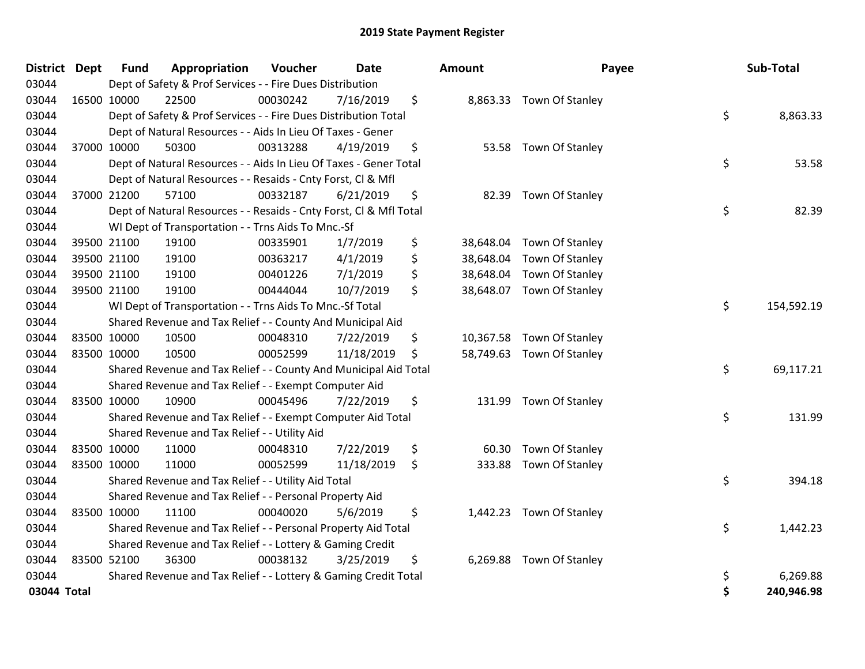| <b>District</b> | <b>Dept</b> | <b>Fund</b> | Appropriation                                                      | Voucher  | <b>Date</b> | <b>Amount</b>   | Payee                     | Sub-Total        |
|-----------------|-------------|-------------|--------------------------------------------------------------------|----------|-------------|-----------------|---------------------------|------------------|
| 03044           |             |             | Dept of Safety & Prof Services - - Fire Dues Distribution          |          |             |                 |                           |                  |
| 03044           |             | 16500 10000 | 22500                                                              | 00030242 | 7/16/2019   | \$              | 8,863.33 Town Of Stanley  |                  |
| 03044           |             |             | Dept of Safety & Prof Services - - Fire Dues Distribution Total    |          |             |                 |                           | \$<br>8,863.33   |
| 03044           |             |             | Dept of Natural Resources - - Aids In Lieu Of Taxes - Gener        |          |             |                 |                           |                  |
| 03044           |             | 37000 10000 | 50300                                                              | 00313288 | 4/19/2019   | \$              | 53.58 Town Of Stanley     |                  |
| 03044           |             |             | Dept of Natural Resources - - Aids In Lieu Of Taxes - Gener Total  |          |             |                 |                           | \$<br>53.58      |
| 03044           |             |             | Dept of Natural Resources - - Resaids - Cnty Forst, Cl & Mfl       |          |             |                 |                           |                  |
| 03044           |             | 37000 21200 | 57100                                                              | 00332187 | 6/21/2019   | \$              | 82.39 Town Of Stanley     |                  |
| 03044           |             |             | Dept of Natural Resources - - Resaids - Cnty Forst, Cl & Mfl Total |          |             |                 |                           | \$<br>82.39      |
| 03044           |             |             | WI Dept of Transportation - - Trns Aids To Mnc.-Sf                 |          |             |                 |                           |                  |
| 03044           |             | 39500 21100 | 19100                                                              | 00335901 | 1/7/2019    | \$              | 38,648.04 Town Of Stanley |                  |
| 03044           |             | 39500 21100 | 19100                                                              | 00363217 | 4/1/2019    | \$<br>38,648.04 | Town Of Stanley           |                  |
| 03044           |             | 39500 21100 | 19100                                                              | 00401226 | 7/1/2019    | \$              | 38,648.04 Town Of Stanley |                  |
| 03044           |             | 39500 21100 | 19100                                                              | 00444044 | 10/7/2019   | \$<br>38,648.07 | Town Of Stanley           |                  |
| 03044           |             |             | WI Dept of Transportation - - Trns Aids To Mnc.-Sf Total           |          |             |                 |                           | \$<br>154,592.19 |
| 03044           |             |             | Shared Revenue and Tax Relief - - County And Municipal Aid         |          |             |                 |                           |                  |
| 03044           |             | 83500 10000 | 10500                                                              | 00048310 | 7/22/2019   | \$<br>10,367.58 | Town Of Stanley           |                  |
| 03044           |             | 83500 10000 | 10500                                                              | 00052599 | 11/18/2019  | \$              | 58,749.63 Town Of Stanley |                  |
| 03044           |             |             | Shared Revenue and Tax Relief - - County And Municipal Aid Total   |          |             |                 |                           | \$<br>69,117.21  |
| 03044           |             |             | Shared Revenue and Tax Relief - - Exempt Computer Aid              |          |             |                 |                           |                  |
| 03044           |             | 83500 10000 | 10900                                                              | 00045496 | 7/22/2019   | \$              | 131.99 Town Of Stanley    |                  |
| 03044           |             |             | Shared Revenue and Tax Relief - - Exempt Computer Aid Total        |          |             |                 |                           | \$<br>131.99     |
| 03044           |             |             | Shared Revenue and Tax Relief - - Utility Aid                      |          |             |                 |                           |                  |
| 03044           |             | 83500 10000 | 11000                                                              | 00048310 | 7/22/2019   | \$<br>60.30     | Town Of Stanley           |                  |
| 03044           |             | 83500 10000 | 11000                                                              | 00052599 | 11/18/2019  | \$<br>333.88    | Town Of Stanley           |                  |
| 03044           |             |             | Shared Revenue and Tax Relief - - Utility Aid Total                |          |             |                 |                           | \$<br>394.18     |
| 03044           |             |             | Shared Revenue and Tax Relief - - Personal Property Aid            |          |             |                 |                           |                  |
| 03044           |             | 83500 10000 | 11100                                                              | 00040020 | 5/6/2019    | \$              | 1,442.23 Town Of Stanley  |                  |
| 03044           |             |             | Shared Revenue and Tax Relief - - Personal Property Aid Total      |          |             |                 |                           | \$<br>1,442.23   |
| 03044           |             |             | Shared Revenue and Tax Relief - - Lottery & Gaming Credit          |          |             |                 |                           |                  |
| 03044           |             | 83500 52100 | 36300                                                              | 00038132 | 3/25/2019   | \$              | 6,269.88 Town Of Stanley  |                  |
| 03044           |             |             | Shared Revenue and Tax Relief - - Lottery & Gaming Credit Total    |          |             |                 |                           | \$<br>6,269.88   |
| 03044 Total     |             |             |                                                                    |          |             |                 |                           | \$<br>240,946.98 |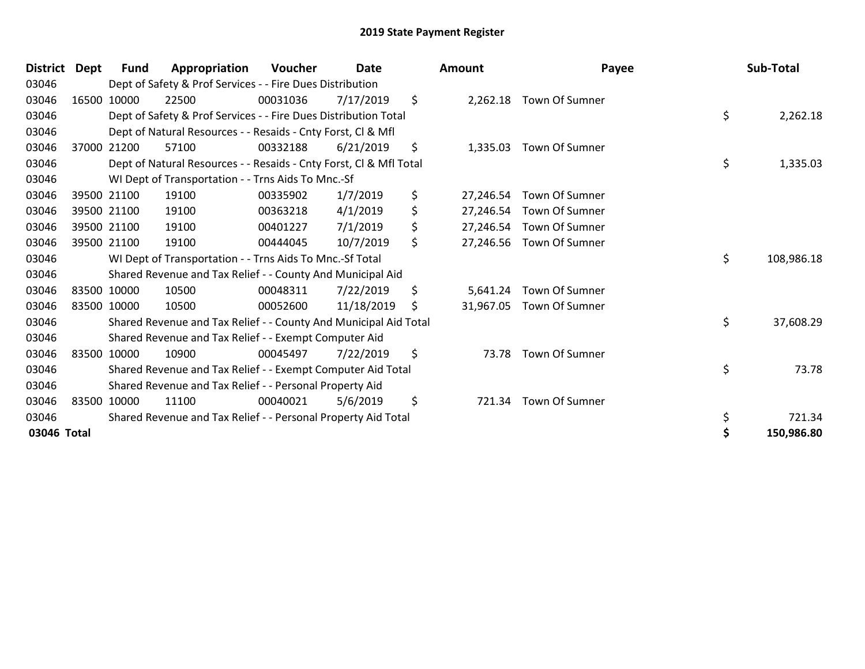| District Dept | Fund        | Appropriation                                                      | Voucher  | Date       |     | Amount    | Payee                   | Sub-Total        |
|---------------|-------------|--------------------------------------------------------------------|----------|------------|-----|-----------|-------------------------|------------------|
| 03046         |             | Dept of Safety & Prof Services - - Fire Dues Distribution          |          |            |     |           |                         |                  |
| 03046         | 16500 10000 | 22500                                                              | 00031036 | 7/17/2019  | \$  |           | 2,262.18 Town Of Sumner |                  |
| 03046         |             | Dept of Safety & Prof Services - - Fire Dues Distribution Total    |          |            |     |           |                         | \$<br>2,262.18   |
| 03046         |             | Dept of Natural Resources - - Resaids - Cnty Forst, Cl & Mfl       |          |            |     |           |                         |                  |
| 03046         | 37000 21200 | 57100                                                              | 00332188 | 6/21/2019  | \$  |           | 1,335.03 Town Of Sumner |                  |
| 03046         |             | Dept of Natural Resources - - Resaids - Cnty Forst, CI & Mfl Total |          |            |     |           |                         | \$<br>1,335.03   |
| 03046         |             | WI Dept of Transportation - - Trns Aids To Mnc.-Sf                 |          |            |     |           |                         |                  |
| 03046         | 39500 21100 | 19100                                                              | 00335902 | 1/7/2019   | \$  | 27,246.54 | Town Of Sumner          |                  |
| 03046         | 39500 21100 | 19100                                                              | 00363218 | 4/1/2019   | \$  | 27,246.54 | Town Of Sumner          |                  |
| 03046         | 39500 21100 | 19100                                                              | 00401227 | 7/1/2019   | \$  | 27,246.54 | Town Of Sumner          |                  |
| 03046         | 39500 21100 | 19100                                                              | 00444045 | 10/7/2019  | \$  | 27,246.56 | Town Of Sumner          |                  |
| 03046         |             | WI Dept of Transportation - - Trns Aids To Mnc.-Sf Total           |          |            |     |           |                         | \$<br>108,986.18 |
| 03046         |             | Shared Revenue and Tax Relief - - County And Municipal Aid         |          |            |     |           |                         |                  |
| 03046         | 83500 10000 | 10500                                                              | 00048311 | 7/22/2019  | \$  | 5,641.24  | Town Of Sumner          |                  |
| 03046         | 83500 10000 | 10500                                                              | 00052600 | 11/18/2019 | \$. | 31,967.05 | Town Of Sumner          |                  |
| 03046         |             | Shared Revenue and Tax Relief - - County And Municipal Aid Total   |          |            |     |           |                         | \$<br>37,608.29  |
| 03046         |             | Shared Revenue and Tax Relief - - Exempt Computer Aid              |          |            |     |           |                         |                  |
| 03046         | 83500 10000 | 10900                                                              | 00045497 | 7/22/2019  | \$  | 73.78     | Town Of Sumner          |                  |
| 03046         |             | Shared Revenue and Tax Relief - - Exempt Computer Aid Total        |          |            |     |           |                         | \$<br>73.78      |
| 03046         |             | Shared Revenue and Tax Relief - - Personal Property Aid            |          |            |     |           |                         |                  |
| 03046         | 83500 10000 | 11100                                                              | 00040021 | 5/6/2019   | \$  |           | 721.34 Town Of Sumner   |                  |
| 03046         |             | Shared Revenue and Tax Relief - - Personal Property Aid Total      |          |            |     |           |                         | \$<br>721.34     |
| 03046 Total   |             |                                                                    |          |            |     |           |                         | 150,986.80       |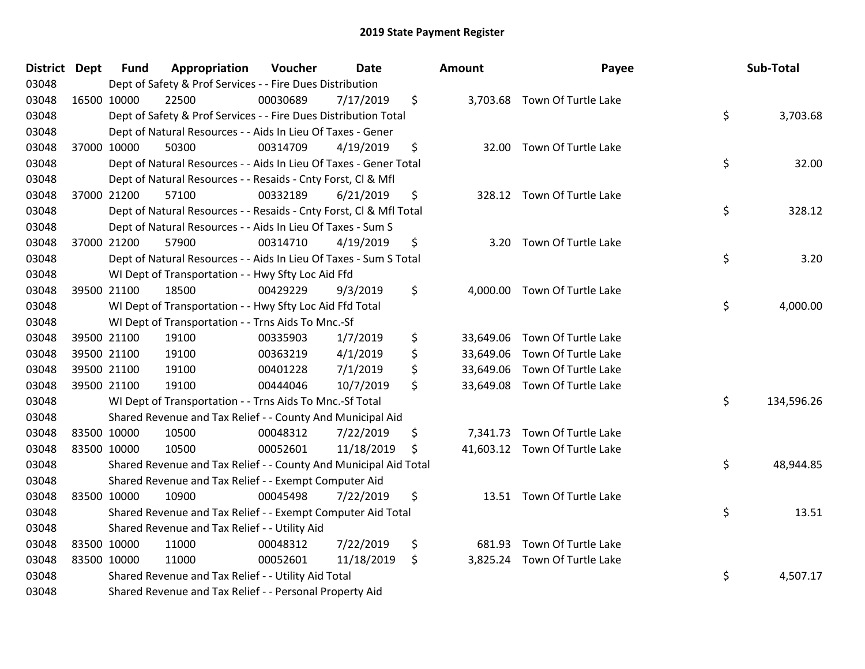| District Dept |             | <b>Fund</b> | Appropriation                                                      | Voucher  | Date       |     | Amount    | Payee                         | Sub-Total        |
|---------------|-------------|-------------|--------------------------------------------------------------------|----------|------------|-----|-----------|-------------------------------|------------------|
| 03048         |             |             | Dept of Safety & Prof Services - - Fire Dues Distribution          |          |            |     |           |                               |                  |
| 03048         | 16500 10000 |             | 22500                                                              | 00030689 | 7/17/2019  | \$  |           | 3,703.68 Town Of Turtle Lake  |                  |
| 03048         |             |             | Dept of Safety & Prof Services - - Fire Dues Distribution Total    |          |            |     |           |                               | \$<br>3,703.68   |
| 03048         |             |             | Dept of Natural Resources - - Aids In Lieu Of Taxes - Gener        |          |            |     |           |                               |                  |
| 03048         |             | 37000 10000 | 50300                                                              | 00314709 | 4/19/2019  | \$  | 32.00     | Town Of Turtle Lake           |                  |
| 03048         |             |             | Dept of Natural Resources - - Aids In Lieu Of Taxes - Gener Total  |          |            |     |           |                               | \$<br>32.00      |
| 03048         |             |             | Dept of Natural Resources - - Resaids - Cnty Forst, Cl & Mfl       |          |            |     |           |                               |                  |
| 03048         |             | 37000 21200 | 57100                                                              | 00332189 | 6/21/2019  | \$  |           | 328.12 Town Of Turtle Lake    |                  |
| 03048         |             |             | Dept of Natural Resources - - Resaids - Cnty Forst, CI & Mfl Total |          |            |     |           |                               | \$<br>328.12     |
| 03048         |             |             | Dept of Natural Resources - - Aids In Lieu Of Taxes - Sum S        |          |            |     |           |                               |                  |
| 03048         |             | 37000 21200 | 57900                                                              | 00314710 | 4/19/2019  | \$  |           | 3.20 Town Of Turtle Lake      |                  |
| 03048         |             |             | Dept of Natural Resources - - Aids In Lieu Of Taxes - Sum S Total  |          |            |     |           |                               | \$<br>3.20       |
| 03048         |             |             | WI Dept of Transportation - - Hwy Sfty Loc Aid Ffd                 |          |            |     |           |                               |                  |
| 03048         |             | 39500 21100 | 18500                                                              | 00429229 | 9/3/2019   | \$  |           | 4,000.00 Town Of Turtle Lake  |                  |
| 03048         |             |             | WI Dept of Transportation - - Hwy Sfty Loc Aid Ffd Total           |          |            |     |           |                               | \$<br>4,000.00   |
| 03048         |             |             | WI Dept of Transportation - - Trns Aids To Mnc.-Sf                 |          |            |     |           |                               |                  |
| 03048         |             | 39500 21100 | 19100                                                              | 00335903 | 1/7/2019   | \$  | 33,649.06 | Town Of Turtle Lake           |                  |
| 03048         |             | 39500 21100 | 19100                                                              | 00363219 | 4/1/2019   | \$  |           | 33,649.06 Town Of Turtle Lake |                  |
| 03048         |             | 39500 21100 | 19100                                                              | 00401228 | 7/1/2019   | \$  |           | 33,649.06 Town Of Turtle Lake |                  |
| 03048         |             | 39500 21100 | 19100                                                              | 00444046 | 10/7/2019  | \$  | 33,649.08 | Town Of Turtle Lake           |                  |
| 03048         |             |             | WI Dept of Transportation - - Trns Aids To Mnc.-Sf Total           |          |            |     |           |                               | \$<br>134,596.26 |
| 03048         |             |             | Shared Revenue and Tax Relief - - County And Municipal Aid         |          |            |     |           |                               |                  |
| 03048         |             | 83500 10000 | 10500                                                              | 00048312 | 7/22/2019  | \$  |           | 7,341.73 Town Of Turtle Lake  |                  |
| 03048         | 83500 10000 |             | 10500                                                              | 00052601 | 11/18/2019 | \$. |           | 41,603.12 Town Of Turtle Lake |                  |
| 03048         |             |             | Shared Revenue and Tax Relief - - County And Municipal Aid Total   |          |            |     |           |                               | \$<br>48,944.85  |
| 03048         |             |             | Shared Revenue and Tax Relief - - Exempt Computer Aid              |          |            |     |           |                               |                  |
| 03048         |             | 83500 10000 | 10900                                                              | 00045498 | 7/22/2019  | \$  |           | 13.51 Town Of Turtle Lake     |                  |
| 03048         |             |             | Shared Revenue and Tax Relief - - Exempt Computer Aid Total        |          |            |     |           |                               | \$<br>13.51      |
| 03048         |             |             | Shared Revenue and Tax Relief - - Utility Aid                      |          |            |     |           |                               |                  |
| 03048         |             | 83500 10000 | 11000                                                              | 00048312 | 7/22/2019  | \$  | 681.93    | Town Of Turtle Lake           |                  |
| 03048         |             | 83500 10000 | 11000                                                              | 00052601 | 11/18/2019 | \$  |           | 3,825.24 Town Of Turtle Lake  |                  |
| 03048         |             |             | Shared Revenue and Tax Relief - - Utility Aid Total                |          |            |     |           |                               | \$<br>4,507.17   |
| 03048         |             |             | Shared Revenue and Tax Relief - - Personal Property Aid            |          |            |     |           |                               |                  |

| յոt      | Payee                                                                                                               | Sub-Total        |
|----------|---------------------------------------------------------------------------------------------------------------------|------------------|
|          | 3,703.68 Town Of Turtle Lake                                                                                        | \$<br>3,703.68   |
| 32.00    | Town Of Turtle Lake                                                                                                 | \$<br>32.00      |
|          | 328.12 Town Of Turtle Lake                                                                                          | \$<br>328.12     |
| 3.20     | Town Of Turtle Lake                                                                                                 | \$<br>3.20       |
| 4,000.00 | Town Of Turtle Lake                                                                                                 | \$<br>4,000.00   |
| 3,649.08 | 3,649.06 Town Of Turtle Lake<br>3,649.06 Town Of Turtle Lake<br>3,649.06 Town Of Turtle Lake<br>Town Of Turtle Lake |                  |
|          |                                                                                                                     | \$<br>134,596.26 |
|          | 7,341.73 Town Of Turtle Lake<br>1,603.12 Town Of Turtle Lake                                                        | \$<br>48,944.85  |
| 13.51    | Town Of Turtle Lake                                                                                                 | \$<br>13.51      |
|          | 681.93 Town Of Turtle Lake<br>3,825.24 Town Of Turtle Lake                                                          | \$<br>4,507.17   |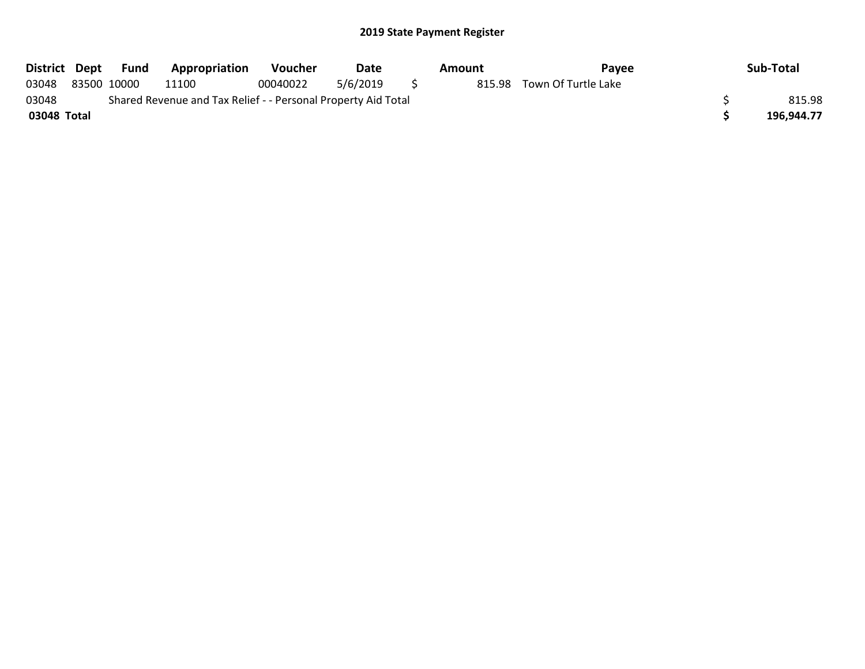| District Dept | Fund        | <b>Appropriation</b>                                          | Voucher  | Date     |   | Amount | Pavee                      | Sub-Total  |
|---------------|-------------|---------------------------------------------------------------|----------|----------|---|--------|----------------------------|------------|
| 03048         | 83500 10000 | 11100                                                         | 00040022 | 5/6/2019 | S |        | 815.98 Town Of Turtle Lake |            |
| 03048         |             | Shared Revenue and Tax Relief - - Personal Property Aid Total |          |          |   |        |                            | 815.98     |
| 03048 Total   |             |                                                               |          |          |   |        |                            | 196.944.77 |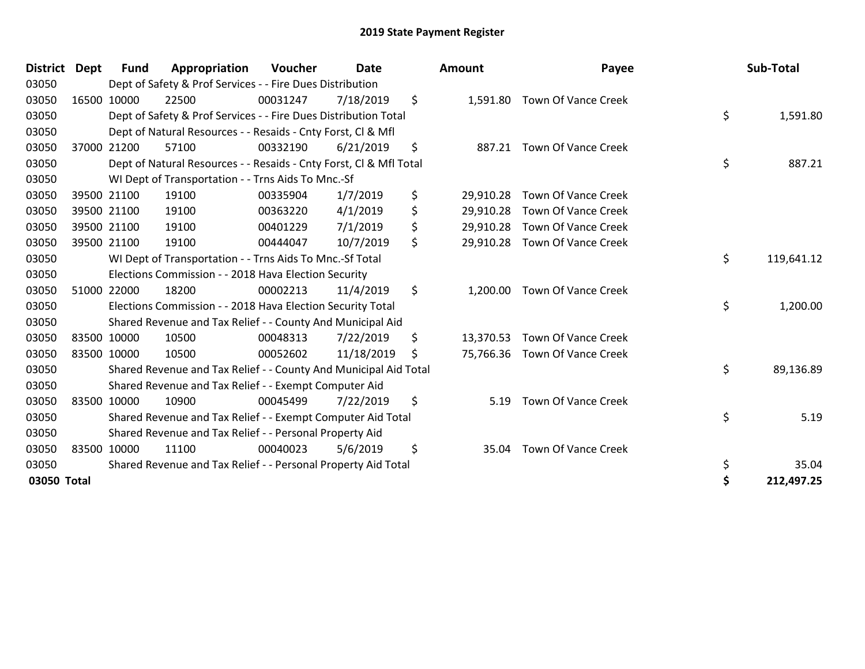| District Dept | <b>Fund</b> | Appropriation                                                      | <b>Voucher</b> | <b>Date</b> |    | <b>Amount</b> | Payee                         | Sub-Total        |
|---------------|-------------|--------------------------------------------------------------------|----------------|-------------|----|---------------|-------------------------------|------------------|
| 03050         |             | Dept of Safety & Prof Services - - Fire Dues Distribution          |                |             |    |               |                               |                  |
| 03050         | 16500 10000 | 22500                                                              | 00031247       | 7/18/2019   | \$ | 1,591.80      | Town Of Vance Creek           |                  |
| 03050         |             | Dept of Safety & Prof Services - - Fire Dues Distribution Total    |                |             |    |               |                               | \$<br>1,591.80   |
| 03050         |             | Dept of Natural Resources - - Resaids - Cnty Forst, CI & Mfl       |                |             |    |               |                               |                  |
| 03050         | 37000 21200 | 57100                                                              | 00332190       | 6/21/2019   | \$ | 887.21        | <b>Town Of Vance Creek</b>    |                  |
| 03050         |             | Dept of Natural Resources - - Resaids - Cnty Forst, CI & Mfl Total |                |             |    |               |                               | \$<br>887.21     |
| 03050         |             | WI Dept of Transportation - - Trns Aids To Mnc.-Sf                 |                |             |    |               |                               |                  |
| 03050         | 39500 21100 | 19100                                                              | 00335904       | 1/7/2019    | \$ | 29,910.28     | <b>Town Of Vance Creek</b>    |                  |
| 03050         | 39500 21100 | 19100                                                              | 00363220       | 4/1/2019    | \$ | 29,910.28     | <b>Town Of Vance Creek</b>    |                  |
| 03050         | 39500 21100 | 19100                                                              | 00401229       | 7/1/2019    | \$ | 29,910.28     | Town Of Vance Creek           |                  |
| 03050         | 39500 21100 | 19100                                                              | 00444047       | 10/7/2019   | \$ | 29,910.28     | Town Of Vance Creek           |                  |
| 03050         |             | WI Dept of Transportation - - Trns Aids To Mnc.-Sf Total           |                |             |    |               |                               | \$<br>119,641.12 |
| 03050         |             | Elections Commission - - 2018 Hava Election Security               |                |             |    |               |                               |                  |
| 03050         | 51000 22000 | 18200                                                              | 00002213       | 11/4/2019   | \$ | 1,200.00      | Town Of Vance Creek           |                  |
| 03050         |             | Elections Commission - - 2018 Hava Election Security Total         |                |             |    |               |                               | \$<br>1,200.00   |
| 03050         |             | Shared Revenue and Tax Relief - - County And Municipal Aid         |                |             |    |               |                               |                  |
| 03050         | 83500 10000 | 10500                                                              | 00048313       | 7/22/2019   | \$ | 13,370.53     | Town Of Vance Creek           |                  |
| 03050         | 83500 10000 | 10500                                                              | 00052602       | 11/18/2019  | S  |               | 75,766.36 Town Of Vance Creek |                  |
| 03050         |             | Shared Revenue and Tax Relief - - County And Municipal Aid Total   |                |             |    |               |                               | \$<br>89,136.89  |
| 03050         |             | Shared Revenue and Tax Relief - - Exempt Computer Aid              |                |             |    |               |                               |                  |
| 03050         | 83500 10000 | 10900                                                              | 00045499       | 7/22/2019   | \$ | 5.19          | <b>Town Of Vance Creek</b>    |                  |
| 03050         |             | Shared Revenue and Tax Relief - - Exempt Computer Aid Total        |                |             |    |               |                               | \$<br>5.19       |
| 03050         |             | Shared Revenue and Tax Relief - - Personal Property Aid            |                |             |    |               |                               |                  |
| 03050         | 83500 10000 | 11100                                                              | 00040023       | 5/6/2019    | \$ | 35.04         | Town Of Vance Creek           |                  |
| 03050         |             | Shared Revenue and Tax Relief - - Personal Property Aid Total      |                |             |    |               |                               | \$<br>35.04      |
| 03050 Total   |             |                                                                    |                |             |    |               |                               | \$<br>212,497.25 |

| District Dept | <b>Fund</b> | Appropriation                                                      | Voucher  | <b>Date</b> | Amount          | Payee                         | Sub-Total        |
|---------------|-------------|--------------------------------------------------------------------|----------|-------------|-----------------|-------------------------------|------------------|
| 03050         |             | Dept of Safety & Prof Services - - Fire Dues Distribution          |          |             |                 |                               |                  |
| 03050         | 16500 10000 | 22500                                                              | 00031247 | 7/18/2019   | \$              | 1,591.80 Town Of Vance Creek  |                  |
| 03050         |             | Dept of Safety & Prof Services - - Fire Dues Distribution Total    |          |             |                 |                               | \$<br>1,591.80   |
| 03050         |             | Dept of Natural Resources - - Resaids - Cnty Forst, CI & Mfl       |          |             |                 |                               |                  |
| 03050         | 37000 21200 | 57100                                                              | 00332190 | 6/21/2019   | \$              | 887.21 Town Of Vance Creek    |                  |
| 03050         |             | Dept of Natural Resources - - Resaids - Cnty Forst, Cl & Mfl Total |          |             |                 |                               | \$<br>887.21     |
| 03050         |             | WI Dept of Transportation - - Trns Aids To Mnc.-Sf                 |          |             |                 |                               |                  |
| 03050         | 39500 21100 | 19100                                                              | 00335904 | 1/7/2019    | \$<br>29,910.28 | <b>Town Of Vance Creek</b>    |                  |
| 03050         | 39500 21100 | 19100                                                              | 00363220 | 4/1/2019    | \$<br>29,910.28 | <b>Town Of Vance Creek</b>    |                  |
| 03050         | 39500 21100 | 19100                                                              | 00401229 | 7/1/2019    | \$              | 29,910.28 Town Of Vance Creek |                  |
| 03050         | 39500 21100 | 19100                                                              | 00444047 | 10/7/2019   | \$              | 29,910.28 Town Of Vance Creek |                  |
| 03050         |             | WI Dept of Transportation - - Trns Aids To Mnc.-Sf Total           |          |             |                 |                               | \$<br>119,641.12 |
| 03050         |             | Elections Commission - - 2018 Hava Election Security               |          |             |                 |                               |                  |
| 03050         | 51000 22000 | 18200                                                              | 00002213 | 11/4/2019   | \$<br>1,200.00  | <b>Town Of Vance Creek</b>    |                  |
| 03050         |             | Elections Commission - - 2018 Hava Election Security Total         |          |             |                 |                               | \$<br>1,200.00   |
| 03050         |             | Shared Revenue and Tax Relief - - County And Municipal Aid         |          |             |                 |                               |                  |
| 03050         | 83500 10000 | 10500                                                              | 00048313 | 7/22/2019   | \$              | 13,370.53 Town Of Vance Creek |                  |
| 03050         | 83500 10000 | 10500                                                              | 00052602 | 11/18/2019  | \$              | 75,766.36 Town Of Vance Creek |                  |
| 03050         |             | Shared Revenue and Tax Relief - - County And Municipal Aid Total   |          |             |                 |                               | \$<br>89,136.89  |
| 03050         |             | Shared Revenue and Tax Relief - - Exempt Computer Aid              |          |             |                 |                               |                  |
| 03050         | 83500 10000 | 10900                                                              | 00045499 | 7/22/2019   | \$<br>5.19      | Town Of Vance Creek           |                  |
| 03050         |             | Shared Revenue and Tax Relief - - Exempt Computer Aid Total        |          |             |                 |                               | \$<br>5.19       |
| 03050         |             | Shared Revenue and Tax Relief - - Personal Property Aid            |          |             |                 |                               |                  |
| 03050         | 83500 10000 | 11100                                                              | 00040023 | 5/6/2019    | \$<br>35.04     | <b>Town Of Vance Creek</b>    |                  |
| 03050         |             | Shared Revenue and Tax Relief - - Personal Property Aid Total      |          |             |                 |                               | \$<br>35.04      |
| 03050 Total   |             |                                                                    |          |             |                 |                               | \$<br>212,497.25 |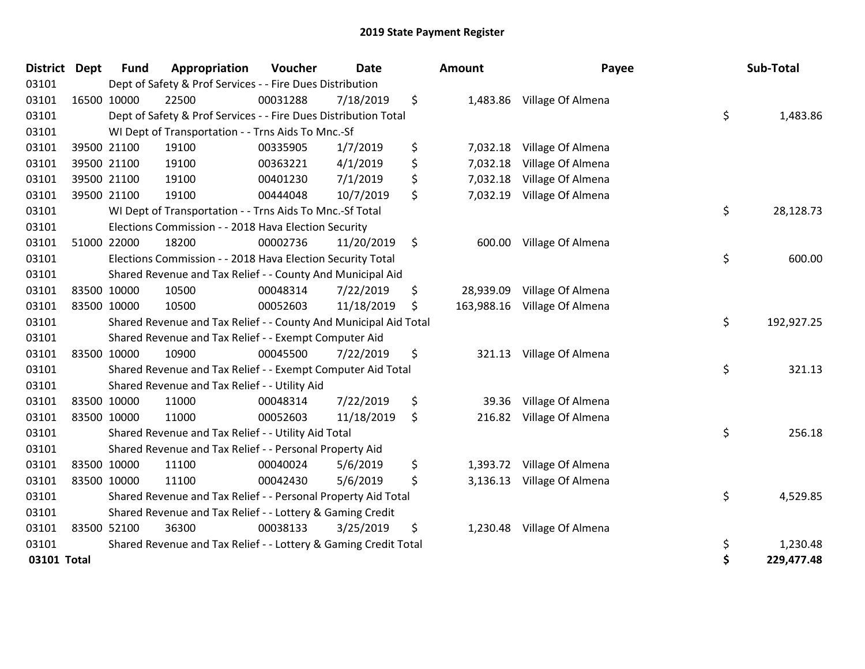| District Dept |             | <b>Fund</b> | Appropriation                                                    | Voucher  | Date       | <b>Amount</b>    | Payee                      | Sub-Total        |
|---------------|-------------|-------------|------------------------------------------------------------------|----------|------------|------------------|----------------------------|------------------|
| 03101         |             |             | Dept of Safety & Prof Services - - Fire Dues Distribution        |          |            |                  |                            |                  |
| 03101         |             | 16500 10000 | 22500                                                            | 00031288 | 7/18/2019  | \$               | 1,483.86 Village Of Almena |                  |
| 03101         |             |             | Dept of Safety & Prof Services - - Fire Dues Distribution Total  |          |            |                  |                            | \$<br>1,483.86   |
| 03101         |             |             | WI Dept of Transportation - - Trns Aids To Mnc.-Sf               |          |            |                  |                            |                  |
| 03101         |             | 39500 21100 | 19100                                                            | 00335905 | 1/7/2019   | \$<br>7,032.18   | Village Of Almena          |                  |
| 03101         |             | 39500 21100 | 19100                                                            | 00363221 | 4/1/2019   | \$<br>7,032.18   | Village Of Almena          |                  |
| 03101         |             | 39500 21100 | 19100                                                            | 00401230 | 7/1/2019   | \$<br>7,032.18   | Village Of Almena          |                  |
| 03101         |             | 39500 21100 | 19100                                                            | 00444048 | 10/7/2019  | \$<br>7,032.19   | Village Of Almena          |                  |
| 03101         |             |             | WI Dept of Transportation - - Trns Aids To Mnc.-Sf Total         |          |            |                  |                            | \$<br>28,128.73  |
| 03101         |             |             | Elections Commission - - 2018 Hava Election Security             |          |            |                  |                            |                  |
| 03101         |             | 51000 22000 | 18200                                                            | 00002736 | 11/20/2019 | \$<br>600.00     | Village Of Almena          |                  |
| 03101         |             |             | Elections Commission - - 2018 Hava Election Security Total       |          |            |                  |                            | \$<br>600.00     |
| 03101         |             |             | Shared Revenue and Tax Relief - - County And Municipal Aid       |          |            |                  |                            |                  |
| 03101         |             | 83500 10000 | 10500                                                            | 00048314 | 7/22/2019  | \$<br>28,939.09  | Village Of Almena          |                  |
| 03101         |             | 83500 10000 | 10500                                                            | 00052603 | 11/18/2019 | \$<br>163,988.16 | Village Of Almena          |                  |
| 03101         |             |             | Shared Revenue and Tax Relief - - County And Municipal Aid Total |          |            |                  |                            | \$<br>192,927.25 |
| 03101         |             |             | Shared Revenue and Tax Relief - - Exempt Computer Aid            |          |            |                  |                            |                  |
| 03101         | 83500 10000 |             | 10900                                                            | 00045500 | 7/22/2019  | \$<br>321.13     | Village Of Almena          |                  |
| 03101         |             |             | Shared Revenue and Tax Relief - - Exempt Computer Aid Total      |          |            |                  |                            | \$<br>321.13     |
| 03101         |             |             | Shared Revenue and Tax Relief - - Utility Aid                    |          |            |                  |                            |                  |
| 03101         |             | 83500 10000 | 11000                                                            | 00048314 | 7/22/2019  | \$<br>39.36      | Village Of Almena          |                  |
| 03101         | 83500 10000 |             | 11000                                                            | 00052603 | 11/18/2019 | \$<br>216.82     | Village Of Almena          |                  |
| 03101         |             |             | Shared Revenue and Tax Relief - - Utility Aid Total              |          |            |                  |                            | \$<br>256.18     |
| 03101         |             |             | Shared Revenue and Tax Relief - - Personal Property Aid          |          |            |                  |                            |                  |
| 03101         | 83500 10000 |             | 11100                                                            | 00040024 | 5/6/2019   | \$               | 1,393.72 Village Of Almena |                  |
| 03101         |             | 83500 10000 | 11100                                                            | 00042430 | 5/6/2019   | \$<br>3,136.13   | Village Of Almena          |                  |
| 03101         |             |             | Shared Revenue and Tax Relief - - Personal Property Aid Total    |          |            |                  |                            | \$<br>4,529.85   |
| 03101         |             |             | Shared Revenue and Tax Relief - - Lottery & Gaming Credit        |          |            |                  |                            |                  |
| 03101         | 83500 52100 |             | 36300                                                            | 00038133 | 3/25/2019  | \$<br>1,230.48   | Village Of Almena          |                  |
| 03101         |             |             | Shared Revenue and Tax Relief - - Lottery & Gaming Credit Total  |          |            |                  |                            | \$<br>1,230.48   |
| 03101 Total   |             |             |                                                                  |          |            |                  |                            | \$<br>229,477.48 |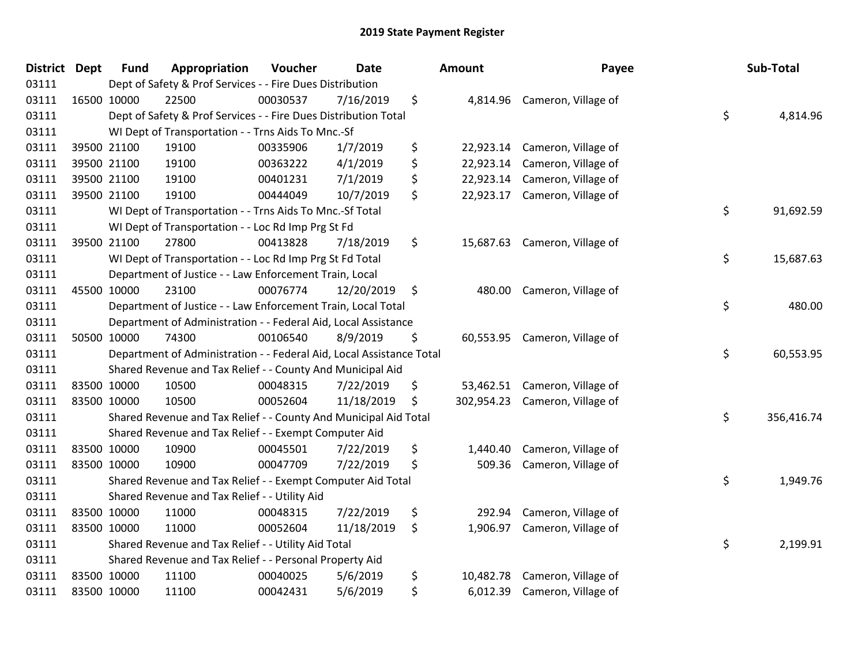| District Dept | <b>Fund</b> | Appropriation                                                        | Voucher  | <b>Date</b> | Amount           | Payee                         | Sub-Total        |
|---------------|-------------|----------------------------------------------------------------------|----------|-------------|------------------|-------------------------------|------------------|
| 03111         |             | Dept of Safety & Prof Services - - Fire Dues Distribution            |          |             |                  |                               |                  |
| 03111         | 16500 10000 | 22500                                                                | 00030537 | 7/16/2019   | \$               | 4,814.96 Cameron, Village of  |                  |
| 03111         |             | Dept of Safety & Prof Services - - Fire Dues Distribution Total      |          |             |                  |                               | \$<br>4,814.96   |
| 03111         |             | WI Dept of Transportation - - Trns Aids To Mnc.-Sf                   |          |             |                  |                               |                  |
| 03111         | 39500 21100 | 19100                                                                | 00335906 | 1/7/2019    | \$<br>22,923.14  | Cameron, Village of           |                  |
| 03111         | 39500 21100 | 19100                                                                | 00363222 | 4/1/2019    | \$<br>22,923.14  | Cameron, Village of           |                  |
| 03111         | 39500 21100 | 19100                                                                | 00401231 | 7/1/2019    | \$<br>22,923.14  | Cameron, Village of           |                  |
| 03111         | 39500 21100 | 19100                                                                | 00444049 | 10/7/2019   | \$<br>22,923.17  | Cameron, Village of           |                  |
| 03111         |             | WI Dept of Transportation - - Trns Aids To Mnc .- Sf Total           |          |             |                  |                               | \$<br>91,692.59  |
| 03111         |             | WI Dept of Transportation - - Loc Rd Imp Prg St Fd                   |          |             |                  |                               |                  |
| 03111         | 39500 21100 | 27800                                                                | 00413828 | 7/18/2019   | \$               | 15,687.63 Cameron, Village of |                  |
| 03111         |             | WI Dept of Transportation - - Loc Rd Imp Prg St Fd Total             |          |             |                  |                               | \$<br>15,687.63  |
| 03111         |             | Department of Justice - - Law Enforcement Train, Local               |          |             |                  |                               |                  |
| 03111         | 45500 10000 | 23100                                                                | 00076774 | 12/20/2019  | \$<br>480.00     | Cameron, Village of           |                  |
| 03111         |             | Department of Justice - - Law Enforcement Train, Local Total         |          |             |                  |                               | \$<br>480.00     |
| 03111         |             | Department of Administration - - Federal Aid, Local Assistance       |          |             |                  |                               |                  |
| 03111         | 50500 10000 | 74300                                                                | 00106540 | 8/9/2019    | \$<br>60,553.95  | Cameron, Village of           |                  |
| 03111         |             | Department of Administration - - Federal Aid, Local Assistance Total |          |             |                  |                               | \$<br>60,553.95  |
| 03111         |             | Shared Revenue and Tax Relief - - County And Municipal Aid           |          |             |                  |                               |                  |
| 03111         | 83500 10000 | 10500                                                                | 00048315 | 7/22/2019   | \$<br>53,462.51  | Cameron, Village of           |                  |
| 03111         | 83500 10000 | 10500                                                                | 00052604 | 11/18/2019  | \$<br>302,954.23 | Cameron, Village of           |                  |
| 03111         |             | Shared Revenue and Tax Relief - - County And Municipal Aid Total     |          |             |                  |                               | \$<br>356,416.74 |
| 03111         |             | Shared Revenue and Tax Relief - - Exempt Computer Aid                |          |             |                  |                               |                  |
| 03111         | 83500 10000 | 10900                                                                | 00045501 | 7/22/2019   | \$<br>1,440.40   | Cameron, Village of           |                  |
| 03111         | 83500 10000 | 10900                                                                | 00047709 | 7/22/2019   | \$<br>509.36     | Cameron, Village of           |                  |
| 03111         |             | Shared Revenue and Tax Relief - - Exempt Computer Aid Total          |          |             |                  |                               | \$<br>1,949.76   |
| 03111         |             | Shared Revenue and Tax Relief - - Utility Aid                        |          |             |                  |                               |                  |
| 03111         | 83500 10000 | 11000                                                                | 00048315 | 7/22/2019   | \$<br>292.94     | Cameron, Village of           |                  |
| 03111         | 83500 10000 | 11000                                                                | 00052604 | 11/18/2019  | \$<br>1,906.97   | Cameron, Village of           |                  |
| 03111         |             | Shared Revenue and Tax Relief - - Utility Aid Total                  |          |             |                  |                               | \$<br>2,199.91   |
| 03111         |             | Shared Revenue and Tax Relief - - Personal Property Aid              |          |             |                  |                               |                  |
| 03111         | 83500 10000 | 11100                                                                | 00040025 | 5/6/2019    | \$<br>10,482.78  | Cameron, Village of           |                  |
| 03111         | 83500 10000 | 11100                                                                | 00042431 | 5/6/2019    | \$<br>6,012.39   | Cameron, Village of           |                  |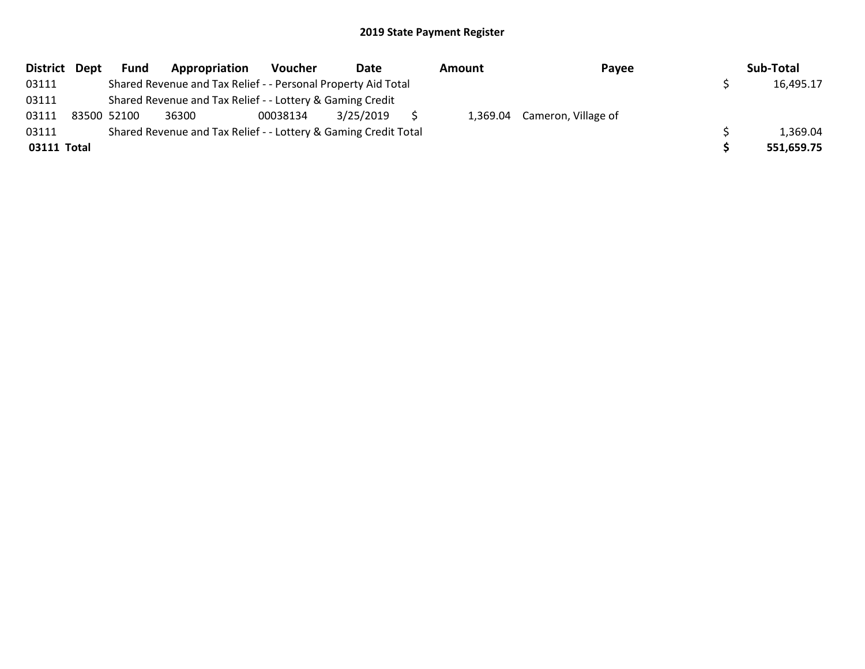|             | District Dept | <b>Fund</b> | Appropriation                                                   | Voucher  | Date      | Amount | Payee                        | Sub-Total  |
|-------------|---------------|-------------|-----------------------------------------------------------------|----------|-----------|--------|------------------------------|------------|
| 03111       |               |             | Shared Revenue and Tax Relief - - Personal Property Aid Total   |          |           |        |                              | 16,495.17  |
| 03111       |               |             | Shared Revenue and Tax Relief - - Lottery & Gaming Credit       |          |           |        |                              |            |
| 03111       |               | 83500 52100 | 36300                                                           | 00038134 | 3/25/2019 |        | 1,369.04 Cameron, Village of |            |
| 03111       |               |             | Shared Revenue and Tax Relief - - Lottery & Gaming Credit Total |          |           |        |                              | 1,369.04   |
| 03111 Total |               |             |                                                                 |          |           |        |                              | 551,659.75 |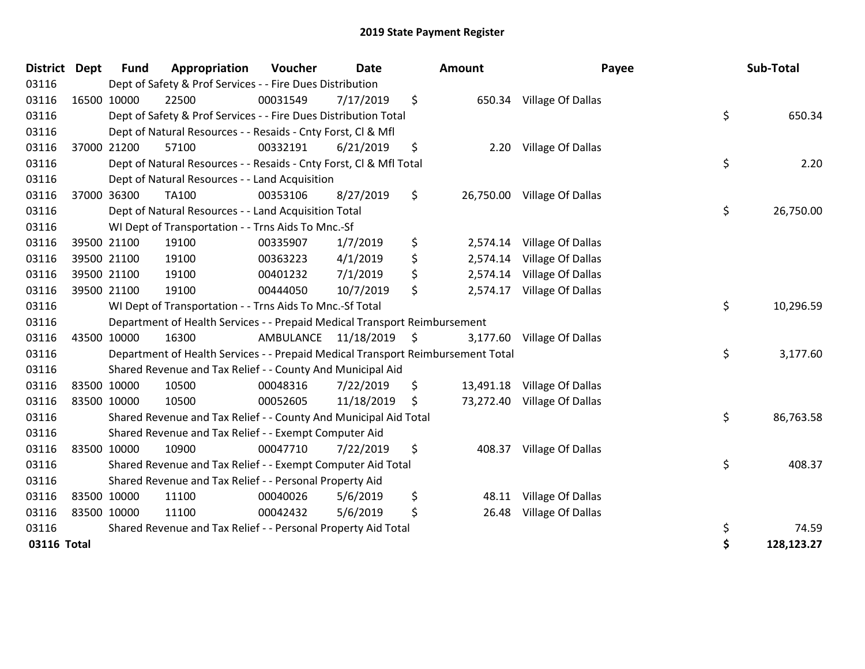| <b>District</b> | <b>Dept</b> | <b>Fund</b> | Appropriation                                                                   | Voucher   | <b>Date</b> | <b>Amount</b>   | Payee                       | Sub-Total        |
|-----------------|-------------|-------------|---------------------------------------------------------------------------------|-----------|-------------|-----------------|-----------------------------|------------------|
| 03116           |             |             | Dept of Safety & Prof Services - - Fire Dues Distribution                       |           |             |                 |                             |                  |
| 03116           | 16500 10000 |             | 22500                                                                           | 00031549  | 7/17/2019   | \$<br>650.34    | Village Of Dallas           |                  |
| 03116           |             |             | Dept of Safety & Prof Services - - Fire Dues Distribution Total                 |           |             |                 |                             | \$<br>650.34     |
| 03116           |             |             | Dept of Natural Resources - - Resaids - Cnty Forst, Cl & Mfl                    |           |             |                 |                             |                  |
| 03116           |             | 37000 21200 | 57100                                                                           | 00332191  | 6/21/2019   | \$<br>2.20      | Village Of Dallas           |                  |
| 03116           |             |             | Dept of Natural Resources - - Resaids - Cnty Forst, Cl & Mfl Total              |           |             |                 |                             | \$<br>2.20       |
| 03116           |             |             | Dept of Natural Resources - - Land Acquisition                                  |           |             |                 |                             |                  |
| 03116           |             | 37000 36300 | TA100                                                                           | 00353106  | 8/27/2019   | \$<br>26,750.00 | Village Of Dallas           |                  |
| 03116           |             |             | Dept of Natural Resources - - Land Acquisition Total                            |           |             |                 |                             | \$<br>26,750.00  |
| 03116           |             |             | WI Dept of Transportation - - Trns Aids To Mnc.-Sf                              |           |             |                 |                             |                  |
| 03116           |             | 39500 21100 | 19100                                                                           | 00335907  | 1/7/2019    | \$<br>2,574.14  | Village Of Dallas           |                  |
| 03116           |             | 39500 21100 | 19100                                                                           | 00363223  | 4/1/2019    | \$<br>2,574.14  | Village Of Dallas           |                  |
| 03116           |             | 39500 21100 | 19100                                                                           | 00401232  | 7/1/2019    | \$<br>2,574.14  | Village Of Dallas           |                  |
| 03116           | 39500 21100 |             | 19100                                                                           | 00444050  | 10/7/2019   | \$<br>2,574.17  | Village Of Dallas           |                  |
| 03116           |             |             | WI Dept of Transportation - - Trns Aids To Mnc.-Sf Total                        |           |             |                 |                             | \$<br>10,296.59  |
| 03116           |             |             | Department of Health Services - - Prepaid Medical Transport Reimbursement       |           |             |                 |                             |                  |
| 03116           | 43500 10000 |             | 16300                                                                           | AMBULANCE | 11/18/2019  | \$<br>3,177.60  | Village Of Dallas           |                  |
| 03116           |             |             | Department of Health Services - - Prepaid Medical Transport Reimbursement Total |           |             |                 |                             | \$<br>3,177.60   |
| 03116           |             |             | Shared Revenue and Tax Relief - - County And Municipal Aid                      |           |             |                 |                             |                  |
| 03116           | 83500 10000 |             | 10500                                                                           | 00048316  | 7/22/2019   | \$<br>13,491.18 | Village Of Dallas           |                  |
| 03116           | 83500 10000 |             | 10500                                                                           | 00052605  | 11/18/2019  | \$              | 73,272.40 Village Of Dallas |                  |
| 03116           |             |             | Shared Revenue and Tax Relief - - County And Municipal Aid Total                |           |             |                 |                             | \$<br>86,763.58  |
| 03116           |             |             | Shared Revenue and Tax Relief - - Exempt Computer Aid                           |           |             |                 |                             |                  |
| 03116           | 83500 10000 |             | 10900                                                                           | 00047710  | 7/22/2019   | \$<br>408.37    | Village Of Dallas           |                  |
| 03116           |             |             | Shared Revenue and Tax Relief - - Exempt Computer Aid Total                     |           |             |                 |                             | \$<br>408.37     |
| 03116           |             |             | Shared Revenue and Tax Relief - - Personal Property Aid                         |           |             |                 |                             |                  |
| 03116           | 83500 10000 |             | 11100                                                                           | 00040026  | 5/6/2019    | \$<br>48.11     | Village Of Dallas           |                  |
| 03116           | 83500 10000 |             | 11100                                                                           | 00042432  | 5/6/2019    | \$<br>26.48     | Village Of Dallas           |                  |
| 03116           |             |             | Shared Revenue and Tax Relief - - Personal Property Aid Total                   |           |             |                 |                             | \$<br>74.59      |
| 03116 Total     |             |             |                                                                                 |           |             |                 |                             | \$<br>128,123.27 |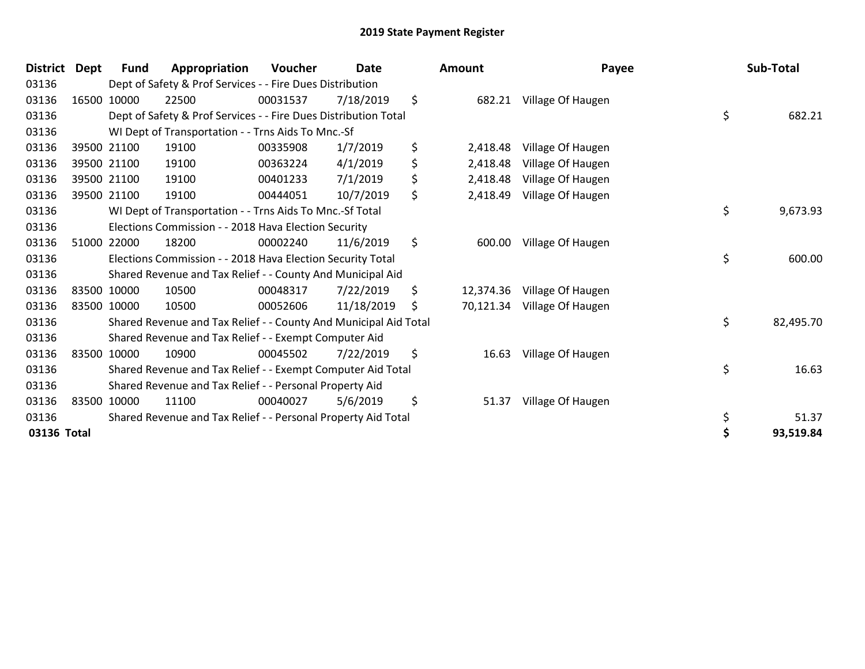| <b>District</b> | <b>Dept</b> | Fund        | Appropriation                                                    | Voucher  | <b>Date</b> |    | Amount    | Payee             | Sub-Total       |
|-----------------|-------------|-------------|------------------------------------------------------------------|----------|-------------|----|-----------|-------------------|-----------------|
| 03136           |             |             | Dept of Safety & Prof Services - - Fire Dues Distribution        |          |             |    |           |                   |                 |
| 03136           |             | 16500 10000 | 22500                                                            | 00031537 | 7/18/2019   | \$ | 682.21    | Village Of Haugen |                 |
| 03136           |             |             | Dept of Safety & Prof Services - - Fire Dues Distribution Total  |          |             |    |           |                   | \$<br>682.21    |
| 03136           |             |             | WI Dept of Transportation - - Trns Aids To Mnc.-Sf               |          |             |    |           |                   |                 |
| 03136           |             | 39500 21100 | 19100                                                            | 00335908 | 1/7/2019    | \$ | 2,418.48  | Village Of Haugen |                 |
| 03136           |             | 39500 21100 | 19100                                                            | 00363224 | 4/1/2019    | \$ | 2,418.48  | Village Of Haugen |                 |
| 03136           |             | 39500 21100 | 19100                                                            | 00401233 | 7/1/2019    | \$ | 2,418.48  | Village Of Haugen |                 |
| 03136           |             | 39500 21100 | 19100                                                            | 00444051 | 10/7/2019   | \$ | 2,418.49  | Village Of Haugen |                 |
| 03136           |             |             | WI Dept of Transportation - - Trns Aids To Mnc.-Sf Total         |          |             |    |           |                   | \$<br>9,673.93  |
| 03136           |             |             | Elections Commission - - 2018 Hava Election Security             |          |             |    |           |                   |                 |
| 03136           |             | 51000 22000 | 18200                                                            | 00002240 | 11/6/2019   | \$ | 600.00    | Village Of Haugen |                 |
| 03136           |             |             | Elections Commission - - 2018 Hava Election Security Total       |          |             |    |           |                   | \$<br>600.00    |
| 03136           |             |             | Shared Revenue and Tax Relief - - County And Municipal Aid       |          |             |    |           |                   |                 |
| 03136           |             | 83500 10000 | 10500                                                            | 00048317 | 7/22/2019   | \$ | 12,374.36 | Village Of Haugen |                 |
| 03136           |             | 83500 10000 | 10500                                                            | 00052606 | 11/18/2019  | S  | 70,121.34 | Village Of Haugen |                 |
| 03136           |             |             | Shared Revenue and Tax Relief - - County And Municipal Aid Total |          |             |    |           |                   | \$<br>82,495.70 |
| 03136           |             |             | Shared Revenue and Tax Relief - - Exempt Computer Aid            |          |             |    |           |                   |                 |
| 03136           |             | 83500 10000 | 10900                                                            | 00045502 | 7/22/2019   | \$ | 16.63     | Village Of Haugen |                 |
| 03136           |             |             | Shared Revenue and Tax Relief - - Exempt Computer Aid Total      |          |             |    |           |                   | \$<br>16.63     |
| 03136           |             |             | Shared Revenue and Tax Relief - - Personal Property Aid          |          |             |    |           |                   |                 |
| 03136           |             | 83500 10000 | 11100                                                            | 00040027 | 5/6/2019    | \$ | 51.37     | Village Of Haugen |                 |
| 03136           |             |             | Shared Revenue and Tax Relief - - Personal Property Aid Total    |          |             |    |           |                   | \$<br>51.37     |
| 03136 Total     |             |             |                                                                  |          |             |    |           |                   | 93,519.84       |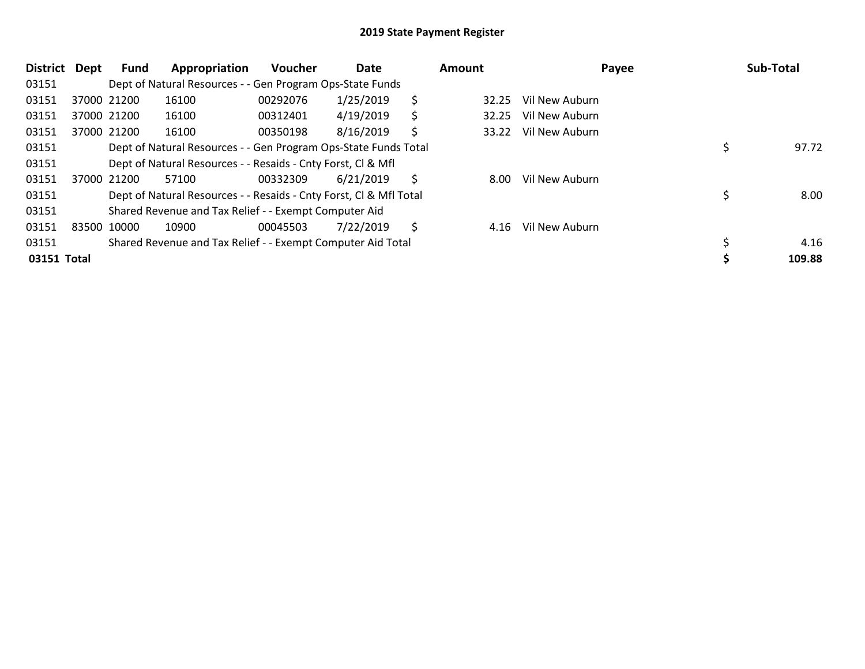| District Dept | <b>Fund</b> | Appropriation                                                      | <b>Voucher</b> | Date      |    | <b>Amount</b> | Payee          | Sub-Total |
|---------------|-------------|--------------------------------------------------------------------|----------------|-----------|----|---------------|----------------|-----------|
| 03151         |             | Dept of Natural Resources - - Gen Program Ops-State Funds          |                |           |    |               |                |           |
| 03151         | 37000 21200 | 16100                                                              | 00292076       | 1/25/2019 | S  | 32.25         | Vil New Auburn |           |
| 03151         | 37000 21200 | 16100                                                              | 00312401       | 4/19/2019 | \$ | 32.25         | Vil New Auburn |           |
| 03151         | 37000 21200 | 16100                                                              | 00350198       | 8/16/2019 | S  | 33.22         | Vil New Auburn |           |
| 03151         |             | Dept of Natural Resources - - Gen Program Ops-State Funds Total    |                |           |    |               |                | 97.72     |
| 03151         |             | Dept of Natural Resources - - Resaids - Cnty Forst, CI & Mfl       |                |           |    |               |                |           |
| 03151         | 37000 21200 | 57100                                                              | 00332309       | 6/21/2019 | Ŝ. | 8.00          | Vil New Auburn |           |
| 03151         |             | Dept of Natural Resources - - Resaids - Cnty Forst, CI & Mfl Total |                |           |    |               |                | 8.00      |
| 03151         |             | Shared Revenue and Tax Relief - - Exempt Computer Aid              |                |           |    |               |                |           |
| 03151         | 83500 10000 | 10900                                                              | 00045503       | 7/22/2019 | \$ | 4.16          | Vil New Auburn |           |
| 03151         |             | Shared Revenue and Tax Relief - - Exempt Computer Aid Total        |                |           |    |               |                | 4.16      |
| 03151 Total   |             |                                                                    |                |           |    |               |                | 109.88    |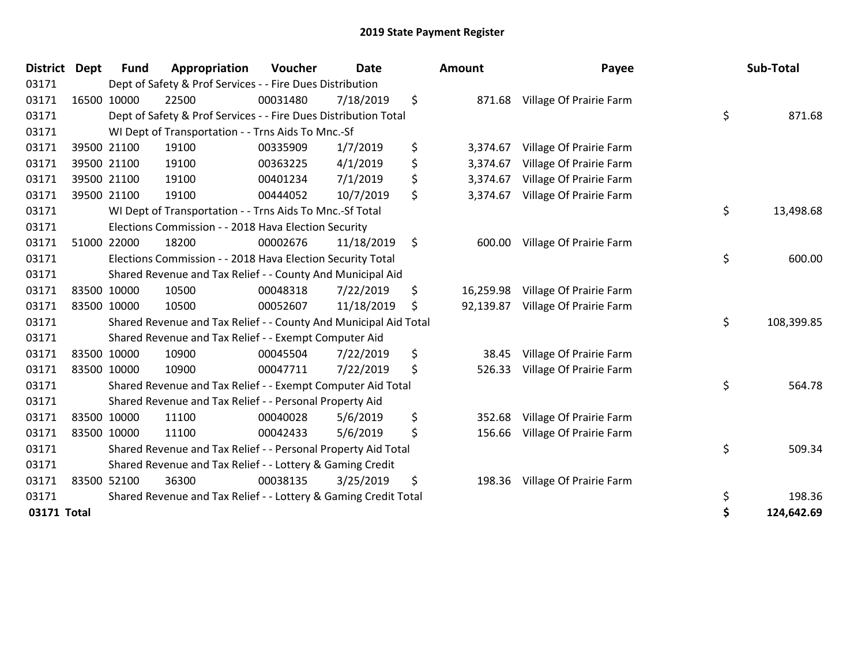| <b>District</b> | Dept | <b>Fund</b> | Appropriation                                                    | Voucher  | <b>Date</b> | <b>Amount</b>   | Payee                   | Sub-Total        |
|-----------------|------|-------------|------------------------------------------------------------------|----------|-------------|-----------------|-------------------------|------------------|
| 03171           |      |             | Dept of Safety & Prof Services - - Fire Dues Distribution        |          |             |                 |                         |                  |
| 03171           |      | 16500 10000 | 22500                                                            | 00031480 | 7/18/2019   | \$<br>871.68    | Village Of Prairie Farm |                  |
| 03171           |      |             | Dept of Safety & Prof Services - - Fire Dues Distribution Total  |          |             |                 |                         | \$<br>871.68     |
| 03171           |      |             | WI Dept of Transportation - - Trns Aids To Mnc.-Sf               |          |             |                 |                         |                  |
| 03171           |      | 39500 21100 | 19100                                                            | 00335909 | 1/7/2019    | \$<br>3,374.67  | Village Of Prairie Farm |                  |
| 03171           |      | 39500 21100 | 19100                                                            | 00363225 | 4/1/2019    | \$<br>3,374.67  | Village Of Prairie Farm |                  |
| 03171           |      | 39500 21100 | 19100                                                            | 00401234 | 7/1/2019    | \$<br>3,374.67  | Village Of Prairie Farm |                  |
| 03171           |      | 39500 21100 | 19100                                                            | 00444052 | 10/7/2019   | \$<br>3,374.67  | Village Of Prairie Farm |                  |
| 03171           |      |             | WI Dept of Transportation - - Trns Aids To Mnc.-Sf Total         |          |             |                 |                         | \$<br>13,498.68  |
| 03171           |      |             | Elections Commission - - 2018 Hava Election Security             |          |             |                 |                         |                  |
| 03171           |      | 51000 22000 | 18200                                                            | 00002676 | 11/18/2019  | \$<br>600.00    | Village Of Prairie Farm |                  |
| 03171           |      |             | Elections Commission - - 2018 Hava Election Security Total       |          |             |                 |                         | \$<br>600.00     |
| 03171           |      |             | Shared Revenue and Tax Relief - - County And Municipal Aid       |          |             |                 |                         |                  |
| 03171           |      | 83500 10000 | 10500                                                            | 00048318 | 7/22/2019   | \$<br>16,259.98 | Village Of Prairie Farm |                  |
| 03171           |      | 83500 10000 | 10500                                                            | 00052607 | 11/18/2019  | \$<br>92,139.87 | Village Of Prairie Farm |                  |
| 03171           |      |             | Shared Revenue and Tax Relief - - County And Municipal Aid Total |          |             |                 |                         | \$<br>108,399.85 |
| 03171           |      |             | Shared Revenue and Tax Relief - - Exempt Computer Aid            |          |             |                 |                         |                  |
| 03171           |      | 83500 10000 | 10900                                                            | 00045504 | 7/22/2019   | \$<br>38.45     | Village Of Prairie Farm |                  |
| 03171           |      | 83500 10000 | 10900                                                            | 00047711 | 7/22/2019   | \$<br>526.33    | Village Of Prairie Farm |                  |
| 03171           |      |             | Shared Revenue and Tax Relief - - Exempt Computer Aid Total      |          |             |                 |                         | \$<br>564.78     |
| 03171           |      |             | Shared Revenue and Tax Relief - - Personal Property Aid          |          |             |                 |                         |                  |
| 03171           |      | 83500 10000 | 11100                                                            | 00040028 | 5/6/2019    | \$<br>352.68    | Village Of Prairie Farm |                  |
| 03171           |      | 83500 10000 | 11100                                                            | 00042433 | 5/6/2019    | \$<br>156.66    | Village Of Prairie Farm |                  |
| 03171           |      |             | Shared Revenue and Tax Relief - - Personal Property Aid Total    |          |             |                 |                         | \$<br>509.34     |
| 03171           |      |             | Shared Revenue and Tax Relief - - Lottery & Gaming Credit        |          |             |                 |                         |                  |
| 03171           |      | 83500 52100 | 36300                                                            | 00038135 | 3/25/2019   | \$<br>198.36    | Village Of Prairie Farm |                  |
| 03171           |      |             | Shared Revenue and Tax Relief - - Lottery & Gaming Credit Total  |          |             |                 |                         | \$<br>198.36     |
| 03171 Total     |      |             |                                                                  |          |             |                 |                         | \$<br>124,642.69 |

| Sub-Total  | Payee                                              | unt                  |
|------------|----------------------------------------------------|----------------------|
| 871.68     | \$<br>Village Of Prairie Farm                      | 871.68               |
|            | Village Of Prairie Farm                            | 3,374.67<br>3,374.67 |
|            | Village Of Prairie Farm<br>Village Of Prairie Farm | 3,374.67             |
|            | Village Of Prairie Farm                            | 3,374.67             |
| 13,498.68  | \$                                                 |                      |
| 600.00     | \$<br>Village Of Prairie Farm                      | 600.00               |
|            | Village Of Prairie Farm                            | 16,259.98            |
| 108,399.85 | \$<br>Village Of Prairie Farm                      | 92,139.87            |
|            | Village Of Prairie Farm                            | 38.45                |
| 564.78     | \$<br>Village Of Prairie Farm                      | 526.33               |
|            | Village Of Prairie Farm                            | 352.68               |
| 509.34     | \$<br>Village Of Prairie Farm                      | 156.66               |
|            | Village Of Prairie Farm                            | 198.36               |
| 198.36     | \$                                                 |                      |
| 124,642.69 | \$                                                 |                      |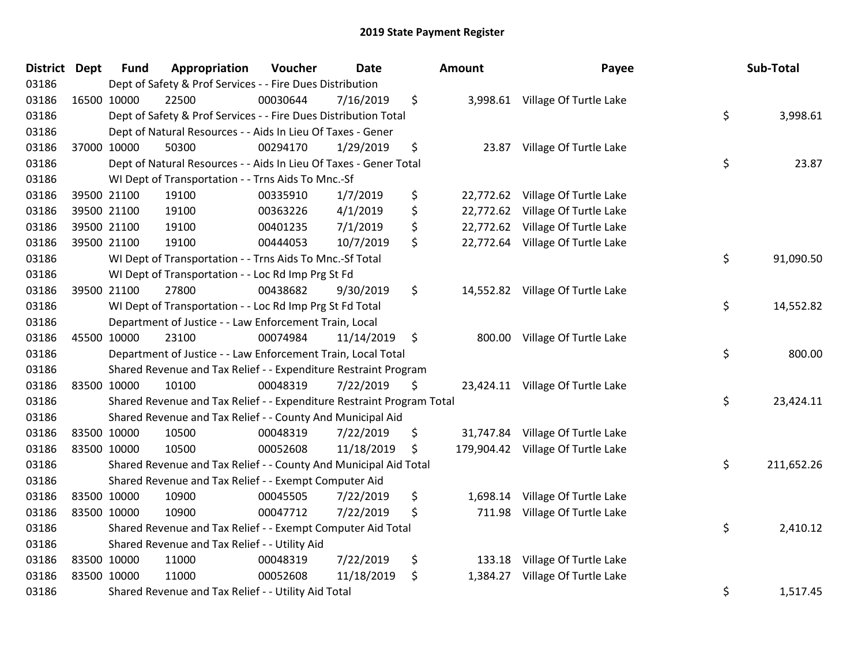| <b>District Dept</b> |             | <b>Fund</b> | Appropriation                                                         | Voucher  | <b>Date</b> | Amount          | Payee                             | Sub-Total        |
|----------------------|-------------|-------------|-----------------------------------------------------------------------|----------|-------------|-----------------|-----------------------------------|------------------|
| 03186                |             |             | Dept of Safety & Prof Services - - Fire Dues Distribution             |          |             |                 |                                   |                  |
| 03186                |             | 16500 10000 | 22500                                                                 | 00030644 | 7/16/2019   | \$              | 3,998.61 Village Of Turtle Lake   |                  |
| 03186                |             |             | Dept of Safety & Prof Services - - Fire Dues Distribution Total       |          |             |                 |                                   | \$<br>3,998.61   |
| 03186                |             |             | Dept of Natural Resources - - Aids In Lieu Of Taxes - Gener           |          |             |                 |                                   |                  |
| 03186                |             | 37000 10000 | 50300                                                                 | 00294170 | 1/29/2019   | \$<br>23.87     | Village Of Turtle Lake            |                  |
| 03186                |             |             | Dept of Natural Resources - - Aids In Lieu Of Taxes - Gener Total     |          |             |                 |                                   | \$<br>23.87      |
| 03186                |             |             | WI Dept of Transportation - - Trns Aids To Mnc.-Sf                    |          |             |                 |                                   |                  |
| 03186                |             | 39500 21100 | 19100                                                                 | 00335910 | 1/7/2019    | \$              | 22,772.62 Village Of Turtle Lake  |                  |
| 03186                |             | 39500 21100 | 19100                                                                 | 00363226 | 4/1/2019    | \$              | 22,772.62 Village Of Turtle Lake  |                  |
| 03186                |             | 39500 21100 | 19100                                                                 | 00401235 | 7/1/2019    | \$<br>22,772.62 | Village Of Turtle Lake            |                  |
| 03186                |             | 39500 21100 | 19100                                                                 | 00444053 | 10/7/2019   | \$              | 22,772.64 Village Of Turtle Lake  |                  |
| 03186                |             |             | WI Dept of Transportation - - Trns Aids To Mnc.-Sf Total              |          |             |                 |                                   | \$<br>91,090.50  |
| 03186                |             |             | WI Dept of Transportation - - Loc Rd Imp Prg St Fd                    |          |             |                 |                                   |                  |
| 03186                |             | 39500 21100 | 27800                                                                 | 00438682 | 9/30/2019   | \$              | 14,552.82 Village Of Turtle Lake  |                  |
| 03186                |             |             | WI Dept of Transportation - - Loc Rd Imp Prg St Fd Total              |          |             |                 |                                   | \$<br>14,552.82  |
| 03186                |             |             | Department of Justice - - Law Enforcement Train, Local                |          |             |                 |                                   |                  |
| 03186                |             | 45500 10000 | 23100                                                                 | 00074984 | 11/14/2019  | \$<br>800.00    | Village Of Turtle Lake            |                  |
| 03186                |             |             | Department of Justice - - Law Enforcement Train, Local Total          |          |             |                 |                                   | \$<br>800.00     |
| 03186                |             |             | Shared Revenue and Tax Relief - - Expenditure Restraint Program       |          |             |                 |                                   |                  |
| 03186                | 83500 10000 |             | 10100                                                                 | 00048319 | 7/22/2019   | \$              | 23,424.11 Village Of Turtle Lake  |                  |
| 03186                |             |             | Shared Revenue and Tax Relief - - Expenditure Restraint Program Total |          |             |                 |                                   | \$<br>23,424.11  |
| 03186                |             |             | Shared Revenue and Tax Relief - - County And Municipal Aid            |          |             |                 |                                   |                  |
| 03186                |             | 83500 10000 | 10500                                                                 | 00048319 | 7/22/2019   | \$              | 31,747.84 Village Of Turtle Lake  |                  |
| 03186                |             | 83500 10000 | 10500                                                                 | 00052608 | 11/18/2019  | \$              | 179,904.42 Village Of Turtle Lake |                  |
| 03186                |             |             | Shared Revenue and Tax Relief - - County And Municipal Aid Total      |          |             |                 |                                   | \$<br>211,652.26 |
| 03186                |             |             | Shared Revenue and Tax Relief - - Exempt Computer Aid                 |          |             |                 |                                   |                  |
| 03186                |             | 83500 10000 | 10900                                                                 | 00045505 | 7/22/2019   | \$<br>1,698.14  | Village Of Turtle Lake            |                  |
| 03186                | 83500 10000 |             | 10900                                                                 | 00047712 | 7/22/2019   | \$<br>711.98    | Village Of Turtle Lake            |                  |
| 03186                |             |             | Shared Revenue and Tax Relief - - Exempt Computer Aid Total           |          |             |                 |                                   | \$<br>2,410.12   |
| 03186                |             |             | Shared Revenue and Tax Relief - - Utility Aid                         |          |             |                 |                                   |                  |
| 03186                |             | 83500 10000 | 11000                                                                 | 00048319 | 7/22/2019   | \$<br>133.18    | Village Of Turtle Lake            |                  |
| 03186                | 83500 10000 |             | 11000                                                                 | 00052608 | 11/18/2019  | \$<br>1,384.27  | Village Of Turtle Lake            |                  |
| 03186                |             |             | Shared Revenue and Tax Relief - - Utility Aid Total                   |          |             |                 |                                   | \$<br>1,517.45   |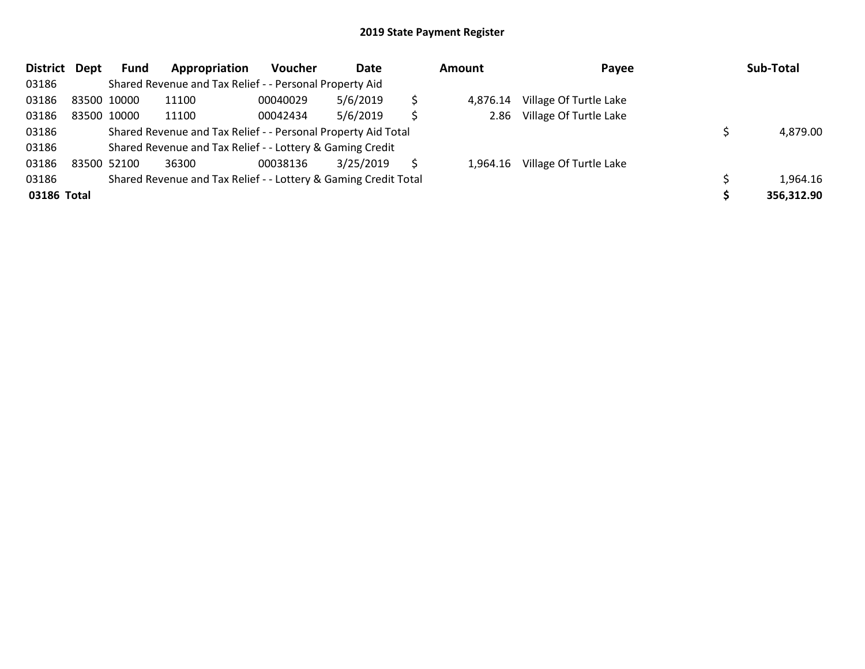| District    | Dept | Fund        | Appropriation                                                   | <b>Voucher</b> | Date      |   | <b>Amount</b> | Payee                  | Sub-Total  |
|-------------|------|-------------|-----------------------------------------------------------------|----------------|-----------|---|---------------|------------------------|------------|
| 03186       |      |             | Shared Revenue and Tax Relief - - Personal Property Aid         |                |           |   |               |                        |            |
| 03186       |      | 83500 10000 | 11100                                                           | 00040029       | 5/6/2019  |   | 4.876.14      | Village Of Turtle Lake |            |
| 03186       |      | 83500 10000 | 11100                                                           | 00042434       | 5/6/2019  | Ś | 2.86          | Village Of Turtle Lake |            |
| 03186       |      |             | Shared Revenue and Tax Relief - - Personal Property Aid Total   |                |           |   |               |                        | 4,879.00   |
| 03186       |      |             | Shared Revenue and Tax Relief - - Lottery & Gaming Credit       |                |           |   |               |                        |            |
| 03186       |      | 83500 52100 | 36300                                                           | 00038136       | 3/25/2019 |   | 1.964.16      | Village Of Turtle Lake |            |
| 03186       |      |             | Shared Revenue and Tax Relief - - Lottery & Gaming Credit Total |                |           |   |               |                        | 1,964.16   |
| 03186 Total |      |             |                                                                 |                |           |   |               |                        | 356,312.90 |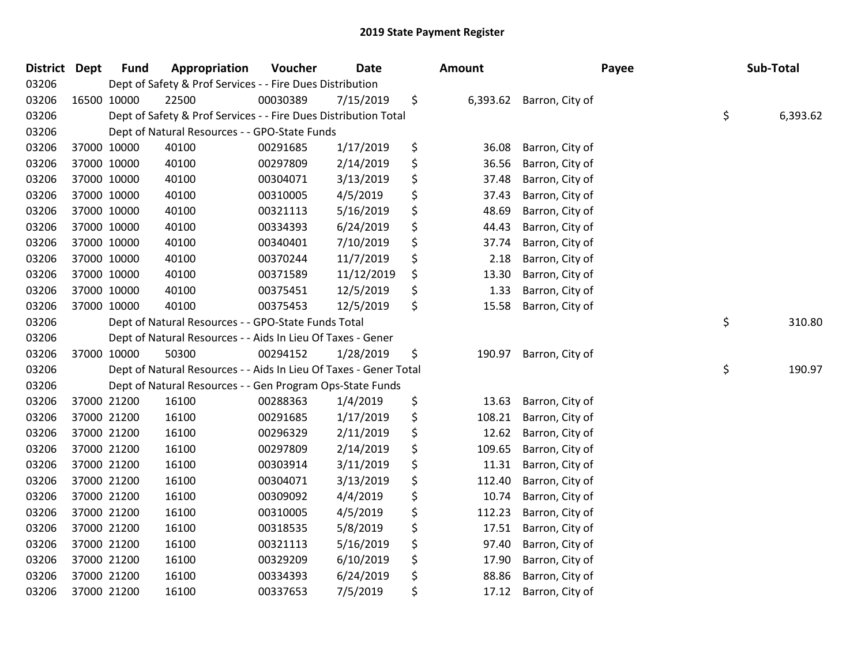| <b>District</b> | <b>Dept</b> | <b>Fund</b> | Appropriation                                                     | Voucher  | Date       | <b>Amount</b>  |                 | Payee | Sub-Total      |
|-----------------|-------------|-------------|-------------------------------------------------------------------|----------|------------|----------------|-----------------|-------|----------------|
| 03206           |             |             | Dept of Safety & Prof Services - - Fire Dues Distribution         |          |            |                |                 |       |                |
| 03206           |             | 16500 10000 | 22500                                                             | 00030389 | 7/15/2019  | \$<br>6,393.62 | Barron, City of |       |                |
| 03206           |             |             | Dept of Safety & Prof Services - - Fire Dues Distribution Total   |          |            |                |                 |       | \$<br>6,393.62 |
| 03206           |             |             | Dept of Natural Resources - - GPO-State Funds                     |          |            |                |                 |       |                |
| 03206           |             | 37000 10000 | 40100                                                             | 00291685 | 1/17/2019  | \$<br>36.08    | Barron, City of |       |                |
| 03206           |             | 37000 10000 | 40100                                                             | 00297809 | 2/14/2019  | \$<br>36.56    | Barron, City of |       |                |
| 03206           |             | 37000 10000 | 40100                                                             | 00304071 | 3/13/2019  | \$<br>37.48    | Barron, City of |       |                |
| 03206           |             | 37000 10000 | 40100                                                             | 00310005 | 4/5/2019   | \$<br>37.43    | Barron, City of |       |                |
| 03206           |             | 37000 10000 | 40100                                                             | 00321113 | 5/16/2019  | \$<br>48.69    | Barron, City of |       |                |
| 03206           |             | 37000 10000 | 40100                                                             | 00334393 | 6/24/2019  | \$<br>44.43    | Barron, City of |       |                |
| 03206           |             | 37000 10000 | 40100                                                             | 00340401 | 7/10/2019  | \$<br>37.74    | Barron, City of |       |                |
| 03206           |             | 37000 10000 | 40100                                                             | 00370244 | 11/7/2019  | \$<br>2.18     | Barron, City of |       |                |
| 03206           |             | 37000 10000 | 40100                                                             | 00371589 | 11/12/2019 | \$<br>13.30    | Barron, City of |       |                |
| 03206           |             | 37000 10000 | 40100                                                             | 00375451 | 12/5/2019  | \$<br>1.33     | Barron, City of |       |                |
| 03206           |             | 37000 10000 | 40100                                                             | 00375453 | 12/5/2019  | \$<br>15.58    | Barron, City of |       |                |
| 03206           |             |             | Dept of Natural Resources - - GPO-State Funds Total               |          |            |                |                 |       | \$<br>310.80   |
| 03206           |             |             | Dept of Natural Resources - - Aids In Lieu Of Taxes - Gener       |          |            |                |                 |       |                |
| 03206           |             | 37000 10000 | 50300                                                             | 00294152 | 1/28/2019  | \$<br>190.97   | Barron, City of |       |                |
| 03206           |             |             | Dept of Natural Resources - - Aids In Lieu Of Taxes - Gener Total |          |            |                |                 |       | \$<br>190.97   |
| 03206           |             |             | Dept of Natural Resources - - Gen Program Ops-State Funds         |          |            |                |                 |       |                |
| 03206           |             | 37000 21200 | 16100                                                             | 00288363 | 1/4/2019   | \$<br>13.63    | Barron, City of |       |                |
| 03206           |             | 37000 21200 | 16100                                                             | 00291685 | 1/17/2019  | \$<br>108.21   | Barron, City of |       |                |
| 03206           |             | 37000 21200 | 16100                                                             | 00296329 | 2/11/2019  | \$<br>12.62    | Barron, City of |       |                |
| 03206           |             | 37000 21200 | 16100                                                             | 00297809 | 2/14/2019  | \$<br>109.65   | Barron, City of |       |                |
| 03206           |             | 37000 21200 | 16100                                                             | 00303914 | 3/11/2019  | \$<br>11.31    | Barron, City of |       |                |
| 03206           |             | 37000 21200 | 16100                                                             | 00304071 | 3/13/2019  | \$<br>112.40   | Barron, City of |       |                |
| 03206           |             | 37000 21200 | 16100                                                             | 00309092 | 4/4/2019   | \$<br>10.74    | Barron, City of |       |                |
| 03206           |             | 37000 21200 | 16100                                                             | 00310005 | 4/5/2019   | \$<br>112.23   | Barron, City of |       |                |
| 03206           |             | 37000 21200 | 16100                                                             | 00318535 | 5/8/2019   | \$<br>17.51    | Barron, City of |       |                |
| 03206           |             | 37000 21200 | 16100                                                             | 00321113 | 5/16/2019  | \$<br>97.40    | Barron, City of |       |                |
| 03206           |             | 37000 21200 | 16100                                                             | 00329209 | 6/10/2019  | \$<br>17.90    | Barron, City of |       |                |
| 03206           |             | 37000 21200 | 16100                                                             | 00334393 | 6/24/2019  | \$<br>88.86    | Barron, City of |       |                |
| 03206           |             | 37000 21200 | 16100                                                             | 00337653 | 7/5/2019   | \$<br>17.12    | Barron, City of |       |                |
|                 |             |             |                                                                   |          |            |                |                 |       |                |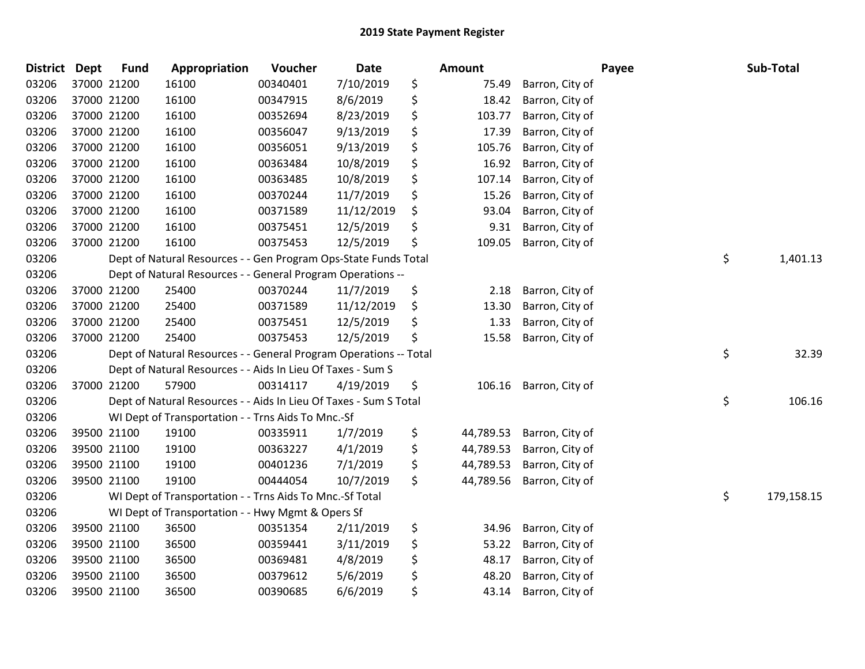| District Dept |             | <b>Fund</b> | Appropriation                                                     | Voucher  | <b>Date</b> | <b>Amount</b>   |                 | Payee | Sub-Total  |
|---------------|-------------|-------------|-------------------------------------------------------------------|----------|-------------|-----------------|-----------------|-------|------------|
| 03206         |             | 37000 21200 | 16100                                                             | 00340401 | 7/10/2019   | \$<br>75.49     | Barron, City of |       |            |
| 03206         | 37000 21200 |             | 16100                                                             | 00347915 | 8/6/2019    | \$<br>18.42     | Barron, City of |       |            |
| 03206         | 37000 21200 |             | 16100                                                             | 00352694 | 8/23/2019   | \$<br>103.77    | Barron, City of |       |            |
| 03206         | 37000 21200 |             | 16100                                                             | 00356047 | 9/13/2019   | \$<br>17.39     | Barron, City of |       |            |
| 03206         |             | 37000 21200 | 16100                                                             | 00356051 | 9/13/2019   | \$<br>105.76    | Barron, City of |       |            |
| 03206         |             | 37000 21200 | 16100                                                             | 00363484 | 10/8/2019   | \$<br>16.92     | Barron, City of |       |            |
| 03206         |             | 37000 21200 | 16100                                                             | 00363485 | 10/8/2019   | \$<br>107.14    | Barron, City of |       |            |
| 03206         |             | 37000 21200 | 16100                                                             | 00370244 | 11/7/2019   | \$<br>15.26     | Barron, City of |       |            |
| 03206         |             | 37000 21200 | 16100                                                             | 00371589 | 11/12/2019  | \$<br>93.04     | Barron, City of |       |            |
| 03206         |             | 37000 21200 | 16100                                                             | 00375451 | 12/5/2019   | \$<br>9.31      | Barron, City of |       |            |
| 03206         |             | 37000 21200 | 16100                                                             | 00375453 | 12/5/2019   | \$<br>109.05    | Barron, City of |       |            |
| 03206         |             |             | Dept of Natural Resources - - Gen Program Ops-State Funds Total   |          |             |                 |                 | \$    | 1,401.13   |
| 03206         |             |             | Dept of Natural Resources - - General Program Operations --       |          |             |                 |                 |       |            |
| 03206         |             | 37000 21200 | 25400                                                             | 00370244 | 11/7/2019   | \$<br>2.18      | Barron, City of |       |            |
| 03206         |             | 37000 21200 | 25400                                                             | 00371589 | 11/12/2019  | \$<br>13.30     | Barron, City of |       |            |
| 03206         |             | 37000 21200 | 25400                                                             | 00375451 | 12/5/2019   | \$<br>1.33      | Barron, City of |       |            |
| 03206         |             | 37000 21200 | 25400                                                             | 00375453 | 12/5/2019   | \$<br>15.58     | Barron, City of |       |            |
| 03206         |             |             | Dept of Natural Resources - - General Program Operations -- Total |          |             |                 |                 | \$    | 32.39      |
| 03206         |             |             | Dept of Natural Resources - - Aids In Lieu Of Taxes - Sum S       |          |             |                 |                 |       |            |
| 03206         |             | 37000 21200 | 57900                                                             | 00314117 | 4/19/2019   | \$<br>106.16    | Barron, City of |       |            |
| 03206         |             |             | Dept of Natural Resources - - Aids In Lieu Of Taxes - Sum S Total |          |             |                 |                 | \$    | 106.16     |
| 03206         |             |             | WI Dept of Transportation - - Trns Aids To Mnc.-Sf                |          |             |                 |                 |       |            |
| 03206         |             | 39500 21100 | 19100                                                             | 00335911 | 1/7/2019    | \$<br>44,789.53 | Barron, City of |       |            |
| 03206         |             | 39500 21100 | 19100                                                             | 00363227 | 4/1/2019    | \$<br>44,789.53 | Barron, City of |       |            |
| 03206         |             | 39500 21100 | 19100                                                             | 00401236 | 7/1/2019    | \$<br>44,789.53 | Barron, City of |       |            |
| 03206         |             | 39500 21100 | 19100                                                             | 00444054 | 10/7/2019   | \$<br>44,789.56 | Barron, City of |       |            |
| 03206         |             |             | WI Dept of Transportation - - Trns Aids To Mnc.-Sf Total          |          |             |                 |                 | \$    | 179,158.15 |
| 03206         |             |             | WI Dept of Transportation - - Hwy Mgmt & Opers Sf                 |          |             |                 |                 |       |            |
| 03206         |             | 39500 21100 | 36500                                                             | 00351354 | 2/11/2019   | \$<br>34.96     | Barron, City of |       |            |
| 03206         |             | 39500 21100 | 36500                                                             | 00359441 | 3/11/2019   | \$<br>53.22     | Barron, City of |       |            |
| 03206         |             | 39500 21100 | 36500                                                             | 00369481 | 4/8/2019    | \$<br>48.17     | Barron, City of |       |            |
| 03206         |             | 39500 21100 | 36500                                                             | 00379612 | 5/6/2019    | \$<br>48.20     | Barron, City of |       |            |
| 03206         |             | 39500 21100 | 36500                                                             | 00390685 | 6/6/2019    | \$<br>43.14     | Barron, City of |       |            |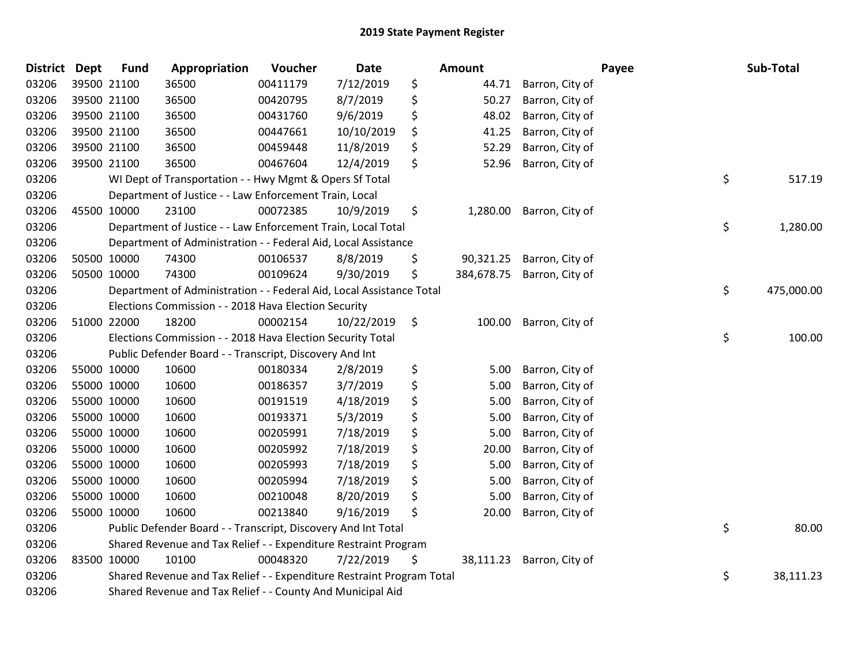| <b>District Dept</b> | <b>Fund</b>                                                     | Appropriation                                                         | Voucher  | <b>Date</b> | Amount |            | Payee           |    | Sub-Total  |
|----------------------|-----------------------------------------------------------------|-----------------------------------------------------------------------|----------|-------------|--------|------------|-----------------|----|------------|
| 03206                | 39500 21100                                                     | 36500                                                                 | 00411179 | 7/12/2019   | \$     | 44.71      | Barron, City of |    |            |
| 03206                | 39500 21100                                                     | 36500                                                                 | 00420795 | 8/7/2019    | \$     | 50.27      | Barron, City of |    |            |
| 03206                | 39500 21100                                                     | 36500                                                                 | 00431760 | 9/6/2019    | \$     | 48.02      | Barron, City of |    |            |
| 03206                | 39500 21100                                                     | 36500                                                                 | 00447661 | 10/10/2019  | \$     | 41.25      | Barron, City of |    |            |
| 03206                | 39500 21100                                                     | 36500                                                                 | 00459448 | 11/8/2019   | \$     | 52.29      | Barron, City of |    |            |
| 03206                | 39500 21100                                                     | 36500                                                                 | 00467604 | 12/4/2019   | \$     | 52.96      | Barron, City of |    |            |
| 03206                |                                                                 | WI Dept of Transportation - - Hwy Mgmt & Opers Sf Total               |          |             |        |            |                 | \$ | 517.19     |
| 03206                |                                                                 | Department of Justice - - Law Enforcement Train, Local                |          |             |        |            |                 |    |            |
| 03206                | 45500 10000                                                     | 23100                                                                 | 00072385 | 10/9/2019   | \$     | 1,280.00   | Barron, City of |    |            |
| 03206                |                                                                 | Department of Justice - - Law Enforcement Train, Local Total          |          |             |        |            |                 | \$ | 1,280.00   |
| 03206                |                                                                 | Department of Administration - - Federal Aid, Local Assistance        |          |             |        |            |                 |    |            |
| 03206                | 50500 10000                                                     | 74300                                                                 | 00106537 | 8/8/2019    | \$     | 90,321.25  | Barron, City of |    |            |
| 03206                | 50500 10000                                                     | 74300                                                                 | 00109624 | 9/30/2019   | \$     | 384,678.75 | Barron, City of |    |            |
| 03206                |                                                                 | Department of Administration - - Federal Aid, Local Assistance Total  |          |             |        |            |                 | \$ | 475,000.00 |
| 03206                |                                                                 | Elections Commission - - 2018 Hava Election Security                  |          |             |        |            |                 |    |            |
| 03206                | 51000 22000                                                     | 18200                                                                 | 00002154 | 10/22/2019  | \$     | 100.00     | Barron, City of |    |            |
| 03206                |                                                                 | Elections Commission - - 2018 Hava Election Security Total            |          |             |        |            |                 | \$ | 100.00     |
| 03206                |                                                                 | Public Defender Board - - Transcript, Discovery And Int               |          |             |        |            |                 |    |            |
| 03206                | 55000 10000                                                     | 10600                                                                 | 00180334 | 2/8/2019    | \$     | 5.00       | Barron, City of |    |            |
| 03206                | 55000 10000                                                     | 10600                                                                 | 00186357 | 3/7/2019    | \$     | 5.00       | Barron, City of |    |            |
| 03206                | 55000 10000                                                     | 10600                                                                 | 00191519 | 4/18/2019   | \$     | 5.00       | Barron, City of |    |            |
| 03206                | 55000 10000                                                     | 10600                                                                 | 00193371 | 5/3/2019    | \$     | 5.00       | Barron, City of |    |            |
| 03206                | 55000 10000                                                     | 10600                                                                 | 00205991 | 7/18/2019   | \$     | 5.00       | Barron, City of |    |            |
| 03206                | 55000 10000                                                     | 10600                                                                 | 00205992 | 7/18/2019   | \$     | 20.00      | Barron, City of |    |            |
| 03206                | 55000 10000                                                     | 10600                                                                 | 00205993 | 7/18/2019   | \$     | 5.00       | Barron, City of |    |            |
| 03206                | 55000 10000                                                     | 10600                                                                 | 00205994 | 7/18/2019   | \$     | 5.00       | Barron, City of |    |            |
| 03206                | 55000 10000                                                     | 10600                                                                 | 00210048 | 8/20/2019   | \$     | 5.00       | Barron, City of |    |            |
| 03206                | 55000 10000                                                     | 10600                                                                 | 00213840 | 9/16/2019   | \$     | 20.00      | Barron, City of |    |            |
| 03206                |                                                                 | Public Defender Board - - Transcript, Discovery And Int Total         |          |             |        |            |                 | \$ | 80.00      |
| 03206                | Shared Revenue and Tax Relief - - Expenditure Restraint Program |                                                                       |          |             |        |            |                 |    |            |
| 03206                | 83500 10000                                                     | 10100                                                                 | 00048320 | 7/22/2019   | \$     | 38,111.23  | Barron, City of |    |            |
| 03206                |                                                                 | Shared Revenue and Tax Relief - - Expenditure Restraint Program Total |          |             |        |            |                 | \$ | 38,111.23  |
| 03206                | Shared Revenue and Tax Relief - - County And Municipal Aid      |                                                                       |          |             |        |            |                 |    |            |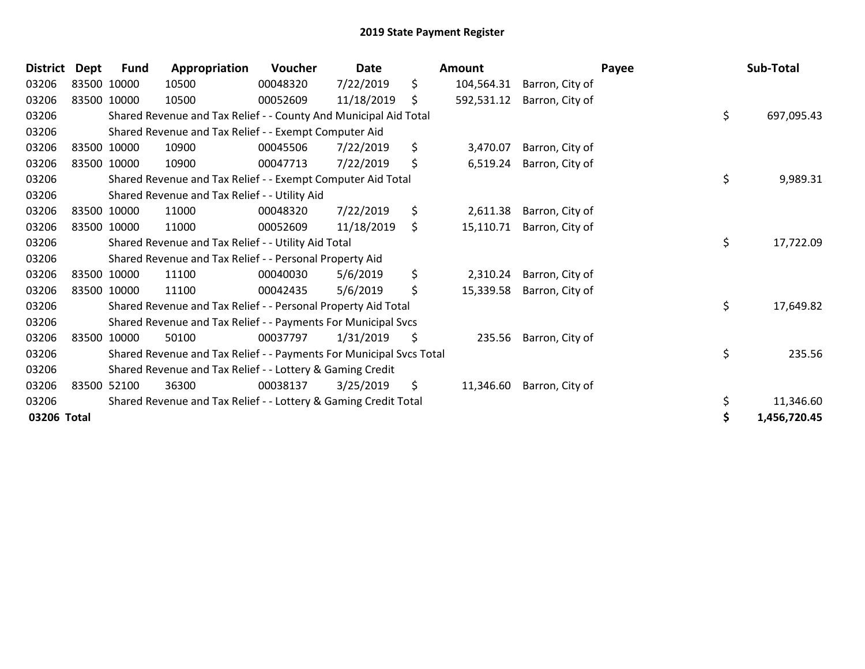| <b>District</b> | <b>Dept</b> | <b>Fund</b>                                               | Appropriation                                                       | Voucher  | Date       |    | Amount     |                 | Payee | Sub-Total  |
|-----------------|-------------|-----------------------------------------------------------|---------------------------------------------------------------------|----------|------------|----|------------|-----------------|-------|------------|
| 03206           |             | 83500 10000                                               | 10500                                                               | 00048320 | 7/22/2019  | \$ | 104,564.31 | Barron, City of |       |            |
| 03206           |             | 83500 10000                                               | 10500                                                               | 00052609 | 11/18/2019 | \$ | 592,531.12 | Barron, City of |       |            |
| 03206           |             |                                                           | Shared Revenue and Tax Relief - - County And Municipal Aid Total    |          |            |    |            |                 | \$    | 697,095.43 |
| 03206           |             | Shared Revenue and Tax Relief - - Exempt Computer Aid     |                                                                     |          |            |    |            |                 |       |            |
| 03206           |             | 83500 10000                                               | 10900                                                               | 00045506 | 7/22/2019  | \$ | 3,470.07   | Barron, City of |       |            |
| 03206           |             | 83500 10000                                               | 10900                                                               | 00047713 | 7/22/2019  | \$ | 6,519.24   | Barron, City of |       |            |
| 03206           |             |                                                           | Shared Revenue and Tax Relief - - Exempt Computer Aid Total         |          |            |    |            |                 | \$    | 9,989.31   |
| 03206           |             |                                                           | Shared Revenue and Tax Relief - - Utility Aid                       |          |            |    |            |                 |       |            |
| 03206           |             | 83500 10000                                               | 11000                                                               | 00048320 | 7/22/2019  | \$ | 2,611.38   | Barron, City of |       |            |
| 03206           |             | 83500 10000                                               | 11000                                                               | 00052609 | 11/18/2019 | \$ | 15,110.71  | Barron, City of |       |            |
| 03206           |             |                                                           | Shared Revenue and Tax Relief - - Utility Aid Total                 |          |            |    |            |                 | \$    | 17,722.09  |
| 03206           |             |                                                           | Shared Revenue and Tax Relief - - Personal Property Aid             |          |            |    |            |                 |       |            |
| 03206           |             | 83500 10000                                               | 11100                                                               | 00040030 | 5/6/2019   | \$ | 2,310.24   | Barron, City of |       |            |
| 03206           |             | 83500 10000                                               | 11100                                                               | 00042435 | 5/6/2019   | \$ | 15,339.58  | Barron, City of |       |            |
| 03206           |             |                                                           | Shared Revenue and Tax Relief - - Personal Property Aid Total       |          |            |    |            |                 | \$    | 17,649.82  |
| 03206           |             |                                                           | Shared Revenue and Tax Relief - - Payments For Municipal Svcs       |          |            |    |            |                 |       |            |
| 03206           |             | 83500 10000                                               | 50100                                                               | 00037797 | 1/31/2019  | \$ | 235.56     | Barron, City of |       |            |
| 03206           |             |                                                           | Shared Revenue and Tax Relief - - Payments For Municipal Svcs Total |          |            |    |            |                 | \$    | 235.56     |
| 03206           |             | Shared Revenue and Tax Relief - - Lottery & Gaming Credit |                                                                     |          |            |    |            |                 |       |            |
| 03206           |             | 83500 52100                                               | 36300                                                               | 00038137 | 3/25/2019  | \$ | 11,346.60  | Barron, City of |       |            |
| 03206           |             |                                                           | Shared Revenue and Tax Relief - - Lottery & Gaming Credit Total     |          |            |    |            |                 | \$    | 11,346.60  |
|                 | 03206 Total |                                                           |                                                                     |          |            |    |            |                 |       |            |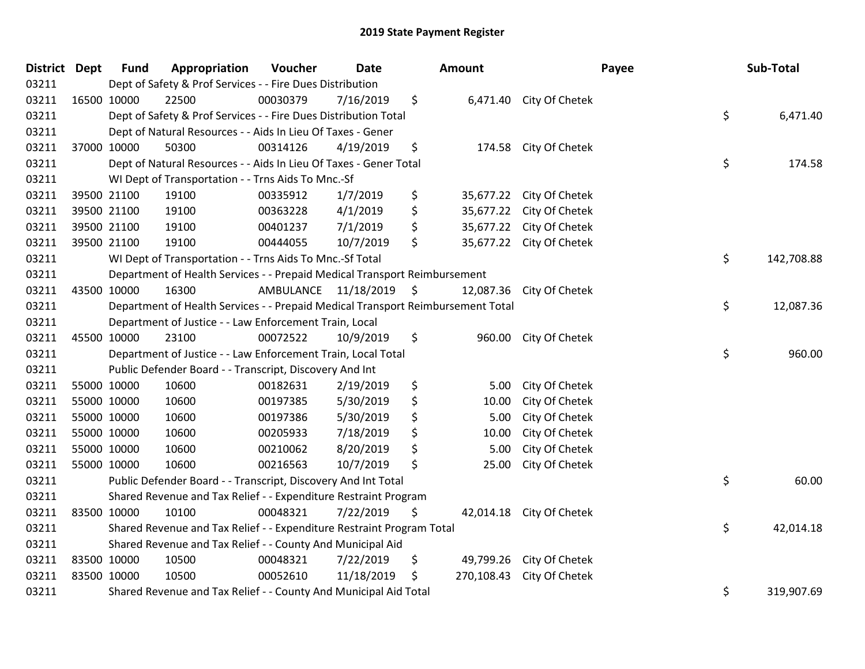| District Dept |             | <b>Fund</b>                                                                          | Appropriation                                                                   | Voucher   | Date       |                     | Amount     |                          | Payee | Sub-Total  |
|---------------|-------------|--------------------------------------------------------------------------------------|---------------------------------------------------------------------------------|-----------|------------|---------------------|------------|--------------------------|-------|------------|
| 03211         |             | Dept of Safety & Prof Services - - Fire Dues Distribution                            |                                                                                 |           |            |                     |            |                          |       |            |
| 03211         | 16500 10000 |                                                                                      | 22500                                                                           | 00030379  | 7/16/2019  | \$                  |            | 6,471.40 City Of Chetek  |       |            |
| 03211         |             | \$<br>Dept of Safety & Prof Services - - Fire Dues Distribution Total                |                                                                                 |           |            |                     |            |                          |       | 6,471.40   |
| 03211         |             |                                                                                      | Dept of Natural Resources - - Aids In Lieu Of Taxes - Gener                     |           |            |                     |            |                          |       |            |
| 03211         |             | 37000 10000                                                                          | 50300                                                                           | 00314126  | 4/19/2019  | \$                  | 174.58     | City Of Chetek           |       |            |
| 03211         |             |                                                                                      | Dept of Natural Resources - - Aids In Lieu Of Taxes - Gener Total               |           |            |                     |            |                          | \$    | 174.58     |
| 03211         |             |                                                                                      | WI Dept of Transportation - - Trns Aids To Mnc.-Sf                              |           |            |                     |            |                          |       |            |
| 03211         |             | 39500 21100                                                                          | 19100                                                                           | 00335912  | 1/7/2019   | \$                  |            | 35,677.22 City Of Chetek |       |            |
| 03211         |             | 39500 21100                                                                          | 19100                                                                           | 00363228  | 4/1/2019   | \$                  | 35,677.22  | City Of Chetek           |       |            |
| 03211         |             | 39500 21100                                                                          | 19100                                                                           | 00401237  | 7/1/2019   | \$                  | 35,677.22  | City Of Chetek           |       |            |
| 03211         |             | 39500 21100                                                                          | 19100                                                                           | 00444055  | 10/7/2019  | \$                  |            | 35,677.22 City Of Chetek |       |            |
| 03211         |             |                                                                                      | WI Dept of Transportation - - Trns Aids To Mnc.-Sf Total                        |           |            |                     |            |                          | \$    | 142,708.88 |
| 03211         |             |                                                                                      | Department of Health Services - - Prepaid Medical Transport Reimbursement       |           |            |                     |            |                          |       |            |
| 03211         | 43500 10000 |                                                                                      | 16300                                                                           | AMBULANCE | 11/18/2019 | $\ddot{\mathsf{S}}$ | 12,087.36  | City Of Chetek           |       |            |
| 03211         |             |                                                                                      | Department of Health Services - - Prepaid Medical Transport Reimbursement Total |           |            |                     |            |                          | \$    | 12,087.36  |
| 03211         |             |                                                                                      | Department of Justice - - Law Enforcement Train, Local                          |           |            |                     |            |                          |       |            |
| 03211         | 45500 10000 |                                                                                      | 23100                                                                           | 00072522  | 10/9/2019  | \$                  | 960.00     | City Of Chetek           |       |            |
| 03211         |             |                                                                                      | Department of Justice - - Law Enforcement Train, Local Total                    |           |            |                     |            |                          | \$    | 960.00     |
| 03211         |             |                                                                                      | Public Defender Board - - Transcript, Discovery And Int                         |           |            |                     |            |                          |       |            |
| 03211         | 55000 10000 |                                                                                      | 10600                                                                           | 00182631  | 2/19/2019  | \$                  | 5.00       | City Of Chetek           |       |            |
| 03211         |             | 55000 10000                                                                          | 10600                                                                           | 00197385  | 5/30/2019  | \$                  | 10.00      | City Of Chetek           |       |            |
| 03211         |             | 55000 10000                                                                          | 10600                                                                           | 00197386  | 5/30/2019  | \$                  | 5.00       | City Of Chetek           |       |            |
| 03211         |             | 55000 10000                                                                          | 10600                                                                           | 00205933  | 7/18/2019  | \$                  | 10.00      | City Of Chetek           |       |            |
| 03211         | 55000 10000 |                                                                                      | 10600                                                                           | 00210062  | 8/20/2019  | \$                  | 5.00       | City Of Chetek           |       |            |
| 03211         |             | 55000 10000                                                                          | 10600                                                                           | 00216563  | 10/7/2019  | \$                  | 25.00      | City Of Chetek           |       |            |
| 03211         |             |                                                                                      | Public Defender Board - - Transcript, Discovery And Int Total                   |           |            |                     |            |                          | \$    | 60.00      |
| 03211         |             |                                                                                      | Shared Revenue and Tax Relief - - Expenditure Restraint Program                 |           |            |                     |            |                          |       |            |
| 03211         | 83500 10000 |                                                                                      | 10100                                                                           | 00048321  | 7/22/2019  | \$                  | 42,014.18  | City Of Chetek           |       |            |
| 03211         |             |                                                                                      | Shared Revenue and Tax Relief - - Expenditure Restraint Program Total           |           |            |                     |            |                          | \$    | 42,014.18  |
| 03211         |             |                                                                                      | Shared Revenue and Tax Relief - - County And Municipal Aid                      |           |            |                     |            |                          |       |            |
| 03211         | 83500 10000 |                                                                                      | 10500                                                                           | 00048321  | 7/22/2019  | \$                  | 49,799.26  | City Of Chetek           |       |            |
| 03211         | 83500 10000 |                                                                                      | 10500                                                                           | 00052610  | 11/18/2019 | \$                  | 270,108.43 | City Of Chetek           |       |            |
| 03211         |             | \$<br>Shared Revenue and Tax Relief - - County And Municipal Aid Total<br>319,907.69 |                                                                                 |           |            |                     |            |                          |       |            |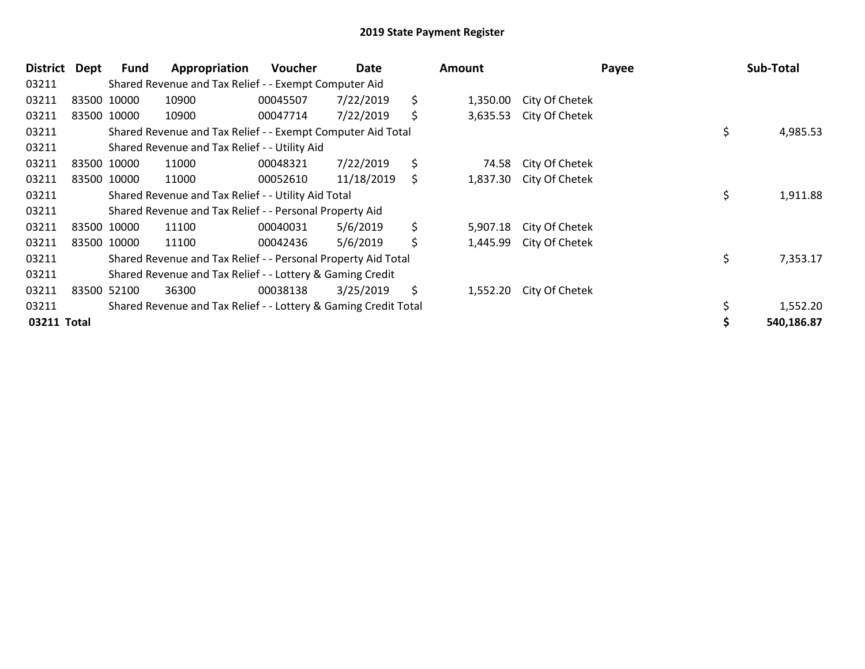| District    | Dept | <b>Fund</b>                                               | Appropriation                                                   | <b>Voucher</b> | Date       | Amount |          |                | Payee |            | Sub-Total |
|-------------|------|-----------------------------------------------------------|-----------------------------------------------------------------|----------------|------------|--------|----------|----------------|-------|------------|-----------|
| 03211       |      |                                                           | Shared Revenue and Tax Relief - - Exempt Computer Aid           |                |            |        |          |                |       |            |           |
| 03211       |      | 83500 10000                                               | 10900                                                           | 00045507       | 7/22/2019  | \$     | 1,350.00 | City Of Chetek |       |            |           |
| 03211       |      | 83500 10000                                               | 10900                                                           | 00047714       | 7/22/2019  | \$     | 3,635.53 | City Of Chetek |       |            |           |
| 03211       |      |                                                           | Shared Revenue and Tax Relief - - Exempt Computer Aid Total     |                |            |        |          |                |       | \$         | 4,985.53  |
| 03211       |      |                                                           | Shared Revenue and Tax Relief - - Utility Aid                   |                |            |        |          |                |       |            |           |
| 03211       |      | 83500 10000                                               | 11000                                                           | 00048321       | 7/22/2019  | \$     | 74.58    | City Of Chetek |       |            |           |
| 03211       |      | 83500 10000                                               | 11000                                                           | 00052610       | 11/18/2019 | \$     | 1,837.30 | City Of Chetek |       |            |           |
| 03211       |      |                                                           | Shared Revenue and Tax Relief - - Utility Aid Total             |                |            |        |          |                |       | \$         | 1,911.88  |
| 03211       |      |                                                           | Shared Revenue and Tax Relief - - Personal Property Aid         |                |            |        |          |                |       |            |           |
| 03211       |      | 83500 10000                                               | 11100                                                           | 00040031       | 5/6/2019   | \$     | 5,907.18 | City Of Chetek |       |            |           |
| 03211       |      | 83500 10000                                               | 11100                                                           | 00042436       | 5/6/2019   | \$     | 1,445.99 | City Of Chetek |       |            |           |
| 03211       |      |                                                           | Shared Revenue and Tax Relief - - Personal Property Aid Total   |                |            |        |          |                |       | \$         | 7,353.17  |
| 03211       |      | Shared Revenue and Tax Relief - - Lottery & Gaming Credit |                                                                 |                |            |        |          |                |       |            |           |
| 03211       |      | 83500 52100                                               | 36300                                                           | 00038138       | 3/25/2019  | \$     | 1,552.20 | City Of Chetek |       |            |           |
| 03211       |      |                                                           | Shared Revenue and Tax Relief - - Lottery & Gaming Credit Total |                |            |        |          |                |       | \$         | 1,552.20  |
| 03211 Total |      |                                                           |                                                                 |                |            |        |          |                |       | 540,186.87 |           |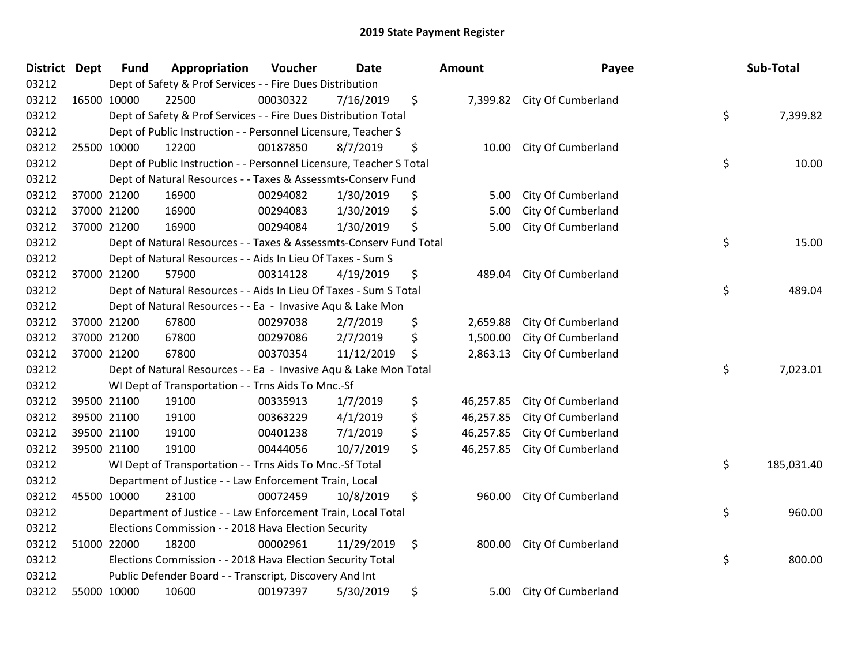| <b>District Dept</b> |             | <b>Fund</b>                                               | Appropriation                                                       | Voucher  | Date       | Amount |           | Payee                       |    | Sub-Total  |
|----------------------|-------------|-----------------------------------------------------------|---------------------------------------------------------------------|----------|------------|--------|-----------|-----------------------------|----|------------|
| 03212                |             | Dept of Safety & Prof Services - - Fire Dues Distribution |                                                                     |          |            |        |           |                             |    |            |
| 03212                | 16500 10000 |                                                           | 22500                                                               | 00030322 | 7/16/2019  | \$     |           | 7,399.82 City Of Cumberland |    |            |
| 03212                |             |                                                           | Dept of Safety & Prof Services - - Fire Dues Distribution Total     |          |            |        |           |                             | \$ | 7,399.82   |
| 03212                |             |                                                           | Dept of Public Instruction - - Personnel Licensure, Teacher S       |          |            |        |           |                             |    |            |
| 03212                |             | 25500 10000                                               | 12200                                                               | 00187850 | 8/7/2019   | \$     | 10.00     | City Of Cumberland          |    |            |
| 03212                |             |                                                           | Dept of Public Instruction - - Personnel Licensure, Teacher S Total |          |            |        |           |                             | \$ | 10.00      |
| 03212                |             |                                                           | Dept of Natural Resources - - Taxes & Assessmts-Conserv Fund        |          |            |        |           |                             |    |            |
| 03212                |             | 37000 21200                                               | 16900                                                               | 00294082 | 1/30/2019  | \$     | 5.00      | City Of Cumberland          |    |            |
| 03212                |             | 37000 21200                                               | 16900                                                               | 00294083 | 1/30/2019  | \$     | 5.00      | City Of Cumberland          |    |            |
| 03212                |             | 37000 21200                                               | 16900                                                               | 00294084 | 1/30/2019  | \$     | 5.00      | City Of Cumberland          |    |            |
| 03212                |             |                                                           | Dept of Natural Resources - - Taxes & Assessmts-Conserv Fund Total  |          |            |        |           |                             | \$ | 15.00      |
| 03212                |             |                                                           | Dept of Natural Resources - - Aids In Lieu Of Taxes - Sum S         |          |            |        |           |                             |    |            |
| 03212                |             | 37000 21200                                               | 57900                                                               | 00314128 | 4/19/2019  | \$     | 489.04    | City Of Cumberland          |    |            |
| 03212                |             |                                                           | Dept of Natural Resources - - Aids In Lieu Of Taxes - Sum S Total   |          |            |        |           |                             | \$ | 489.04     |
| 03212                |             |                                                           | Dept of Natural Resources - - Ea - Invasive Aqu & Lake Mon          |          |            |        |           |                             |    |            |
| 03212                |             | 37000 21200                                               | 67800                                                               | 00297038 | 2/7/2019   | \$     | 2,659.88  | City Of Cumberland          |    |            |
| 03212                |             | 37000 21200                                               | 67800                                                               | 00297086 | 2/7/2019   | \$     | 1,500.00  | City Of Cumberland          |    |            |
| 03212                |             | 37000 21200                                               | 67800                                                               | 00370354 | 11/12/2019 | \$     | 2,863.13  | City Of Cumberland          |    |            |
| 03212                |             |                                                           | Dept of Natural Resources - - Ea - Invasive Aqu & Lake Mon Total    |          |            |        |           |                             | \$ | 7,023.01   |
| 03212                |             |                                                           | WI Dept of Transportation - - Trns Aids To Mnc.-Sf                  |          |            |        |           |                             |    |            |
| 03212                |             | 39500 21100                                               | 19100                                                               | 00335913 | 1/7/2019   | \$     | 46,257.85 | City Of Cumberland          |    |            |
| 03212                |             | 39500 21100                                               | 19100                                                               | 00363229 | 4/1/2019   | \$     | 46,257.85 | City Of Cumberland          |    |            |
| 03212                |             | 39500 21100                                               | 19100                                                               | 00401238 | 7/1/2019   | \$     | 46,257.85 | City Of Cumberland          |    |            |
| 03212                |             | 39500 21100                                               | 19100                                                               | 00444056 | 10/7/2019  | \$     | 46,257.85 | City Of Cumberland          |    |            |
| 03212                |             |                                                           | WI Dept of Transportation - - Trns Aids To Mnc.-Sf Total            |          |            |        |           |                             | \$ | 185,031.40 |
| 03212                |             |                                                           | Department of Justice - - Law Enforcement Train, Local              |          |            |        |           |                             |    |            |
| 03212                | 45500 10000 |                                                           | 23100                                                               | 00072459 | 10/8/2019  | \$     | 960.00    | City Of Cumberland          |    |            |
| 03212                |             |                                                           | Department of Justice - - Law Enforcement Train, Local Total        |          |            |        |           |                             | \$ | 960.00     |
| 03212                |             |                                                           | Elections Commission - - 2018 Hava Election Security                |          |            |        |           |                             |    |            |
| 03212                |             | 51000 22000                                               | 18200                                                               | 00002961 | 11/29/2019 | \$     | 800.00    | City Of Cumberland          |    |            |
| 03212                |             |                                                           | Elections Commission - - 2018 Hava Election Security Total          |          |            |        |           |                             | \$ | 800.00     |
| 03212                |             |                                                           | Public Defender Board - - Transcript, Discovery And Int             |          |            |        |           |                             |    |            |
| 03212                |             | 55000 10000                                               | 10600                                                               | 00197397 | 5/30/2019  | \$     | 5.00      | City Of Cumberland          |    |            |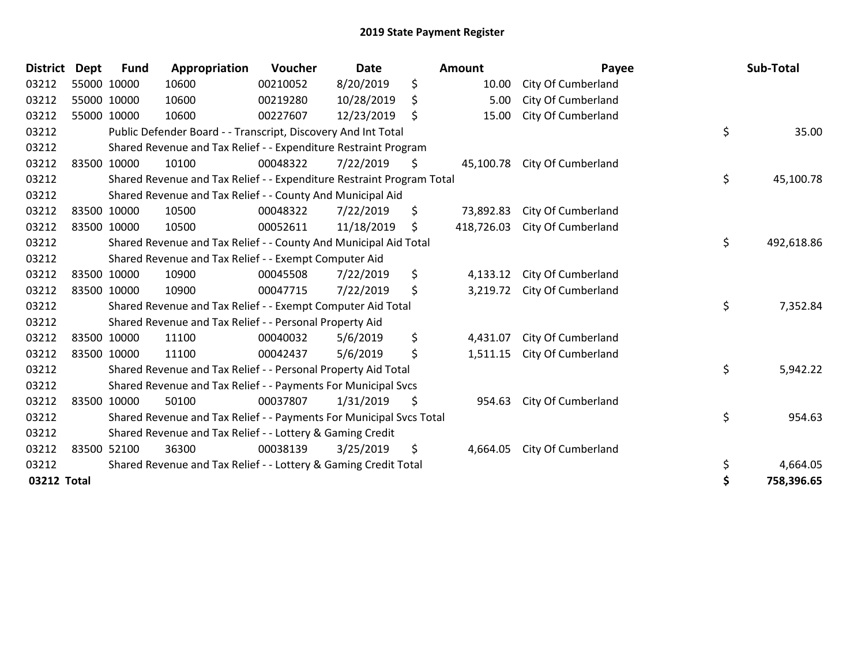## 2019 State Payment Register

| <b>District</b> | <b>Dept</b> | <b>Fund</b> | Appropriation                                                         | Voucher  | <b>Date</b> |     | Amount     | Payee              |    | Sub-Total  |
|-----------------|-------------|-------------|-----------------------------------------------------------------------|----------|-------------|-----|------------|--------------------|----|------------|
| 03212           |             | 55000 10000 | 10600                                                                 | 00210052 | 8/20/2019   | \$  | 10.00      | City Of Cumberland |    |            |
| 03212           |             | 55000 10000 | 10600                                                                 | 00219280 | 10/28/2019  | \$  | 5.00       | City Of Cumberland |    |            |
| 03212           |             | 55000 10000 | 10600                                                                 | 00227607 | 12/23/2019  | -\$ | 15.00      | City Of Cumberland |    |            |
| 03212           |             |             | Public Defender Board - - Transcript, Discovery And Int Total         |          |             |     |            |                    | \$ | 35.00      |
| 03212           |             |             | Shared Revenue and Tax Relief - - Expenditure Restraint Program       |          |             |     |            |                    |    |            |
| 03212           |             | 83500 10000 | 10100                                                                 | 00048322 | 7/22/2019   | \$  | 45,100.78  | City Of Cumberland |    |            |
| 03212           |             |             | Shared Revenue and Tax Relief - - Expenditure Restraint Program Total |          |             |     |            |                    | \$ | 45,100.78  |
| 03212           |             |             | Shared Revenue and Tax Relief - - County And Municipal Aid            |          |             |     |            |                    |    |            |
| 03212           |             | 83500 10000 | 10500                                                                 | 00048322 | 7/22/2019   | \$  | 73,892.83  | City Of Cumberland |    |            |
| 03212           |             | 83500 10000 | 10500                                                                 | 00052611 | 11/18/2019  | \$  | 418,726.03 | City Of Cumberland |    |            |
| 03212           |             |             | Shared Revenue and Tax Relief - - County And Municipal Aid Total      |          |             |     |            |                    | \$ | 492,618.86 |
| 03212           |             |             | Shared Revenue and Tax Relief - - Exempt Computer Aid                 |          |             |     |            |                    |    |            |
| 03212           |             | 83500 10000 | 10900                                                                 | 00045508 | 7/22/2019   | \$  | 4,133.12   | City Of Cumberland |    |            |
| 03212           |             | 83500 10000 | 10900                                                                 | 00047715 | 7/22/2019   | \$  | 3,219.72   | City Of Cumberland |    |            |
| 03212           |             |             | Shared Revenue and Tax Relief - - Exempt Computer Aid Total           |          |             |     |            |                    | \$ | 7,352.84   |
| 03212           |             |             | Shared Revenue and Tax Relief - - Personal Property Aid               |          |             |     |            |                    |    |            |
| 03212           |             | 83500 10000 | 11100                                                                 | 00040032 | 5/6/2019    | \$  | 4,431.07   | City Of Cumberland |    |            |
| 03212           |             | 83500 10000 | 11100                                                                 | 00042437 | 5/6/2019    | \$  | 1,511.15   | City Of Cumberland |    |            |
| 03212           |             |             | Shared Revenue and Tax Relief - - Personal Property Aid Total         |          |             |     |            |                    | \$ | 5,942.22   |
| 03212           |             |             | Shared Revenue and Tax Relief - - Payments For Municipal Svcs         |          |             |     |            |                    |    |            |
| 03212           |             | 83500 10000 | 50100                                                                 | 00037807 | 1/31/2019   | \$  | 954.63     | City Of Cumberland |    |            |
| 03212           |             |             | Shared Revenue and Tax Relief - - Payments For Municipal Svcs Total   |          |             |     |            |                    | \$ | 954.63     |
| 03212           |             |             | Shared Revenue and Tax Relief - - Lottery & Gaming Credit             |          |             |     |            |                    |    |            |
| 03212           | 83500 52100 |             | 36300                                                                 | 00038139 | 3/25/2019   | \$  | 4,664.05   | City Of Cumberland |    |            |
| 03212           |             |             | Shared Revenue and Tax Relief - - Lottery & Gaming Credit Total       |          |             |     |            |                    | \$ | 4,664.05   |
|                 | 03212 Total |             |                                                                       |          |             |     |            |                    |    |            |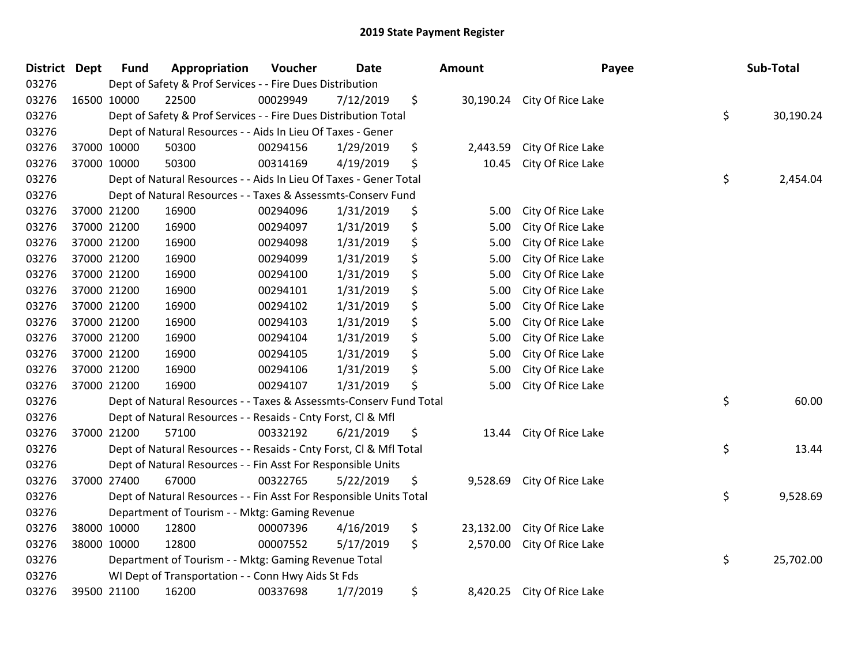## 2019 State Payment Register

| <b>District Dept</b> |             | <b>Fund</b>                                                  | Appropriation                                                                      | Voucher  | <b>Date</b> |    | Amount    | Payee                       |    | Sub-Total |  |  |
|----------------------|-------------|--------------------------------------------------------------|------------------------------------------------------------------------------------|----------|-------------|----|-----------|-----------------------------|----|-----------|--|--|
| 03276                |             |                                                              | Dept of Safety & Prof Services - - Fire Dues Distribution                          |          |             |    |           |                             |    |           |  |  |
| 03276                | 16500 10000 |                                                              | 22500                                                                              | 00029949 | 7/12/2019   | \$ |           | 30,190.24 City Of Rice Lake |    |           |  |  |
| 03276                |             |                                                              | \$<br>Dept of Safety & Prof Services - - Fire Dues Distribution Total<br>30,190.24 |          |             |    |           |                             |    |           |  |  |
| 03276                |             |                                                              | Dept of Natural Resources - - Aids In Lieu Of Taxes - Gener                        |          |             |    |           |                             |    |           |  |  |
| 03276                |             | 37000 10000                                                  | 50300                                                                              | 00294156 | 1/29/2019   | \$ | 2,443.59  | City Of Rice Lake           |    |           |  |  |
| 03276                |             | 37000 10000                                                  | 50300                                                                              | 00314169 | 4/19/2019   | \$ | 10.45     | City Of Rice Lake           |    |           |  |  |
| 03276                |             |                                                              | Dept of Natural Resources - - Aids In Lieu Of Taxes - Gener Total                  |          |             |    |           |                             | \$ | 2,454.04  |  |  |
| 03276                |             |                                                              | Dept of Natural Resources - - Taxes & Assessmts-Conserv Fund                       |          |             |    |           |                             |    |           |  |  |
| 03276                |             | 37000 21200                                                  | 16900                                                                              | 00294096 | 1/31/2019   | \$ | 5.00      | City Of Rice Lake           |    |           |  |  |
| 03276                |             | 37000 21200                                                  | 16900                                                                              | 00294097 | 1/31/2019   | \$ | 5.00      | City Of Rice Lake           |    |           |  |  |
| 03276                |             | 37000 21200                                                  | 16900                                                                              | 00294098 | 1/31/2019   | \$ | 5.00      | City Of Rice Lake           |    |           |  |  |
| 03276                |             | 37000 21200                                                  | 16900                                                                              | 00294099 | 1/31/2019   | \$ | 5.00      | City Of Rice Lake           |    |           |  |  |
| 03276                |             | 37000 21200                                                  | 16900                                                                              | 00294100 | 1/31/2019   | \$ | 5.00      | City Of Rice Lake           |    |           |  |  |
| 03276                |             | 37000 21200                                                  | 16900                                                                              | 00294101 | 1/31/2019   | \$ | 5.00      | City Of Rice Lake           |    |           |  |  |
| 03276                |             | 37000 21200                                                  | 16900                                                                              | 00294102 | 1/31/2019   | \$ | 5.00      | City Of Rice Lake           |    |           |  |  |
| 03276                |             | 37000 21200                                                  | 16900                                                                              | 00294103 | 1/31/2019   | \$ | 5.00      | City Of Rice Lake           |    |           |  |  |
| 03276                |             | 37000 21200                                                  | 16900                                                                              | 00294104 | 1/31/2019   | \$ | 5.00      | City Of Rice Lake           |    |           |  |  |
| 03276                | 37000 21200 |                                                              | 16900                                                                              | 00294105 | 1/31/2019   | \$ | 5.00      | City Of Rice Lake           |    |           |  |  |
| 03276                |             | 37000 21200                                                  | 16900                                                                              | 00294106 | 1/31/2019   | \$ | 5.00      | City Of Rice Lake           |    |           |  |  |
| 03276                |             | 37000 21200                                                  | 16900                                                                              | 00294107 | 1/31/2019   | \$ | 5.00      | City Of Rice Lake           |    |           |  |  |
| 03276                |             |                                                              | Dept of Natural Resources - - Taxes & Assessmts-Conserv Fund Total                 |          |             |    |           |                             | \$ | 60.00     |  |  |
| 03276                |             |                                                              | Dept of Natural Resources - - Resaids - Cnty Forst, Cl & Mfl                       |          |             |    |           |                             |    |           |  |  |
| 03276                |             | 37000 21200                                                  | 57100                                                                              | 00332192 | 6/21/2019   | \$ | 13.44     | City Of Rice Lake           |    |           |  |  |
| 03276                |             |                                                              | Dept of Natural Resources - - Resaids - Cnty Forst, Cl & Mfl Total                 |          |             |    |           |                             | \$ | 13.44     |  |  |
| 03276                |             | Dept of Natural Resources - - Fin Asst For Responsible Units |                                                                                    |          |             |    |           |                             |    |           |  |  |
| 03276                |             | 37000 27400                                                  | 67000                                                                              | 00322765 | 5/22/2019   | \$ | 9,528.69  | City Of Rice Lake           |    |           |  |  |
| 03276                |             |                                                              | Dept of Natural Resources - - Fin Asst For Responsible Units Total                 |          |             |    |           |                             | \$ | 9,528.69  |  |  |
| 03276                |             |                                                              | Department of Tourism - - Mktg: Gaming Revenue                                     |          |             |    |           |                             |    |           |  |  |
| 03276                |             | 38000 10000                                                  | 12800                                                                              | 00007396 | 4/16/2019   | \$ | 23,132.00 | City Of Rice Lake           |    |           |  |  |
| 03276                |             | 38000 10000                                                  | 12800                                                                              | 00007552 | 5/17/2019   | \$ | 2,570.00  | City Of Rice Lake           |    |           |  |  |
| 03276                |             |                                                              | Department of Tourism - - Mktg: Gaming Revenue Total                               |          |             |    |           |                             | \$ | 25,702.00 |  |  |
| 03276                |             |                                                              | WI Dept of Transportation - - Conn Hwy Aids St Fds                                 |          |             |    |           |                             |    |           |  |  |
| 03276                |             | 39500 21100                                                  | 16200                                                                              | 00337698 | 1/7/2019    | \$ | 8,420.25  | City Of Rice Lake           |    |           |  |  |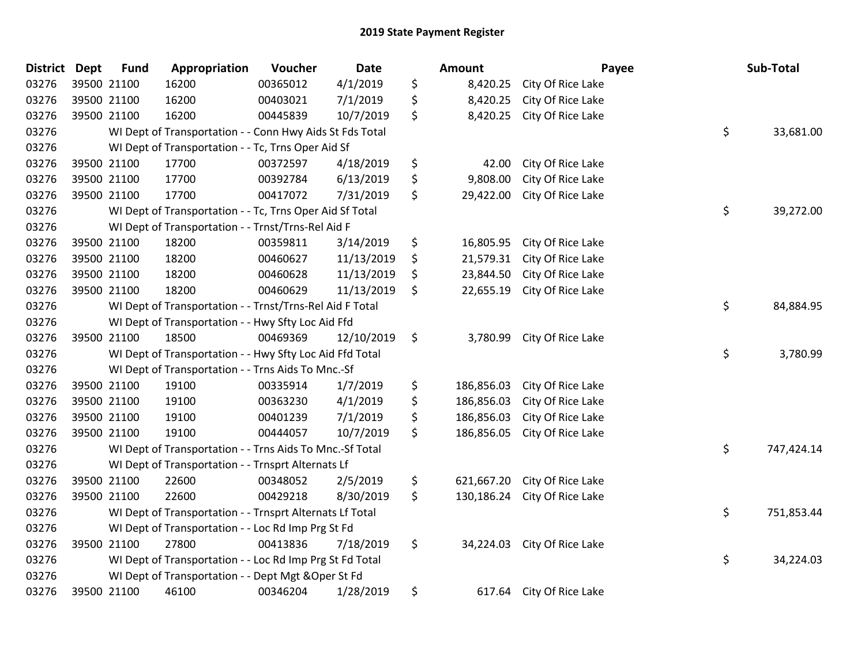| <b>District</b> | <b>Dept</b> | <b>Fund</b> | Appropriation                                                  | Voucher  | <b>Date</b> |    | Amount     |                             | Payee | Sub-Total  |  |  |
|-----------------|-------------|-------------|----------------------------------------------------------------|----------|-------------|----|------------|-----------------------------|-------|------------|--|--|
| 03276           | 39500 21100 |             | 16200                                                          | 00365012 | 4/1/2019    | \$ | 8,420.25   | City Of Rice Lake           |       |            |  |  |
| 03276           |             | 39500 21100 | 16200                                                          | 00403021 | 7/1/2019    | \$ | 8,420.25   | City Of Rice Lake           |       |            |  |  |
| 03276           | 39500 21100 |             | 16200                                                          | 00445839 | 10/7/2019   | \$ | 8,420.25   | City Of Rice Lake           |       |            |  |  |
| 03276           |             |             | WI Dept of Transportation - - Conn Hwy Aids St Fds Total       |          |             |    |            |                             | \$    | 33,681.00  |  |  |
| 03276           |             |             | WI Dept of Transportation - - Tc, Trns Oper Aid Sf             |          |             |    |            |                             |       |            |  |  |
| 03276           |             | 39500 21100 | 17700                                                          | 00372597 | 4/18/2019   | \$ | 42.00      | City Of Rice Lake           |       |            |  |  |
| 03276           |             | 39500 21100 | 17700                                                          | 00392784 | 6/13/2019   | \$ | 9,808.00   | City Of Rice Lake           |       |            |  |  |
| 03276           | 39500 21100 |             | 17700                                                          | 00417072 | 7/31/2019   | \$ | 29,422.00  | City Of Rice Lake           |       |            |  |  |
| 03276           |             |             | \$<br>WI Dept of Transportation - - Tc, Trns Oper Aid Sf Total |          |             |    |            |                             |       |            |  |  |
| 03276           |             |             | WI Dept of Transportation - - Trnst/Trns-Rel Aid F             |          |             |    |            |                             |       |            |  |  |
| 03276           |             | 39500 21100 | 18200                                                          | 00359811 | 3/14/2019   | \$ | 16,805.95  | City Of Rice Lake           |       |            |  |  |
| 03276           | 39500 21100 |             | 18200                                                          | 00460627 | 11/13/2019  | \$ | 21,579.31  | City Of Rice Lake           |       |            |  |  |
| 03276           |             | 39500 21100 | 18200                                                          | 00460628 | 11/13/2019  | \$ | 23,844.50  | City Of Rice Lake           |       |            |  |  |
| 03276           | 39500 21100 |             | 18200                                                          | 00460629 | 11/13/2019  | \$ | 22,655.19  | City Of Rice Lake           |       |            |  |  |
| 03276           |             |             | WI Dept of Transportation - - Trnst/Trns-Rel Aid F Total       |          |             |    |            |                             | \$    | 84,884.95  |  |  |
| 03276           |             |             | WI Dept of Transportation - - Hwy Sfty Loc Aid Ffd             |          |             |    |            |                             |       |            |  |  |
| 03276           |             | 39500 21100 | 18500                                                          | 00469369 | 12/10/2019  | \$ | 3,780.99   | City Of Rice Lake           |       |            |  |  |
| 03276           |             |             | WI Dept of Transportation - - Hwy Sfty Loc Aid Ffd Total       |          |             |    |            |                             | \$    | 3,780.99   |  |  |
| 03276           |             |             | WI Dept of Transportation - - Trns Aids To Mnc.-Sf             |          |             |    |            |                             |       |            |  |  |
| 03276           | 39500 21100 |             | 19100                                                          | 00335914 | 1/7/2019    | \$ | 186,856.03 | City Of Rice Lake           |       |            |  |  |
| 03276           |             | 39500 21100 | 19100                                                          | 00363230 | 4/1/2019    | \$ | 186,856.03 | City Of Rice Lake           |       |            |  |  |
| 03276           | 39500 21100 |             | 19100                                                          | 00401239 | 7/1/2019    | \$ | 186,856.03 | City Of Rice Lake           |       |            |  |  |
| 03276           | 39500 21100 |             | 19100                                                          | 00444057 | 10/7/2019   | \$ | 186,856.05 | City Of Rice Lake           |       |            |  |  |
| 03276           |             |             | WI Dept of Transportation - - Trns Aids To Mnc.-Sf Total       |          |             |    |            |                             | \$    | 747,424.14 |  |  |
| 03276           |             |             | WI Dept of Transportation - - Trnsprt Alternats Lf             |          |             |    |            |                             |       |            |  |  |
| 03276           |             | 39500 21100 | 22600                                                          | 00348052 | 2/5/2019    | \$ | 621,667.20 | City Of Rice Lake           |       |            |  |  |
| 03276           |             | 39500 21100 | 22600                                                          | 00429218 | 8/30/2019   | \$ | 130,186.24 | City Of Rice Lake           |       |            |  |  |
| 03276           |             |             | WI Dept of Transportation - - Trnsprt Alternats Lf Total       |          |             |    |            |                             | \$    | 751,853.44 |  |  |
| 03276           |             |             | WI Dept of Transportation - - Loc Rd Imp Prg St Fd             |          |             |    |            |                             |       |            |  |  |
| 03276           | 39500 21100 |             | 27800                                                          | 00413836 | 7/18/2019   | \$ |            | 34,224.03 City Of Rice Lake |       |            |  |  |
| 03276           |             |             | WI Dept of Transportation - - Loc Rd Imp Prg St Fd Total       |          |             |    |            |                             | \$    | 34,224.03  |  |  |
| 03276           |             |             | WI Dept of Transportation - - Dept Mgt & Oper St Fd            |          |             |    |            |                             |       |            |  |  |
| 03276           |             | 39500 21100 | 46100                                                          | 00346204 | 1/28/2019   | \$ | 617.64     | City Of Rice Lake           |       |            |  |  |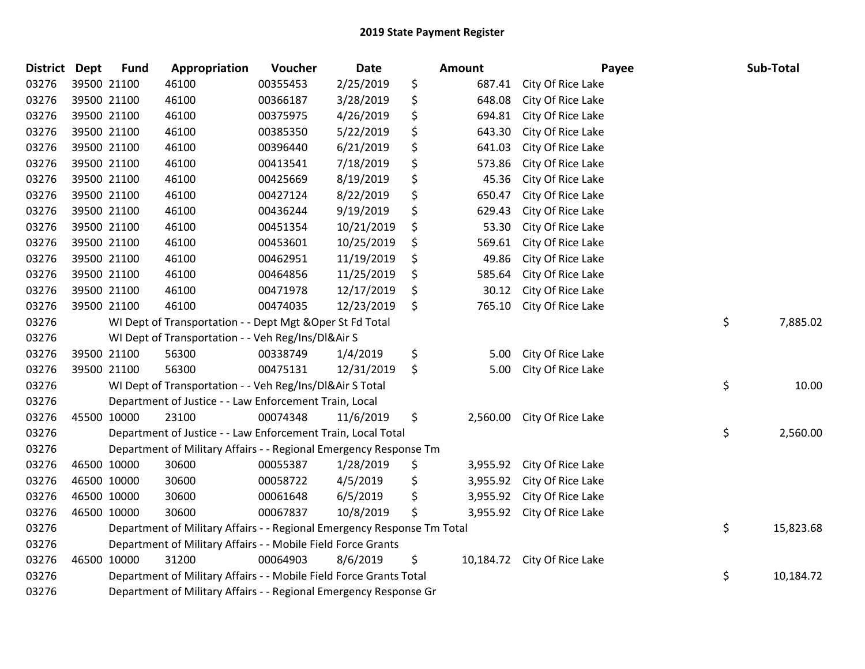| District Dept |             | <b>Fund</b>                                                       | Appropriation                                                           | Voucher  | <b>Date</b> |    | Amount   | Payee                       |    | Sub-Total |
|---------------|-------------|-------------------------------------------------------------------|-------------------------------------------------------------------------|----------|-------------|----|----------|-----------------------------|----|-----------|
| 03276         | 39500 21100 |                                                                   | 46100                                                                   | 00355453 | 2/25/2019   | \$ | 687.41   | City Of Rice Lake           |    |           |
| 03276         | 39500 21100 |                                                                   | 46100                                                                   | 00366187 | 3/28/2019   | \$ | 648.08   | City Of Rice Lake           |    |           |
| 03276         | 39500 21100 |                                                                   | 46100                                                                   | 00375975 | 4/26/2019   | \$ | 694.81   | City Of Rice Lake           |    |           |
| 03276         | 39500 21100 |                                                                   | 46100                                                                   | 00385350 | 5/22/2019   | \$ | 643.30   | City Of Rice Lake           |    |           |
| 03276         | 39500 21100 |                                                                   | 46100                                                                   | 00396440 | 6/21/2019   | \$ | 641.03   | City Of Rice Lake           |    |           |
| 03276         | 39500 21100 |                                                                   | 46100                                                                   | 00413541 | 7/18/2019   | \$ | 573.86   | City Of Rice Lake           |    |           |
| 03276         | 39500 21100 |                                                                   | 46100                                                                   | 00425669 | 8/19/2019   | \$ | 45.36    | City Of Rice Lake           |    |           |
| 03276         | 39500 21100 |                                                                   | 46100                                                                   | 00427124 | 8/22/2019   | \$ | 650.47   | City Of Rice Lake           |    |           |
| 03276         | 39500 21100 |                                                                   | 46100                                                                   | 00436244 | 9/19/2019   | \$ | 629.43   | City Of Rice Lake           |    |           |
| 03276         | 39500 21100 |                                                                   | 46100                                                                   | 00451354 | 10/21/2019  | \$ | 53.30    | City Of Rice Lake           |    |           |
| 03276         | 39500 21100 |                                                                   | 46100                                                                   | 00453601 | 10/25/2019  | \$ | 569.61   | City Of Rice Lake           |    |           |
| 03276         | 39500 21100 |                                                                   | 46100                                                                   | 00462951 | 11/19/2019  | \$ | 49.86    | City Of Rice Lake           |    |           |
| 03276         | 39500 21100 |                                                                   | 46100                                                                   | 00464856 | 11/25/2019  | \$ | 585.64   | City Of Rice Lake           |    |           |
| 03276         | 39500 21100 |                                                                   | 46100                                                                   | 00471978 | 12/17/2019  | \$ | 30.12    | City Of Rice Lake           |    |           |
| 03276         | 39500 21100 |                                                                   | 46100                                                                   | 00474035 | 12/23/2019  | \$ | 765.10   | City Of Rice Lake           |    |           |
| 03276         |             |                                                                   | WI Dept of Transportation - - Dept Mgt & Oper St Fd Total               |          |             |    |          |                             | \$ | 7,885.02  |
| 03276         |             |                                                                   | WI Dept of Transportation - - Veh Reg/Ins/DI&Air S                      |          |             |    |          |                             |    |           |
| 03276         |             | 39500 21100                                                       | 56300                                                                   | 00338749 | 1/4/2019    | \$ | 5.00     | City Of Rice Lake           |    |           |
| 03276         | 39500 21100 |                                                                   | 56300                                                                   | 00475131 | 12/31/2019  | \$ | 5.00     | City Of Rice Lake           |    |           |
| 03276         |             |                                                                   | WI Dept of Transportation - - Veh Reg/Ins/DI&Air S Total                |          |             |    |          |                             | \$ | 10.00     |
| 03276         |             |                                                                   | Department of Justice - - Law Enforcement Train, Local                  |          |             |    |          |                             |    |           |
| 03276         | 45500 10000 |                                                                   | 23100                                                                   | 00074348 | 11/6/2019   | \$ | 2,560.00 | City Of Rice Lake           |    |           |
| 03276         |             |                                                                   | Department of Justice - - Law Enforcement Train, Local Total            |          |             |    |          |                             | \$ | 2,560.00  |
| 03276         |             |                                                                   | Department of Military Affairs - - Regional Emergency Response Tm       |          |             |    |          |                             |    |           |
| 03276         | 46500 10000 |                                                                   | 30600                                                                   | 00055387 | 1/28/2019   | \$ | 3,955.92 | City Of Rice Lake           |    |           |
| 03276         | 46500 10000 |                                                                   | 30600                                                                   | 00058722 | 4/5/2019    | \$ | 3,955.92 | City Of Rice Lake           |    |           |
| 03276         | 46500 10000 |                                                                   | 30600                                                                   | 00061648 | 6/5/2019    | \$ | 3,955.92 | City Of Rice Lake           |    |           |
| 03276         | 46500 10000 |                                                                   | 30600                                                                   | 00067837 | 10/8/2019   | \$ | 3,955.92 | City Of Rice Lake           |    |           |
| 03276         |             |                                                                   | Department of Military Affairs - - Regional Emergency Response Tm Total |          |             |    |          |                             | \$ | 15,823.68 |
| 03276         |             | Department of Military Affairs - - Mobile Field Force Grants      |                                                                         |          |             |    |          |                             |    |           |
| 03276         | 46500 10000 |                                                                   | 31200                                                                   | 00064903 | 8/6/2019    | \$ |          | 10,184.72 City Of Rice Lake |    |           |
| 03276         |             |                                                                   | Department of Military Affairs - - Mobile Field Force Grants Total      |          |             |    |          |                             | \$ | 10,184.72 |
| 03276         |             | Department of Military Affairs - - Regional Emergency Response Gr |                                                                         |          |             |    |          |                             |    |           |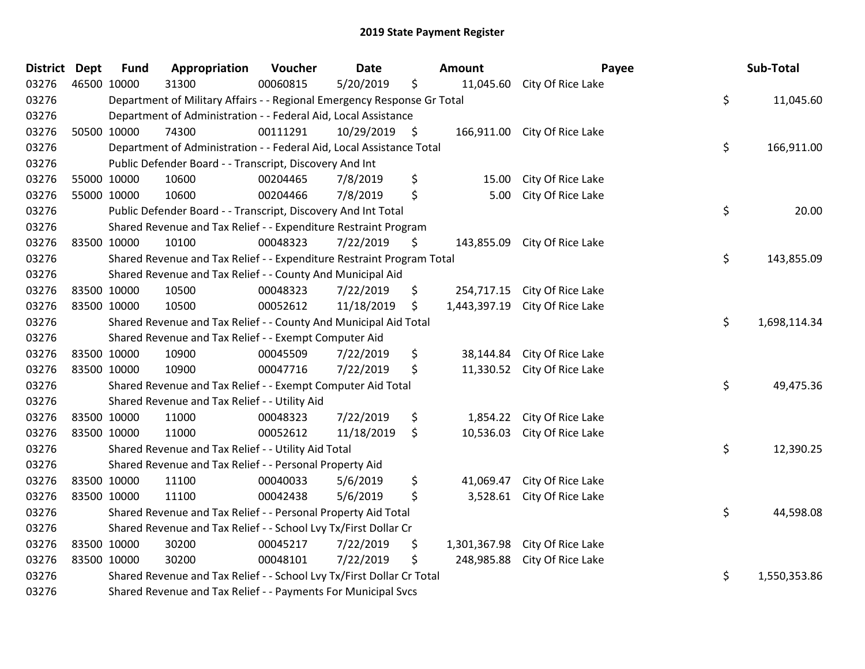| <b>District</b> | <b>Dept</b> | <b>Fund</b>                                                   | Appropriation                                                           | Voucher  | <b>Date</b>   |    | Amount       | Payee                        |    | Sub-Total    |
|-----------------|-------------|---------------------------------------------------------------|-------------------------------------------------------------------------|----------|---------------|----|--------------|------------------------------|----|--------------|
| 03276           | 46500 10000 |                                                               | 31300                                                                   | 00060815 | 5/20/2019     | \$ |              | 11,045.60 City Of Rice Lake  |    |              |
| 03276           |             |                                                               | Department of Military Affairs - - Regional Emergency Response Gr Total |          |               |    |              |                              | \$ | 11,045.60    |
| 03276           |             |                                                               | Department of Administration - - Federal Aid, Local Assistance          |          |               |    |              |                              |    |              |
| 03276           |             | 50500 10000                                                   | 74300                                                                   | 00111291 | 10/29/2019 \$ |    |              | 166,911.00 City Of Rice Lake |    |              |
| 03276           |             |                                                               | Department of Administration - - Federal Aid, Local Assistance Total    |          |               |    |              |                              | \$ | 166,911.00   |
| 03276           |             |                                                               | Public Defender Board - - Transcript, Discovery And Int                 |          |               |    |              |                              |    |              |
| 03276           | 55000 10000 |                                                               | 10600                                                                   | 00204465 | 7/8/2019      | \$ | 15.00        | City Of Rice Lake            |    |              |
| 03276           | 55000 10000 |                                                               | 10600                                                                   | 00204466 | 7/8/2019      | \$ | 5.00         | City Of Rice Lake            |    |              |
| 03276           |             |                                                               | Public Defender Board - - Transcript, Discovery And Int Total           |          |               |    |              |                              | \$ | 20.00        |
| 03276           |             |                                                               | Shared Revenue and Tax Relief - - Expenditure Restraint Program         |          |               |    |              |                              |    |              |
| 03276           | 83500 10000 |                                                               | 10100                                                                   | 00048323 | 7/22/2019     | \$ |              | 143,855.09 City Of Rice Lake |    |              |
| 03276           |             |                                                               | Shared Revenue and Tax Relief - - Expenditure Restraint Program Total   |          |               |    |              |                              | \$ | 143,855.09   |
| 03276           |             |                                                               | Shared Revenue and Tax Relief - - County And Municipal Aid              |          |               |    |              |                              |    |              |
| 03276           | 83500 10000 |                                                               | 10500                                                                   | 00048323 | 7/22/2019     | \$ | 254,717.15   | City Of Rice Lake            |    |              |
| 03276           | 83500 10000 |                                                               | 10500                                                                   | 00052612 | 11/18/2019    | \$ | 1,443,397.19 | City Of Rice Lake            |    |              |
| 03276           |             |                                                               | Shared Revenue and Tax Relief - - County And Municipal Aid Total        |          |               |    |              |                              | \$ | 1,698,114.34 |
| 03276           |             |                                                               | Shared Revenue and Tax Relief - - Exempt Computer Aid                   |          |               |    |              |                              |    |              |
| 03276           | 83500 10000 |                                                               | 10900                                                                   | 00045509 | 7/22/2019     | \$ | 38,144.84    | City Of Rice Lake            |    |              |
| 03276           | 83500 10000 |                                                               | 10900                                                                   | 00047716 | 7/22/2019     | \$ | 11,330.52    | City Of Rice Lake            |    |              |
| 03276           |             |                                                               | Shared Revenue and Tax Relief - - Exempt Computer Aid Total             |          |               |    |              |                              | \$ | 49,475.36    |
| 03276           |             |                                                               | Shared Revenue and Tax Relief - - Utility Aid                           |          |               |    |              |                              |    |              |
| 03276           | 83500 10000 |                                                               | 11000                                                                   | 00048323 | 7/22/2019     | \$ | 1,854.22     | City Of Rice Lake            |    |              |
| 03276           | 83500 10000 |                                                               | 11000                                                                   | 00052612 | 11/18/2019    | \$ |              | 10,536.03 City Of Rice Lake  |    |              |
| 03276           |             |                                                               | Shared Revenue and Tax Relief - - Utility Aid Total                     |          |               |    |              |                              | \$ | 12,390.25    |
| 03276           |             |                                                               | Shared Revenue and Tax Relief - - Personal Property Aid                 |          |               |    |              |                              |    |              |
| 03276           | 83500 10000 |                                                               | 11100                                                                   | 00040033 | 5/6/2019      | \$ | 41,069.47    | City Of Rice Lake            |    |              |
| 03276           | 83500 10000 |                                                               | 11100                                                                   | 00042438 | 5/6/2019      | \$ |              | 3,528.61 City Of Rice Lake   |    |              |
| 03276           |             |                                                               | Shared Revenue and Tax Relief - - Personal Property Aid Total           |          |               |    |              |                              | \$ | 44,598.08    |
| 03276           |             |                                                               | Shared Revenue and Tax Relief - - School Lvy Tx/First Dollar Cr         |          |               |    |              |                              |    |              |
| 03276           | 83500 10000 |                                                               | 30200                                                                   | 00045217 | 7/22/2019     | \$ | 1,301,367.98 | City Of Rice Lake            |    |              |
| 03276           | 83500 10000 |                                                               | 30200                                                                   | 00048101 | 7/22/2019     | \$ | 248,985.88   | City Of Rice Lake            |    |              |
| 03276           |             |                                                               | Shared Revenue and Tax Relief - - School Lvy Tx/First Dollar Cr Total   |          |               |    |              |                              | \$ | 1,550,353.86 |
| 03276           |             | Shared Revenue and Tax Relief - - Payments For Municipal Svcs |                                                                         |          |               |    |              |                              |    |              |